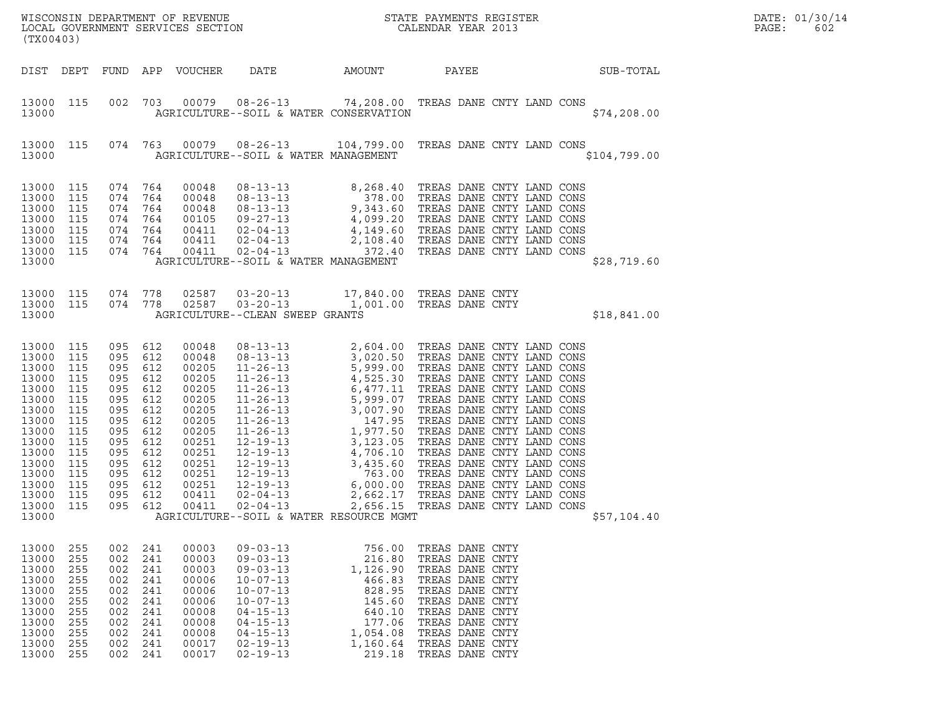| (TX00403)                                                                                                                                                                                                                                                             |                                                                                                                              |                                                                                  |                                                                                                                                              |                                                                                                                                                                                                    |                                                                                                                  | WISCONSIN DEPARTMENT OF REVENUE<br>LOCAL GOVERNMENT SERVICES SECTION<br>CALENDAR YEAR 2013                                                                                                                                                                                                                                                                                              |              | DATE: 01/30/14<br>PAGE:<br>602 |
|-----------------------------------------------------------------------------------------------------------------------------------------------------------------------------------------------------------------------------------------------------------------------|------------------------------------------------------------------------------------------------------------------------------|----------------------------------------------------------------------------------|----------------------------------------------------------------------------------------------------------------------------------------------|----------------------------------------------------------------------------------------------------------------------------------------------------------------------------------------------------|------------------------------------------------------------------------------------------------------------------|-----------------------------------------------------------------------------------------------------------------------------------------------------------------------------------------------------------------------------------------------------------------------------------------------------------------------------------------------------------------------------------------|--------------|--------------------------------|
| DIST DEPT                                                                                                                                                                                                                                                             |                                                                                                                              |                                                                                  | FUND APP VOUCHER                                                                                                                             | DATE                                                                                                                                                                                               | AMOUNT                                                                                                           | PAYEE                                                                                                                                                                                                                                                                                                                                                                                   | SUB-TOTAL    |                                |
| 13000 115<br>13000                                                                                                                                                                                                                                                    | 002                                                                                                                          |                                                                                  |                                                                                                                                              | AGRICULTURE--SOIL & WATER CONSERVATION                                                                                                                                                             |                                                                                                                  | 703  00079  08-26-13  74,208.00  TREAS DANE CNTY LAND CONS                                                                                                                                                                                                                                                                                                                              | \$74, 208.00 |                                |
| 13000 115<br>13000                                                                                                                                                                                                                                                    |                                                                                                                              |                                                                                  |                                                                                                                                              | AGRICULTURE--SOIL & WATER MANAGEMENT                                                                                                                                                               |                                                                                                                  | 074 763 00079 08-26-13 104,799.00 TREAS DANE CNTY LAND CONS                                                                                                                                                                                                                                                                                                                             | \$104,799.00 |                                |
| 13000<br>115<br>13000<br>115<br>13000<br>115<br>13000<br>115<br>13000<br>115<br>13000<br>115<br>13000 115<br>13000                                                                                                                                                    | 074 764<br>074<br>074<br>074 764<br>074 764<br>074 764<br>074 764                                                            | 764<br>764                                                                       | 00048<br>00048<br>00048<br>00105<br>00411<br>00411<br>00411                                                                                  | AGRICULTURE--SOIL & WATER MANAGEMENT                                                                                                                                                               |                                                                                                                  | $\begin{tabular}{lllllllllllllllllllllll} 08-13-13 & 8,268.40 & \text{TREAS} \text{ DANE CNTY LAND CONS} \\ 08-13-13 & 378.00 & \text{TREAS} \text{ DANE CNTY LAND CONS} \\ 08-13-13 & 9,343.60 & \text{TREAS} \text{ DANE CNTY LAND CONS} \\ 09-27-13 & 4,099.20 & \text{TREAS} \text{ DANE CNTY LAND CONS} \\ 02-04-13 & 4,149.60 & \text{TREAS} \text{ DANE CNTY LAND CONS} \\ 02-0$ | \$28,719.60  |                                |
| 13000 115 074 778<br>13000 115<br>13000                                                                                                                                                                                                                               | 074 778                                                                                                                      |                                                                                  | 02587<br>02587                                                                                                                               | AGRICULTURE--CLEAN SWEEP GRANTS                                                                                                                                                                    |                                                                                                                  | 03-20-13 17,840.00 TREAS DANE CNTY<br>03-20-13 1,001.00 TREAS DANE CNTY                                                                                                                                                                                                                                                                                                                 | \$18,841.00  |                                |
| 13000<br>115<br>13000<br>115<br>13000<br>115<br>13000<br>115<br>13000<br>115<br>13000<br>115<br>13000<br>115<br>13000<br>115<br>13000<br>115<br>13000<br>115<br>13000<br>115<br>13000<br>115<br>13000<br>115<br>13000<br>115<br>13000<br>115<br>13000<br>115<br>13000 | 095 612<br>095 612<br>095<br>095<br>095<br>095<br>095<br>095<br>095<br>095<br>095<br>095<br>095<br>095 612<br>095<br>095 612 | 612<br>612<br>612<br>612<br>612<br>612<br>612<br>612<br>612<br>612<br>612<br>612 | 00048<br>00048<br>00205<br>00205<br>00205<br>00205<br>00205<br>00205<br>00205<br>00251<br>00251<br>00251<br>00251<br>00251<br>00411<br>00411 | $02 - 04 - 13$<br>AGRICULTURE--SOIL & WATER RESOURCE MGMT                                                                                                                                          | 2,656.15                                                                                                         | TREAS DANE CNTY LAND CONS                                                                                                                                                                                                                                                                                                                                                               | \$57,104.40  |                                |
| 13000<br>255<br>13000<br>255<br>13000<br>255<br>13000<br>255<br>13000<br>255<br>13000<br>255<br>13000<br>255<br>13000<br>255<br>13000<br>255<br>13000<br>255<br>13000<br>255                                                                                          | 002<br>002<br>002<br>002<br>002<br>002<br>002<br>002<br>002<br>002<br>002                                                    | 241<br>241<br>241<br>241<br>241<br>241<br>241<br>241<br>241<br>241<br>241        | 00003<br>00003<br>00003<br>00006<br>00006<br>00006<br>00008<br>00008<br>00008<br>00017<br>00017                                              | $09 - 03 - 13$<br>$09 - 03 - 13$<br>$09 - 03 - 13$<br>$10 - 07 - 13$<br>$10 - 07 - 13$<br>$10 - 07 - 13$<br>$04 - 15 - 13$<br>$04 - 15 - 13$<br>$04 - 15 - 13$<br>$02 - 19 - 13$<br>$02 - 19 - 13$ | 756.00<br>216.80<br>1,126.90<br>466.83<br>828.95<br>145.60<br>640.10<br>177.06<br>1,054.08<br>1,160.64<br>219.18 | TREAS DANE CNTY<br>TREAS DANE CNTY<br>TREAS DANE CNTY<br>TREAS DANE CNTY<br>TREAS DANE CNTY<br>TREAS DANE CNTY<br>TREAS DANE CNTY<br>TREAS DANE CNTY<br>TREAS DANE CNTY<br>TREAS DANE CNTY<br>TREAS DANE CNTY                                                                                                                                                                           |              |                                |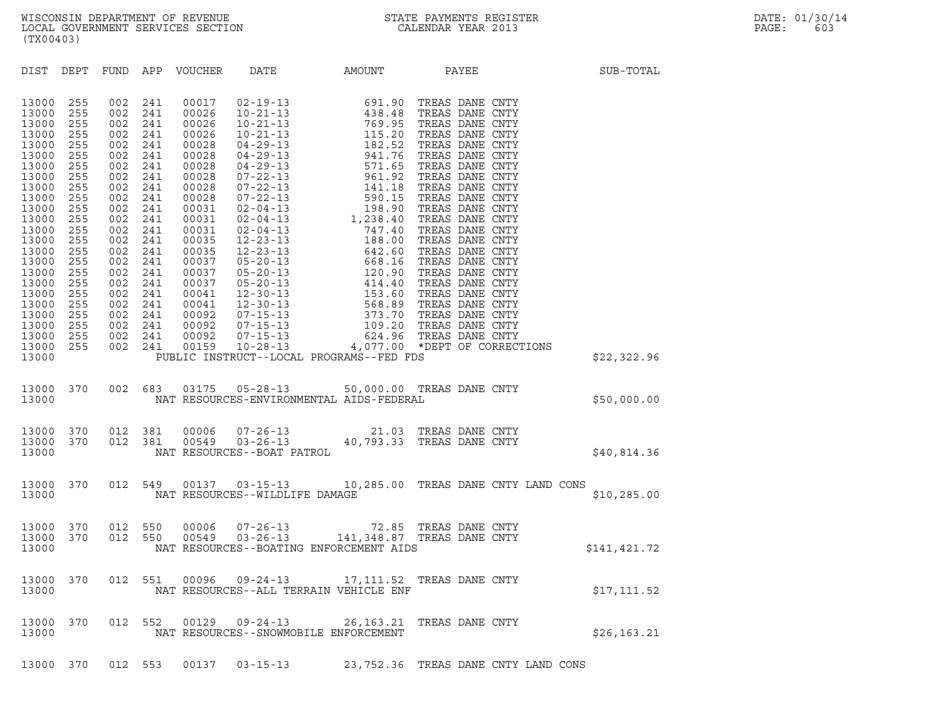| (TX00403)                                                                                                                                                                                                                     |                                                                                                                                                        |                                                                                                                                                                                                           |                                                                                                                                                        |                                                                                                                                                                                                                      |                                |                                                                                                                  |  |                                                                     |
|-------------------------------------------------------------------------------------------------------------------------------------------------------------------------------------------------------------------------------|--------------------------------------------------------------------------------------------------------------------------------------------------------|-----------------------------------------------------------------------------------------------------------------------------------------------------------------------------------------------------------|--------------------------------------------------------------------------------------------------------------------------------------------------------|----------------------------------------------------------------------------------------------------------------------------------------------------------------------------------------------------------------------|--------------------------------|------------------------------------------------------------------------------------------------------------------|--|---------------------------------------------------------------------|
| DIST DEPT                                                                                                                                                                                                                     |                                                                                                                                                        |                                                                                                                                                                                                           |                                                                                                                                                        | FUND APP VOUCHER DATE                                                                                                                                                                                                |                                | AMOUNT PAYEE                                                                                                     |  | SUB-TOTAL                                                           |
| 13000<br>13000<br>13000<br>13000<br>13000<br>13000<br>13000<br>13000<br>13000<br>13000<br>13000<br>13000<br>13000<br>13000<br>13000<br>13000<br>13000<br>13000<br>13000<br>13000<br>13000<br>13000<br>13000<br>13000<br>13000 | 255<br>255<br>255<br>255<br>255<br>255<br>255<br>255<br>255<br>255<br>255<br>255<br>255<br>255<br>255<br>255<br>255<br>255<br>255<br>255<br>255<br>255 | 002<br>002<br>002<br>002<br>002<br>002<br>002<br>002<br>002<br>002<br>002<br>002<br>002<br>002<br>002<br>002<br>002<br>002<br>002<br>002<br>002<br>002<br>255 002 241<br>255 002 241<br>255 002 241<br>PU | 241<br>241<br>241<br>241<br>241<br>241<br>241<br>241<br>241<br>241<br>241<br>241<br>241<br>241<br>241<br>241<br>241<br>241<br>241<br>241<br>241<br>241 | 00017<br>00026<br>00026<br>00026<br>00028<br>00028<br>00028<br>00028<br>00028<br>00028<br>00031<br>00031<br>00031<br>00035<br>00035<br>00037<br>00037<br>00037<br>00041<br>00041<br>00092<br>00092<br>00092<br>00159 |                                | PUBLIC INSTRUCT--LOCAL PROGRAMS--FED FDS                                                                         |  | \$22,322.96                                                         |
| 13000<br>13000                                                                                                                                                                                                                | 370                                                                                                                                                    |                                                                                                                                                                                                           |                                                                                                                                                        |                                                                                                                                                                                                                      |                                | 002 683 03175 05-28-13 50,000.00 TREAS DANE CNTY<br>NAT RESOURCES-ENVIRONMENTAL AIDS-FEDERAL                     |  | \$50,000.00                                                         |
| 13000<br>13000<br>13000                                                                                                                                                                                                       |                                                                                                                                                        | 370 012 381<br>$\frac{70}{570}$ $012$                                                                                                                                                                     | 012 381                                                                                                                                                |                                                                                                                                                                                                                      | NAT RESOURCES--BOAT PATROL     | 00006  07-26-13  21.03  TREAS DANE  CNTY<br>00549  03-26-13  40,793.33  TREAS DANE  CNTY                         |  | \$40,814.36                                                         |
| 13000<br>13000                                                                                                                                                                                                                | 370                                                                                                                                                    |                                                                                                                                                                                                           | 012 549                                                                                                                                                |                                                                                                                                                                                                                      | NAT RESOURCES--WILDLIFE DAMAGE | 00137  03-15-13  10,285.00 TREAS DANE CNTY LAND CONS                                                             |  | \$10, 285.00                                                        |
| 13000<br>13000<br>13000                                                                                                                                                                                                       | 370<br>370                                                                                                                                             | 012 550<br>012 550                                                                                                                                                                                        |                                                                                                                                                        | 00006<br>00549                                                                                                                                                                                                       |                                | 07-26-13 72.85 TREAS DANE CNTY<br>03-26-13 141,348.87 TREAS DANE CNTY<br>NAT RESOURCES--BOATING ENFORCEMENT AIDS |  | \$141,421.72                                                        |
| 13000<br>13000                                                                                                                                                                                                                | 370                                                                                                                                                    | 012 551                                                                                                                                                                                                   |                                                                                                                                                        |                                                                                                                                                                                                                      |                                | NAT RESOURCES--ALL TERRAIN VEHICLE ENF                                                                           |  | 00096 09-24-13 17,111.52 TREAS DANE CNTY<br>\$17,111.52 \$17,111.52 |
| 13000<br>13000                                                                                                                                                                                                                | 370                                                                                                                                                    | 012 552                                                                                                                                                                                                   |                                                                                                                                                        | 00129                                                                                                                                                                                                                | $09 - 24 - 13$                 | 26, 163. 21 TREAS DANE CNTY<br>NAT RESOURCES--SNOWMOBILE ENFORCEMENT                                             |  | \$26, 163.21                                                        |

13000 370 012 553 00137 03-15-13 23,752.36 TREAS DANE CNTY LAND CONS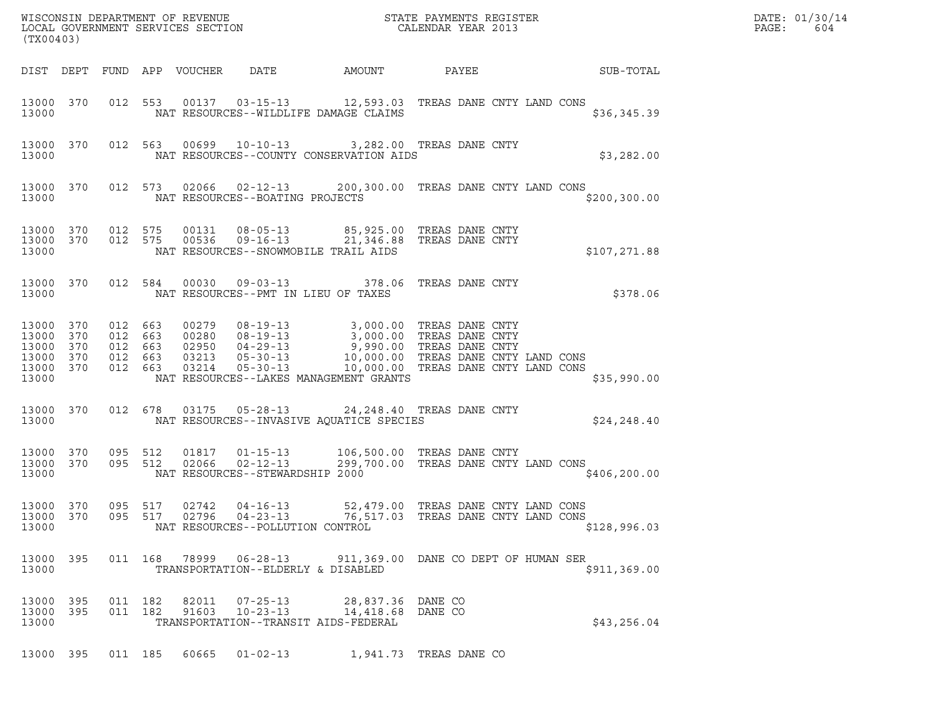| (TX00403)                                                  |                   |                               |                    |                            |                                                                     |                                                                                         | ${\tt WISCONSIM} \begin{tabular}{l} DEPARTMENT OF REVIEW \\ LOCAL BONERNMENT SERVICES SECTION \\ \end{tabular}$                                                                                                                           |               | DATE: 01/30/14<br>PAGE:<br>604 |
|------------------------------------------------------------|-------------------|-------------------------------|--------------------|----------------------------|---------------------------------------------------------------------|-----------------------------------------------------------------------------------------|-------------------------------------------------------------------------------------------------------------------------------------------------------------------------------------------------------------------------------------------|---------------|--------------------------------|
|                                                            |                   |                               |                    | DIST DEPT FUND APP VOUCHER | DATE                                                                | AMOUNT                                                                                  | PAYEE                                                                                                                                                                                                                                     | SUB-TOTAL     |                                |
| 13000                                                      | 13000 370         |                               |                    |                            |                                                                     | NAT RESOURCES--WILDLIFE DAMAGE CLAIMS                                                   | 012 553 00137 03-15-13 12,593.03 TREAS DANE CNTY LAND CONS                                                                                                                                                                                | \$36,345.39   |                                |
| 13000                                                      | 13000 370         |                               |                    |                            |                                                                     | NAT RESOURCES--COUNTY CONSERVATION AIDS                                                 | 012 563 00699 10-10-13 3,282.00 TREAS DANE CNTY                                                                                                                                                                                           | \$3,282.00    |                                |
| 13000                                                      | 13000 370         |                               |                    |                            | NAT RESOURCES--BOATING PROJECTS                                     |                                                                                         | 012 573 02066 02-12-13 200,300.00 TREAS DANE CNTY LAND CONS                                                                                                                                                                               | \$200, 300.00 |                                |
| 13000 370<br>13000 370<br>13000                            |                   | 012 575<br>012 575            |                    |                            |                                                                     | NAT RESOURCES--SNOWMOBILE TRAIL AIDS                                                    | 00131  08-05-13  85,925.00 TREAS DANE CNTY<br>00536  09-16-13  21,346.88 TREAS DANE CNTY                                                                                                                                                  | \$107,271.88  |                                |
| 13000 370<br>13000                                         |                   |                               | 012 584            |                            | NAT RESOURCES--PMT IN LIEU OF TAXES                                 |                                                                                         | 00030  09-03-13  378.06  TREAS DANE CNTY                                                                                                                                                                                                  | \$378.06      |                                |
| 13000<br>13000<br>13000<br>13000 370<br>13000 370<br>13000 | 370<br>370<br>370 | 012 663<br>012 663<br>012 663 | 012 663<br>012 663 |                            |                                                                     | NAT RESOURCES--LAKES MANAGEMENT GRANTS                                                  | 00279 08-19-13 3,000.00 TREAS DANE CNTY<br>00280 08-19-13 3,000.00 TREAS DANE CNTY<br>02950 04-29-13 9,990.00 TREAS DANE CNTY<br>03213 05-30-13 10,000.00 TREAS DANE CNTY LAND CONS<br>03214 05-30-13 10,000.00 TREAS DANE CNTY LAND CONS | \$35,990.00   |                                |
| 13000 370<br>13000                                         |                   | 012 678                       |                    |                            |                                                                     | NAT RESOURCES--INVASIVE AQUATICE SPECIES                                                | 03175  05-28-13  24,248.40  TREAS DANE CNTY                                                                                                                                                                                               | \$24, 248.40  |                                |
| 13000 370<br>13000 370<br>13000                            |                   | 095 512<br>095 512            |                    | 01817<br>02066             | $01 - 15 - 13$<br>$02 - 12 - 13$<br>NAT RESOURCES--STEWARDSHIP 2000 |                                                                                         | 106,500.00 TREAS DANE CNTY<br>299,700.00 TREAS DANE CNTY LAND CONS                                                                                                                                                                        | \$406, 200.00 |                                |
| 13000 370<br>13000                                         |                   | 095 517                       |                    | 02742                      | 04-16-13<br>NAT RESOURCES--POLLUTION CONTROL                        |                                                                                         | 52,479.00 TREAS DANE CNTY LAND CONS<br>13000 370 095 517 02796 04-23-13 76,517.03 TREAS DANE CNTY LAND CONS                                                                                                                               | \$128,996.03  |                                |
| 13000 395<br>13000                                         |                   |                               |                    |                            | TRANSPORTATION--ELDERLY & DISABLED                                  |                                                                                         | 011  168  78999  06-28-13  911,369.00 DANE CO DEPT OF HUMAN SER                                                                                                                                                                           | \$911, 369.00 |                                |
| 13000 395<br>13000 395<br>13000                            |                   | 011 182                       | 011 182            | 82011<br>91603             | $10 - 23 - 13$                                                      | 07-25-13 28,837.36 DANE CO<br>14,418.68 DANE CO<br>TRANSPORTATION--TRANSIT AIDS-FEDERAL |                                                                                                                                                                                                                                           | \$43,256.04   |                                |
| 13000 395                                                  |                   |                               |                    | 011 185 60665              | $01 - 02 - 13$                                                      |                                                                                         | 1,941.73 TREAS DANE CO                                                                                                                                                                                                                    |               |                                |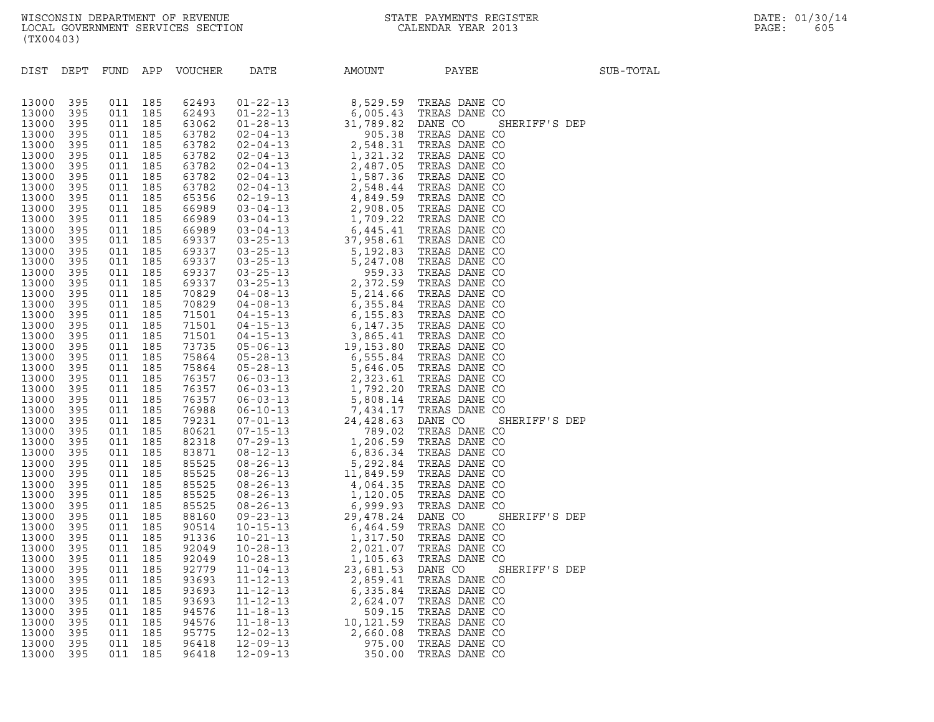| (TX00403)                                                                                                                                                                                                                                                                                                                                                                                                                  |                                                                                                                                                                                                                                                                                                                                |                                                                                                                                                                                                                                                                                                                                |                                                                                                                                                                                                                                                                                                                                |                                                                                                                                                                                                                                                                                                                                                                                                                            |                                                                                                                            |                                                                                                                                                                                                                                                                                                                                              |                                                                                                                     |                                                                  |           |
|----------------------------------------------------------------------------------------------------------------------------------------------------------------------------------------------------------------------------------------------------------------------------------------------------------------------------------------------------------------------------------------------------------------------------|--------------------------------------------------------------------------------------------------------------------------------------------------------------------------------------------------------------------------------------------------------------------------------------------------------------------------------|--------------------------------------------------------------------------------------------------------------------------------------------------------------------------------------------------------------------------------------------------------------------------------------------------------------------------------|--------------------------------------------------------------------------------------------------------------------------------------------------------------------------------------------------------------------------------------------------------------------------------------------------------------------------------|----------------------------------------------------------------------------------------------------------------------------------------------------------------------------------------------------------------------------------------------------------------------------------------------------------------------------------------------------------------------------------------------------------------------------|----------------------------------------------------------------------------------------------------------------------------|----------------------------------------------------------------------------------------------------------------------------------------------------------------------------------------------------------------------------------------------------------------------------------------------------------------------------------------------|---------------------------------------------------------------------------------------------------------------------|------------------------------------------------------------------|-----------|
| DIST                                                                                                                                                                                                                                                                                                                                                                                                                       | DEPT                                                                                                                                                                                                                                                                                                                           | FUND                                                                                                                                                                                                                                                                                                                           |                                                                                                                                                                                                                                                                                                                                | APP VOUCHER                                                                                                                                                                                                                                                                                                                                                                                                                | DATE                                                                                                                       | AMOUNT                                                                                                                                                                                                                                                                                                                                       | PAYEE                                                                                                               |                                                                  | SUB-TOTAL |
| 13000<br>13000<br>13000<br>13000<br>13000<br>13000<br>13000<br>13000<br>13000<br>13000<br>13000<br>13000<br>13000<br>13000<br>13000<br>13000<br>13000<br>13000<br>13000<br>13000<br>13000<br>13000<br>13000<br>13000<br>13000<br>13000<br>13000<br>13000<br>13000<br>13000<br>13000<br>13000<br>13000<br>13000<br>13000<br>13000<br>13000<br>13000<br>13000<br>13000<br>13000<br>13000<br>13000<br>13000<br>13000<br>13000 | 395<br>395<br>395<br>395<br>395<br>395<br>395<br>395<br>395<br>395<br>395<br>395<br>395<br>395<br>395<br>395<br>395<br>395<br>395<br>395<br>395<br>395<br>395<br>395<br>395<br>395<br>395<br>395<br>395<br>395<br>395<br>395<br>395<br>395<br>395<br>395<br>395<br>395<br>395<br>395<br>395<br>395<br>395<br>395<br>395<br>395 | 011<br>011<br>011<br>011<br>011<br>011<br>011<br>011<br>011<br>011<br>011<br>011<br>011<br>011<br>011<br>011<br>011<br>011<br>011<br>011<br>011<br>011<br>011<br>011<br>011<br>011<br>011<br>011<br>011<br>011<br>011<br>011<br>011<br>011<br>011<br>011<br>011<br>011<br>011<br>011<br>011<br>011<br>011<br>011<br>011<br>011 | 185<br>185<br>185<br>185<br>185<br>185<br>185<br>185<br>185<br>185<br>185<br>185<br>185<br>185<br>185<br>185<br>185<br>185<br>185<br>185<br>185<br>185<br>185<br>185<br>185<br>185<br>185<br>185<br>185<br>185<br>185<br>185<br>185<br>185<br>185<br>185<br>185<br>185<br>185<br>185<br>185<br>185<br>185<br>185<br>185<br>185 | 62493<br>62493<br>63062<br>63782<br>63782<br>63782<br>63782<br>63782<br>63782<br>65356<br>66989<br>66989<br>66989<br>69337<br>69337<br>69337<br>69337<br>69337<br>70829<br>70829<br>71501<br>71501<br>71501<br>73735<br>75864<br>75864<br>76357<br>76357<br>76357<br>76988<br>79231<br>80621<br>82318<br>83871<br>85525<br>85525<br>85525<br>85525<br>85525<br>88160<br>90514<br>91336<br>92049<br>92049<br>92779<br>93693 | $11 - 04 - 13$<br>$11 - 12 - 13$                                                                                           | $\begin{tabular}{cccc} \bf 19416 & \bf 14467041 & \bf 194168 & \bf 20411 & \bf 194169 \\ 01-22-13 & 6,005-43 & \bf 17REAS DANE CO \\ 01-28-13 & 5,008-32 & \bf 12RNE CO & \bf 31808 & \bf 19808 & \bf 19808 & \bf 19808 & \bf 19808 & \bf 19808 & \bf 19808 & \bf 19808 & \bf 19808 & \bf 19808 & \bf 19808 & \bf $<br>23,681.53<br>2,859.41 | DANE CO<br>TREAS DANE CO                                                                                            | SHERIFF'S DEP<br>SHERIFF'S DEP<br>SHERIFF'S DEP<br>SHERIFF'S DEP |           |
| 13000<br>13000<br>13000<br>13000<br>13000<br>13000<br>13000                                                                                                                                                                                                                                                                                                                                                                | 395<br>395<br>395<br>395<br>395<br>395<br>395                                                                                                                                                                                                                                                                                  | 011<br>011<br>011<br>011<br>011<br>011<br>011                                                                                                                                                                                                                                                                                  | 185<br>185<br>185<br>185<br>185<br>185<br>185                                                                                                                                                                                                                                                                                  | 93693<br>93693<br>94576<br>94576<br>95775<br>96418<br>96418                                                                                                                                                                                                                                                                                                                                                                | $11 - 12 - 13$<br>$11 - 12 - 13$<br>$11 - 18 - 13$<br>$11 - 18 - 13$<br>$12 - 02 - 13$<br>$12 - 09 - 13$<br>$12 - 09 - 13$ | 6,335.84<br>2,624.07<br>509.15<br>10,121.59<br>2,660.08<br>975.00<br>350.00                                                                                                                                                                                                                                                                  | TREAS DANE CO<br>TREAS DANE CO<br>TREAS DANE CO<br>TREAS DANE CO<br>TREAS DANE CO<br>TREAS DANE CO<br>TREAS DANE CO |                                                                  |           |
|                                                                                                                                                                                                                                                                                                                                                                                                                            |                                                                                                                                                                                                                                                                                                                                |                                                                                                                                                                                                                                                                                                                                |                                                                                                                                                                                                                                                                                                                                |                                                                                                                                                                                                                                                                                                                                                                                                                            |                                                                                                                            |                                                                                                                                                                                                                                                                                                                                              |                                                                                                                     |                                                                  |           |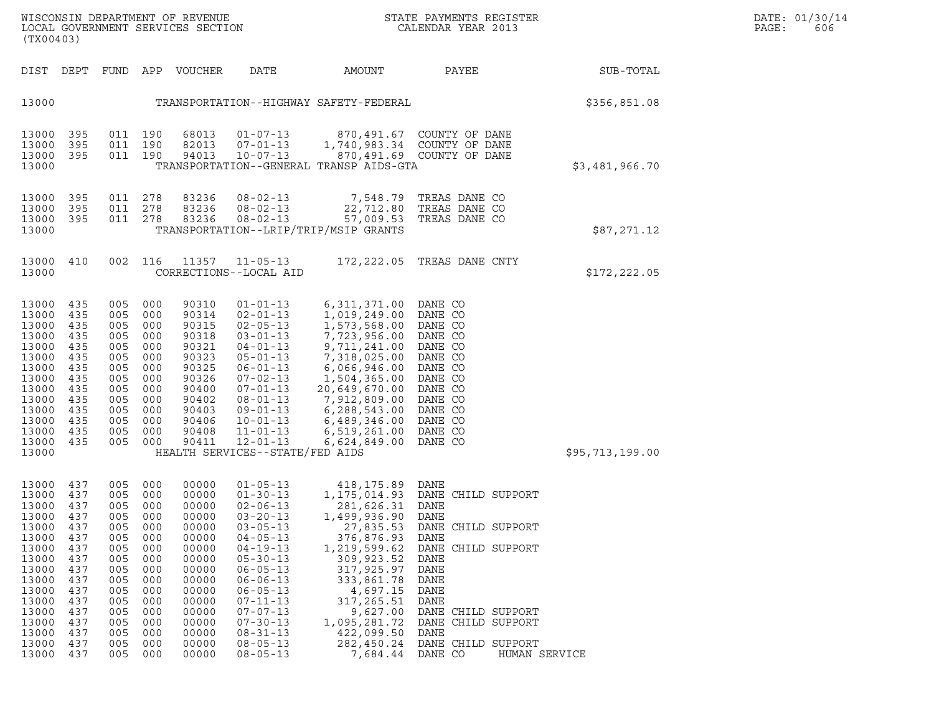| (TX00403)                                                                                                                                             |                                                                                                                     |                                                                                                                     |                                                                                                                     | WISCONSIN DEPARTMENT OF REVENUE<br>LOCAL GOVERNMENT SERVICES SECTION                                                                                  |                                                                                                                                                                                                                                                                                                                |                                                                                                                                                                                                                                        | STATE PAYMENTS REGISTER<br>CALENDAR YEAR 2013                                                                                                                                                                            |                 | DATE: 01/30/14<br>PAGE:<br>606 |
|-------------------------------------------------------------------------------------------------------------------------------------------------------|---------------------------------------------------------------------------------------------------------------------|---------------------------------------------------------------------------------------------------------------------|---------------------------------------------------------------------------------------------------------------------|-------------------------------------------------------------------------------------------------------------------------------------------------------|----------------------------------------------------------------------------------------------------------------------------------------------------------------------------------------------------------------------------------------------------------------------------------------------------------------|----------------------------------------------------------------------------------------------------------------------------------------------------------------------------------------------------------------------------------------|--------------------------------------------------------------------------------------------------------------------------------------------------------------------------------------------------------------------------|-----------------|--------------------------------|
| DIST DEPT                                                                                                                                             |                                                                                                                     |                                                                                                                     |                                                                                                                     | FUND APP VOUCHER                                                                                                                                      | DATE                                                                                                                                                                                                                                                                                                           | AMOUNT                                                                                                                                                                                                                                 | PAYEE                                                                                                                                                                                                                    | SUB-TOTAL       |                                |
| 13000                                                                                                                                                 |                                                                                                                     |                                                                                                                     |                                                                                                                     |                                                                                                                                                       |                                                                                                                                                                                                                                                                                                                | TRANSPORTATION--HIGHWAY SAFETY-FEDERAL                                                                                                                                                                                                 |                                                                                                                                                                                                                          | \$356,851.08    |                                |
| 13000<br>13000<br>13000<br>13000                                                                                                                      | 395<br>395<br>395                                                                                                   | 011 190<br>011 190                                                                                                  | 011 190                                                                                                             | 68013<br>82013<br>94013                                                                                                                               | $01 - 07 - 13$<br>$07 - 01 - 13$<br>$10 - 07 - 13$                                                                                                                                                                                                                                                             | TRANSPORTATION--GENERAL TRANSP AIDS-GTA                                                                                                                                                                                                | 870,491.67 COUNTY OF DANE<br>1,740,983.34 COUNTY OF DANE<br>870,491.69 COUNTY OF DANE                                                                                                                                    | \$3,481,966.70  |                                |
| 13000<br>13000<br>13000<br>13000                                                                                                                      | 395<br>395<br>395                                                                                                   | 011<br>011                                                                                                          | 278<br>278<br>011 278                                                                                               | 83236<br>83236<br>83236                                                                                                                               | $08 - 02 - 13$<br>$08 - 02 - 13$<br>$08 - 02 - 13$                                                                                                                                                                                                                                                             | 7,548.79<br>22,712.80<br>57,009.53<br>TRANSPORTATION--LRIP/TRIP/MSIP GRANTS                                                                                                                                                            | TREAS DANE CO<br>TREAS DANE CO<br>TREAS DANE CO                                                                                                                                                                          | \$87,271.12     |                                |
| 13000<br>13000                                                                                                                                        | 410                                                                                                                 |                                                                                                                     | 002 116                                                                                                             | 11357                                                                                                                                                 | $11 - 05 - 13$<br>CORRECTIONS--LOCAL AID                                                                                                                                                                                                                                                                       |                                                                                                                                                                                                                                        | 172, 222.05 TREAS DANE CNTY                                                                                                                                                                                              | \$172,222.05    |                                |
| 13000<br>13000<br>13000<br>13000<br>13000<br>13000<br>13000<br>13000<br>13000<br>13000<br>13000<br>13000<br>13000<br>13000<br>13000                   | 435<br>435<br>435<br>435<br>435<br>435<br>435<br>435<br>435<br>435<br>435<br>435<br>435<br>435                      | 005<br>005<br>005<br>005<br>005<br>005<br>005<br>005<br>005<br>005<br>005<br>005<br>005<br>005                      | 000<br>000<br>000<br>000<br>000<br>000<br>000<br>000<br>000<br>000<br>000<br>000<br>000<br>000                      | 90310<br>90314<br>90315<br>90318<br>90321<br>90323<br>90325<br>90326<br>90400<br>90402<br>90403<br>90406<br>90408<br>90411                            | $01 - 01 - 13$<br>$02 - 01 - 13$<br>$02 - 05 - 13$<br>$03 - 01 - 13$<br>$04 - 01 - 13$<br>$05 - 01 - 13$<br>$06 - 01 - 13$<br>$07 - 02 - 13$<br>$07 - 01 - 13$<br>$08 - 01 - 13$<br>$09 - 01 - 13$<br>$10 - 01 - 13$<br>$11 - 01 - 13$<br>$12 - 01 - 13$<br>HEALTH SERVICES--STATE/FED AIDS                    | 6,311,371.00 DANE CO<br>1,019,249.00<br>1,573,568.00<br>7,723,956.00<br>9,711,241.00<br>7,318,025.00<br>6,066,946.00<br>1,504,365.00<br>20,649,670.00<br>7,912,809.00<br>6,288,543.00<br>6,489,346.00<br>6,519,261.00<br>6,624,849.00  | DANE CO<br>DANE CO<br>DANE CO<br>DANE CO<br>DANE CO<br>DANE CO<br>DANE CO<br>DANE CO<br>DANE CO<br>DANE CO<br>DANE CO<br>DANE CO<br>DANE CO                                                                              | \$95,713,199.00 |                                |
| 13000<br>13000<br>13000<br>13000<br>13000<br>13000<br>13000<br>13000<br>13000<br>13000<br>13000<br>13000<br>13000<br>13000<br>13000<br>13000<br>13000 | 437<br>437<br>437<br>437<br>437<br>437<br>437<br>437<br>437<br>437<br>437<br>437<br>437<br>437<br>437<br>437<br>437 | 005<br>005<br>005<br>005<br>005<br>005<br>005<br>005<br>005<br>005<br>005<br>005<br>005<br>005<br>005<br>005<br>005 | 000<br>000<br>000<br>000<br>000<br>000<br>000<br>000<br>000<br>000<br>000<br>000<br>000<br>000<br>000<br>000<br>000 | 00000<br>00000<br>00000<br>00000<br>00000<br>00000<br>00000<br>00000<br>00000<br>00000<br>00000<br>00000<br>00000<br>00000<br>00000<br>00000<br>00000 | $01 - 05 - 13$<br>$01 - 30 - 13$<br>$02 - 06 - 13$<br>$03 - 20 - 13$<br>$03 - 05 - 13$<br>$04 - 05 - 13$<br>$04 - 19 - 13$<br>$05 - 30 - 13$<br>$06 - 05 - 13$<br>$06 - 06 - 13$<br>$06 - 05 - 13$<br>$07 - 11 - 13$<br>$07 - 07 - 13$<br>$07 - 30 - 13$<br>$08 - 31 - 13$<br>$08 - 05 - 13$<br>$08 - 05 - 13$ | 418, 175.89 DANE<br>281,626.31 DANE<br>1,499,936.90<br>27,835.53<br>376,876.93<br>1,219,599.62<br>309,923.52<br>317,925.97<br>333,861.78<br>4,697.15<br>317,265.51<br>9,627.00<br>1,095,281.72<br>422,099.50<br>282,450.24<br>7,684.44 | 1,175,014.93 DANE CHILD SUPPORT<br>DANE<br>DANE CHILD SUPPORT<br>DANE<br>DANE CHILD SUPPORT<br>DANE<br>DANE<br>DANE<br>DANE<br>DANE<br>DANE CHILD SUPPORT<br>DANE CHILD SUPPORT<br>DANE<br>DANE CHILD SUPPORT<br>DANE CO | HUMAN SERVICE   |                                |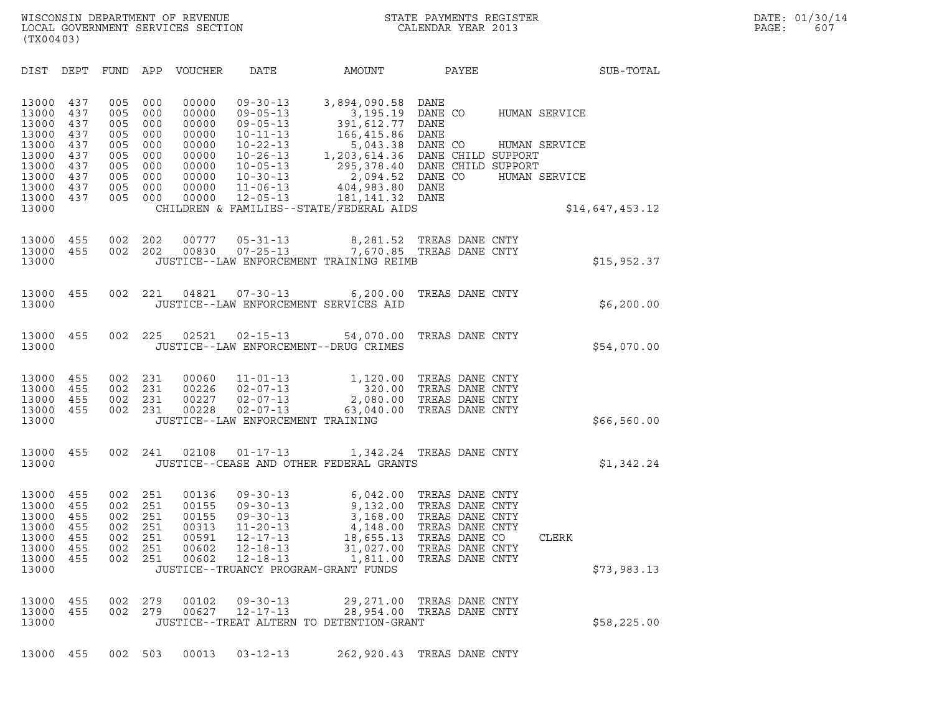| (TX00403)                                                                                       |                                                                    |                                                                    |                                                                    |                                                                                        |                                                                                                                                                                                  |                                                                                                                                                                                                                                                                                            |                                                                                                                                 |                                                 |                 |  |
|-------------------------------------------------------------------------------------------------|--------------------------------------------------------------------|--------------------------------------------------------------------|--------------------------------------------------------------------|----------------------------------------------------------------------------------------|----------------------------------------------------------------------------------------------------------------------------------------------------------------------------------|--------------------------------------------------------------------------------------------------------------------------------------------------------------------------------------------------------------------------------------------------------------------------------------------|---------------------------------------------------------------------------------------------------------------------------------|-------------------------------------------------|-----------------|--|
| DIST                                                                                            | DEPT                                                               | <b>FUND</b>                                                        | APP                                                                | VOUCHER                                                                                | DATE                                                                                                                                                                             | AMOUNT                                                                                                                                                                                                                                                                                     | PAYEE                                                                                                                           |                                                 | SUB-TOTAL       |  |
| 13000<br>13000<br>13000<br>13000<br>13000<br>13000<br>13000<br>13000<br>13000<br>13000<br>13000 | 437<br>437<br>437<br>437<br>437<br>437<br>437<br>437<br>437<br>437 | 005<br>005<br>005<br>005<br>005<br>005<br>005<br>005<br>005<br>005 | 000<br>000<br>000<br>000<br>000<br>000<br>000<br>000<br>000<br>000 | 00000<br>00000<br>00000<br>00000<br>00000<br>00000<br>00000<br>00000<br>00000<br>00000 | $09 - 30 - 13$<br>$09 - 05 - 13$<br>$09 - 05 - 13$<br>$10 - 11 - 13$<br>$10 - 22 - 13$<br>$10 - 26 - 13$<br>$10 - 05 - 13$<br>$10 - 30 - 13$<br>$11 - 06 - 13$<br>$12 - 05 - 13$ | 3,894,090.58<br>3,195.19 DANE CO<br>391,612.77 DANE<br>166,415.86 DANE<br>5, 043.38 DANE CO HUMAN 9<br>1, 203, 614.36 DANE CHILD SUPPORT<br>295, 378.40 DANE CHILD SUPPORT<br>2, 094.52 DANE CO HUMAN 9<br>404, 983.80 DANE<br>181, 141.32 DANE<br>CHILDREN & FAMILIES--STATE/FEDERAL AIDS | DANE                                                                                                                            | HUMAN SERVICE<br>HUMAN SERVICE<br>HUMAN SERVICE | \$14,647,453.12 |  |
| 13000<br>13000<br>13000                                                                         | 455<br>455                                                         | 002<br>002                                                         | 202<br>202                                                         | 00777<br>00830                                                                         | $05 - 31 - 13$<br>$07 - 25 - 13$                                                                                                                                                 | 7,670.85 TREAS DANE CNTY<br>JUSTICE--LAW ENFORCEMENT TRAINING REIMB                                                                                                                                                                                                                        | 8,281.52 TREAS DANE CNTY                                                                                                        |                                                 | \$15,952.37     |  |
| 13000<br>13000                                                                                  | 455                                                                | 002                                                                | 221                                                                | 04821                                                                                  | $07 - 30 - 13$                                                                                                                                                                   | 6, 200.00<br>JUSTICE--LAW ENFORCEMENT SERVICES AID                                                                                                                                                                                                                                         | TREAS DANE CNTY                                                                                                                 |                                                 | \$6,200.00      |  |
| 13000<br>13000                                                                                  | 455                                                                | 002                                                                | 225                                                                | 02521                                                                                  | $02 - 15 - 13$                                                                                                                                                                   | 54,070.00<br>JUSTICE--LAW ENFORCEMENT--DRUG CRIMES                                                                                                                                                                                                                                         | TREAS DANE CNTY                                                                                                                 |                                                 | \$54,070.00     |  |
| 13000<br>13000<br>13000<br>13000<br>13000                                                       | 455<br>455<br>455<br>455                                           | 002<br>002<br>002<br>002                                           | 231<br>231<br>231<br>231                                           | 00060<br>00226<br>00227<br>00228                                                       | $11 - 01 - 13$<br>$02 - 07 - 13$<br>$02 - 07 - 13$<br>$02 - 07 - 13$<br>JUSTICE--LAW ENFORCEMENT TRAINING                                                                        | 1,120.00<br>320.00<br>2,080.00<br>63,040.00                                                                                                                                                                                                                                                | TREAS DANE CNTY<br>TREAS DANE CNTY<br>TREAS DANE CNTY<br>TREAS DANE CNTY                                                        |                                                 | \$66,560.00     |  |
| 13000<br>13000                                                                                  | 455                                                                | 002                                                                | 241                                                                | 02108                                                                                  | $01 - 17 - 13$                                                                                                                                                                   | JUSTICE--CEASE AND OTHER FEDERAL GRANTS                                                                                                                                                                                                                                                    | 1,342.24 TREAS DANE CNTY                                                                                                        |                                                 | \$1,342.24      |  |
| 13000<br>13000<br>13000<br>13000<br>13000<br>13000<br>13000<br>13000                            | 455<br>455<br>455<br>455<br>455<br>455<br>455                      | 002<br>002<br>002<br>002<br>002<br>002<br>002                      | 251<br>251<br>251<br>251<br>251<br>251<br>251                      | 00136<br>00155<br>00155<br>00313<br>00591<br>00602<br>00602                            | $09 - 30 - 13$<br>$09 - 30 - 13$<br>$09 - 30 - 13$<br>$11 - 20 - 13$<br>$12 - 17 - 13$<br>$12 - 18 - 13$<br>$12 - 18 - 13$<br>JUSTICE--TRUANCY PROGRAM-GRANT FUNDS               | 6,042.00<br>9,132.00<br>3,168.00<br>4,148.00<br>18,655.13<br>31,027.00<br>1,811.00                                                                                                                                                                                                         | TREAS DANE CNTY<br>TREAS DANE CNTY<br>TREAS DANE CNTY<br>TREAS DANE CNTY<br>TREAS DANE CO<br>TREAS DANE CNTY<br>TREAS DANE CNTY | CLERK                                           | \$73,983.13     |  |
| 13000 455<br>13000<br>13000                                                                     | 455                                                                | 002<br>002                                                         | 279<br>279                                                         | 00102<br>00627                                                                         | $09 - 30 - 13$<br>$12 - 17 - 13$                                                                                                                                                 | JUSTICE--TREAT ALTERN TO DETENTION-GRANT                                                                                                                                                                                                                                                   | 29,271.00 TREAS DANE CNTY<br>28,954.00 TREAS DANE CNTY                                                                          |                                                 | \$58,225.00     |  |
| 13000 455                                                                                       |                                                                    |                                                                    | 002 503                                                            | 00013                                                                                  | $03 - 12 - 13$                                                                                                                                                                   |                                                                                                                                                                                                                                                                                            | 262,920.43 TREAS DANE CNTY                                                                                                      |                                                 |                 |  |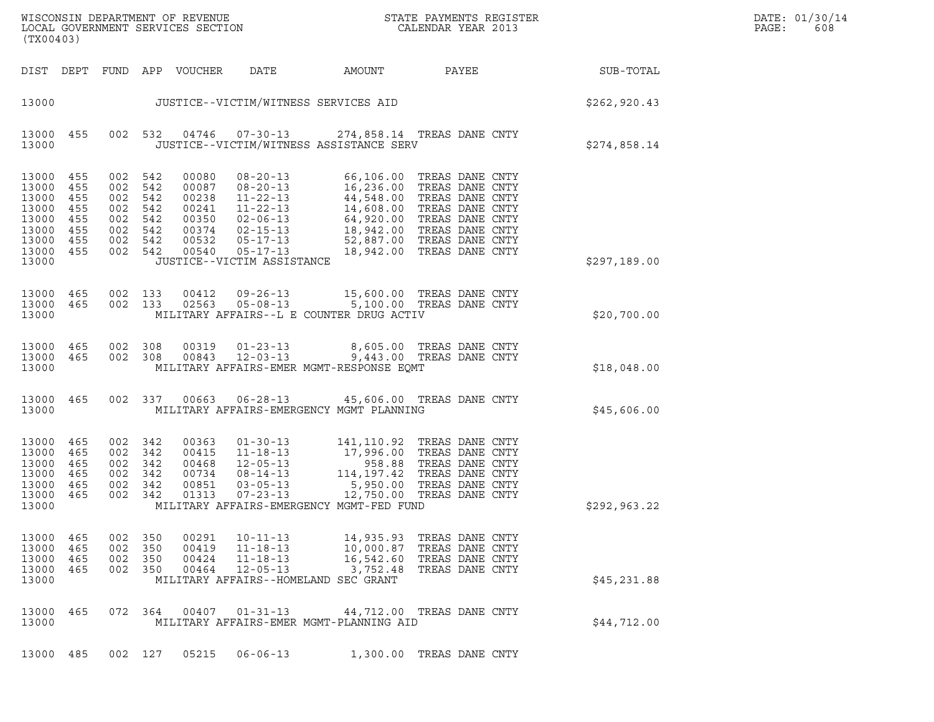| DATE: | 01/30/14 |
|-------|----------|
| PAGE: | 608      |

| (TX00403)                                                                         |                                               |                                               |                                                          |                                                                      |                                                                            |                                                                                         | ${\tt WISCO} {\tt NSM} {\tt NEMR} {\tt NEMR} {\tt NEMR} {\tt NEMR} {\tt NEMR} {\tt NEMR} {\tt NEMR} {\tt NEMR} {\tt NEMR} {\tt NEMR} {\tt NEMR} {\tt NEMR} {\tt NEMR} {\tt NEMR} {\tt NEMR} {\tt NEMR} {\tt NEMR} {\tt NEMR} {\tt NEMR} {\tt NEMR} {\tt NEMR} {\tt NEMR} {\tt NEMR} {\tt NEMR} {\tt NEMR} {\tt NEMR} {\tt NEMR} {\tt NEMR} {\tt NEMR} {\tt NEMR} {\tt NEMR} {\tt NEMR} {\tt NEMR} {\tt NEMR} {\tt NEMR}$ |              | DATE: 01/30/14<br>PAGE:<br>608 |
|-----------------------------------------------------------------------------------|-----------------------------------------------|-----------------------------------------------|----------------------------------------------------------|----------------------------------------------------------------------|----------------------------------------------------------------------------|-----------------------------------------------------------------------------------------|--------------------------------------------------------------------------------------------------------------------------------------------------------------------------------------------------------------------------------------------------------------------------------------------------------------------------------------------------------------------------------------------------------------------------|--------------|--------------------------------|
|                                                                                   |                                               |                                               |                                                          | DIST DEPT FUND APP VOUCHER                                           | DATE                                                                       | AMOUNT                                                                                  | PAYEE                                                                                                                                                                                                                                                                                                                                                                                                                    | SUB-TOTAL    |                                |
| 13000                                                                             |                                               |                                               |                                                          |                                                                      |                                                                            | JUSTICE--VICTIM/WITNESS SERVICES AID                                                    |                                                                                                                                                                                                                                                                                                                                                                                                                          | \$262,920.43 |                                |
| 13000 455<br>13000                                                                |                                               |                                               | 002 532                                                  |                                                                      | 04746  07-30-13                                                            | JUSTICE--VICTIM/WITNESS ASSISTANCE SERV                                                 | 274,858.14 TREAS DANE CNTY                                                                                                                                                                                                                                                                                                                                                                                               | \$274,858.14 |                                |
| 13000<br>13000<br>13000<br>13000<br>13000<br>13000<br>13000<br>13000 455<br>13000 | 455<br>455<br>455<br>455<br>455<br>455<br>455 | 002<br>002<br>002<br>002<br>002<br>002<br>002 | 542<br>542<br>542<br>542<br>542<br>542<br>542<br>002 542 | 00080<br>00087<br>00238<br>00241<br>00350<br>00374<br>00532<br>00540 | 08-20-13<br>$08 - 20 - 13$<br>$11 - 22 - 13$<br>JUSTICE--VICTIM ASSISTANCE |                                                                                         | 66,106.00 TREAS DANE CNTY<br>16,236.00 TREAS DANE CNTY<br>44,548.00 TREAS DANE CNTY<br>14,608.00 TREAS DANE CNTY<br>11-22-13<br>12-06-13<br>02-06-13<br>14,608.00 TREAS DANE CNTY<br>02-15-13<br>18,942.00 TREAS DANE CNTY<br>05-17-13<br>18,942.00 TREAS DANE CNTY<br>18,942.00 TREAS DANE CNTY                                                                                                                         | \$297,189.00 |                                |
| 13000 465<br>13000<br>13000                                                       | 465                                           | 002 133<br>002 133                            |                                                          | 00412<br>02563                                                       | $09 - 26 - 13$<br>$05 - 08 - 13$                                           | MILITARY AFFAIRS--L E COUNTER DRUG ACTIV                                                | 15,600.00 TREAS DANE CNTY<br>5,100.00 TREAS DANE CNTY                                                                                                                                                                                                                                                                                                                                                                    | \$20,700.00  |                                |
| 13000 465<br>13000 465<br>13000                                                   |                                               | 002 308                                       | 002 308                                                  | 00319<br>00843                                                       | $01 - 23 - 13$<br>$12 - 03 - 13$                                           | MILITARY AFFAIRS-EMER MGMT-RESPONSE EQMT                                                | 8,605.00 TREAS DANE CNTY<br>9,443.00 TREAS DANE CNTY                                                                                                                                                                                                                                                                                                                                                                     | \$18,048.00  |                                |
| 13000 465<br>13000                                                                |                                               |                                               | 002 337                                                  | 00663                                                                | $06 - 28 - 13$                                                             | MILITARY AFFAIRS-EMERGENCY MGMT PLANNING                                                | 45,606.00 TREAS DANE CNTY                                                                                                                                                                                                                                                                                                                                                                                                | \$45,606.00  |                                |
| 13000<br>13000<br>13000<br>13000<br>13000<br>13000<br>13000                       | 465<br>465<br>465<br>465<br>465<br>465        | 002 342<br>002<br>002<br>002<br>002<br>002    | 342<br>342<br>342<br>342<br>342                          | 00363<br>00415<br>00468<br>00734<br>00851<br>01313                   | $07 - 23 - 13$                                                             | MILITARY AFFAIRS-EMERGENCY MGMT-FED FUND                                                | 141,110.92 TREAS DANE CNTY<br>11-18-13 17,996.00 TREAS DANE CNTY<br>12-05-13 958.88 TREAS DANE CNTY<br>08-14-13 114,197.42 TREAS DANE CNTY<br>03-05-13 5.950.00<br>12,750.00 TREAS DANE CNTY                                                                                                                                                                                                                             | \$292,963.22 |                                |
| 13000<br>13000<br>13000<br>13000<br>13000                                         | 465<br>465<br>465<br>465                      | 002<br>002<br>002<br>002                      | 350<br>350<br>350<br>350                                 | 00291<br>00419<br>00424<br>00464                                     | $10 - 11 - 13$<br>$11 - 18 - 13$<br>$11 - 18 - 13$<br>$12 - 05 - 13$       | 14,935.93<br>10,000.87<br>16,542.60<br>3,752.48<br>MILITARY AFFAIRS--HOMELAND SEC GRANT | TREAS DANE CNTY<br>TREAS DANE CNTY<br>TREAS DANE CNTY<br>TREAS DANE CNTY                                                                                                                                                                                                                                                                                                                                                 | \$45,231.88  |                                |
| 13000<br>13000                                                                    | 465                                           |                                               | 072 364                                                  | 00407                                                                | $01 - 31 - 13$                                                             | MILITARY AFFAIRS-EMER MGMT-PLANNING AID                                                 | 44,712.00 TREAS DANE CNTY                                                                                                                                                                                                                                                                                                                                                                                                | \$44,712.00  |                                |
| 13000 485                                                                         |                                               |                                               | 002 127                                                  | 05215                                                                | $06 - 06 - 13$                                                             |                                                                                         | 1,300.00 TREAS DANE CNTY                                                                                                                                                                                                                                                                                                                                                                                                 |              |                                |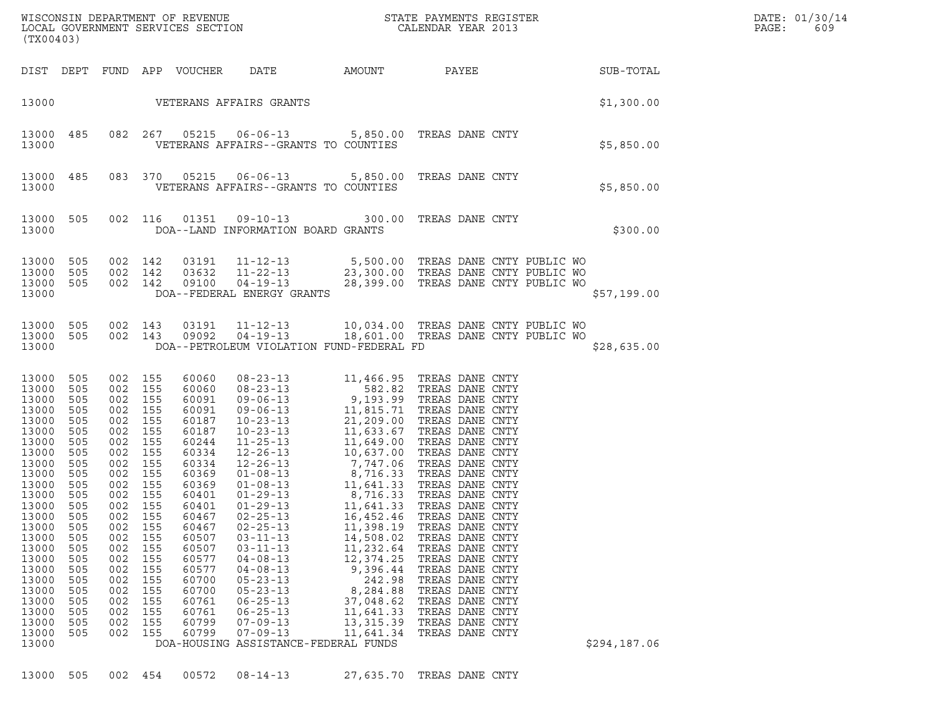| (TX00403)                                                                                                                                                                                                                              |                                                                                                                                                                             |                                                                                                                                                                             |                                                                                                                                                                             |                                                                                                                                                                                                                               | ${\tt WISCONSIN} \begin{tabular}{l} DEPARTMENT OF REVIEW \\ LOCAL GOVERIMENT SERVICES SECTION \\ \end{tabular} \begin{tabular}{l} \multicolumn{2}{c}{\textbf{S}} \\ \multicolumn{2}{c}{\textbf{S}} \\ \multicolumn{2}{c}{\textbf{S}} \\ \multicolumn{2}{c}{\textbf{S}} \\ \multicolumn{2}{c}{\textbf{S}} \\ \multicolumn{2}{c}{\textbf{S}} \\ \multicolumn{2}{c}{\textbf{S}} \\ \multicolumn{2}{c}{\textbf{S}} \\ \multicolumn{2}{c}{\textbf{S}} \\ \multicolumn{2}{c}{\textbf{S}} \\ \multicolumn{2}{c}{\textbf{$ |                                                                                                                                                                                                                                                                                                            |                                                                                                                                                                                                                                                                                                                                                                                                                                                                                                  |              | DATE: 01/30/14<br>PAGE:<br>609 |
|----------------------------------------------------------------------------------------------------------------------------------------------------------------------------------------------------------------------------------------|-----------------------------------------------------------------------------------------------------------------------------------------------------------------------------|-----------------------------------------------------------------------------------------------------------------------------------------------------------------------------|-----------------------------------------------------------------------------------------------------------------------------------------------------------------------------|-------------------------------------------------------------------------------------------------------------------------------------------------------------------------------------------------------------------------------|--------------------------------------------------------------------------------------------------------------------------------------------------------------------------------------------------------------------------------------------------------------------------------------------------------------------------------------------------------------------------------------------------------------------------------------------------------------------------------------------------------------------|------------------------------------------------------------------------------------------------------------------------------------------------------------------------------------------------------------------------------------------------------------------------------------------------------------|--------------------------------------------------------------------------------------------------------------------------------------------------------------------------------------------------------------------------------------------------------------------------------------------------------------------------------------------------------------------------------------------------------------------------------------------------------------------------------------------------|--------------|--------------------------------|
| DIST DEPT                                                                                                                                                                                                                              |                                                                                                                                                                             |                                                                                                                                                                             |                                                                                                                                                                             | FUND APP VOUCHER                                                                                                                                                                                                              | DATE                                                                                                                                                                                                                                                                                                                                                                                                                                                                                                               | AMOUNT                                                                                                                                                                                                                                                                                                     | PAYEE                                                                                                                                                                                                                                                                                                                                                                                                                                                                                            | SUB-TOTAL    |                                |
| 13000                                                                                                                                                                                                                                  |                                                                                                                                                                             |                                                                                                                                                                             |                                                                                                                                                                             |                                                                                                                                                                                                                               | VETERANS AFFAIRS GRANTS                                                                                                                                                                                                                                                                                                                                                                                                                                                                                            |                                                                                                                                                                                                                                                                                                            |                                                                                                                                                                                                                                                                                                                                                                                                                                                                                                  | \$1,300.00   |                                |
| 13000<br>13000                                                                                                                                                                                                                         | 485                                                                                                                                                                         |                                                                                                                                                                             | 082 267                                                                                                                                                                     | 05215                                                                                                                                                                                                                         | VETERANS AFFAIRS--GRANTS TO COUNTIES                                                                                                                                                                                                                                                                                                                                                                                                                                                                               |                                                                                                                                                                                                                                                                                                            | 06-06-13 5,850.00 TREAS DANE CNTY                                                                                                                                                                                                                                                                                                                                                                                                                                                                | \$5,850.00   |                                |
| 13000<br>13000                                                                                                                                                                                                                         | 485                                                                                                                                                                         | 083 370                                                                                                                                                                     |                                                                                                                                                                             | 05215                                                                                                                                                                                                                         | VETERANS AFFAIRS--GRANTS TO COUNTIES                                                                                                                                                                                                                                                                                                                                                                                                                                                                               |                                                                                                                                                                                                                                                                                                            | 06-06-13 5,850.00 TREAS DANE CNTY                                                                                                                                                                                                                                                                                                                                                                                                                                                                | \$5,850.00   |                                |
| 13000<br>13000                                                                                                                                                                                                                         | 505                                                                                                                                                                         | 002 116                                                                                                                                                                     |                                                                                                                                                                             | 01351                                                                                                                                                                                                                         | 09-10-13<br>DOA--LAND INFORMATION BOARD GRANTS                                                                                                                                                                                                                                                                                                                                                                                                                                                                     |                                                                                                                                                                                                                                                                                                            | 300.00 TREAS DANE CNTY                                                                                                                                                                                                                                                                                                                                                                                                                                                                           |              | \$300.00                       |
| 13000<br>13000<br>13000<br>13000                                                                                                                                                                                                       | 505<br>505<br>505                                                                                                                                                           | 002 142<br>002 142<br>002 142                                                                                                                                               |                                                                                                                                                                             | 03191<br>03632<br>09100                                                                                                                                                                                                       | $11 - 12 - 13$<br>11-22-13<br>$04 - 19 - 13$<br>DOA--FEDERAL ENERGY GRANTS                                                                                                                                                                                                                                                                                                                                                                                                                                         |                                                                                                                                                                                                                                                                                                            | 5,500.00 TREAS DANE CNTY PUBLIC WO<br>23,300.00 TREAS DANE CNTY PUBLIC WO<br>28,399.00 TREAS DANE CNTY PUBLIC WO                                                                                                                                                                                                                                                                                                                                                                                 | \$57,199.00  |                                |
| 13000<br>13000 505<br>13000                                                                                                                                                                                                            | 505                                                                                                                                                                         | 002<br>002 143                                                                                                                                                              | 143                                                                                                                                                                         | 03191<br>09092                                                                                                                                                                                                                | $04 - 19 - 13$<br>DOA--PETROLEUM VIOLATION FUND-FEDERAL FD                                                                                                                                                                                                                                                                                                                                                                                                                                                         |                                                                                                                                                                                                                                                                                                            | 11-12-13 10,034.00 TREAS DANE CNTY PUBLIC WO<br>18,601.00 TREAS DANE CNTY PUBLIC WO                                                                                                                                                                                                                                                                                                                                                                                                              | \$28,635.00  |                                |
| 13000<br>13000<br>13000<br>13000<br>13000<br>13000<br>13000<br>13000<br>13000<br>13000<br>13000<br>13000<br>13000<br>13000<br>13000<br>13000<br>13000<br>13000<br>13000<br>13000<br>13000<br>13000<br>13000<br>13000<br>13000<br>13000 | 505<br>505<br>505<br>505<br>505<br>505<br>505<br>505<br>505<br>505<br>505<br>505<br>505<br>505<br>505<br>505<br>505<br>505<br>505<br>505<br>505<br>505<br>505<br>505<br>505 | 002<br>002<br>002<br>002<br>002<br>002<br>002<br>002<br>002<br>002<br>002<br>002<br>002<br>002<br>002<br>002<br>002<br>002<br>002<br>002<br>002<br>002<br>002<br>002<br>002 | 155<br>155<br>155<br>155<br>155<br>155<br>155<br>155<br>155<br>155<br>155<br>155<br>155<br>155<br>155<br>155<br>155<br>155<br>155<br>155<br>155<br>155<br>155<br>155<br>155 | 60060<br>60060<br>60091<br>60091<br>60187<br>60187<br>60244<br>60334<br>60334<br>60369<br>60369<br>60401<br>60401<br>60467<br>60467<br>60507<br>60507<br>60577<br>60577<br>60700<br>60700<br>60761<br>60761<br>60799<br>60799 | $08 - 23 - 13$<br>$08 - 23 - 13$<br>$09 - 06 - 13$<br>$09 - 06 - 13$<br>$10 - 23 - 13$<br>$10 - 23 - 13$<br>$11 - 25 - 13$<br>$12 - 26 - 13$<br>$12 - 26 - 13$<br>$01 - 08 - 13$<br>$01 - 08 - 13$<br>$01 - 29 - 13$<br>$01 - 29 - 13$<br>$02 - 25 - 13$<br>$02 - 25 - 13$<br>$03 - 11 - 13$<br>$03 - 11 - 13$<br>$04 - 08 - 13$<br>$04 - 08 - 13$<br>$05 - 23 - 13$<br>$05 - 23 - 13$<br>$06 - 25 - 13$<br>$06 - 25 - 13$<br>$07 - 09 - 13$<br>$07 - 09 - 13$<br>DOA-HOUSING ASSISTANCE-FEDERAL FUNDS             | 11,466.95<br>582.82<br>11,815.71<br>21,209.00<br>11,633.67<br>11,649.00<br>10,637.00<br>7,747.06<br>8,716.33<br>11,641.33<br>8,716.33<br>11,641.33<br>16,452.46<br>11,398.19<br>14,508.02<br>11,232.64<br>12,374.25<br>9,396.44<br>242.98<br>8,284.88<br>37,048.62<br>11,641.33<br>13, 315.39<br>11,641.34 | TREAS DANE CNTY<br>TREAS DANE CNTY<br>9,193.99 TREAS DANE CNTY<br>TREAS DANE CNTY<br>TREAS DANE CNTY<br>TREAS DANE CNTY<br>TREAS DANE CNTY<br>TREAS DANE CNTY<br>TREAS DANE CNTY<br>TREAS DANE CNTY<br>TREAS DANE CNTY<br>TREAS DANE CNTY<br>TREAS DANE CNTY<br>TREAS DANE CNTY<br>TREAS DANE CNTY<br>TREAS DANE CNTY<br>TREAS DANE CNTY<br>TREAS DANE CNTY<br>TREAS DANE CNTY<br>TREAS DANE CNTY<br>TREAS DANE CNTY<br>TREAS DANE CNTY<br>TREAS DANE CNTY<br>TREAS DANE CNTY<br>TREAS DANE CNTY | \$294,187.06 |                                |

13000 505 002 454 00572 08-14-13 27,635.70 TREAS DANE CNTY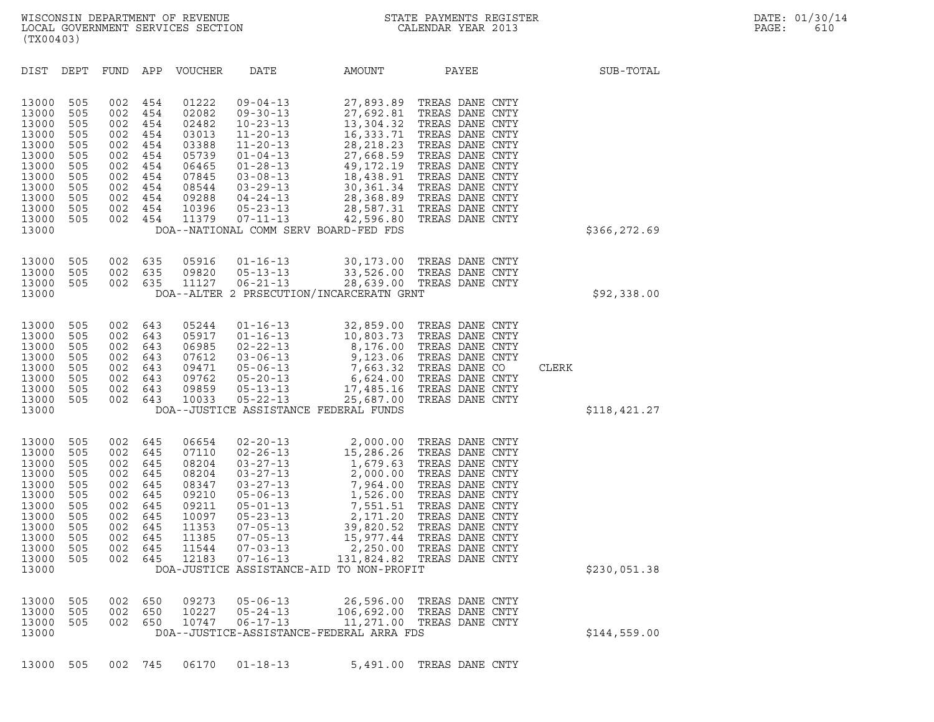| (TX00403)                                                                                                         |                                                                                  |                                                                                  |                                                                                  |                                                                                                          |                                                                                                                                                                                                                                                                  |                                                                                                                                                              |                                                                                                                                                                                                                                  |              |              |
|-------------------------------------------------------------------------------------------------------------------|----------------------------------------------------------------------------------|----------------------------------------------------------------------------------|----------------------------------------------------------------------------------|----------------------------------------------------------------------------------------------------------|------------------------------------------------------------------------------------------------------------------------------------------------------------------------------------------------------------------------------------------------------------------|--------------------------------------------------------------------------------------------------------------------------------------------------------------|----------------------------------------------------------------------------------------------------------------------------------------------------------------------------------------------------------------------------------|--------------|--------------|
| DIST                                                                                                              | DEPT                                                                             | FUND                                                                             | APP                                                                              | VOUCHER                                                                                                  | DATE                                                                                                                                                                                                                                                             | AMOUNT                                                                                                                                                       | PAYEE                                                                                                                                                                                                                            |              | SUB-TOTAL    |
| 13000<br>13000<br>13000<br>13000<br>13000<br>13000<br>13000<br>13000<br>13000<br>13000<br>13000<br>13000<br>13000 | 505<br>505<br>505<br>505<br>505<br>505<br>505<br>505<br>505<br>505<br>505<br>505 | 002<br>002<br>002<br>002<br>002<br>002<br>002<br>002<br>002<br>002<br>002<br>002 | 454<br>454<br>454<br>454<br>454<br>454<br>454<br>454<br>454<br>454<br>454<br>454 | 01222<br>02082<br>02482<br>03013<br>03388<br>05739<br>06465<br>07845<br>08544<br>09288<br>10396<br>11379 | $09 - 04 - 13$<br>$09 - 30 - 13$<br>$10 - 23 - 13$<br>$11 - 20 - 13$<br>$11 - 20 - 13$<br>$01 - 04 - 13$<br>$01 - 28 - 13$<br>$03 - 08 - 13$<br>$03 - 29 - 13$<br>$04 - 24 - 13$<br>$05 - 23 - 13$<br>$07 - 11 - 13$<br>DOA--NATIONAL COMM SERV BOARD-FED FDS    | 27,893.89<br>27,692.81<br>13,304.32<br>16,333.71<br>28, 218. 23<br>27,668.59<br>49, 172. 19<br>18,438.91<br>30,361.34<br>28,368.89<br>28,587.31<br>42,596.80 | TREAS DANE CNTY<br>TREAS DANE CNTY<br>TREAS DANE CNTY<br>TREAS DANE CNTY<br>TREAS DANE CNTY<br>TREAS DANE CNTY<br>TREAS DANE CNTY<br>TREAS DANE CNTY<br>TREAS DANE CNTY<br>TREAS DANE CNTY<br>TREAS DANE CNTY<br>TREAS DANE CNTY |              | \$366,272.69 |
| 13000<br>13000<br>13000<br>13000                                                                                  | 505<br>505<br>505                                                                | 002<br>002<br>002                                                                | 635<br>635<br>635                                                                | 05916<br>09820<br>11127                                                                                  | $01 - 16 - 13$<br>$05 - 13 - 13$<br>$06 - 21 - 13$<br>DOA--ALTER 2 PRSECUTION/INCARCERATN GRNT                                                                                                                                                                   | 30,173.00<br>33,526.00                                                                                                                                       | TREAS DANE CNTY<br>TREAS DANE CNTY<br>28,639.00 TREAS DANE CNTY                                                                                                                                                                  |              | \$92,338.00  |
| 13000<br>13000<br>13000<br>13000<br>13000<br>13000<br>13000<br>13000<br>13000                                     | 505<br>505<br>505<br>505<br>505<br>505<br>505<br>505                             | 002<br>002<br>002<br>002<br>002<br>002<br>002<br>002                             | 643<br>643<br>643<br>643<br>643<br>643<br>643<br>643                             | 05244<br>05917<br>06985<br>07612<br>09471<br>09762<br>09859<br>10033                                     | $01 - 16 - 13$<br>$01 - 16 - 13$<br>$02 - 22 - 13$<br>$03 - 06 - 13$<br>$05 - 06 - 13$<br>$05 - 20 - 13$<br>$05 - 13 - 13$<br>$05 - 22 - 13$<br>DOA--JUSTICE ASSISTANCE FEDERAL FUNDS                                                                            | 32,859.00<br>10,803.73<br>8,176.00<br>9,123.06<br>7,663.32<br>6,624.00<br>17,485.16<br>25,687.00                                                             | TREAS DANE CNTY<br>TREAS DANE CNTY<br>TREAS DANE CNTY<br>TREAS DANE CNTY<br>TREAS DANE CO<br>TREAS DANE CNTY<br>TREAS DANE CNTY<br>TREAS DANE CNTY                                                                               | <b>CLERK</b> | \$118,421.27 |
| 13000<br>13000<br>13000<br>13000<br>13000<br>13000<br>13000<br>13000<br>13000<br>13000<br>13000<br>13000<br>13000 | 505<br>505<br>505<br>505<br>505<br>505<br>505<br>505<br>505<br>505<br>505<br>505 | 002<br>002<br>002<br>002<br>002<br>002<br>002<br>002<br>002<br>002<br>002<br>002 | 645<br>645<br>645<br>645<br>645<br>645<br>645<br>645<br>645<br>645<br>645<br>645 | 06654<br>07110<br>08204<br>08204<br>08347<br>09210<br>09211<br>10097<br>11353<br>11385<br>11544<br>12183 | $02 - 20 - 13$<br>$02 - 26 - 13$<br>$03 - 27 - 13$<br>$03 - 27 - 13$<br>$03 - 27 - 13$<br>$05 - 06 - 13$<br>$05 - 01 - 13$<br>$05 - 23 - 13$<br>$07 - 05 - 13$<br>$07 - 05 - 13$<br>$07 - 03 - 13$<br>$07 - 16 - 13$<br>DOA-JUSTICE ASSISTANCE-AID TO NON-PROFIT | 2,000.00<br>15,286.26<br>1,679.63<br>2,000.00<br>7,964.00<br>1,526.00<br>7,551.51<br>2,171.20<br>39,820.52<br>15,977.44<br>2,250.00<br>131,824.82            | TREAS DANE CNTY<br>TREAS DANE CNTY<br>TREAS DANE CNTY<br>TREAS DANE CNTY<br>TREAS DANE CNTY<br>TREAS DANE CNTY<br>TREAS DANE CNTY<br>TREAS DANE CNTY<br>TREAS DANE CNTY<br>TREAS DANE CNTY<br>TREAS DANE CNTY<br>TREAS DANE CNTY |              | \$230,051.38 |
| 13000<br>13000<br>13000<br>13000                                                                                  | 505<br>505<br>505                                                                | 002<br>002<br>002                                                                | 650<br>650<br>650                                                                | 09273<br>10227<br>10747                                                                                  | $05 - 06 - 13$<br>$05 - 24 - 13$<br>$06 - 17 - 13$<br>DOA--JUSTICE-ASSISTANCE-FEDERAL ARRA FDS                                                                                                                                                                   | 26,596.00<br>106,692.00<br>11,271.00                                                                                                                         | TREAS DANE CNTY<br>TREAS DANE CNTY<br>TREAS DANE CNTY                                                                                                                                                                            |              | \$144,559.00 |

13000 505 002 745 06170 01-18-13 5,491.00 TREAS DANE CNTY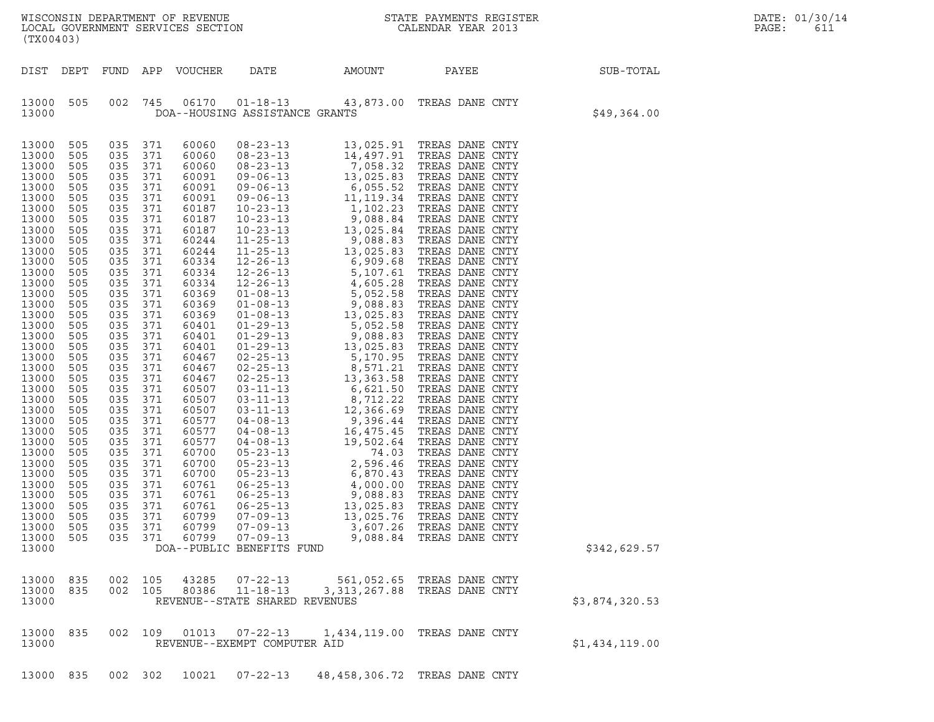| (TX00403)                                                                                                                                                                                                                                                                                                                     |                                                                                                                                                                                           |                                                                                                                                                                                                                                  |                                                                                                                                                                                                                                  |                                                                                                                                                                                                                                                                                                       |                                                               | WISCONSIN DEPARTMENT OF REVENUE<br>LOCAL GOVERNMENT SERVICES SECTION FOR THE STATE PAYMENTS REGIST<br>(TYA04403) | STATE PAYMENTS REGISTER    | $\mathbb{R}^n$              | DATE: 01/30/14<br>PAGE:<br>611 |
|-------------------------------------------------------------------------------------------------------------------------------------------------------------------------------------------------------------------------------------------------------------------------------------------------------------------------------|-------------------------------------------------------------------------------------------------------------------------------------------------------------------------------------------|----------------------------------------------------------------------------------------------------------------------------------------------------------------------------------------------------------------------------------|----------------------------------------------------------------------------------------------------------------------------------------------------------------------------------------------------------------------------------|-------------------------------------------------------------------------------------------------------------------------------------------------------------------------------------------------------------------------------------------------------------------------------------------------------|---------------------------------------------------------------|------------------------------------------------------------------------------------------------------------------|----------------------------|-----------------------------|--------------------------------|
| DIST DEPT                                                                                                                                                                                                                                                                                                                     |                                                                                                                                                                                           |                                                                                                                                                                                                                                  |                                                                                                                                                                                                                                  | FUND APP VOUCHER                                                                                                                                                                                                                                                                                      |                                                               |                                                                                                                  |                            | DATE AMOUNT PAYEE SUB-TOTAL |                                |
| 13000 505<br>13000                                                                                                                                                                                                                                                                                                            |                                                                                                                                                                                           |                                                                                                                                                                                                                                  | 002 745                                                                                                                                                                                                                          |                                                                                                                                                                                                                                                                                                       | DOA--HOUSING ASSISTANCE GRANTS                                | 06170  01-18-13  43,873.00 TREAS DANE CNTY                                                                       |                            | \$49,364.00                 |                                |
| 13000 505<br>13000 505<br>13000<br>13000<br>13000<br>13000<br>13000<br>13000<br>13000<br>13000<br>13000<br>13000<br>13000<br>13000<br>13000<br>13000<br>13000<br>13000<br>13000<br>13000<br>13000<br>13000<br>13000<br>13000 505<br>13000<br>13000 505<br>13000<br>13000 505<br>13000<br>13000<br>13000<br>13000 505<br>13000 | 505<br>505<br>505<br>505<br>505<br>505<br>505<br>505<br>505<br>505<br>505<br>505<br>505<br>505<br>505<br>505<br>505<br>505<br>505<br>505<br>505<br>505<br>505<br>505<br>505<br>505<br>505 | 035 371<br>035<br>035<br>035<br>035<br>035<br>035<br>035<br>035<br>035<br>035<br>035<br>035<br>035<br>035<br>035<br>035<br>035<br>035<br>035<br>035<br>035<br>035<br>035<br>035<br>035<br>035<br>035<br>035<br>035<br>035<br>035 | 035 371<br>371<br>371<br>371<br>371<br>371<br>371<br>371<br>371<br>371<br>371<br>371<br>371<br>371<br>371<br>371<br>371<br>371<br>371<br>371<br>371<br>371<br>371<br>371<br>371<br>371<br>371<br>371<br>371<br>371<br>371<br>371 | 60060<br>60060<br>60060<br>60091<br>60091<br>60091<br>60187<br>60187<br>60187<br>60244<br>60244<br>60334<br>60334<br>60334<br>60369<br>60369<br>60369<br>60401<br>60401<br>60401<br>60467<br>60467<br>60467<br>60507<br>60507<br>60507<br>60577<br>60577<br>60577<br>60700<br>60700<br>60700<br>60761 |                                                               |                                                                                                                  |                            |                             |                                |
| 13000 505<br>13000<br>13000 505<br>13000 505<br>13000                                                                                                                                                                                                                                                                         | 505                                                                                                                                                                                       | 035<br>035<br>035                                                                                                                                                                                                                | 371<br>371<br>035 371<br>371                                                                                                                                                                                                     | 60761<br>60761<br>60799<br>60799                                                                                                                                                                                                                                                                      | 13000 505 035 371 60799 07-09-13<br>DOA--PUBLIC BENEFITS FUND |                                                                                                                  | 9,088.84 TREAS DANE CNTY   | \$342,629.57                |                                |
| 13000 835<br>13000 835<br>13000                                                                                                                                                                                                                                                                                               |                                                                                                                                                                                           |                                                                                                                                                                                                                                  | 002 105                                                                                                                                                                                                                          | 002 105 43285<br>80386                                                                                                                                                                                                                                                                                | 07-22-13<br>$11 - 18 - 13$<br>REVENUE--STATE SHARED REVENUES  | 3,313,267.88 TREAS DANE CNTY                                                                                     | 561,052.65 TREAS DANE CNTY | \$3,874,320.53              |                                |
| 13000 835<br>13000                                                                                                                                                                                                                                                                                                            |                                                                                                                                                                                           |                                                                                                                                                                                                                                  |                                                                                                                                                                                                                                  |                                                                                                                                                                                                                                                                                                       | 002 109 01013 07-22-13<br>REVENUE--EXEMPT COMPUTER AID        | 1,434,119.00 TREAS DANE CNTY                                                                                     |                            | \$1,434,119.00              |                                |
| 13000 835                                                                                                                                                                                                                                                                                                                     |                                                                                                                                                                                           |                                                                                                                                                                                                                                  | 002 302                                                                                                                                                                                                                          |                                                                                                                                                                                                                                                                                                       | 10021  07-22-13                                               | 48,458,306.72 TREAS DANE CNTY                                                                                    |                            |                             |                                |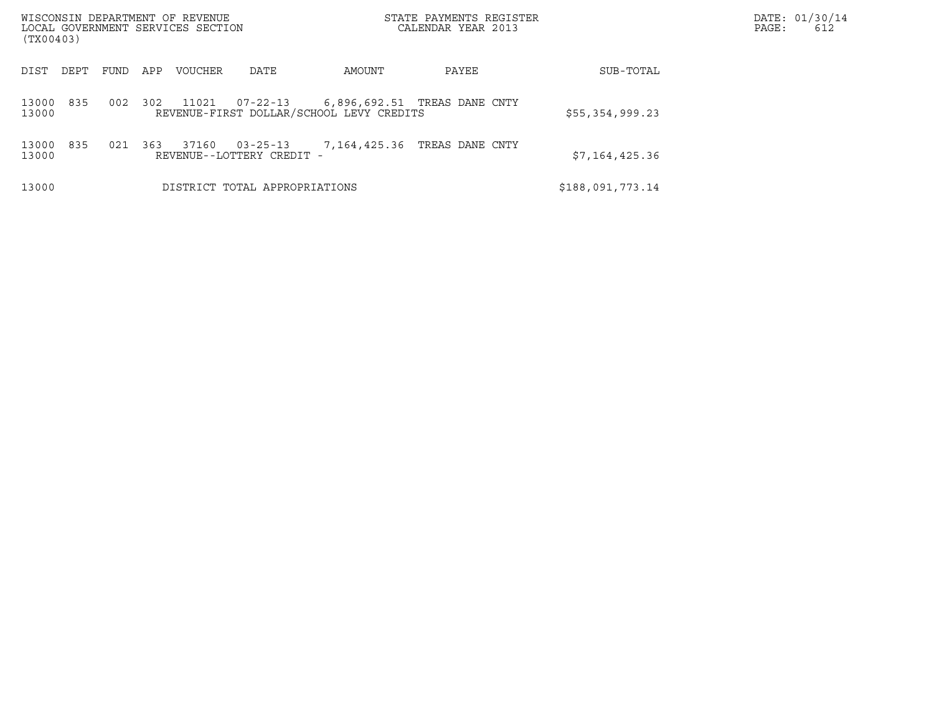| WISCONSIN DEPARTMENT OF REVENUE<br>LOCAL GOVERNMENT SERVICES SECTION<br>(TX00403) |     |      |     |         |                                             |                                                                          | STATE PAYMENTS REGISTER<br>CALENDAR YEAR 2013 |                  | DATE: 01/30/14<br>PAGE:<br>612 |
|-----------------------------------------------------------------------------------|-----|------|-----|---------|---------------------------------------------|--------------------------------------------------------------------------|-----------------------------------------------|------------------|--------------------------------|
| DIST<br>DEPT                                                                      |     | FUND | APP | VOUCHER | DATE                                        | AMOUNT                                                                   | PAYEE                                         | SUB-TOTAL        |                                |
| 13000<br>13000                                                                    | 835 | 002  | 302 | 11021   | 07-22-13                                    | 6,896,692.51 TREAS DANE CNTY<br>REVENUE-FIRST DOLLAR/SCHOOL LEVY CREDITS |                                               | \$55,354,999.23  |                                |
| 13000<br>13000                                                                    | 835 | 021  | 363 | 37160   | $03 - 25 - 13$<br>REVENUE--LOTTERY CREDIT - | 7,164,425.36                                                             | TREAS DANE CNTY                               | \$7,164,425.36   |                                |
| 13000                                                                             |     |      |     |         | DISTRICT TOTAL APPROPRIATIONS               |                                                                          |                                               | \$188,091,773.14 |                                |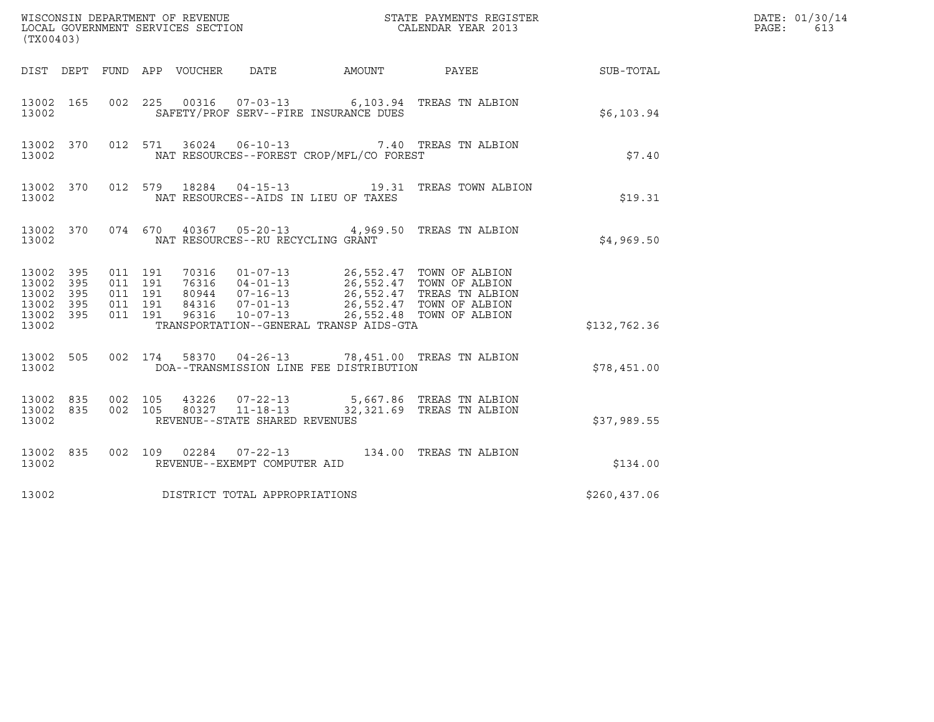| (TX00403)                                         |                   |                                          |         |                            |                                                                    |                                          |                                                       |              | DATE: 01/30/14<br>PAGE:<br>613 |
|---------------------------------------------------|-------------------|------------------------------------------|---------|----------------------------|--------------------------------------------------------------------|------------------------------------------|-------------------------------------------------------|--------------|--------------------------------|
|                                                   |                   |                                          |         | DIST DEPT FUND APP VOUCHER | DATE                                                               | AMOUNT                                   | PAYEE                                                 | SUB-TOTAL    |                                |
| 13002 165<br>13002                                |                   |                                          |         |                            |                                                                    | SAFETY/PROF SERV--FIRE INSURANCE DUES    | 002 225 00316 07-03-13 6,103.94 TREAS TN ALBION       | \$6,103.94   |                                |
| 13002 370<br>13002                                |                   |                                          | 012 571 |                            |                                                                    | NAT RESOURCES--FOREST CROP/MFL/CO FOREST | 36024  06-10-13  7.40  TREAS TN ALBION                | \$7.40       |                                |
| 13002 370<br>13002                                |                   |                                          |         |                            |                                                                    | NAT RESOURCES--AIDS IN LIEU OF TAXES     | 012 579 18284 04-15-13 19.31 TREAS TOWN ALBION        | \$19.31      |                                |
| 13002 370<br>13002                                |                   |                                          | 074 670 |                            | NAT RESOURCES--RU RECYCLING GRANT                                  |                                          | 40367  05-20-13  4,969.50  TREAS TN ALBION            | \$4,969.50   |                                |
| 13002 395<br>13002<br>13002<br>13002<br>13002 395 | 395<br>395<br>395 | 011 191<br>011 191<br>011 191<br>011 191 | 011 191 | 96316                      | $10 - 07 - 13$                                                     |                                          | 26,552.48 TOWN OF ALBION                              |              |                                |
| 13002                                             |                   |                                          |         |                            |                                                                    | TRANSPORTATION--GENERAL TRANSP AIDS-GTA  |                                                       | \$132,762.36 |                                |
| 13002 505<br>13002                                |                   |                                          |         |                            |                                                                    | DOA--TRANSMISSION LINE FEE DISTRIBUTION  | 002 174 58370 04-26-13 78,451.00 TREAS TN ALBION      | \$78,451.00  |                                |
| 13002<br>13002 835<br>13002                       | 835               | 002 105<br>002 105                       |         |                            | 43226 07-22-13<br>80327 11-18-13<br>REVENUE--STATE SHARED REVENUES |                                          | 5,667.86 TREAS TN ALBION<br>32,321.69 TREAS TN ALBION | \$37,989.55  |                                |
| 13002 835<br>13002                                |                   |                                          |         |                            | REVENUE--EXEMPT COMPUTER AID                                       |                                          | 002 109 02284 07-22-13 134.00 TREAS TN ALBION         | \$134.00     |                                |
| 13002                                             |                   |                                          |         |                            | DISTRICT TOTAL APPROPRIATIONS                                      |                                          |                                                       | \$260,437.06 |                                |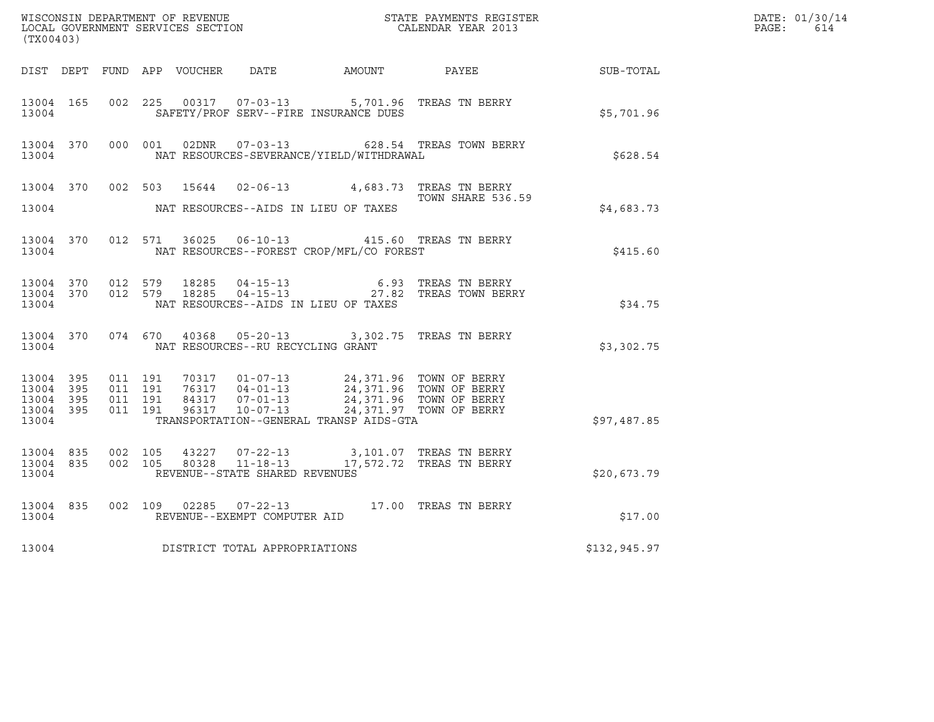| (TX00403)                       |                        |                    |         |                |                                                  |                                                                                        | WISCONSIN DEPARTMENT OF REVENUE<br>LOCAL GOVERNMENT SERVICES SECTION<br>CALENDAR YEAR 2013 |                  | DATE: 01/30/14<br>$\mathtt{PAGE:}$<br>614 |
|---------------------------------|------------------------|--------------------|---------|----------------|--------------------------------------------------|----------------------------------------------------------------------------------------|--------------------------------------------------------------------------------------------|------------------|-------------------------------------------|
|                                 |                        |                    |         |                |                                                  | DIST DEPT FUND APP VOUCHER DATE AMOUNT PAYEE                                           |                                                                                            | <b>SUB-TOTAL</b> |                                           |
| 13004 165<br>13004              |                        |                    | 002 225 |                |                                                  | 00317  07-03-13  5,701.96  TREAS TN BERRY<br>SAFETY/PROF SERV--FIRE INSURANCE DUES     |                                                                                            | \$5,701.96       |                                           |
| 13004                           | 13004 370              |                    |         |                |                                                  | NAT RESOURCES-SEVERANCE/YIELD/WITHDRAWAL                                               | 000 001 02DNR  07-03-13  628.54 TREAS TOWN BERRY                                           | \$628.54         |                                           |
|                                 | 13004 370              |                    |         | 002 503 15644  |                                                  | 02-06-13 4,683.73 TREAS TN BERRY                                                       | TOWN SHARE 536.59                                                                          |                  |                                           |
| 13004                           |                        |                    |         |                |                                                  | NAT RESOURCES--AIDS IN LIEU OF TAXES                                                   |                                                                                            | \$4,683.73       |                                           |
| 13004                           | 13004 370              |                    | 012 571 |                |                                                  | 36025  06-10-13  415.60  TREAS TN BERRY<br>NAT RESOURCES--FOREST CROP/MFL/CO FOREST    |                                                                                            | \$415.60         |                                           |
| 13004                           | 13004 370<br>13004 370 | 012 579            |         | 012 579 18285  |                                                  | NAT RESOURCES--AIDS IN LIEU OF TAXES                                                   | 18285  04-15-13   6.93   TREAS TN BERRY<br>18285  04-15-13   27.82   TREAS TOWN BERRY      | \$34.75          |                                           |
| 13004                           | 13004 370              | 074 670            |         | 40368          | NAT RESOURCES--RU RECYCLING GRANT                | 05-20-13 3,302.75 TREAS TN BERRY                                                       |                                                                                            | \$3,302.75       |                                           |
| 13004 395<br>13004              | 395                    | 011 191<br>011 191 |         |                |                                                  | 70317  01-07-13  24,371.96  TOWN OF BERRY<br>76317  04-01-13  24,371.96  TOWN OF BERRY |                                                                                            |                  |                                           |
| 13004 395<br>13004 395<br>13004 |                        | 011 191<br>011 191 |         |                |                                                  | TRANSPORTATION--GENERAL TRANSP AIDS-GTA                                                | 24,371.96 TOWN OF BERRY<br>24,371.97 TOWN OF BERRY                                         | \$97,487.85      |                                           |
| 13004 835<br>13004 835<br>13004 |                        | 002 105<br>002 105 |         | 43227<br>80328 | $11 - 18 - 13$<br>REVENUE--STATE SHARED REVENUES | 07-22-13 3,101.07 TREAS TN BERRY                                                       | 17,572.72 TREAS TN BERRY                                                                   | \$20,673.79      |                                           |
| 13004 835<br>13004              |                        |                    | 002 109 | 02285          | REVENUE--EXEMPT COMPUTER AID                     | 07-22-13 17.00 TREAS TN BERRY                                                          |                                                                                            | \$17.00          |                                           |
| 13004                           |                        |                    |         |                | DISTRICT TOTAL APPROPRIATIONS                    |                                                                                        |                                                                                            | \$132,945.97     |                                           |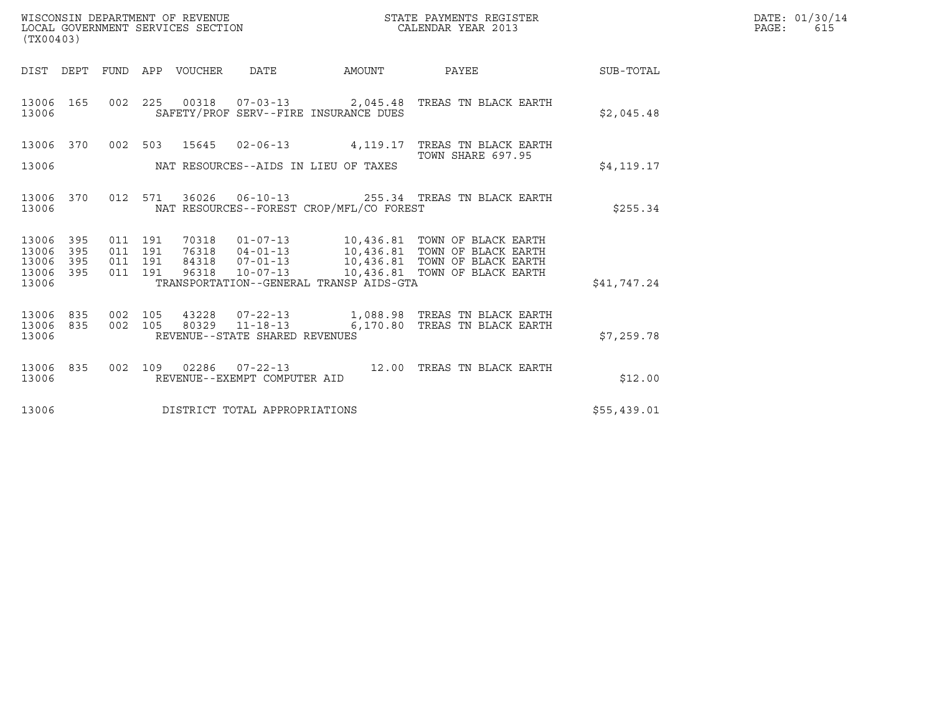| WISCONSIN DEPARTMENT OF REVENUE<br>LOCAL GOVERNMENT SERVICES SECTION | STATE PAYMENTS REGISTER<br>CALENDAR YEAR 2013 | DATE: 01/30/14<br>PAGE:<br>615 |
|----------------------------------------------------------------------|-----------------------------------------------|--------------------------------|

| (TX00403)              |            |                    | WISCONSIN DEPARTMENT OF REVENUE<br>LOCAL GOVERNMENT SERVICES SECTION |                                |                                          | STATE PAYMENTS REGISTER<br>CALENDAR YEAR 2013                                                            |             | DATE: 01/30/14<br>$\mathtt{PAGE}$ :<br>615 |
|------------------------|------------|--------------------|----------------------------------------------------------------------|--------------------------------|------------------------------------------|----------------------------------------------------------------------------------------------------------|-------------|--------------------------------------------|
|                        |            |                    | DIST DEPT FUND APP VOUCHER DATE                                      |                                | <b>EXAMPLE THE PROPERTY OF A STATE</b>   | PAYEE                                                                                                    | SUB-TOTAL   |                                            |
| 13006 165<br>13006     |            |                    |                                                                      |                                | SAFETY/PROF SERV--FIRE INSURANCE DUES    | 002 225 00318 07-03-13 2,045.48 TREAS TN BLACK EARTH                                                     | \$2,045.48  |                                            |
| 13006 370              |            | 002 503            | 15645                                                                |                                |                                          | 02-06-13 4,119.17 TREAS TN BLACK EARTH<br>TOWN SHARE 697.95                                              |             |                                            |
| 13006                  |            |                    |                                                                      |                                | NAT RESOURCES--AIDS IN LIEU OF TAXES     |                                                                                                          | \$4,119.17  |                                            |
| 13006 370<br>13006     |            |                    |                                                                      |                                | NAT RESOURCES--FOREST CROP/MFL/CO FOREST | 012 571 36026 06-10-13 255.34 TREAS TN BLACK EARTH                                                       | \$255.34    |                                            |
| 13006<br>13006         | 395<br>395 | 011 191<br>011 191 |                                                                      |                                |                                          | 70318   01-07-13   10,436.81   TOWN OF BLACK EARTH<br>76318   04-01-13   10,436.81   TOWN OF BLACK EARTH |             |                                            |
| 13006<br>13006 395     | 395        | 011 191<br>011 191 |                                                                      |                                |                                          | 96318  10-07-13  10,436.81  TOWN OF BLACK EARTH                                                          |             |                                            |
| 13006                  |            |                    |                                                                      |                                | TRANSPORTATION--GENERAL TRANSP AIDS-GTA  |                                                                                                          | \$41,747.24 |                                            |
| 13006 835<br>13006 835 |            | 002 105            |                                                                      | 002 105 80329 11-18-13         |                                          | 6,170.80 TREAS TN BLACK EARTH                                                                            |             |                                            |
| 13006                  |            |                    |                                                                      | REVENUE--STATE SHARED REVENUES |                                          |                                                                                                          | \$7,259.78  |                                            |
| 13006 835<br>13006     |            |                    |                                                                      | REVENUE--EXEMPT COMPUTER AID   |                                          | 002 109 02286 07-22-13 12.00 TREAS TN BLACK EARTH                                                        | \$12.00     |                                            |
| 13006                  |            |                    |                                                                      | DISTRICT TOTAL APPROPRIATIONS  |                                          |                                                                                                          | \$55,439.01 |                                            |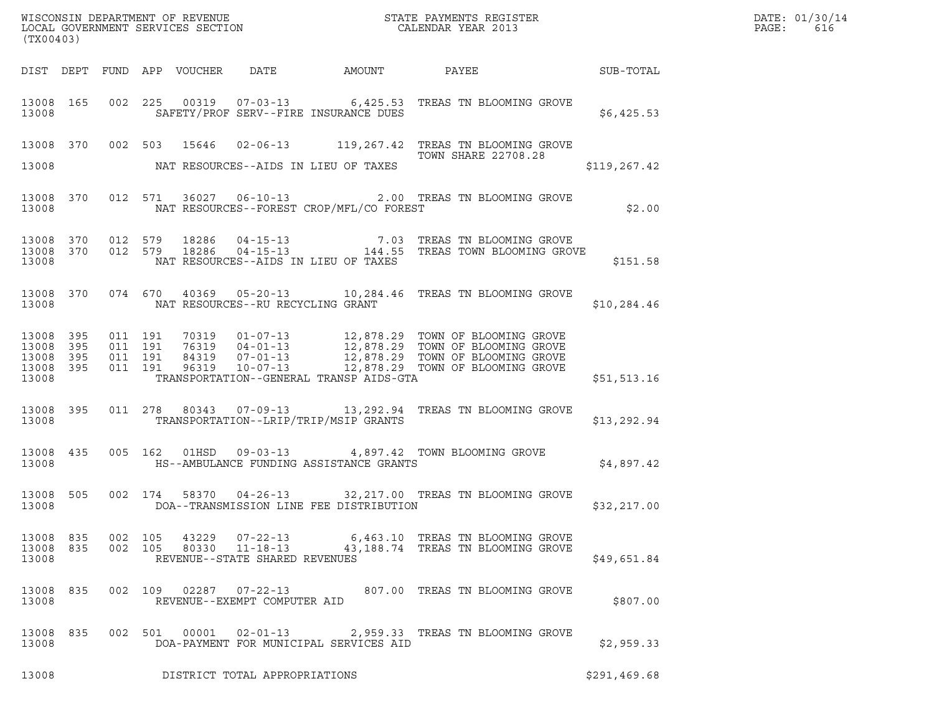| (TX00403)                   |           |                    |               |                                |                                                |                                                                                                                                                                                                                                                                                                                                                               |              |  |
|-----------------------------|-----------|--------------------|---------------|--------------------------------|------------------------------------------------|---------------------------------------------------------------------------------------------------------------------------------------------------------------------------------------------------------------------------------------------------------------------------------------------------------------------------------------------------------------|--------------|--|
|                             |           |                    |               |                                |                                                | DIST DEPT FUND APP VOUCHER DATE AMOUNT PAYEE SUB-TOTAL                                                                                                                                                                                                                                                                                                        |              |  |
|                             |           |                    |               |                                |                                                | 13008 165 002 225 00319 07-03-13 6,425.53 TREAS TN BLOOMING GROVE<br>13008 SAFETY/PROF SERV--FIRE INSURANCE DUES                                                                                                                                                                                                                                              | \$6,425.53   |  |
|                             |           |                    |               |                                |                                                | 13008 370 002 503 15646 02-06-13 119,267.42 TREAS TN BLOOMING GROVE<br><b>TOWN SHARE 22708.28</b>                                                                                                                                                                                                                                                             |              |  |
|                             |           |                    |               |                                | 13008 NAT RESOURCES--AIDS IN LIEU OF TAXES     |                                                                                                                                                                                                                                                                                                                                                               | \$119,267.42 |  |
|                             |           |                    |               |                                | 13008 NAT RESOURCES--FOREST CROP/MFL/CO FOREST | 13008 370 012 571 36027 06-10-13 2.00 TREAS TN BLOOMING GROVE                                                                                                                                                                                                                                                                                                 | \$2.00       |  |
| 13008                       |           |                    |               |                                | NAT RESOURCES--AIDS IN LIEU OF TAXES           | $\begin{array}{cccccccc} 13008 & 370 & 012 & 579 & 18286 & 04-15-13 & & & & 7.03 & \text{TREAS TN BLOOMING GROVE} \\ 13008 & 370 & 012 & 579 & 18286 & 04-15-13 & & & & 144.55 & \text{TREAS TOWN BLOOMING GROVE} \end{array}$                                                                                                                                | \$151.58     |  |
|                             |           |                    |               |                                | 13008 NAT RESOURCES--RU RECYCLING GRANT        | 13008 370 074 670 40369 05-20-13 10,284.46 TREAS TN BLOOMING GROVE                                                                                                                                                                                                                                                                                            | \$10,284.46  |  |
| 13008                       |           |                    |               |                                |                                                | $\begin{tabular}{cccccc} 13008 & 395 & 011 & 191 & 70319 & 01-07-13 & 12,878.29 & TOWN OF BLOOMING GROVE \\ 13008 & 395 & 011 & 191 & 76319 & 04-01-13 & 12,878.29 & TOWN OF BLOOMING GROVE \\ 13008 & 395 & 011 & 191 & 84319 & 07-01-13 & 12,878.29 & TOWN OF BLOOMING GROVE \\ 13008 & 395 & 011 & 191 & 96319$<br>TRANSPORTATION--GENERAL TRANSP AIDS-GTA | \$51,513.16  |  |
|                             |           |                    |               |                                |                                                | 13008 395 011 278 80343 07-09-13 13, 292.94 TREAS TN BLOOMING GROVE<br>13008 TRANSPORTATION--LRIP/TRIP/MSIP GRANTS                                                                                                                                                                                                                                            | \$13,292.94  |  |
|                             |           |                    |               |                                |                                                | 13008 435 005 162 01HSD 09-03-13 4,897.42 TOWN BLOOMING GROVE<br>13008 HS--AMBULANCE FUNDING ASSISTANCE GRANTS                                                                                                                                                                                                                                                | \$4,897.42   |  |
| 13008                       |           |                    |               |                                |                                                | 13008 505 002 174 58370 04-26-13 32,217.00 TREAS TN BLOOMING GROVE<br>DOA--TRANSMISSION LINE FEE DISTRIBUTION                                                                                                                                                                                                                                                 | \$32,217.00  |  |
| 13008<br>13008 835<br>13008 | 835       | 002 105<br>002 105 | 43229         | REVENUE--STATE SHARED REVENUES |                                                | 07-22-13 6,463.10 TREAS TN BLOOMING GROVE<br>80330  11-18-13  43,188.74  TREAS TN BLOOMING GROVE                                                                                                                                                                                                                                                              | \$49,651.84  |  |
| 13008 835<br>13008          |           |                    |               | REVENUE--EXEMPT COMPUTER AID   |                                                | 002  109  02287  07-22-13  807.00 TREAS TN BLOOMING GROVE                                                                                                                                                                                                                                                                                                     | \$807.00     |  |
| 13008                       | 13008 835 |                    | 002 501 00001 |                                | DOA-PAYMENT FOR MUNICIPAL SERVICES AID         | 02-01-13 2,959.33 TREAS TN BLOOMING GROVE                                                                                                                                                                                                                                                                                                                     | \$2,959.33   |  |
| 13008                       |           |                    |               | DISTRICT TOTAL APPROPRIATIONS  |                                                |                                                                                                                                                                                                                                                                                                                                                               | \$291,469.68 |  |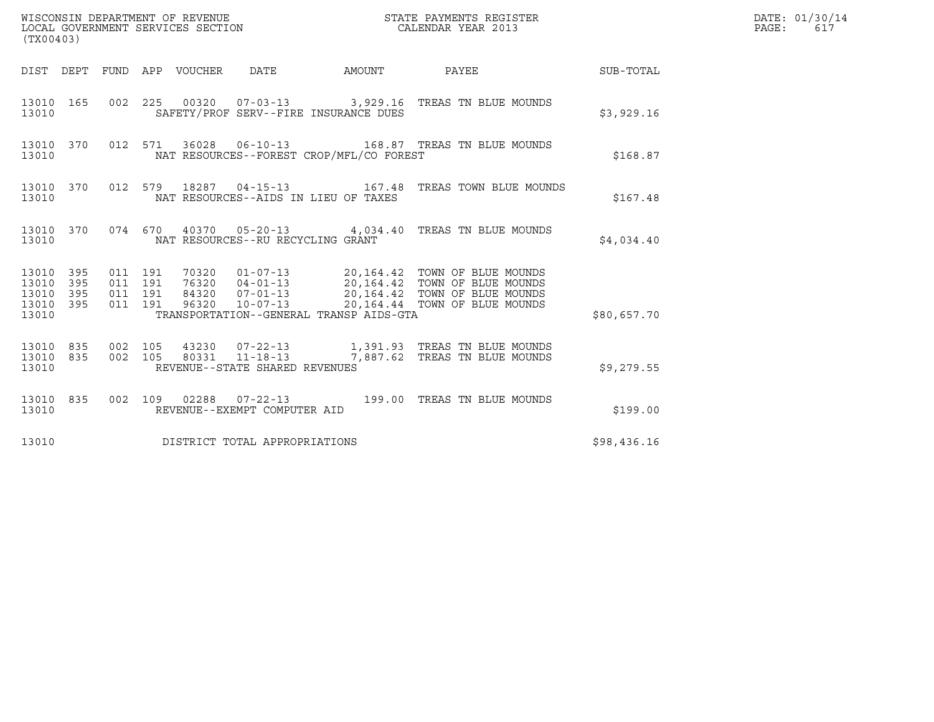| (TX00403)                                         |            |                                          |         |                                 |                                                        |                                          | STATE PAYMENTS REGISTER                                                            |             | DATE: 01/30/14<br>$\mathtt{PAGE}$ :<br>617 |
|---------------------------------------------------|------------|------------------------------------------|---------|---------------------------------|--------------------------------------------------------|------------------------------------------|------------------------------------------------------------------------------------|-------------|--------------------------------------------|
|                                                   |            |                                          |         | DIST DEPT FUND APP VOUCHER DATE |                                                        | AMOUNT                                   | PAYEE                                                                              | SUB-TOTAL   |                                            |
| 13010 165<br>13010                                |            |                                          |         |                                 |                                                        | SAFETY/PROF SERV--FIRE INSURANCE DUES    | 002  225  00320  07-03-13  3,929.16  TREAS TN BLUE MOUNDS                          | \$3,929.16  |                                            |
| 13010                                             | 13010 370  |                                          | 012 571 |                                 |                                                        | NAT RESOURCES--FOREST CROP/MFL/CO FOREST |                                                                                    | \$168.87    |                                            |
| 13010 370<br>13010                                |            |                                          |         |                                 |                                                        | NAT RESOURCES--AIDS IN LIEU OF TAXES     | 012 579 18287 04-15-13 167.48 TREAS TOWN BLUE MOUNDS                               | \$167.48    |                                            |
| 13010                                             | 13010 370  |                                          |         |                                 | NAT RESOURCES--RU RECYCLING GRANT                      |                                          | 074  670  40370  05-20-13  4,034.40  TREAS TN BLUE MOUNDS                          | \$4,034.40  |                                            |
| 13010 395<br>13010<br>13010<br>13010 395<br>13010 | 395<br>395 | 011 191<br>011 191<br>011 191<br>011 191 |         |                                 |                                                        | TRANSPORTATION--GENERAL TRANSP AIDS-GTA  | 70320  01-07-13  20,164.42  TOWN OF BLUE MOUNDS                                    | \$80,657.70 |                                            |
| 13010 835<br>13010<br>13010                       | 835        | 002 105<br>002 105                       |         | 80331                           | $11 - 18 - 13$<br>REVENUE--STATE SHARED REVENUES       |                                          | 43230  07-22-13   1,391.93   TREAS TN BLUE MOUNDS<br>7,887.62 TREAS TN BLUE MOUNDS | \$9,279.55  |                                            |
| 13010 835<br>13010                                |            |                                          |         |                                 | 002 109 02288 07-22-13<br>REVENUE--EXEMPT COMPUTER AID |                                          | 199.00 TREAS TN BLUE MOUNDS                                                        | \$199.00    |                                            |
| 13010                                             |            |                                          |         |                                 | DISTRICT TOTAL APPROPRIATIONS                          |                                          |                                                                                    | \$98,436.16 |                                            |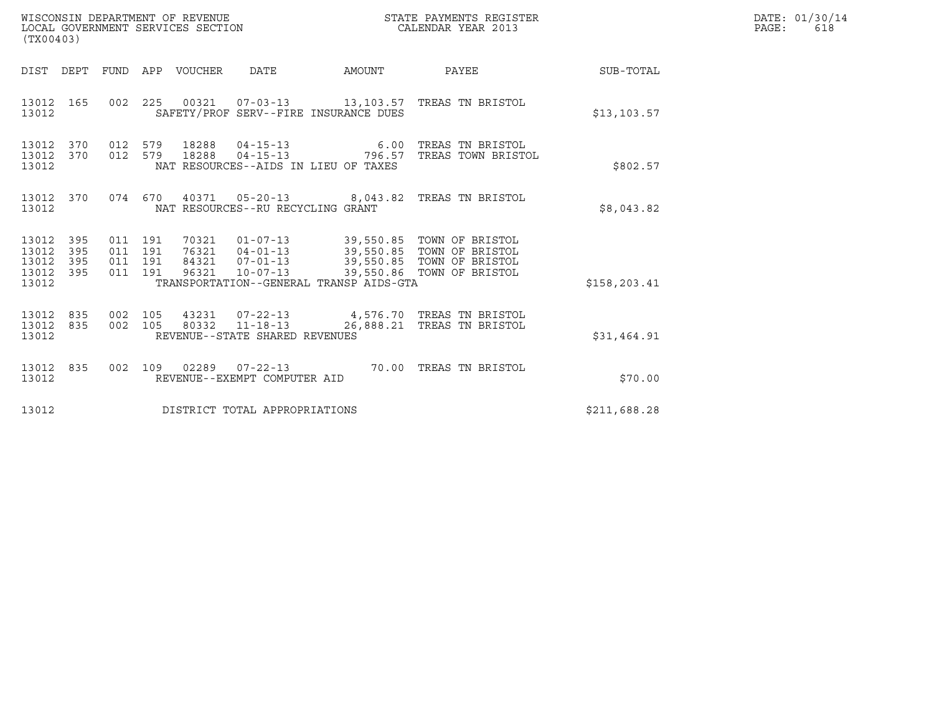| (TX00403)                                     |                   |                                          | WISCONSIN DEPARTMENT OF REVENUE<br>LOCAL GOVERNMENT SERVICES SECTION |                                   |                                         | STATE PAYMENTS REGISTER<br>CALENDAR YEAR 2013                                                                                                                          |              | DATE: 01/30/14<br>PAGE:<br>618 |
|-----------------------------------------------|-------------------|------------------------------------------|----------------------------------------------------------------------|-----------------------------------|-----------------------------------------|------------------------------------------------------------------------------------------------------------------------------------------------------------------------|--------------|--------------------------------|
|                                               |                   |                                          | DIST DEPT FUND APP VOUCHER                                           | DATE                              | AMOUNT                                  | PAYEE                                                                                                                                                                  | SUB-TOTAL    |                                |
| 13012 165<br>13012                            |                   |                                          |                                                                      |                                   | SAFETY/PROF SERV--FIRE INSURANCE DUES   | 002 225 00321 07-03-13 13,103.57 TREAS TN BRISTOL                                                                                                                      | \$13, 103.57 |                                |
| 13012 370<br>13012<br>13012                   | 370               | 012 579<br>012 579                       | 18288<br>18288                                                       |                                   | NAT RESOURCES--AIDS IN LIEU OF TAXES    | 04-15-13 6.00 TREAS TN BRISTOL<br>04-15-13 796.57 TREAS TOWN BRISTOL                                                                                                   | \$802.57     |                                |
| 13012 370<br>13012                            |                   |                                          |                                                                      | NAT RESOURCES--RU RECYCLING GRANT |                                         | 074 670 40371 05-20-13 8,043.82 TREAS TN BRISTOL                                                                                                                       | \$8,043.82   |                                |
| 13012 395<br>13012<br>13012<br>13012<br>13012 | 395<br>395<br>395 | 011 191<br>011 191<br>011 191<br>011 191 | 96321                                                                | $10 - 07 - 13$                    | TRANSPORTATION--GENERAL TRANSP AIDS-GTA | 70321  01-07-13  39,550.85  TOWN OF BRISTOL<br>76321  04-01-13  39,550.85  TOWN OF BRISTOL<br>84321  07-01-13  39,550.85  TOWN OF BRISTOL<br>39,550.86 TOWN OF BRISTOL | \$158,203.41 |                                |
| 13012<br>13012 835<br>13012                   | 835               | 002 105<br>002 105                       |                                                                      | REVENUE--STATE SHARED REVENUES    |                                         | 43231  07-22-13  4,576.70  TREAS TN BRISTOL<br>80332  11-18-13  26,888.21  TREAS TN BRISTOL                                                                            | \$31,464.91  |                                |
| 13012 835<br>13012                            |                   | 002 109                                  |                                                                      | REVENUE--EXEMPT COMPUTER AID      |                                         | 02289  07-22-13  70.00 TREAS TN BRISTOL                                                                                                                                | \$70.00      |                                |
| 13012                                         |                   |                                          |                                                                      | DISTRICT TOTAL APPROPRIATIONS     |                                         |                                                                                                                                                                        | \$211,688.28 |                                |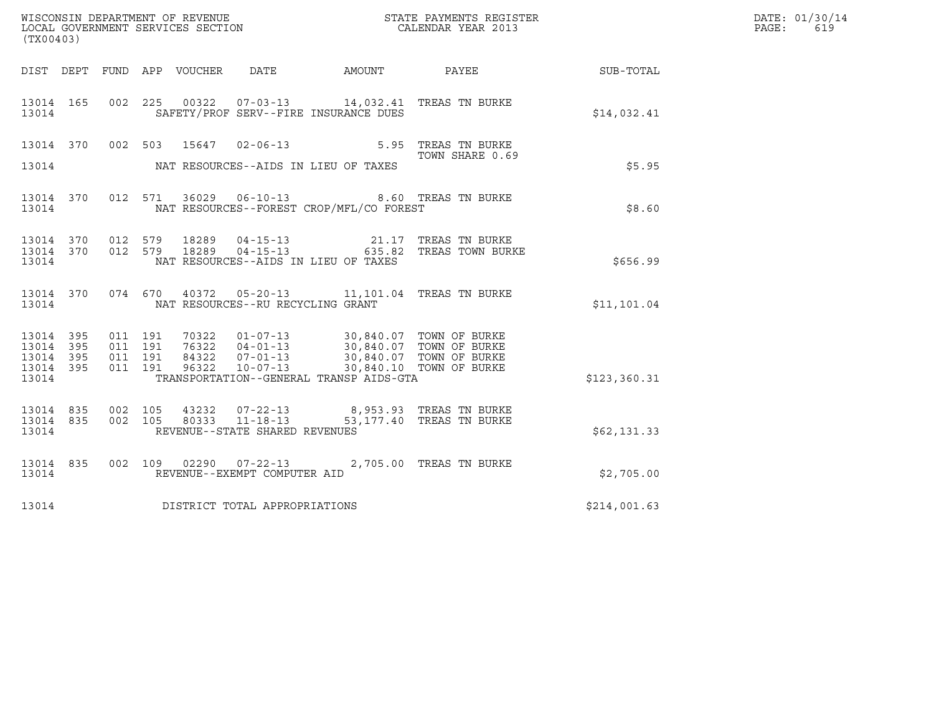|                                                           |                               |         |                                  |                                                  |                                                                                          |                                                                                                                     |              | DATE: 01/30/14 |
|-----------------------------------------------------------|-------------------------------|---------|----------------------------------|--------------------------------------------------|------------------------------------------------------------------------------------------|---------------------------------------------------------------------------------------------------------------------|--------------|----------------|
| (TX00403)                                                 |                               |         |                                  |                                                  |                                                                                          | %WISCONSIN DEPARTMENT OF REVENUE $$\tt STATE~PAYMEMTS~REGISTER~LOCAL~GOVERNMENT~SERVICS~SECTION~CALENDAR~YEAR~2013$ |              | PAGE:<br>619   |
|                                                           |                               |         |                                  |                                                  |                                                                                          | DIST DEPT FUND APP VOUCHER DATE AMOUNT PAYEE                                                                        | SUB-TOTAL    |                |
| 13014 165<br>13014                                        |                               |         |                                  |                                                  | 002 225 00322 07-03-13 14,032.41 TREAS TN BURKE<br>SAFETY/PROF SERV--FIRE INSURANCE DUES |                                                                                                                     | \$14,032.41  |                |
| 13014 370<br>13014                                        |                               | 002 503 |                                  |                                                  | NAT RESOURCES--AIDS IN LIEU OF TAXES                                                     | 15647 02-06-13 5.95 TREAS TN BURKE<br>TOWN SHARE 0.69                                                               | \$5.95       |                |
| 13014                                                     |                               |         |                                  | 13014 370 012 571 36029 06-10-13                 | NAT RESOURCES--FOREST CROP/MFL/CO FOREST                                                 | 8.60 TREAS TN BURKE                                                                                                 | \$8.60       |                |
| 13014 370<br>13014                                        | 012 579                       |         | 13014 370 012 579 18289<br>18289 | $04 - 15 - 13$<br>$04 - 15 - 13$                 | NAT RESOURCES--AIDS IN LIEU OF TAXES                                                     | 21.17 TREAS TN BURKE<br>635.82 TREAS TOWN BURKE                                                                     | \$656.99     |                |
| 13014 370<br>13014                                        |                               |         |                                  | NAT RESOURCES--RU RECYCLING GRANT                | 074 670 40372 05-20-13 11,101.04 TREAS TN BURKE                                          |                                                                                                                     | \$11,101.04  |                |
| 13014 395<br>13014 395<br>13014 395<br>13014 395<br>13014 | 011 191<br>011 191<br>011 191 | 011 191 |                                  |                                                  | TRANSPORTATION--GENERAL TRANSP AIDS-GTA                                                  |                                                                                                                     | \$123,360.31 |                |
| 13014 835<br>13014 835<br>13014                           | 002 105<br>002 105            |         | 43232<br>80333                   | $11 - 18 - 13$<br>REVENUE--STATE SHARED REVENUES | 07-22-13 8,953.93 TREAS TN BURKE                                                         | 53,177.40 TREAS TN BURKE                                                                                            | \$62,131.33  |                |
| 13014 835<br>13014                                        |                               |         |                                  | REVENUE--EXEMPT COMPUTER AID                     | 002 109 02290 07-22-13 2,705.00 TREAS TN BURKE                                           |                                                                                                                     | \$2,705.00   |                |
| 13014                                                     |                               |         |                                  | DISTRICT TOTAL APPROPRIATIONS                    |                                                                                          |                                                                                                                     | \$214,001.63 |                |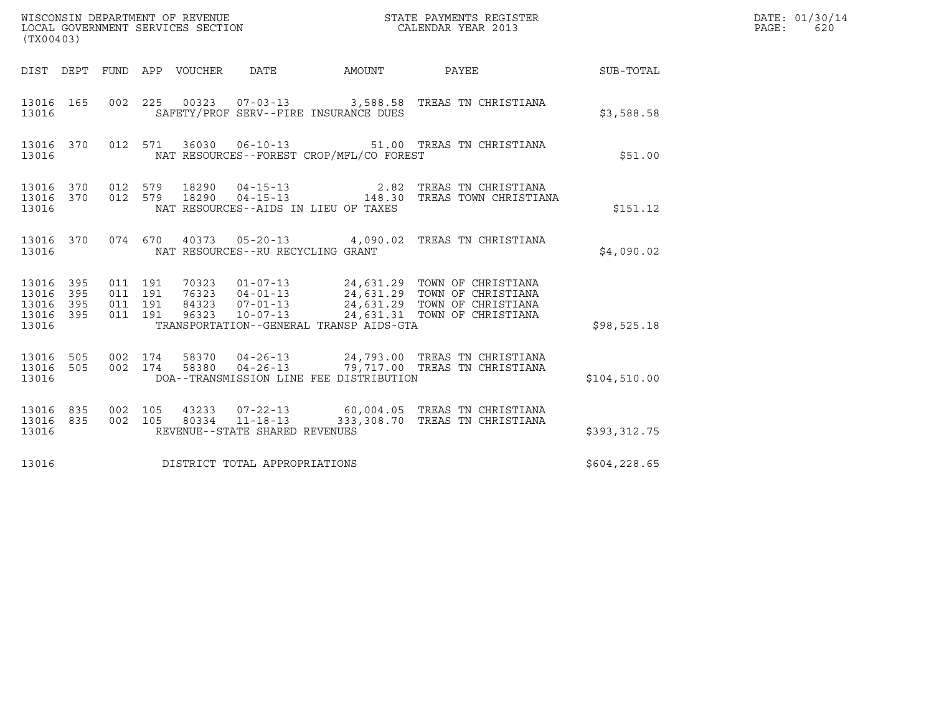| (TX00403)                                         |            |                                          |         | WISCONSIN DEPARTMENT OF REVENUE<br>LOCAL GOVERNMENT SERVICES SECTION |                                                  |                                          | STATE PAYMENTS REGISTER<br>CALENDAR YEAR 2013                                                                                                                                                        |                  | DATE: 01/30/14<br>$\mathtt{PAGE}$ :<br>620 |
|---------------------------------------------------|------------|------------------------------------------|---------|----------------------------------------------------------------------|--------------------------------------------------|------------------------------------------|------------------------------------------------------------------------------------------------------------------------------------------------------------------------------------------------------|------------------|--------------------------------------------|
|                                                   |            |                                          |         | DIST DEPT FUND APP VOUCHER DATE                                      |                                                  | AMOUNT                                   | PAYEE                                                                                                                                                                                                | <b>SUB-TOTAL</b> |                                            |
| 13016 165<br>13016                                |            |                                          |         |                                                                      |                                                  | SAFETY/PROF SERV--FIRE INSURANCE DUES    | 002 225 00323 07-03-13 3,588.58 TREAS TN CHRISTIANA                                                                                                                                                  | \$3,588.58       |                                            |
| 13016 370<br>13016                                |            | 012 571                                  |         |                                                                      |                                                  | NAT RESOURCES--FOREST CROP/MFL/CO FOREST | 36030  06-10-13  51.00  TREAS TN CHRISTIANA                                                                                                                                                          | \$51.00          |                                            |
| 13016 370 012 579<br>13016 370<br>13016           |            |                                          | 012 579 |                                                                      |                                                  | NAT RESOURCES--AIDS IN LIEU OF TAXES     | 18290   04-15-13   2.82   TREAS TN CHRISTIANA<br>18290   04-15-13   148.30   TREAS TOWN CHRISTIANA                                                                                                   | \$151.12         |                                            |
| 13016 370<br>13016                                |            |                                          |         |                                                                      | NAT RESOURCES--RU RECYCLING GRANT                |                                          | 074 670 40373 05-20-13 4,090.02 TREAS TN CHRISTIANA                                                                                                                                                  | \$4,090.02       |                                            |
| 13016 395<br>13016<br>13016<br>13016 395<br>13016 | 395<br>395 | 011 191<br>011 191<br>011 191<br>011 191 |         |                                                                      |                                                  | TRANSPORTATION--GENERAL TRANSP AIDS-GTA  | 70323  01-07-13  24,631.29  TOWN OF CHRISTIANA<br>76323  04-01-13  24,631.29  TOWN OF CHRISTIANA<br>84323  07-01-13  24,631.29  TOWN OF CHRISTIANA<br>96323  10-07-13  24,631.31  TOWN OF CHRISTIANA | \$98,525.18      |                                            |
| 13016 505<br>13016 505<br>13016                   |            | 002 174                                  | 002 174 |                                                                      |                                                  | DOA--TRANSMISSION LINE FEE DISTRIBUTION  | 58370  04-26-13  24,793.00  TREAS TN CHRISTIANA<br>58380  04-26-13  79,717.00  TREAS TN CHRISTIANA                                                                                                   | \$104,510.00     |                                            |
| 13016 835<br>13016 835<br>13016                   |            | 002 105<br>002 105                       |         |                                                                      | 80334 11-18-13<br>REVENUE--STATE SHARED REVENUES |                                          | 43233  07-22-13  60,004.05  TREAS TN CHRISTIANA<br>333,308.70 TREAS TN CHRISTIANA                                                                                                                    | \$393,312.75     |                                            |
| 13016                                             |            |                                          |         |                                                                      | DISTRICT TOTAL APPROPRIATIONS                    |                                          |                                                                                                                                                                                                      | \$604, 228.65    |                                            |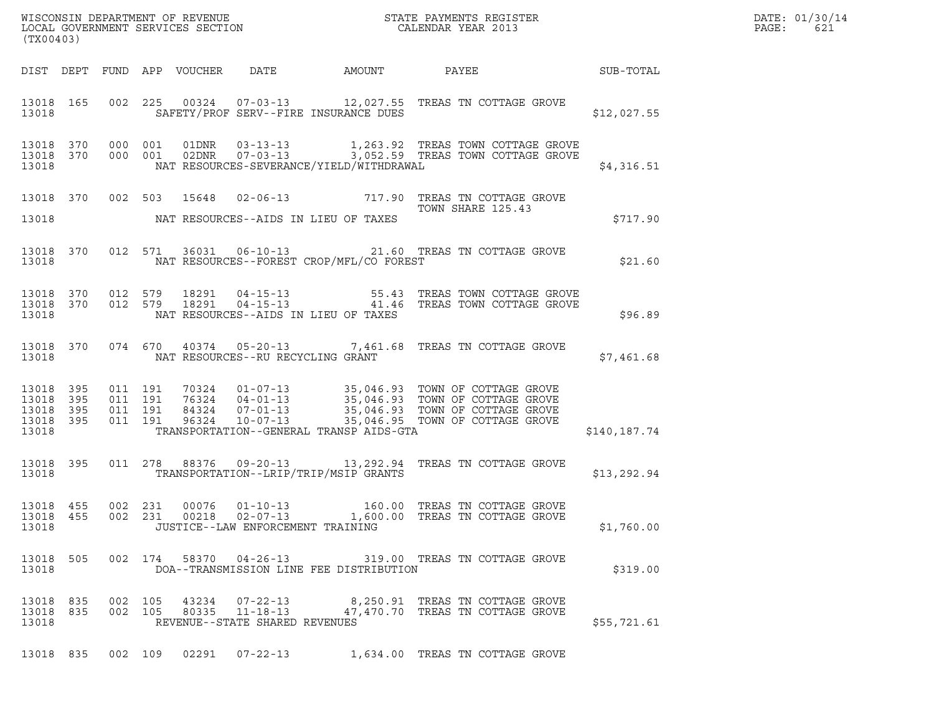| (TX00403)                                                 |         |                               |                                   |                                          |                                                                                                                                                                                                                                                                       |              | DATE: 01/30/14<br>PAGE:<br>621 |
|-----------------------------------------------------------|---------|-------------------------------|-----------------------------------|------------------------------------------|-----------------------------------------------------------------------------------------------------------------------------------------------------------------------------------------------------------------------------------------------------------------------|--------------|--------------------------------|
|                                                           |         |                               |                                   |                                          |                                                                                                                                                                                                                                                                       |              |                                |
| 13018                                                     |         |                               |                                   | SAFETY/PROF SERV--FIRE INSURANCE DUES    | 13018  165  002  225  00324  07-03-13  12,027.55  TREAS TN COTTAGE GROVE                                                                                                                                                                                              | \$12,027.55  |                                |
| 13018                                                     |         |                               |                                   | NAT RESOURCES-SEVERANCE/YIELD/WITHDRAWAL | $\begin{tabular}{cccccc} 13018 & 370 & 000 & 001 & 01DNR & 03-13-13 & & 1,263.92 & \text{TREAS TOWN COTTAGE GROVE \\ 13018 & 370 & 000 & 001 & 02DNR & 07-03-13 & & 3,052.59 & \text{TREAS TOWN COTTAGE GROVE \\ \end{tabular}$                                       | \$4,316.51   |                                |
|                                                           |         |                               |                                   |                                          | 13018 370 002 503 15648 02-06-13 717.90 TREAS TN COTTAGE GROVE<br>TOWN SHARE 125.43                                                                                                                                                                                   |              |                                |
| 13018                                                     |         |                               |                                   | NAT RESOURCES--AIDS IN LIEU OF TAXES     |                                                                                                                                                                                                                                                                       | \$717.90     |                                |
| 13018                                                     |         |                               |                                   | NAT RESOURCES--FOREST CROP/MFL/CO FOREST | 13018 370 012 571 36031 06-10-13 21.60 TREAS TN COTTAGE GROVE                                                                                                                                                                                                         | \$21.60      |                                |
| 13018                                                     |         |                               |                                   | NAT RESOURCES--AIDS IN LIEU OF TAXES     | $\begin{array}{cccccccc} 13018 & 370 & 012 & 579 & 18291 & 04-15-13 & & & & & 55.43 & \text{TREAS TOWN COTTAGE GROVE} \\ 13018 & 370 & 012 & 579 & 18291 & 04-15-13 & & & & 41.46 & \text{TREAS TOWN COTTAGE GROVE} \end{array}$                                      | \$96.89      |                                |
| 13018                                                     |         |                               | NAT RESOURCES--RU RECYCLING GRANT |                                          | 13018 370 074 670 40374 05-20-13 7,461.68 TREAS TN COTTAGE GROVE                                                                                                                                                                                                      | \$7,461.68   |                                |
| 13018 395<br>13018 395<br>13018 395<br>13018 395<br>13018 | 011 191 | 011 191<br>011 191<br>011 191 |                                   | TRANSPORTATION--GENERAL TRANSP AIDS-GTA  | $\begin{tabular}{cccc} 70324 & 01-07-13 & 35,046.93 & TOWN OF COTTAGE GROVE \\ 76324 & 04-01-13 & 35,046.93 & TOWN OF COTTAGE GROVE \\ 84324 & 07-01-13 & 35,046.93 & TOWN OF COTTAGE GROVE \\ 96324 & 10-07-13 & 35,046.95 & TOWN OF COTTAGE GROVE \\ \end{tabular}$ | \$140,187.74 |                                |
| 13018                                                     |         |                               |                                   | TRANSPORTATION--LRIP/TRIP/MSIP GRANTS    | 13018 395 011 278 88376 09-20-13 13,292.94 TREAS TN COTTAGE GROVE                                                                                                                                                                                                     | \$13,292.94  |                                |
| 13018                                                     |         |                               | JUSTICE--LAW ENFORCEMENT TRAINING |                                          | 13018 455 002 231 00076 01-10-13 160.00 TREAS TN COTTAGE GROVE<br>13018 455 002 231 00218 02-07-13 1,600.00 TREAS TN COTTAGE GROVE                                                                                                                                    | \$1,760.00   |                                |
| 13018                                                     |         |                               |                                   | DOA--TRANSMISSION LINE FEE DISTRIBUTION  | 13018 505 002 174 58370 04-26-13 319.00 TREAS TN COTTAGE GROVE                                                                                                                                                                                                        | \$319.00     |                                |
| 13018 835 002 105<br>13018 835<br>13018                   |         |                               | REVENUE--STATE SHARED REVENUES    |                                          | 002 105 43234 07-22-13 8,250.91 TREAS TN COTTAGE GROVE 002 105 80335 11-18-13 47,470.70 TREAS TN COTTAGE GROVE                                                                                                                                                        | \$55,721.61  |                                |
|                                                           |         |                               |                                   |                                          | 13018 835 002 109 02291 07-22-13 1,634.00 TREAS TN COTTAGE GROVE                                                                                                                                                                                                      |              |                                |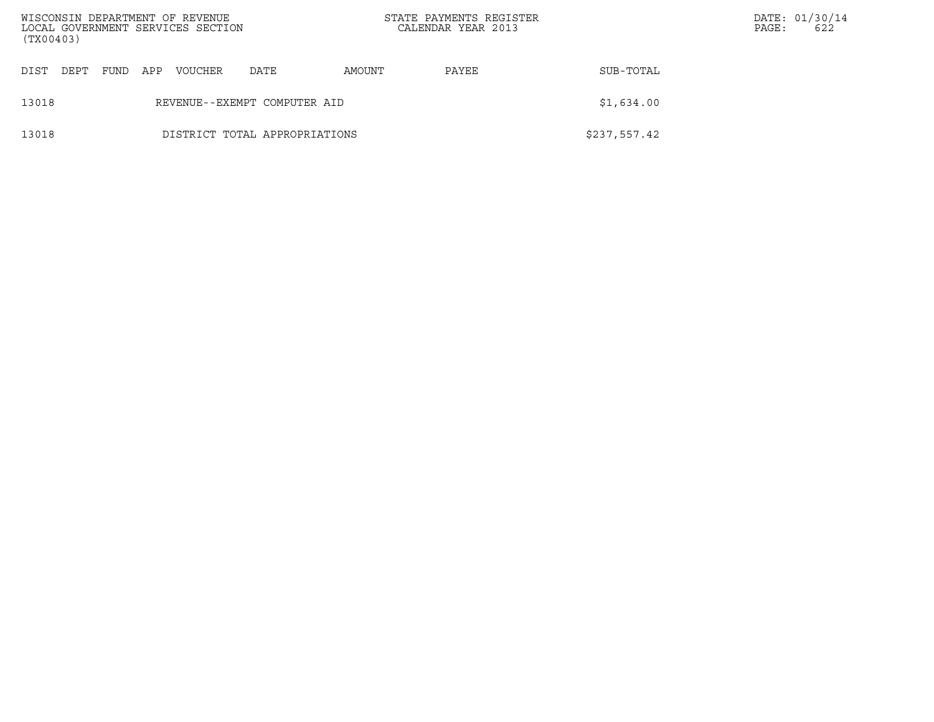| (TX00403) |      |     | WISCONSIN DEPARTMENT OF REVENUE<br>LOCAL GOVERNMENT SERVICES SECTION |                               |        | STATE PAYMENTS REGISTER<br>CALENDAR YEAR 2013 |              | PAGE: | DATE: 01/30/14<br>622 |
|-----------|------|-----|----------------------------------------------------------------------|-------------------------------|--------|-----------------------------------------------|--------------|-------|-----------------------|
| DIST DEPT | FUND | APP | VOUCHER                                                              | DATE                          | AMOUNT | PAYEE                                         | SUB-TOTAL    |       |                       |
| 13018     |      |     |                                                                      | REVENUE--EXEMPT COMPUTER AID  |        |                                               | \$1,634.00   |       |                       |
| 13018     |      |     |                                                                      | DISTRICT TOTAL APPROPRIATIONS |        |                                               | \$237,557.42 |       |                       |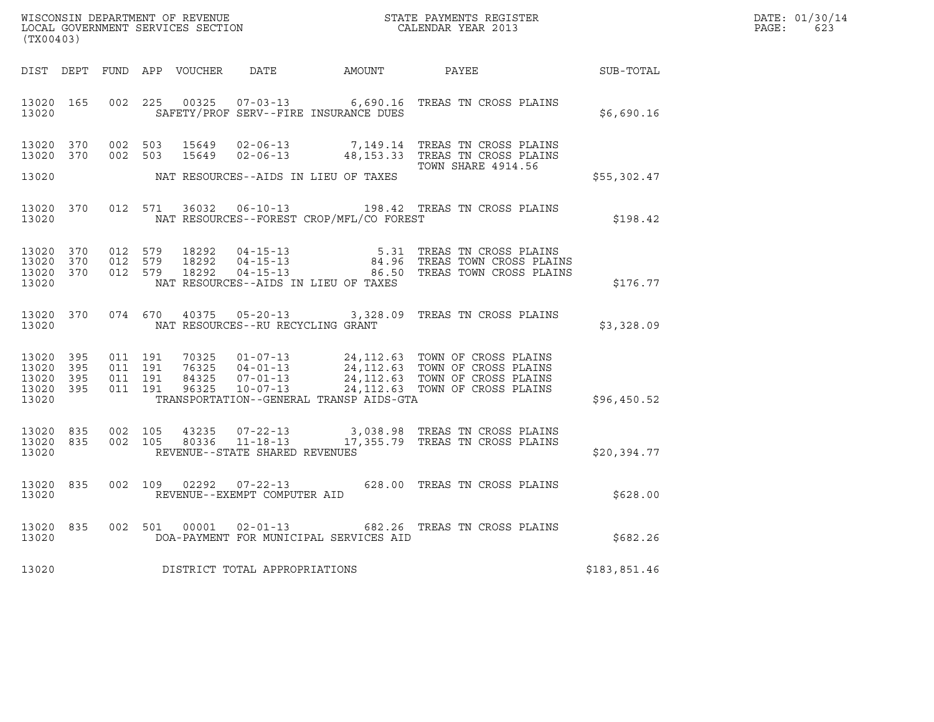|       | DATE: 01/30/14 |
|-------|----------------|
| PAGE: | 623            |

| (TX00403)                                                 |                        |                                          |                                     |                                          | % WISCONSIN DEPARTMENT OF REVENUE $$\tt STATE~PAYMEMTS~REGISTER~LOCAL~GOVERNMENT~SERVICES~SECTION~CALENDAR~YEAR~2013$                                                                                        | R            | DATE: 01/30/14<br>$\mathtt{PAGE:}$<br>623 |
|-----------------------------------------------------------|------------------------|------------------------------------------|-------------------------------------|------------------------------------------|--------------------------------------------------------------------------------------------------------------------------------------------------------------------------------------------------------------|--------------|-------------------------------------------|
|                                                           |                        |                                          |                                     |                                          | DIST DEPT FUND APP VOUCHER DATE AMOUNT PAYEE PAYER SUB-TOTAL                                                                                                                                                 |              |                                           |
| 13020                                                     | 13020 165              |                                          |                                     |                                          | 002 225 00325 07-03-13 6,690.16 TREAS TN CROSS PLAINS<br>SAFETY/PROF SERV--FIRE INSURANCE DUES                                                                                                               | \$6,690.16   |                                           |
|                                                           | 13020 370<br>13020 370 |                                          |                                     |                                          | 002 503 15649 02-06-13 7,149.14 TREAS TN CROSS PLAINS<br>002 503 15649 02-06-13 48,153.33 TREAS TN CROSS PLAINS<br><b>TOWN SHARE 4914.56</b>                                                                 |              |                                           |
| 13020                                                     |                        |                                          |                                     | NAT RESOURCES--AIDS IN LIEU OF TAXES     |                                                                                                                                                                                                              | \$55,302.47  |                                           |
| 13020                                                     | 13020 370              |                                          |                                     | NAT RESOURCES--FOREST CROP/MFL/CO FOREST | 012 571 36032 06-10-13 198.42 TREAS TN CROSS PLAINS                                                                                                                                                          | \$198.42     |                                           |
| 13020 370<br>13020 370<br>13020                           | 13020 370              | 012 579<br>012 579<br>012 579            |                                     | NAT RESOURCES--AIDS IN LIEU OF TAXES     | 18292  04-15-13   5.31 TREAS TN CROSS PLAINS<br>18292  04-15-13   84.96 TREAS TOWN CROSS PLAINS<br>18292  04-15-13   86.50 TREAS TOWN CROSS PLAINS                                                           | \$176.77     |                                           |
| 13020                                                     | 13020 370              |                                          |                                     | NAT RESOURCES--RU RECYCLING GRANT        | 074 670 40375 05-20-13 3,328.09 TREAS TN CROSS PLAINS                                                                                                                                                        | \$3,328.09   |                                           |
| 13020 395<br>13020 395<br>13020 395<br>13020 395<br>13020 |                        | 011 191<br>011 191<br>011 191<br>011 191 |                                     | TRANSPORTATION--GENERAL TRANSP AIDS-GTA  | 70325  01-07-13  24,112.63  TOWN OF CROSS PLAINS<br>76325  04-01-13  24,112.63  TOWN OF CROSS PLAINS<br>84325  07-01-13  24,112.63  TOWN OF CROSS PLAINS<br>96325  10-07-13  24,112.63  TOWN OF CROSS PLAINS | \$96,450.52  |                                           |
| 13020 835<br>13020                                        | 13020 835              | 002 105<br>002 105                       | REVENUE--STATE SHARED REVENUES      |                                          | 43235  07-22-13  3,038.98  TREAS TN CROSS PLAINS<br>80336  11-18-13   17,355.79  TREAS TN CROSS PLAINS                                                                                                       | \$20,394.77  |                                           |
| 13020 835<br>13020                                        |                        |                                          | REVENUE--EXEMPT COMPUTER AID        |                                          | 002 109 02292 07-22-13 628.00 TREAS TN CROSS PLAINS                                                                                                                                                          | \$628.00     |                                           |
| 13020                                                     | 13020 835              |                                          |                                     | DOA-PAYMENT FOR MUNICIPAL SERVICES AID   | 002 501 00001 02-01-13 682.26 TREAS TN CROSS PLAINS                                                                                                                                                          | \$682.26     |                                           |
|                                                           |                        |                                          | 13020 DISTRICT TOTAL APPROPRIATIONS |                                          |                                                                                                                                                                                                              | \$183,851.46 |                                           |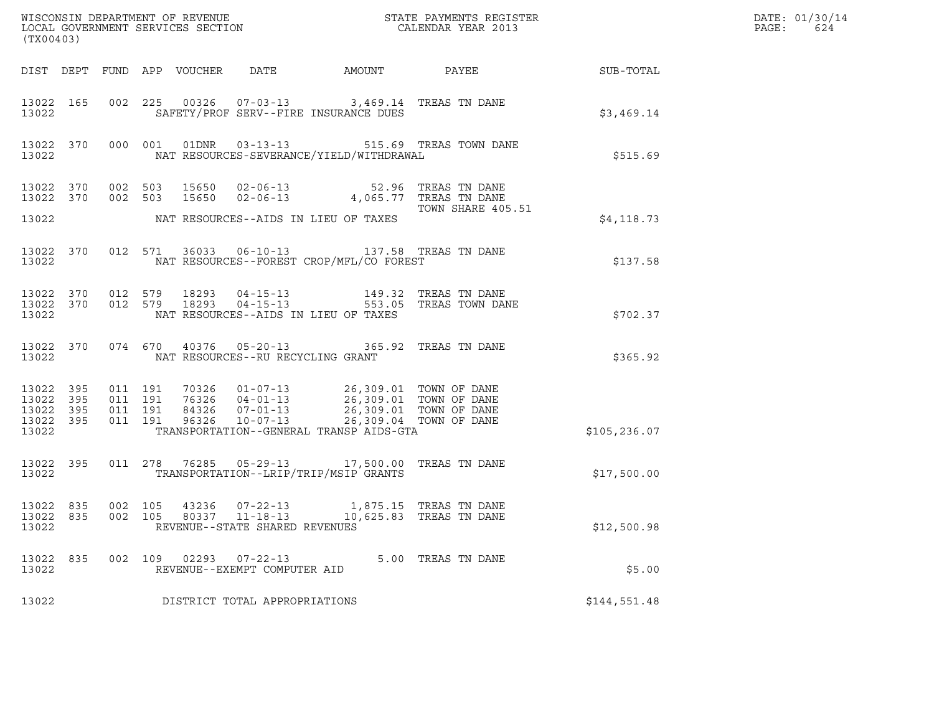| (TX00403)                                     |                   |         |                               |                            |                                                        |                                                                                                                                                                                                                         |                                                                  |                 | DATE: 01/30/14<br>$\mathtt{PAGE}$ :<br>624 |
|-----------------------------------------------|-------------------|---------|-------------------------------|----------------------------|--------------------------------------------------------|-------------------------------------------------------------------------------------------------------------------------------------------------------------------------------------------------------------------------|------------------------------------------------------------------|-----------------|--------------------------------------------|
|                                               |                   |         |                               | DIST DEPT FUND APP VOUCHER | DATE                                                   | AMOUNT                                                                                                                                                                                                                  |                                                                  | PAYEE SUB-TOTAL |                                            |
| 13022                                         | 13022 165         |         |                               |                            |                                                        | 002 225 00326 07-03-13 3,469.14 TREAS TN DANE<br>SAFETY/PROF SERV--FIRE INSURANCE DUES                                                                                                                                  |                                                                  | \$3,469.14      |                                            |
| 13022                                         | 13022 370         |         |                               |                            |                                                        | NAT RESOURCES-SEVERANCE/YIELD/WITHDRAWAL                                                                                                                                                                                | 000 001 01DNR 03-13-13 515.69 TREAS TOWN DANE                    | \$515.69        |                                            |
| 13022 370<br>13022 370                        |                   |         | 002 503<br>002 503            |                            |                                                        | 15650  02-06-13  52.96  TREAS TN DANE<br>15650  02-06-13  4,065.77  TREAS TN DANE                                                                                                                                       |                                                                  |                 |                                            |
| 13022                                         |                   |         |                               |                            |                                                        | NAT RESOURCES--AIDS IN LIEU OF TAXES                                                                                                                                                                                    | TOWN SHARE 405.51                                                | \$4,118.73      |                                            |
| 13022                                         | 13022 370         |         |                               |                            |                                                        | 012 571 36033 06-10-13 137.58 TREAS TN DANE<br>NAT RESOURCES--FOREST CROP/MFL/CO FOREST                                                                                                                                 |                                                                  | \$137.58        |                                            |
| 13022 370<br>13022                            | 13022 370         | 012 579 |                               | 012 579 18293<br>18293     |                                                        | NAT RESOURCES--AIDS IN LIEU OF TAXES                                                                                                                                                                                    | 04-15-13 149.32 TREAS TN DANE<br>04-15-13 553.05 TREAS TOWN DANE | \$702.37        |                                            |
| 13022                                         | 13022 370         |         | 074 670                       |                            | NAT RESOURCES--RU RECYCLING GRANT                      | 40376  05-20-13  365.92  TREAS TN DANE                                                                                                                                                                                  |                                                                  | \$365.92        |                                            |
| 13022<br>13022<br>13022<br>13022 395<br>13022 | 395<br>395<br>395 | 011 191 | 011 191<br>011 191<br>011 191 |                            |                                                        | 70326  01-07-13  26,309.01  TOWN OF DANE<br>76326  04-01-13  26,309.01  TOWN OF DANE<br>84326  07-01-13  26,309.01  TOWN OF DANE<br>96326  10-07-13  26,309.04  TOWN OF DANE<br>TRANSPORTATION--GENERAL TRANSP AIDS-GTA |                                                                  | \$105, 236.07   |                                            |
| 13022                                         | 13022 395         |         |                               |                            |                                                        | 011 278 76285 05-29-13 17,500.00 TREAS TN DANE<br>TRANSPORTATION--LRIP/TRIP/MSIP GRANTS                                                                                                                                 |                                                                  | \$17,500.00     |                                            |
| 13022 835<br>13022                            |                   |         |                               |                            | REVENUE--STATE SHARED REVENUES                         | 002 105 43236 07-22-13 1,875.15 TREAS TN DANE<br>13022 835 002 105 80337 11-18-13 10,625.83 TREAS TN DANE                                                                                                               |                                                                  | \$12,500.98     |                                            |
| 13022 835<br>13022                            |                   |         |                               |                            | 002 109 02293 07-22-13<br>REVENUE--EXEMPT COMPUTER AID |                                                                                                                                                                                                                         | 5.00 TREAS TN DANE                                               | \$5.00          |                                            |
| 13022                                         |                   |         |                               |                            | DISTRICT TOTAL APPROPRIATIONS                          |                                                                                                                                                                                                                         |                                                                  | \$144,551.48    |                                            |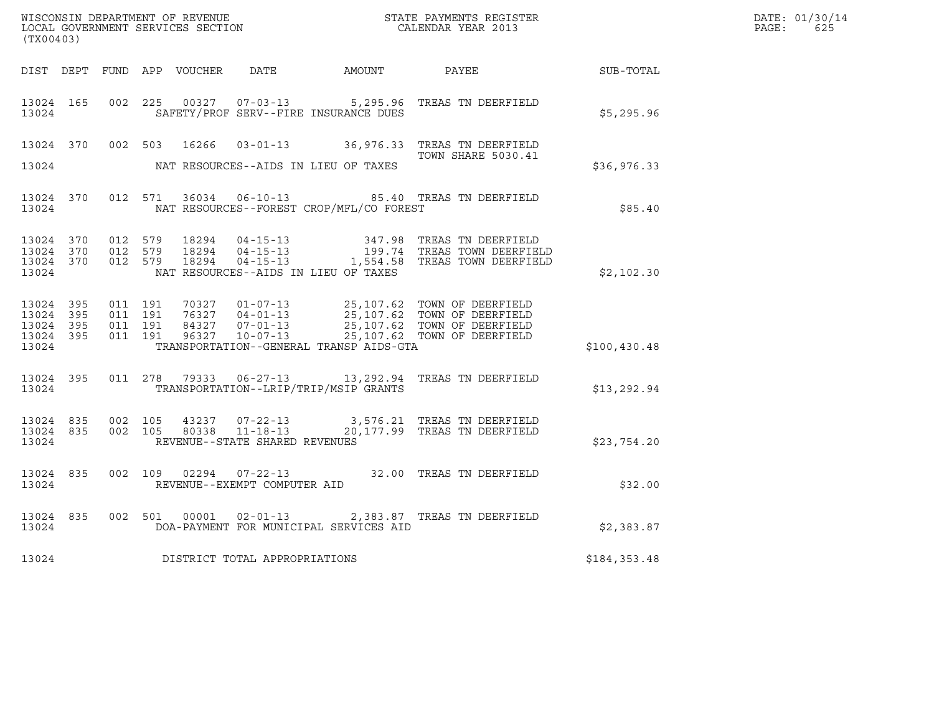| (TX00403)                       |           |                                                   |         |       |                                                          |                                          |                                                                                                                                                                                                                                                                                                         |              | DATE: 01/30/14<br>PAGE:<br>625 |
|---------------------------------|-----------|---------------------------------------------------|---------|-------|----------------------------------------------------------|------------------------------------------|---------------------------------------------------------------------------------------------------------------------------------------------------------------------------------------------------------------------------------------------------------------------------------------------------------|--------------|--------------------------------|
|                                 |           |                                                   |         |       |                                                          |                                          | DIST DEPT FUND APP VOUCHER DATE AMOUNT PAYEE                                                                                                                                                                                                                                                            | SUB-TOTAL    |                                |
| 13024 165<br>13024              |           |                                                   |         |       |                                                          | SAFETY/PROF SERV--FIRE INSURANCE DUES    | 002  225  00327  07-03-13  5,295.96  TREAS TN DEERFIELD                                                                                                                                                                                                                                                 | \$5,295.96   |                                |
|                                 |           | 13024 370 002 503                                 |         | 16266 |                                                          |                                          | 03-01-13 36,976.33 TREAS TN DEERFIELD<br>TOWN SHARE 5030.41                                                                                                                                                                                                                                             |              |                                |
| 13024                           |           |                                                   |         |       |                                                          | NAT RESOURCES--AIDS IN LIEU OF TAXES     |                                                                                                                                                                                                                                                                                                         | \$36,976.33  |                                |
| 13024 370<br>13024              |           |                                                   |         |       |                                                          | NAT RESOURCES--FOREST CROP/MFL/CO FOREST | 012 571 36034 06-10-13 85.40 TREAS TN DEERFIELD                                                                                                                                                                                                                                                         | \$85.40      |                                |
| 13024                           |           |                                                   |         |       |                                                          | NAT RESOURCES--AIDS IN LIEU OF TAXES     | $\begin{array}{cccccccc} 13024 & 370 & 012 & 579 & 18294 & 04-15-13 & & 347.98 & \text{TREAS TN DEERFIELD} \\ 13024 & 370 & 012 & 579 & 18294 & 04-15-13 & & 199.74 & \text{TREAS TOWN DEERFIELD} \\ 13024 & 370 & 012 & 579 & 18294 & 04-15-13 & & 1,554.58 & \text{TREAS TOWN DEERFIELD} \end{array}$ | \$2,102.30   |                                |
| 13024 395<br>13024 395<br>13024 |           | 13024 395 011 191<br>011 191<br>13024 395 011 191 | 011 191 |       |                                                          | TRANSPORTATION--GENERAL TRANSP AIDS-GTA  | 70327  01-07-13  25,107.62  TOWN OF DEERFIELD<br>76327  04-01-13  25,107.62  TOWN OF DEERFIELD<br>84327  07-01-13  25,107.62  TOWN OF DEERFIELD<br>96327  10-07-113  25,107.62  TOWN OF DEERFIELD                                                                                                       | \$100,430.48 |                                |
| 13024                           |           |                                                   |         |       |                                                          | TRANSPORTATION--LRIP/TRIP/MSIP GRANTS    | 13024 395 011 278 79333 06-27-13 13, 292.94 TREAS TN DEERFIELD                                                                                                                                                                                                                                          | \$13,292.94  |                                |
| 13024                           | 13024 835 | 13024 835 002 105                                 |         |       | 002 105 80338 11-18-13<br>REVENUE--STATE SHARED REVENUES |                                          | 43237 07-22-13 3,576.21 TREAS TN DEERFIELD<br>20,177.99 TREAS TN DEERFIELD                                                                                                                                                                                                                              | \$23,754.20  |                                |
| 13024                           |           |                                                   |         |       | REVENUE--EXEMPT COMPUTER AID                             |                                          | 13024 835 002 109 02294 07-22-13 32.00 TREAS TN DEERFIELD                                                                                                                                                                                                                                               | \$32.00      |                                |
| 13024                           |           |                                                   |         |       |                                                          | DOA-PAYMENT FOR MUNICIPAL SERVICES AID   | 13024 835 002 501 00001 02-01-13 2,383.87 TREAS TN DEERFIELD                                                                                                                                                                                                                                            | \$2,383.87   |                                |
| 13024                           |           |                                                   |         |       | DISTRICT TOTAL APPROPRIATIONS                            |                                          |                                                                                                                                                                                                                                                                                                         | \$184,353.48 |                                |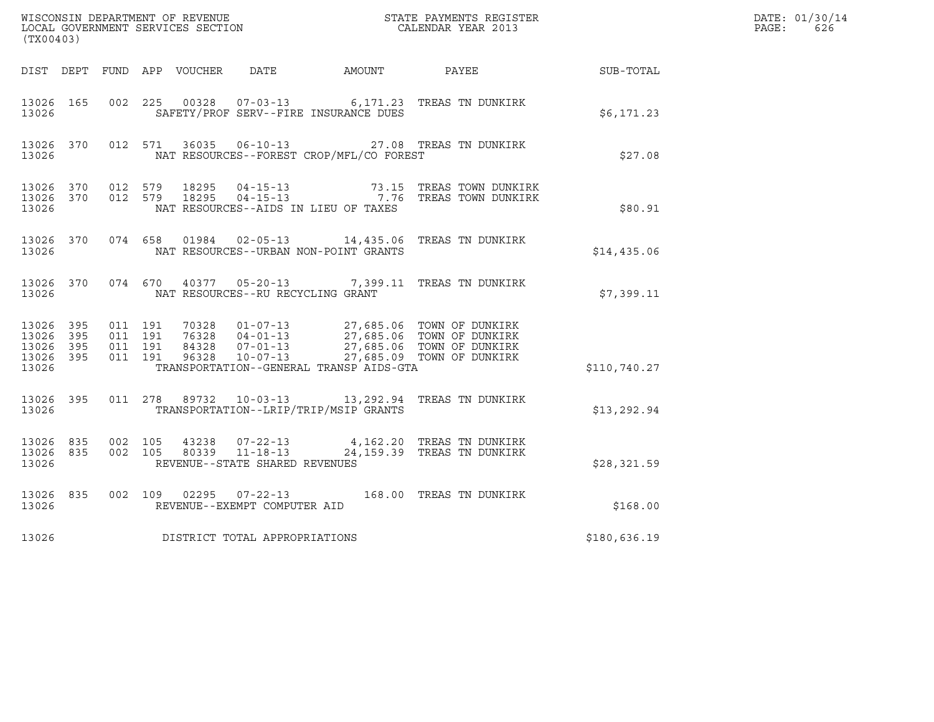| (TX00403)                                             |     |                                          |         |       |                                                  |                                          | ${\tt WISCONSIM\ DEPARTMENT\ OF\ REVENUE}\qquad \qquad {\tt STATE\ PAYMENTS\ REGISTER} \\ {\tt LOCAL\ GOVERNMENT\ SERVICES\ SECTION}\qquad \qquad {\tt CALENDAR\ YEAR\ 2013}}$           |                  | DATE: 01/30/14<br>PAGE:<br>626 |
|-------------------------------------------------------|-----|------------------------------------------|---------|-------|--------------------------------------------------|------------------------------------------|------------------------------------------------------------------------------------------------------------------------------------------------------------------------------------------|------------------|--------------------------------|
|                                                       |     |                                          |         |       |                                                  | DIST DEPT FUND APP VOUCHER DATE AMOUNT   | PAYEE                                                                                                                                                                                    | <b>SUB-TOTAL</b> |                                |
| 13026 165<br>13026                                    |     | 002 225                                  |         | 00328 |                                                  | SAFETY/PROF SERV--FIRE INSURANCE DUES    | 07-03-13 6,171.23 TREAS TN DUNKIRK                                                                                                                                                       | \$6,171.23       |                                |
| 13026 370<br>13026                                    |     |                                          | 012 571 |       |                                                  | NAT RESOURCES--FOREST CROP/MFL/CO FOREST | 36035  06-10-13  27.08  TREAS TN DUNKIRK                                                                                                                                                 | \$27.08          |                                |
| 13026 370<br>13026                                    |     | 13026 370 012 579                        |         |       |                                                  | NAT RESOURCES--AIDS IN LIEU OF TAXES     | 012 579 18295 04-15-13 73.15 TREAS TOWN DUNKIRK<br>012 579 18295 04-15-13 7.76 TREAS TOWN DUNKIRK                                                                                        | \$80.91          |                                |
| 13026                                                 |     |                                          |         |       |                                                  | NAT RESOURCES--URBAN NON-POINT GRANTS    | 13026 370 074 658 01984 02-05-13 14,435.06 TREAS TN DUNKIRK                                                                                                                              | \$14,435.06      |                                |
| 13026 370<br>13026                                    |     |                                          |         |       | NAT RESOURCES--RU RECYCLING GRANT                |                                          | 074 670 40377 05-20-13 7,399.11 TREAS TN DUNKIRK                                                                                                                                         | \$7,399.11       |                                |
| 13026 395<br>13026<br>13026 395<br>13026 395<br>13026 | 395 | 011 191<br>011 191<br>011 191<br>011 191 |         |       |                                                  | TRANSPORTATION--GENERAL TRANSP AIDS-GTA  | 10328  01-07-13  27,685.06  TOWN OF DUNKIRK<br>16328  04-01-13  27,685.06  TOWN OF DUNKIRK<br>84328  07-01-13  27,685.06  TOWN OF DUNKIRK<br>96328  10-07-13  27,685.09  TOWN OF DUNKIRK | \$110,740.27     |                                |
| 13026 395<br>13026                                    |     |                                          |         |       |                                                  | TRANSPORTATION--LRIP/TRIP/MSIP GRANTS    | 011  278  89732  10-03-13  13,292.94  TREAS TN DUNKIRK                                                                                                                                   | \$13,292.94      |                                |
| 13026 835<br>13026 835<br>13026                       |     | 002 105<br>002 105                       |         | 43238 | 80339 11-18-13<br>REVENUE--STATE SHARED REVENUES |                                          | 07-22-13 4,162.20 TREAS TN DUNKIRK<br>24,159.39 TREAS TN DUNKIRK                                                                                                                         | \$28,321.59      |                                |
| 13026 835<br>13026                                    |     |                                          |         |       | REVENUE--EXEMPT COMPUTER AID                     |                                          | 002 109 02295 07-22-13 168.00 TREAS TN DUNKIRK                                                                                                                                           | \$168.00         |                                |
| 13026                                                 |     |                                          |         |       | DISTRICT TOTAL APPROPRIATIONS                    |                                          |                                                                                                                                                                                          | \$180,636.19     |                                |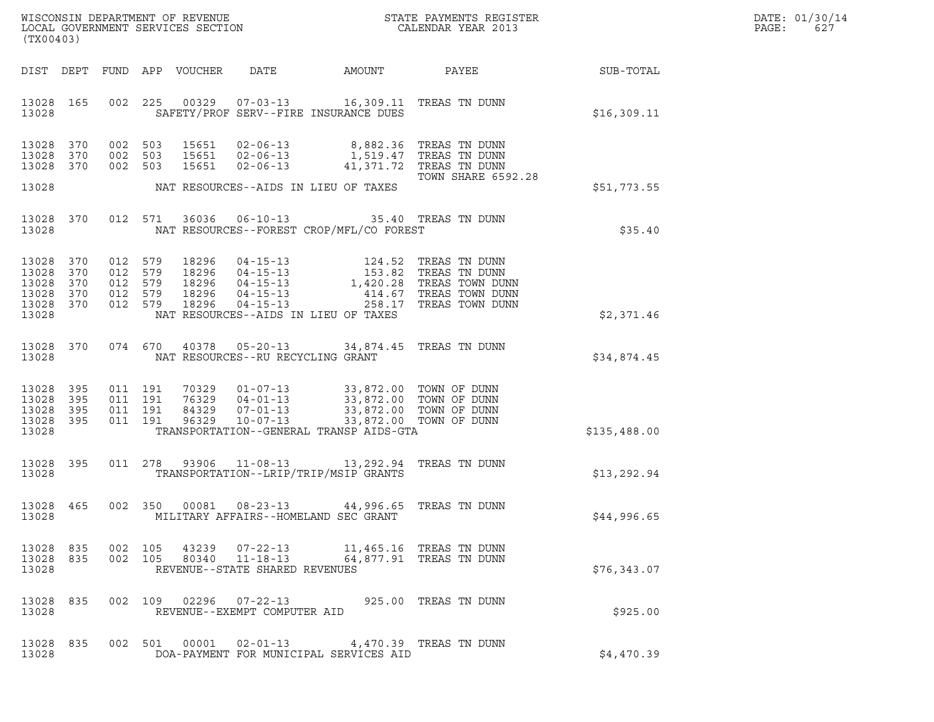| DATE: | 01/30/14 |
|-------|----------|
| PAGE: | 627      |

| (TX00403)                                                  |                   |                                                     |                            |                                                                                                                                                                                                                                                                                                                                                                 |        |                                                                              |              | DATE: 01/30/14<br>PAGE:<br>627 |
|------------------------------------------------------------|-------------------|-----------------------------------------------------|----------------------------|-----------------------------------------------------------------------------------------------------------------------------------------------------------------------------------------------------------------------------------------------------------------------------------------------------------------------------------------------------------------|--------|------------------------------------------------------------------------------|--------------|--------------------------------|
|                                                            |                   |                                                     | DIST DEPT FUND APP VOUCHER | DATE                                                                                                                                                                                                                                                                                                                                                            | AMOUNT | PAYEE                                                                        | SUB-TOTAL    |                                |
| 13028 165<br>13028                                         |                   |                                                     |                            | 002 225 00329 07-03-13 16,309.11 TREAS TN DUNN<br>SAFETY/PROF SERV--FIRE INSURANCE DUES                                                                                                                                                                                                                                                                         |        |                                                                              | \$16,309.11  |                                |
| 13028 370<br>13028<br>13028 370                            | 370               | 002 503<br>002 503<br>002 503                       | 15651<br>15651             | 02-06-13 8,882.36 TREAS TN DUNN<br>15651 02-06-13<br>$02 - 06 - 13$                                                                                                                                                                                                                                                                                             |        | 1,519.47   TREAS  TN  DUNN<br>41,371.72 TREAS TN DUNN<br>TOWN SHARE 6592.28  |              |                                |
| 13028                                                      |                   |                                                     |                            | NAT RESOURCES--AIDS IN LIEU OF TAXES                                                                                                                                                                                                                                                                                                                            |        |                                                                              | \$51,773.55  |                                |
| 13028 370<br>13028                                         |                   | 012 571                                             | 36036                      | 06-10-13 35.40 TREAS TN DUNN<br>NAT RESOURCES--FOREST CROP/MFL/CO FOREST                                                                                                                                                                                                                                                                                        |        |                                                                              | \$35.40      |                                |
| 13028<br>13028 370<br>13028<br>13028<br>13028 370<br>13028 | 370<br>370<br>370 | 012 579<br>012 579<br>012 579<br>012 579<br>012 579 |                            | $\begin{tabular}{lllllllllllllllllllll} 18296 & 04-15-13 & 124.52 \text{ TREAS TN DUNN} \\ 18296 & 04-15-13 & 153.82 \text{ TREAS TN DUNN} \\ 18296 & 04-15-13 & 1,420.28 \text{ TREAS TOWN DUN} \\ 18296 & 04-15-13 & 414.67 \text{ TREAS TOWN DUN} \\ 18296 & 04-15-13 & 258.17 \text{ TREAS TOWN DUN} \end{tabular}$<br>NAT RESOURCES--AIDS IN LIEU OF TAXES |        | 1,420.28 TREAS TOWN DUNN<br>414.67 TREAS TOWN DUNN<br>258.17 TREAS TOWN DUNN | \$2,371.46   |                                |
| 13028 370<br>13028                                         |                   | 074 670                                             |                            | 40378  05-20-13  34,874.45  TREAS TN DUNN<br>NAT RESOURCES--RU RECYCLING GRANT                                                                                                                                                                                                                                                                                  |        |                                                                              | \$34,874.45  |                                |
| 13028<br>13028 395<br>13028<br>13028 395<br>13028          | 395<br>395        | 011 191<br>011 191<br>011 191<br>011 191            | 96329                      | 70329  01-07-13  33,872.00  TOWN OF DUNN<br>76329  04-01-13  33,872.00  TOWN OF DUNN<br>84329  07-01-13  33,872.00  TOWN OF DUNN<br>$10 - 07 - 13$<br>TRANSPORTATION--GENERAL TRANSP AIDS-GTA                                                                                                                                                                   |        | 33,872.00 TOWN OF DUNN                                                       | \$135,488.00 |                                |
| 13028 395<br>13028                                         |                   |                                                     | 011 278 93906              | TRANSPORTATION--LRIP/TRIP/MSIP GRANTS                                                                                                                                                                                                                                                                                                                           |        |                                                                              | \$13,292.94  |                                |
| 13028 465<br>13028                                         |                   | 002 350                                             | 00081                      | $08 - 23 - 13$<br>MILITARY AFFAIRS--HOMELAND SEC GRANT                                                                                                                                                                                                                                                                                                          |        | 44,996.65 TREAS TN DUNN                                                      | \$44,996.65  |                                |
| 13028                                                      |                   |                                                     |                            | $\begin{array}{cccccccc} 13028 & 835 & 002 & 105 & 43239 & 07-22-13 & & 11,465.16 & \text{TREAS TN DUNN} \\ 13028 & 835 & 002 & 105 & 80340 & 11-18-13 & & 64,877.91 & \text{TREAS TN DUNN} \end{array}$<br>REVENUE--STATE SHARED REVENUES                                                                                                                      |        |                                                                              | \$76,343.07  |                                |
| 13028 835<br>13028                                         |                   |                                                     |                            | 002 109 02296 07-22-13 925.00 TREAS TN DUNN<br>REVENUE--EXEMPT COMPUTER AID                                                                                                                                                                                                                                                                                     |        |                                                                              | \$925.00     |                                |
| 13028 835<br>13028                                         |                   |                                                     |                            | 002 501 00001 02-01-13 4,470.39 TREAS TN DUNN<br>DOA-PAYMENT FOR MUNICIPAL SERVICES AID                                                                                                                                                                                                                                                                         |        |                                                                              | \$4,470.39   |                                |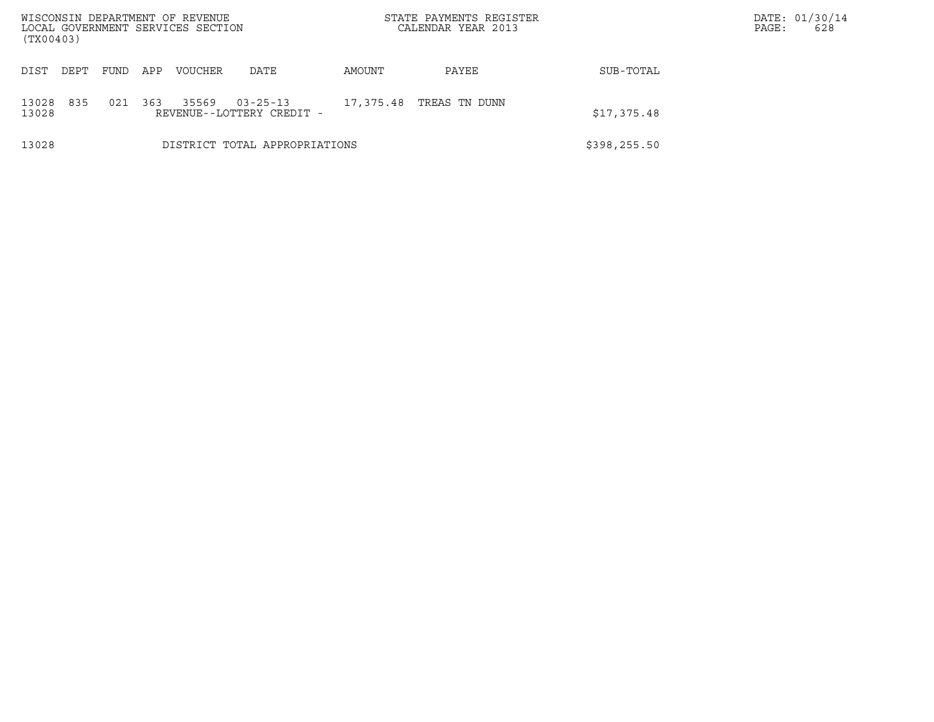| (TX00403)      |                               |             |     | WISCONSIN DEPARTMENT OF REVENUE<br>LOCAL GOVERNMENT SERVICES SECTION |                                             |           | STATE PAYMENTS REGISTER<br>CALENDAR YEAR 2013 |               | PAGE: | DATE: 01/30/14<br>628 |
|----------------|-------------------------------|-------------|-----|----------------------------------------------------------------------|---------------------------------------------|-----------|-----------------------------------------------|---------------|-------|-----------------------|
| DIST           | DEPT                          | <b>FUND</b> | APP | <b>VOUCHER</b>                                                       | DATE                                        | AMOUNT    | PAYEE                                         | SUB-TOTAL     |       |                       |
| 13028<br>13028 | 835                           | 021         | 363 | 35569                                                                | $03 - 25 - 13$<br>REVENUE--LOTTERY CREDIT - | 17,375.48 | TREAS TN DUNN                                 | \$17,375.48   |       |                       |
| 13028          | DISTRICT TOTAL APPROPRIATIONS |             |     |                                                                      |                                             |           |                                               | \$398, 255.50 |       |                       |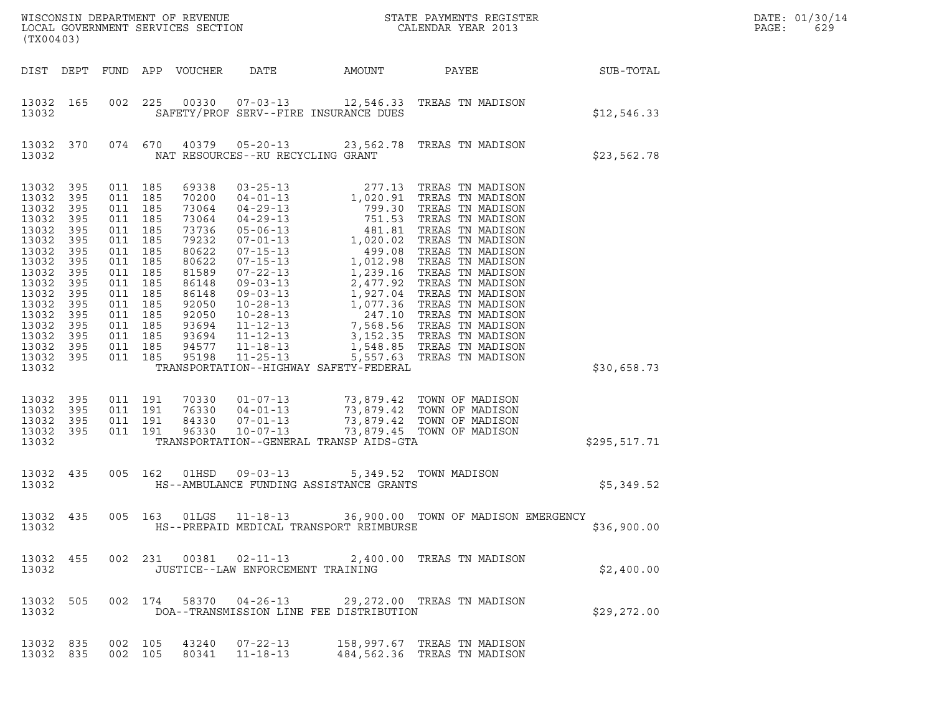| (TX00403)                                                                                                                                                          |                                                                                                              |                                                                                                                                                                     |                                 | LOCAL GOVERNMENT SERVICES SECTION                                                                                                                     |                                                                      |                                                                |                                                                                                                                                                                        |                  | DATE: 01/30/14<br>PAGE:<br>629 |
|--------------------------------------------------------------------------------------------------------------------------------------------------------------------|--------------------------------------------------------------------------------------------------------------|---------------------------------------------------------------------------------------------------------------------------------------------------------------------|---------------------------------|-------------------------------------------------------------------------------------------------------------------------------------------------------|----------------------------------------------------------------------|----------------------------------------------------------------|----------------------------------------------------------------------------------------------------------------------------------------------------------------------------------------|------------------|--------------------------------|
|                                                                                                                                                                    |                                                                                                              |                                                                                                                                                                     |                                 | DIST DEPT FUND APP VOUCHER                                                                                                                            | DATE                                                                 | AMOUNT                                                         | PAYEE                                                                                                                                                                                  | <b>SUB-TOTAL</b> |                                |
| 13032 165<br>13032                                                                                                                                                 |                                                                                                              | 002                                                                                                                                                                 | 225                             |                                                                                                                                                       | SAFETY/PROF SERV--FIRE INSURANCE DUES                                |                                                                | 00330  07-03-13  12,546.33  TREAS TN MADISON                                                                                                                                           | \$12,546.33      |                                |
| 13032 370<br>13032                                                                                                                                                 |                                                                                                              |                                                                                                                                                                     | 074 670                         |                                                                                                                                                       | NAT RESOURCES--RU RECYCLING GRANT                                    |                                                                | 40379  05-20-13  23,562.78  TREAS TN MADISON                                                                                                                                           | \$23,562.78      |                                |
| 13032<br>13032<br>13032<br>13032<br>13032<br>13032<br>13032<br>13032<br>13032<br>13032<br>13032<br>13032<br>13032<br>13032<br>13032<br>13032<br>13032 395<br>13032 | 395<br>395<br>395<br>395<br>395<br>395<br>395<br>395<br>395<br>395<br>395<br>395<br>395<br>395<br>395<br>395 | 011 185<br>011<br>011 185<br>011<br>011 185<br>011<br>011 185<br>011<br>011 185<br>011<br>011 185<br>011 185<br>011 185<br>011 185<br>011 185<br>011 185<br>011 185 | 185<br>185<br>185<br>185<br>185 | 69338<br>70200<br>73064<br>73064<br>73736<br>79232<br>80622<br>80622<br>81589<br>86148<br>86148<br>92050<br>92050<br>93694<br>93694<br>94577<br>95198 | 11-12-13<br>$11 - 18 - 13$<br>$11 - 25 - 13$                         | 1,548.85<br>5,557.63<br>TRANSPORTATION--HIGHWAY SAFETY-FEDERAL | TREAS TN MADISON<br>TREAS TN MADISON                                                                                                                                                   | \$30,658.73      |                                |
| 13032<br>13032<br>13032<br>13032<br>13032                                                                                                                          | 395<br>395<br>395<br>395                                                                                     | 011 191<br>011 191<br>011 191<br>011 191                                                                                                                            |                                 | 70330<br>76330<br>84330<br>96330                                                                                                                      | $01 - 07 - 13$<br>$04 - 01 - 13$<br>$07 - 01 - 13$<br>$10 - 07 - 13$ | TRANSPORTATION--GENERAL TRANSP AIDS-GTA                        | 73,879.42 TOWN OF MADISON<br>UWIN OF MADISON ו- 2,000.142 ב-10.16%<br>73,879.42 TOWN OF MADISON<br>73,879.42 TOWN OF MADISON<br>73,879.42 TOWN OF MADISON<br>73,879.45 TOWN OF MADISON | \$295,517.71     |                                |
| 13032<br>13032                                                                                                                                                     | 435                                                                                                          | 005 162                                                                                                                                                             |                                 | 01HSD                                                                                                                                                 | 09-03-13                                                             | HS--AMBULANCE FUNDING ASSISTANCE GRANTS                        | 5,349.52 TOWN MADISON                                                                                                                                                                  | \$5,349.52       |                                |
| 13032                                                                                                                                                              |                                                                                                              |                                                                                                                                                                     |                                 |                                                                                                                                                       |                                                                      | HS--PREPAID MEDICAL TRANSPORT REIMBURSE                        | 13032 435 005 163 01LGS 11-18-13 36,900.00 TOWN OF MADISON EMERGENCY                                                                                                                   | \$36,900.00      |                                |
| 13032 455<br>13032                                                                                                                                                 |                                                                                                              |                                                                                                                                                                     |                                 |                                                                                                                                                       | 002 231 00381 02-11-13<br>JUSTICE--LAW ENFORCEMENT TRAINING          |                                                                | 2,400.00 TREAS TN MADISON                                                                                                                                                              | \$2,400.00       |                                |
| 13032 505<br>13032                                                                                                                                                 |                                                                                                              |                                                                                                                                                                     |                                 |                                                                                                                                                       |                                                                      | DOA--TRANSMISSION LINE FEE DISTRIBUTION                        | 002 174 58370 04-26-13 29,272.00 TREAS TN MADISON                                                                                                                                      | \$29,272.00      |                                |
| 13032 835<br>13032 835                                                                                                                                             |                                                                                                              | 002 105<br>002 105                                                                                                                                                  |                                 | 80341                                                                                                                                                 | 43240 07-22-13<br>$11 - 18 - 13$                                     |                                                                | 158,997.67 TREAS TN MADISON<br>484,562.36 TREAS TN MADISON                                                                                                                             |                  |                                |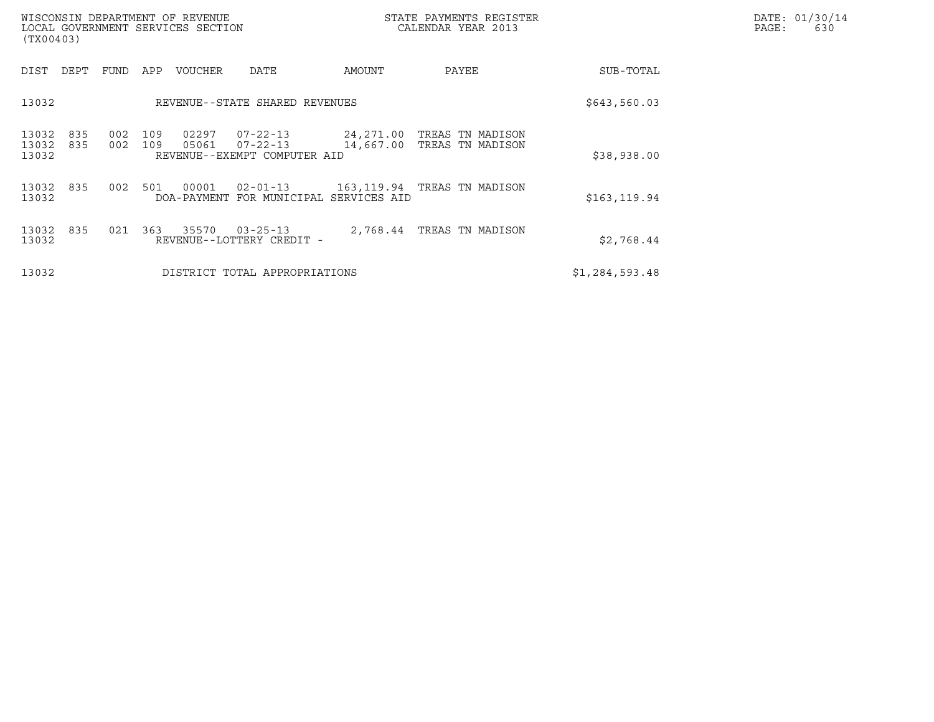| WISCONSIN DEPARTMENT OF REVENUE<br>LOCAL GOVERNMENT SERVICES SECTION<br>(TX00403) |                                                                                                  |        | STATE PAYMENTS REGISTER<br>CALENDAR YEAR 2013            |                | DATE: 01/30/14<br>PAGE:<br>630 |
|-----------------------------------------------------------------------------------|--------------------------------------------------------------------------------------------------|--------|----------------------------------------------------------|----------------|--------------------------------|
| DIST DEPT<br>FUND                                                                 | APP<br>VOUCHER<br>DATE                                                                           | AMOUNT | PAYEE                                                    | SUB-TOTAL      |                                |
| 13032                                                                             | REVENUE--STATE SHARED REVENUES                                                                   |        |                                                          | \$643,560.03   |                                |
| 002<br>13032<br>835<br>13032<br>002<br>835<br>13032                               | 109<br>02297<br>$07 - 22 - 13$<br>109<br>05061<br>$07 - 22 - 13$<br>REVENUE--EXEMPT COMPUTER AID |        | 24,271.00 TREAS TN MADISON<br>14,667.00 TREAS TN MADISON | \$38,938.00    |                                |
| 13032<br>002<br>835<br>13032                                                      | 501<br>00001<br>$02 - 01 - 13$<br>DOA-PAYMENT FOR MUNICIPAL SERVICES AID                         |        | 163,119.94 TREAS TN MADISON                              | \$163, 119.94  |                                |
| 13032<br>021<br>835<br>13032                                                      | 363<br>35570 03-25-13<br>REVENUE--LOTTERY CREDIT -                                               |        | 2,768.44 TREAS TN MADISON                                | \$2,768.44     |                                |
| 13032                                                                             | DISTRICT TOTAL APPROPRIATIONS                                                                    |        |                                                          | \$1,284,593.48 |                                |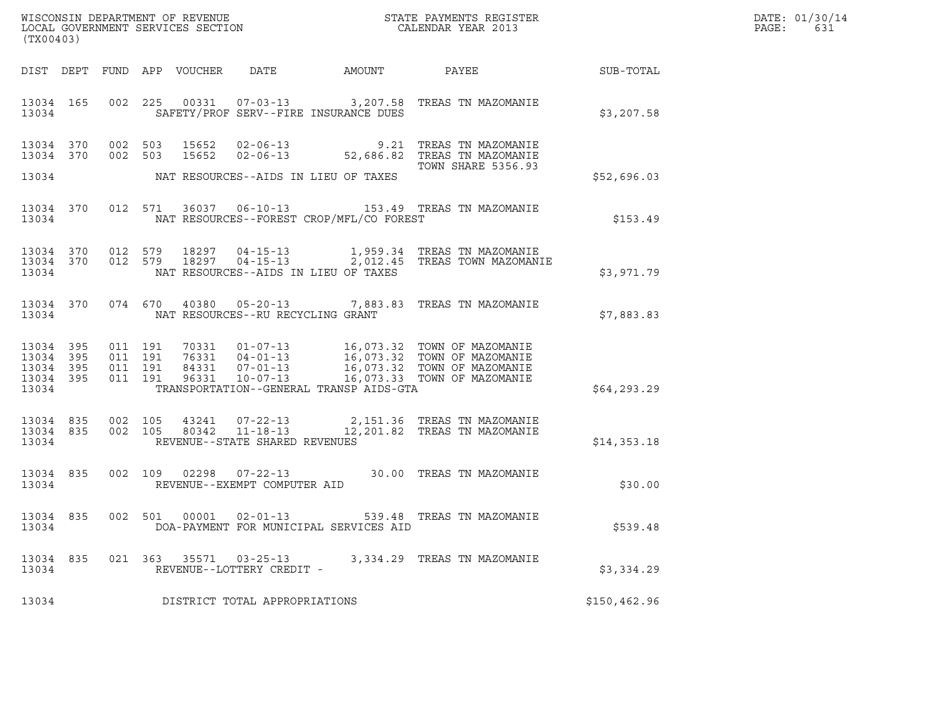| WISCONSIN DEPARTMENT OF REVENUE   | STATE PAYMENTS REGISTER | DATE: 01/30/14 |
|-----------------------------------|-------------------------|----------------|
| LOCAL GOVERNMENT SERVICES SECTION | CALENDAR YEAR 2013      | PAGE:<br>63⊥   |

| WISCONSIN DEPARTMENT OF REVENUE<br>LOCAL GOVERNMENT SERVICES SECTION FOR THE STATE PAYMENTS REGISTER<br>(TX00403)<br>(TX00403) |  |  |               |                           |                                         |                                                |                                                                                                                                                                                                                   |              | DATE: 01/30/14<br>PAGE: 631 |
|--------------------------------------------------------------------------------------------------------------------------------|--|--|---------------|---------------------------|-----------------------------------------|------------------------------------------------|-------------------------------------------------------------------------------------------------------------------------------------------------------------------------------------------------------------------|--------------|-----------------------------|
|                                                                                                                                |  |  |               |                           |                                         |                                                | DIST DEPT FUND APP VOUCHER DATE AMOUNT PAYEE PAYER SUB-TOTAL                                                                                                                                                      |              |                             |
| 13034                                                                                                                          |  |  |               |                           |                                         | SAFETY/PROF SERV--FIRE INSURANCE DUES          | 13034 165 002 225 00331 07-03-13 3,207.58 TREAS TN MAZOMANIE                                                                                                                                                      | \$3,207.58   |                             |
| 13034 370<br>13034 370                                                                                                         |  |  |               |                           |                                         | 13034 NAT RESOURCES--AIDS IN LIEU OF TAXES     | 002 503 15652 02-06-13 9.21 TREAS TN MAZOMANIE<br>002 503 15652 02-06-13 52,686.82 TREAS TN MAZOMANIE<br><b>TOWN SHARE 5356.93</b>                                                                                | \$52,696.03  |                             |
|                                                                                                                                |  |  |               |                           |                                         | 13034 NAT RESOURCES--FOREST CROP/MFL/CO FOREST | 13034 370 012 571 36037 06-10-13 153.49 TREAS TN MAZOMANIE                                                                                                                                                        | \$153.49     |                             |
| 13034                                                                                                                          |  |  |               |                           | NAT RESOURCES--AIDS IN LIEU OF TAXES    |                                                | $13034$ 370 012 579 18297 04-15-13 1,959.34 TREAS TN MAZOMANIE<br>13034 370 012 579 18297 04-15-13 2,012.45 TREAS TOWN MAZOMANIE                                                                                  | \$3,971.79   |                             |
|                                                                                                                                |  |  |               |                           | 13034 NAT RESOURCES--RU RECYCLING GRANT |                                                | 13034 370 074 670 40380 05-20-13 7,883.83 TREAS TN MAZOMANIE                                                                                                                                                      | \$7,883.83   |                             |
| 13034 395<br>13034 395<br>13034 395<br>13034 395<br>13034                                                                      |  |  |               |                           |                                         | TRANSPORTATION--GENERAL TRANSP AIDS-GTA        |                                                                                                                                                                                                                   | \$64,293.29  |                             |
| 13034                                                                                                                          |  |  |               |                           | REVENUE--STATE SHARED REVENUES          |                                                | $\begin{array}{cccccccc} 13034 & 835 & 002 & 105 & 43241 & 07-22-13 & & 2,151.36 & \text{TREAS TN MAZOMANIE} \\ 13034 & 835 & 002 & 105 & 80342 & 11-18-13 & & 12,201.82 & \text{TREAS TN MAZOMANIE} \end{array}$ | \$14,353.18  |                             |
|                                                                                                                                |  |  |               |                           | 13034 REVENUE--EXEMPT COMPUTER AID      |                                                | 13034 835 002 109 02298 07-22-13 30.00 TREAS TN MAZOMANIE                                                                                                                                                         | \$30.00      |                             |
| 13034                                                                                                                          |  |  |               |                           |                                         | DOA-PAYMENT FOR MUNICIPAL SERVICES AID         | 13034 835 002 501 00001 02-01-13 539.48 TREAS TN MAZOMANIE                                                                                                                                                        | \$539.48     |                             |
| 13034 835<br>13034                                                                                                             |  |  | 021 363 35571 | REVENUE--LOTTERY CREDIT - | $03 - 25 - 13$                          |                                                | 3,334.29 TREAS TN MAZOMANIE                                                                                                                                                                                       | \$3,334.29   |                             |
| 13034                                                                                                                          |  |  |               |                           | DISTRICT TOTAL APPROPRIATIONS           |                                                |                                                                                                                                                                                                                   | \$150,462.96 |                             |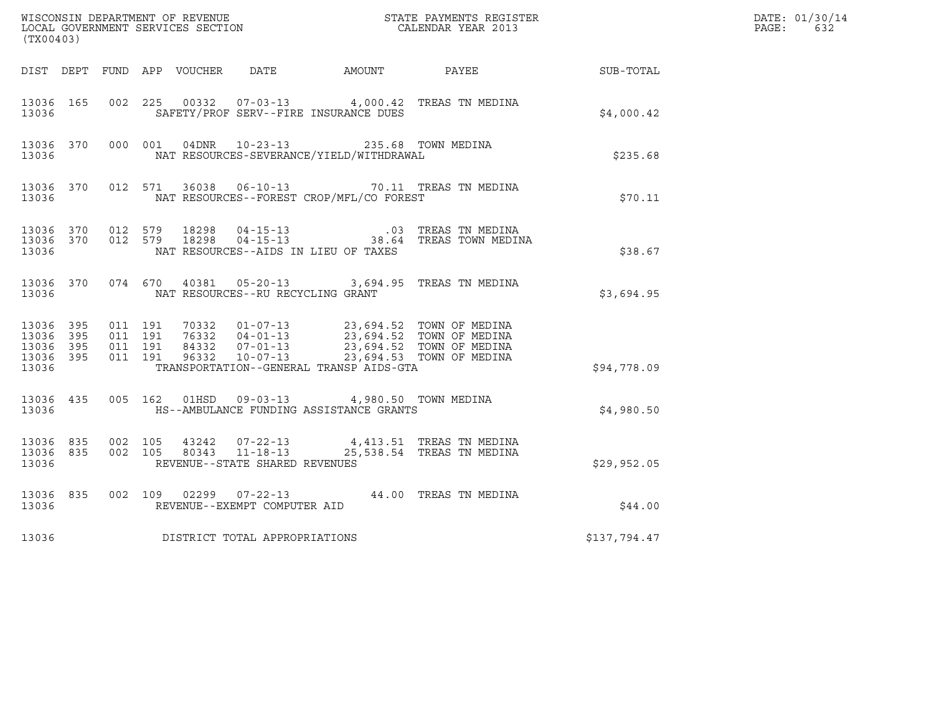| (TX00403)                                |                  |                    |                    |                                  |                                   |                                                                                                  |                                                                                                                                                                                      |              | DATE: 01/30/14<br>$\mathtt{PAGE:}$<br>632 |
|------------------------------------------|------------------|--------------------|--------------------|----------------------------------|-----------------------------------|--------------------------------------------------------------------------------------------------|--------------------------------------------------------------------------------------------------------------------------------------------------------------------------------------|--------------|-------------------------------------------|
|                                          |                  |                    |                    |                                  |                                   | DIST DEPT FUND APP VOUCHER DATE AMOUNT PAYEE                                                     |                                                                                                                                                                                      | SUB-TOTAL    |                                           |
| 13036                                    | 13036 165        |                    |                    |                                  |                                   | SAFETY/PROF SERV--FIRE INSURANCE DUES                                                            | 002 225 00332 07-03-13 4,000.42 TREAS TN MEDINA                                                                                                                                      | \$4,000.42   |                                           |
| 13036                                    | 13036 370        |                    |                    |                                  |                                   | 000 001 04DNR 10-23-13 235.68 TOWN MEDINA<br>NAT RESOURCES-SEVERANCE/YIELD/WITHDRAWAL            |                                                                                                                                                                                      | \$235.68     |                                           |
| 13036                                    |                  |                    |                    |                                  |                                   | NAT RESOURCES--FOREST CROP/MFL/CO FOREST                                                         | 13036 370 012 571 36038 06-10-13 70.11 TREAS TN MEDINA                                                                                                                               | \$70.11      |                                           |
| 13036                                    |                  | 13036 370 012 579  |                    | 18298<br>13036 370 012 579 18298 |                                   | NAT RESOURCES--AIDS IN LIEU OF TAXES                                                             | 04-15-13 03 TREAS TN MEDINA<br>04-15-13 04-15-13 38.64 TREAS TOWN MEDINA                                                                                                             | \$38.67      |                                           |
| 13036                                    |                  |                    |                    |                                  | NAT RESOURCES--RU RECYCLING GRANT |                                                                                                  | 13036 370 074 670 40381 05-20-13 3,694.95 TREAS TN MEDINA                                                                                                                            | \$3,694.95   |                                           |
| 13036 395<br>13036<br>13036 395<br>13036 | 395<br>13036 395 | 011 191<br>011 191 | 011 191<br>011 191 |                                  |                                   | TRANSPORTATION--GENERAL TRANSP AIDS-GTA                                                          | 70332  01-07-13  23,694.52  TOWN OF MEDINA<br>76332  04-01-13  23,694.52  TOWN OF MEDINA<br>84332  07-01-13  23,694.52  TOWN OF MEDINA<br>96332  10-07-13  23,694.53  TOWN OF MEDINA | \$94,778.09  |                                           |
| 13036                                    |                  |                    |                    |                                  |                                   | 13036 435 005 162 01HSD 09-03-13 4,980.50 TOWN MEDINA<br>HS--AMBULANCE FUNDING ASSISTANCE GRANTS |                                                                                                                                                                                      | \$4,980.50   |                                           |
| 13036                                    | 13036 835        | 13036 835 002 105  |                    |                                  | REVENUE--STATE SHARED REVENUES    |                                                                                                  | 43242  07-22-13  4,413.51  TREAS TN MEDINA<br>002 105 80343 11-18-13 25,538.54 TREAS TN MEDINA                                                                                       | \$29,952.05  |                                           |
| 13036                                    | 13036 835        |                    |                    |                                  | REVENUE--EXEMPT COMPUTER AID      |                                                                                                  | 002 109 02299 07-22-13 44.00 TREAS TN MEDINA                                                                                                                                         | \$44.00      |                                           |
| 13036                                    |                  |                    |                    |                                  | DISTRICT TOTAL APPROPRIATIONS     |                                                                                                  |                                                                                                                                                                                      | \$137,794.47 |                                           |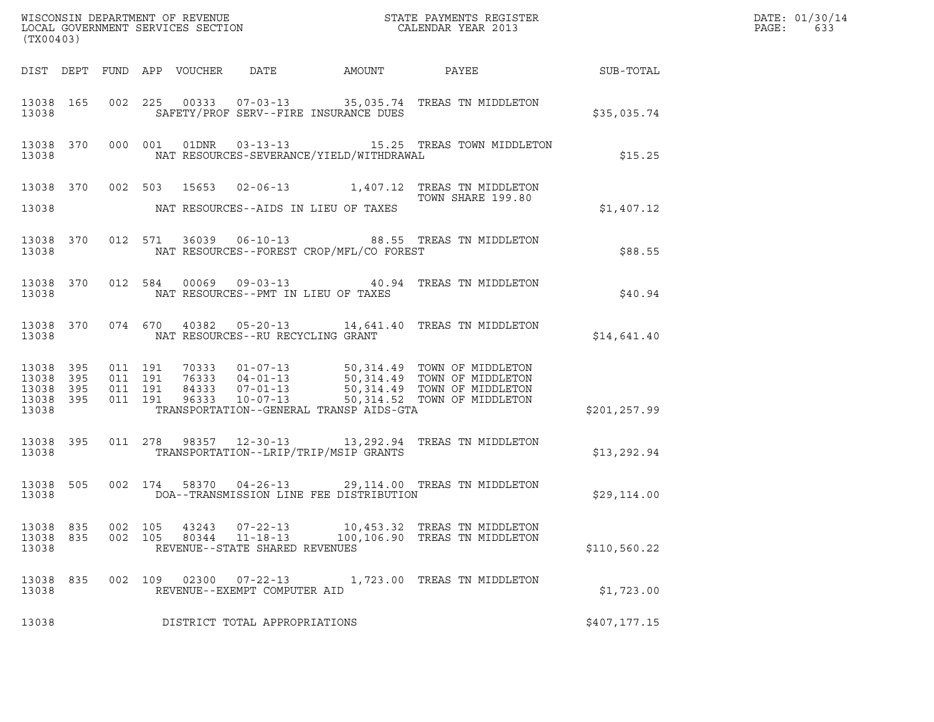| (TX00403)                                                 |                    |                                          |                                 |                                                                    |                                          |                                                                                                                                                                                      | DATE: 01/30/14<br>PAGE:<br>633 |  |
|-----------------------------------------------------------|--------------------|------------------------------------------|---------------------------------|--------------------------------------------------------------------|------------------------------------------|--------------------------------------------------------------------------------------------------------------------------------------------------------------------------------------|--------------------------------|--|
|                                                           |                    |                                          | DIST DEPT FUND APP VOUCHER DATE |                                                                    | AMOUNT                                   | PAYEE SUB-TOTAL                                                                                                                                                                      |                                |  |
| 13038 165<br>13038                                        |                    |                                          |                                 |                                                                    | SAFETY/PROF SERV--FIRE INSURANCE DUES    | 002 225 00333 07-03-13 35,035.74 TREAS TN MIDDLETON                                                                                                                                  | \$35,035.74                    |  |
| 13038                                                     | 13038 370 000 001  |                                          |                                 |                                                                    | NAT RESOURCES-SEVERANCE/YIELD/WITHDRAWAL | 01DNR  03-13-13   15.25 TREAS TOWN MIDDLETON                                                                                                                                         | \$15.25                        |  |
| 13038                                                     |                    |                                          |                                 |                                                                    | NAT RESOURCES--AIDS IN LIEU OF TAXES     | 13038 370 002 503 15653 02-06-13 1,407.12 TREAS TN MIDDLETON<br>TOWN SHARE 199.80                                                                                                    | \$1,407.12                     |  |
| 13038 370<br>13038                                        |                    |                                          |                                 |                                                                    | NAT RESOURCES--FOREST CROP/MFL/CO FOREST | 012 571 36039 06-10-13 88.55 TREAS TN MIDDLETON                                                                                                                                      | \$88.55                        |  |
| 13038 370<br>13038                                        |                    |                                          |                                 |                                                                    | NAT RESOURCES--PMT IN LIEU OF TAXES      | 012 584 00069 09-03-13 40.94 TREAS TN MIDDLETON                                                                                                                                      | \$40.94                        |  |
| 13038 370<br>13038                                        |                    |                                          |                                 | NAT RESOURCES--RU RECYCLING GRANT                                  |                                          | 074 670 40382 05-20-13 14,641.40 TREAS TN MIDDLETON                                                                                                                                  | \$14,641.40                    |  |
| 13038 395<br>13038 395<br>13038 395<br>13038 395<br>13038 |                    | 011 191<br>011 191<br>011 191<br>011 191 |                                 |                                                                    | TRANSPORTATION--GENERAL TRANSP AIDS-GTA  | 70333 01-07-13 50,314.49 TOWN OF MIDDLETON<br>76333 04-01-13 50,314.49 TOWN OF MIDDLETON<br>84333 07-01-13 50,314.49 TOWN OF MIDDLETON<br>96333 10-07-13 50,314.52 TOWN OF MIDDLETON | \$201, 257.99                  |  |
| 13038 395<br>13038                                        |                    |                                          |                                 |                                                                    | TRANSPORTATION--LRIP/TRIP/MSIP GRANTS    | 011  278  98357  12-30-13  13, 292.94  TREAS TN MIDDLETON                                                                                                                            | \$13, 292.94                   |  |
| 13038 505<br>13038                                        |                    | 002 174                                  |                                 |                                                                    | DOA--TRANSMISSION LINE FEE DISTRIBUTION  | 58370  04-26-13  29,114.00  TREAS TN MIDDLETON                                                                                                                                       | \$29,114.00                    |  |
| 13038 835<br>13038 835<br>13038                           | 002 105<br>002 105 |                                          | 43243<br>80344                  | $07 - 22 - 13$<br>$11 - 18 - 13$<br>REVENUE--STATE SHARED REVENUES |                                          | 10,453.32 TREAS TN MIDDLETON<br>100,106.90 TREAS TN MIDDLETON                                                                                                                        | \$110,560.22                   |  |
| 13038 835<br>13038                                        |                    | 002 109                                  | 02300                           | $07 - 22 - 13$<br>REVENUE--EXEMPT COMPUTER AID                     |                                          | 1,723.00 TREAS TN MIDDLETON                                                                                                                                                          | \$1,723.00                     |  |
| 13038                                                     |                    |                                          |                                 | DISTRICT TOTAL APPROPRIATIONS                                      |                                          |                                                                                                                                                                                      | \$407,177.15                   |  |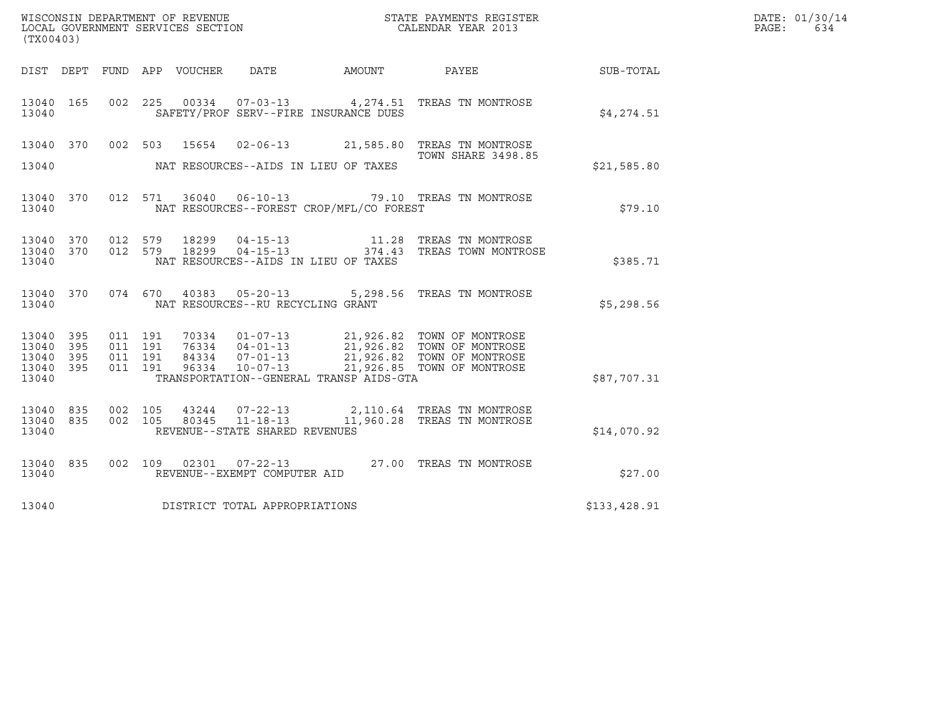|                                           |                          |                               | DATE: 01/30/14 |                                 |                                                  |                                          |                                                                                                                                                                      |              |              |
|-------------------------------------------|--------------------------|-------------------------------|----------------|---------------------------------|--------------------------------------------------|------------------------------------------|----------------------------------------------------------------------------------------------------------------------------------------------------------------------|--------------|--------------|
| (TX00403)                                 |                          |                               |                |                                 |                                                  |                                          |                                                                                                                                                                      |              | PAGE:<br>634 |
|                                           |                          |                               |                | DIST DEPT FUND APP VOUCHER DATE |                                                  | AMOUNT PAYEE                             |                                                                                                                                                                      | SUB-TOTAL    |              |
| 13040 165<br>13040                        |                          |                               |                |                                 |                                                  | SAFETY/PROF SERV--FIRE INSURANCE DUES    | 002 225 00334 07-03-13 4,274.51 TREAS TN MONTROSE                                                                                                                    | \$4,274.51   |              |
| 13040 370<br>13040                        |                          | 002 503                       |                | 15654                           |                                                  | NAT RESOURCES--AIDS IN LIEU OF TAXES     | 02-06-13 21,585.80 TREAS TN MONTROSE<br><b>TOWN SHARE 3498.85</b>                                                                                                    | \$21,585.80  |              |
| 13040 370<br>13040                        |                          |                               |                |                                 |                                                  | NAT RESOURCES--FOREST CROP/MFL/CO FOREST | 012 571 36040 06-10-13 79.10 TREAS TN MONTROSE                                                                                                                       | \$79.10      |              |
| 13040 370 012 579<br>13040<br>13040       | 370                      | 012 579                       |                | 18299<br>18299                  |                                                  | NAT RESOURCES--AIDS IN LIEU OF TAXES     |                                                                                                                                                                      | \$385.71     |              |
| 13040 370<br>13040                        |                          |                               |                |                                 | NAT RESOURCES--RU RECYCLING GRANT                |                                          | 074 670 40383 05-20-13 5,298.56 TREAS TN MONTROSE                                                                                                                    | \$5,298.56   |              |
| 13040<br>13040<br>13040<br>13040<br>13040 | 395<br>395<br>395<br>395 | 011 191<br>011 191<br>011 191 | 011 191        |                                 |                                                  | TRANSPORTATION--GENERAL TRANSP AIDS-GTA  | 01-07-13<br>21,926.82 TOWN OF MONTROSE<br>76334 04-01-13<br>21,926.82 TOWN OF MONTROSE<br>96334 10-07-13<br>21,926.85 TOWN OF MONTROSE<br>21,926.85 TOWN OF MONTROSE | \$87,707.31  |              |
| 13040 835<br>13040<br>13040               | 835                      | 002 105<br>002 105            |                | 43244<br>80345                  | $11 - 18 - 13$<br>REVENUE--STATE SHARED REVENUES |                                          | 07-22-13 2,110.64 TREAS TN MONTROSE<br>11,960.28 TREAS TN MONTROSE                                                                                                   | \$14,070.92  |              |
| 13040 835<br>13040                        |                          |                               |                |                                 | REVENUE--EXEMPT COMPUTER AID                     |                                          | 002  109  02301  07-22-13  27.00 TREAS TN MONTROSE                                                                                                                   | \$27.00      |              |
| 13040                                     |                          |                               |                |                                 | DISTRICT TOTAL APPROPRIATIONS                    |                                          |                                                                                                                                                                      | \$133,428.91 |              |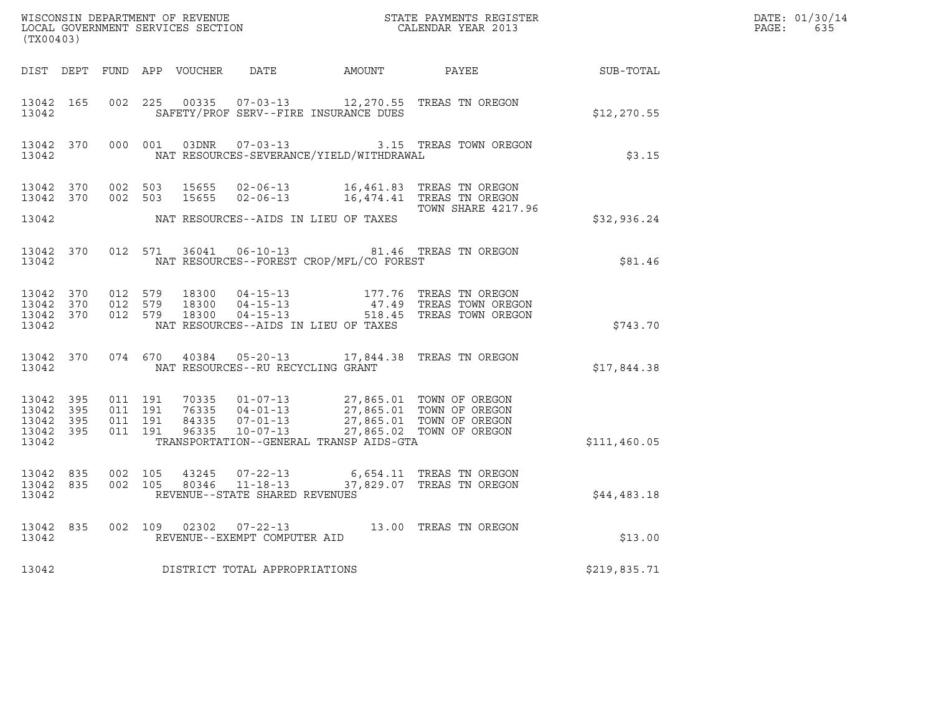| (TX00403)                                                 |                                          |  |                                      |                                          |                                                                                                                                                                                                                                                                                                                                                         |              | DATE: 01/30/14<br>$\mathtt{PAGE:}$<br>635 |
|-----------------------------------------------------------|------------------------------------------|--|--------------------------------------|------------------------------------------|---------------------------------------------------------------------------------------------------------------------------------------------------------------------------------------------------------------------------------------------------------------------------------------------------------------------------------------------------------|--------------|-------------------------------------------|
|                                                           |                                          |  |                                      |                                          | DIST DEPT FUND APP VOUCHER DATE AMOUNT PAYEE SUB-TOTAL                                                                                                                                                                                                                                                                                                  |              |                                           |
| 13042 165<br>13042                                        |                                          |  |                                      | SAFETY/PROF SERV--FIRE INSURANCE DUES    | 002 225 00335 07-03-13 12,270.55 TREAS TN OREGON                                                                                                                                                                                                                                                                                                        | \$12, 270.55 |                                           |
| 13042                                                     |                                          |  |                                      | NAT RESOURCES-SEVERANCE/YIELD/WITHDRAWAL | 13042 370 000 001 03DNR 07-03-13 3.15 TREAS TOWN OREGON                                                                                                                                                                                                                                                                                                 | \$3.15       |                                           |
| 13042 370<br>13042 370                                    |                                          |  |                                      |                                          | 002 503 15655 02-06-13 16,461.83 TREAS TN OREGON<br>002 503 15655 02-06-13 16,474.41 TREAS TN OREGON                                                                                                                                                                                                                                                    |              |                                           |
| 13042                                                     |                                          |  |                                      | NAT RESOURCES--AIDS IN LIEU OF TAXES     | TOWN SHARE 4217.96                                                                                                                                                                                                                                                                                                                                      | \$32,936.24  |                                           |
| 13042 370<br>13042                                        |                                          |  |                                      | NAT RESOURCES--FOREST CROP/MFL/CO FOREST | 012 571 36041 06-10-13 81.46 TREAS TN OREGON                                                                                                                                                                                                                                                                                                            | \$81.46      |                                           |
| 13042                                                     |                                          |  | NAT RESOURCES--AIDS IN LIEU OF TAXES |                                          | $\begin{array}{cccccccc} 13042 & 370 & 012 & 579 & 18300 & 04\texttt{-}15\texttt{-}13 & & & 177.76 & \texttt{TREAS TN OREGON} \\ 13042 & 370 & 012 & 579 & 18300 & 04\texttt{-}15\texttt{-}13 & & & 47.49 & \texttt{TREAS TOWN OREGON} \\ 13042 & 370 & 012 & 579 & 18300 & 04\texttt{-}15\texttt{-}13 & & & 518.45 & \texttt{TREAS TOWN OREGON} \end{$ | \$743.70     |                                           |
| 13042                                                     |                                          |  | NAT RESOURCES--RU RECYCLING GRANT    |                                          | 13042 370 074 670 40384 05-20-13 17,844.38 TREAS TN OREGON                                                                                                                                                                                                                                                                                              | \$17,844.38  |                                           |
| 13042 395<br>13042 395<br>13042 395<br>13042 395<br>13042 | 011 191<br>011 191<br>011 191<br>011 191 |  |                                      | TRANSPORTATION--GENERAL TRANSP AIDS-GTA  | 70335  01-07-13  27,865.01  TOWN OF OREGON<br>76335  04-01-13  27,865.01  TOWN OF OREGON<br>84335  07-01-13  27,865.01  TOWN OF OREGON<br>96335  10-07-13  27,865.02  TOWN OF OREGON                                                                                                                                                                    | \$111,460.05 |                                           |
| 13042 835<br>13042                                        | 13042 835 002 105<br>002 105             |  | REVENUE--STATE SHARED REVENUES       |                                          | 43245   07-22-13   6,654.11   TREAS TN OREGON<br>80346   11-18-13   37,829.07   TREAS TN OREGON                                                                                                                                                                                                                                                         | \$44,483.18  |                                           |
| 13042 835<br>13042                                        |                                          |  | REVENUE--EXEMPT COMPUTER AID         |                                          | 002 109 02302 07-22-13 13.00 TREAS TN OREGON                                                                                                                                                                                                                                                                                                            | \$13.00      |                                           |
| 13042                                                     |                                          |  | DISTRICT TOTAL APPROPRIATIONS        |                                          |                                                                                                                                                                                                                                                                                                                                                         | \$219,835.71 |                                           |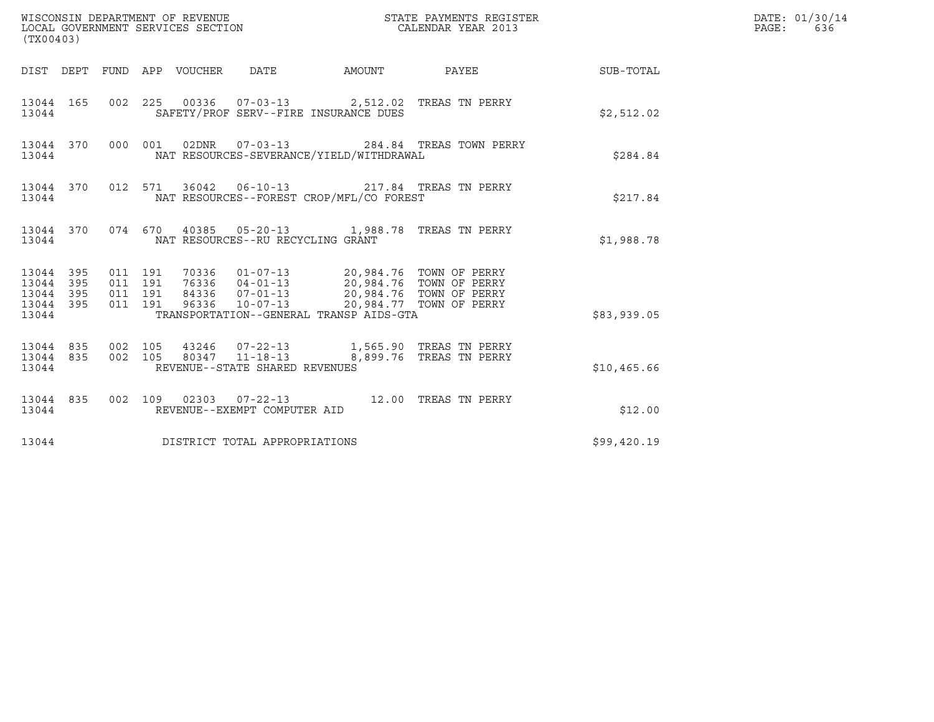| (TX00403)                                                 |                    |                                          |  |                                                  |                                                                                                                                                                                                                    |                                              |             | DATE: 01/30/14<br>$\mathtt{PAGE}$ :<br>636 |
|-----------------------------------------------------------|--------------------|------------------------------------------|--|--------------------------------------------------|--------------------------------------------------------------------------------------------------------------------------------------------------------------------------------------------------------------------|----------------------------------------------|-------------|--------------------------------------------|
|                                                           |                    |                                          |  |                                                  |                                                                                                                                                                                                                    | DIST DEPT FUND APP VOUCHER DATE AMOUNT PAYEE | SUB-TOTAL   |                                            |
| 13044                                                     |                    |                                          |  |                                                  | 13044 165 002 225 00336 07-03-13 2,512.02 TREAS TN PERRY<br>SAFETY/PROF SERV--FIRE INSURANCE DUES                                                                                                                  |                                              | \$2,512.02  |                                            |
| 13044                                                     | 13044 370          |                                          |  | 000 001 02DNR 07-03-13                           | NAT RESOURCES-SEVERANCE/YIELD/WITHDRAWAL                                                                                                                                                                           | 284.84 TREAS TOWN PERRY                      | \$284.84    |                                            |
|                                                           | 13044 370<br>13044 |                                          |  |                                                  | 012 571 36042 06-10-13 217.84 TREAS TN PERRY<br>NAT RESOURCES--FOREST CROP/MFL/CO FOREST                                                                                                                           |                                              | \$217.84    |                                            |
| 13044                                                     |                    |                                          |  | NAT RESOURCES--RU RECYCLING GRANT                | 13044 370 074 670 40385 05-20-13 1,988.78 TREAS TN PERRY                                                                                                                                                           |                                              | \$1,988.78  |                                            |
| 13044 395<br>13044 395<br>13044 395<br>13044 395<br>13044 |                    | 011 191<br>011 191<br>011 191<br>011 191 |  |                                                  | 70336  01-07-13  20,984.76  TOWN OF PERRY<br>76336 04-01-13 20,984.76 TOWN OF PERRY<br>84336 07-01-13 20,984.76 TOWN OF PERRY<br>96336 10-07-13 20,984.77 TOWN OF PERRY<br>TRANSPORTATION--GENERAL TRANSP AIDS-GTA |                                              | \$83,939.05 |                                            |
| 13044 835<br>13044                                        | 13044 835          | 002 105<br>002 105                       |  | 80347 11-18-13<br>REVENUE--STATE SHARED REVENUES |                                                                                                                                                                                                                    | 8,899.76 TREAS TN PERRY                      | \$10,465.66 |                                            |
| 13044                                                     | 13044 835          |                                          |  | REVENUE--EXEMPT COMPUTER AID                     | 002 109 02303 07-22-13 12.00 TREAS TN PERRY                                                                                                                                                                        |                                              | \$12.00     |                                            |
| 13044                                                     |                    |                                          |  | DISTRICT TOTAL APPROPRIATIONS                    |                                                                                                                                                                                                                    |                                              | \$99,420.19 |                                            |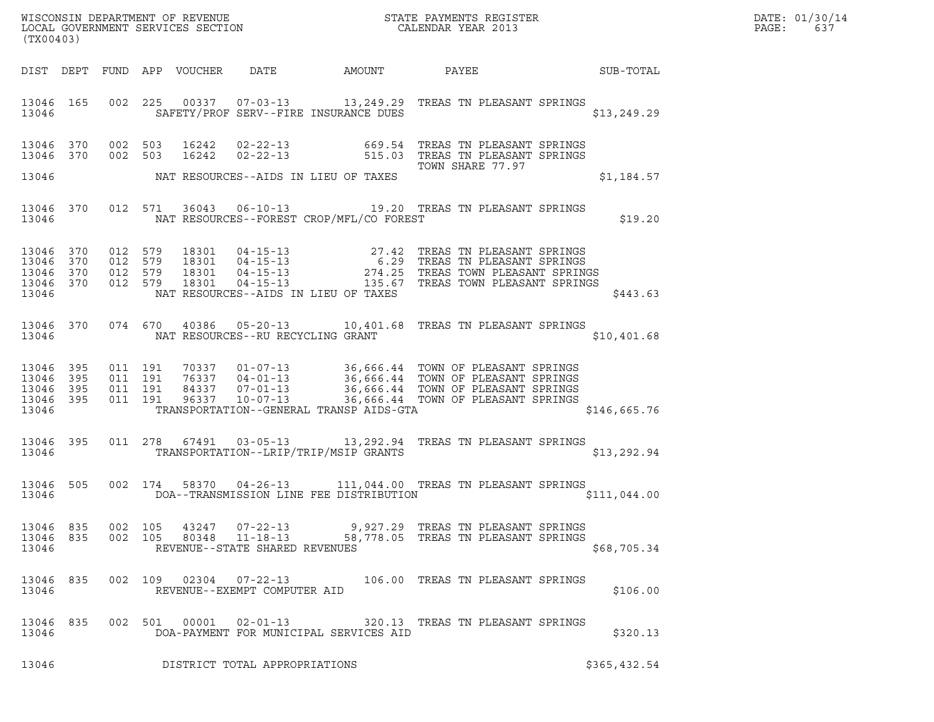| DATE: | 01/30/14 |
|-------|----------|
| PAGE: | 637      |

| (TX00403)                                             |            |                                          |                                                                    |                                            |                                                                                                                                                                                                                                      |                 | DATE: 01/30/14<br>PAGE:<br>637 |
|-------------------------------------------------------|------------|------------------------------------------|--------------------------------------------------------------------|--------------------------------------------|--------------------------------------------------------------------------------------------------------------------------------------------------------------------------------------------------------------------------------------|-----------------|--------------------------------|
| DIST DEPT                                             |            | FUND APP VOUCHER DATE                    |                                                                    | AMOUNT                                     |                                                                                                                                                                                                                                      | PAYEE SUB-TOTAL |                                |
| 13046 165<br>13046                                    |            |                                          |                                                                    | SAFETY/PROF SERV--FIRE INSURANCE DUES      | 002 225 00337 07-03-13 13, 249.29 TREAS TN PLEASANT SPRINGS                                                                                                                                                                          | \$13,249.29     |                                |
| 13046 370<br>13046 370                                |            |                                          |                                                                    |                                            | 002 503 16242 02-22-13 669.54 TREAS TN PLEASANT SPRINGS<br>002 503 16242 02-22-13 515.03 TREAS TN PLEASANT SPRINGS                                                                                                                   |                 |                                |
|                                                       |            |                                          |                                                                    | 13046 MAT RESOURCES--AIDS IN LIEU OF TAXES | TOWN SHARE 77.97                                                                                                                                                                                                                     | \$1,184.57      |                                |
| 13046 370<br>13046                                    |            |                                          |                                                                    | NAT RESOURCES--FOREST CROP/MFL/CO FOREST   | 012 571 36043 06-10-13 19.20 TREAS TN PLEASANT SPRINGS                                                                                                                                                                               | \$19.20         |                                |
| 13046 370<br>13046<br>13046 370<br>13046 370<br>13046 | 370        |                                          |                                                                    | NAT RESOURCES--AIDS IN LIEU OF TAXES       | 012 579 18301 04-15-13 27.42 TREAS TN PLEASANT SPRINGS<br>012 579 18301 04-15-13 6.29 TREAS TN PLEASANT SPRINGS<br>012 579 18301 04-15-13 274.25 TREAS TOWN PLEASANT SPRINGS<br>012 579 18301 04-15-13 274.25 TREAS TOWN PLEASANT SP | \$443.63        |                                |
| 13046 370<br>13046                                    |            |                                          |                                                                    | NAT RESOURCES--RU RECYCLING GRANT          | 074 670 40386 05-20-13 10,401.68 TREAS TN PLEASANT SPRINGS                                                                                                                                                                           | \$10,401.68     |                                |
| 13046<br>13046<br>13046 395<br>13046 395<br>13046     | 395<br>395 | 011 191<br>011 191<br>011 191<br>011 191 |                                                                    | TRANSPORTATION--GENERAL TRANSP AIDS-GTA    | 70337 01-07-13 36,666.44 TOWN OF PLEASANT SPRINGS<br>76337 04-01-13 36,666.44 TOWN OF PLEASANT SPRINGS<br>84337 07-01-13 36,666.44 TOWN OF PLEASANT SPRINGS<br>96337 10-07-13 36,666.44 TOWN OF PLEASANT SPRINGS                     | \$146,665.76    |                                |
| 13046 395<br>13046                                    |            |                                          |                                                                    | TRANSPORTATION--LRIP/TRIP/MSIP GRANTS      | 011  278  67491  03-05-13  13,292.94  TREAS TN PLEASANT SPRINGS                                                                                                                                                                      | \$13, 292.94    |                                |
| 13046<br>13046                                        | 505        |                                          |                                                                    | DOA--TRANSMISSION LINE FEE DISTRIBUTION    | 002 174 58370 04-26-13 111,044.00 TREAS TN PLEASANT SPRINGS                                                                                                                                                                          | \$111,044.00    |                                |
| 13046 835<br>13046 835<br>13046                       |            | 002 105<br>43247<br>002 105<br>80348     | $07 - 22 - 13$<br>$11 - 18 - 13$<br>REVENUE--STATE SHARED REVENUES |                                            | 9,927.29   TREAS TN PLEASANT SPRINGS<br>58,778.05 TREAS TN PLEASANT SPRINGS                                                                                                                                                          | \$68,705.34     |                                |
| 13046 835<br>13046                                    |            |                                          | REVENUE--EXEMPT COMPUTER AID                                       |                                            | 002 109 02304 07-22-13 106.00 TREAS TN PLEASANT SPRINGS                                                                                                                                                                              | \$106.00        |                                |
| 13046 835<br>13046                                    |            | 002 501 00001 02-01-13                   |                                                                    | DOA-PAYMENT FOR MUNICIPAL SERVICES AID     | 320.13 TREAS TN PLEASANT SPRINGS                                                                                                                                                                                                     | \$320.13        |                                |
| 13046                                                 |            |                                          | DISTRICT TOTAL APPROPRIATIONS                                      |                                            |                                                                                                                                                                                                                                      | \$365,432.54    |                                |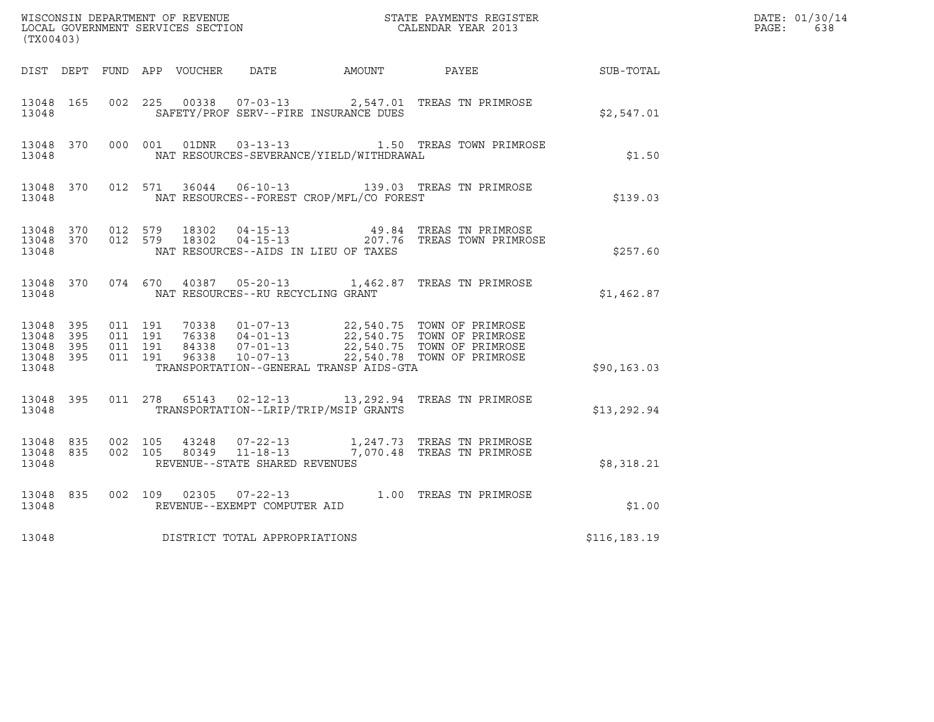| $\tt WISCONSIM DEPARTMENT OF REVENUE$ $\tt WISCONSIMENTS REGISTERLOCAL GOVERNMENT SERVICES SECTION CALENDAR YEAR 2013$<br>(TX00403) |                     |                                          |  |                        |                                                        |                                              |                                                                                                                                                                                              |                  | DATE: 01/30/14<br>$\mathtt{PAGE:}$<br>638 |
|-------------------------------------------------------------------------------------------------------------------------------------|---------------------|------------------------------------------|--|------------------------|--------------------------------------------------------|----------------------------------------------|----------------------------------------------------------------------------------------------------------------------------------------------------------------------------------------------|------------------|-------------------------------------------|
|                                                                                                                                     |                     |                                          |  |                        |                                                        | DIST DEPT FUND APP VOUCHER DATE AMOUNT PAYEE |                                                                                                                                                                                              | <b>SUB-TOTAL</b> |                                           |
| 13048 165<br>13048                                                                                                                  |                     |                                          |  |                        |                                                        | SAFETY/PROF SERV--FIRE INSURANCE DUES        | 002 225 00338 07-03-13 2,547.01 TREAS TN PRIMROSE                                                                                                                                            | \$2,547.01       |                                           |
| 13048 370<br>13048                                                                                                                  |                     |                                          |  |                        |                                                        | NAT RESOURCES-SEVERANCE/YIELD/WITHDRAWAL     | 000 001 01DNR 03-13-13 1.50 TREAS TOWN PRIMROSE                                                                                                                                              | \$1.50           |                                           |
| 13048                                                                                                                               |                     |                                          |  |                        |                                                        | NAT RESOURCES--FOREST CROP/MFL/CO FOREST     | 13048 370 012 571 36044 06-10-13 139.03 TREAS TN PRIMROSE                                                                                                                                    | \$139.03         |                                           |
| 13048 370<br>13048                                                                                                                  |                     | 13048 370 012 579                        |  | 18302<br>012 579 18302 |                                                        | NAT RESOURCES--AIDS IN LIEU OF TAXES         |                                                                                                                                                                                              | \$257.60         |                                           |
| 13048 370<br>13048                                                                                                                  |                     |                                          |  |                        | NAT RESOURCES--RU RECYCLING GRANT                      |                                              | 074 670 40387 05-20-13 1,462.87 TREAS TN PRIMROSE                                                                                                                                            | \$1,462.87       |                                           |
| 13048 395<br>13048<br>13048<br>13048<br>13048                                                                                       | - 395<br>395<br>395 | 011 191<br>011 191<br>011 191<br>011 191 |  |                        |                                                        | TRANSPORTATION--GENERAL TRANSP AIDS-GTA      | 70338  01-07-13  22,540.75  TOWN OF PRIMROSE<br>76338  04-01-13  22,540.75  TOWN OF PRIMROSE<br>84338  07-01-13  22,540.75  TOWN OF PRIMROSE<br>96338  10-07-13  22,540.78  TOWN OF PRIMROSE | \$90, 163.03     |                                           |
| 13048 395<br>13048                                                                                                                  |                     |                                          |  |                        |                                                        | TRANSPORTATION--LRIP/TRIP/MSIP GRANTS        | 011 278 65143 02-12-13 13, 292.94 TREAS TN PRIMROSE                                                                                                                                          | \$13,292.94      |                                           |
| 13048<br>13048 835<br>13048                                                                                                         | 835                 | 002 105                                  |  |                        | REVENUE--STATE SHARED REVENUES                         |                                              | 43248  07-22-13   1,247.73   TREAS TN PRIMROSE<br>002  105  80349  11-18-13  7,070.48  TREAS TN PRIMROSE                                                                                     | \$8,318.21       |                                           |
| 13048 835<br>13048                                                                                                                  |                     |                                          |  |                        | 002 109 02305 07-22-13<br>REVENUE--EXEMPT COMPUTER AID |                                              | 1.00 TREAS TN PRIMROSE                                                                                                                                                                       | \$1.00           |                                           |
| 13048                                                                                                                               |                     |                                          |  |                        | DISTRICT TOTAL APPROPRIATIONS                          |                                              |                                                                                                                                                                                              | \$116,183.19     |                                           |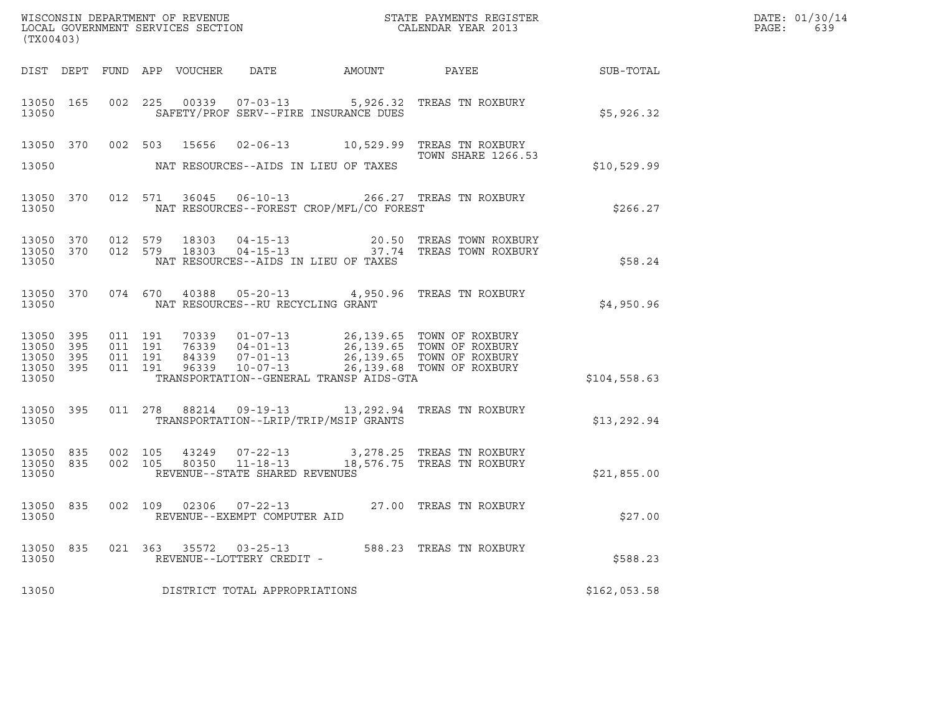| ${\tt WISCONSIM\ DEPARTMENT\ OF\ REVENUE}\qquad \qquad {\tt STATE\ PAYMENTS\ REGISTER} \\ {\tt LOCAL\ GOVERNMENT\ SERVICES\ SECTION}\qquad \qquad {\tt CALENDAR\ YEAR\ 2013}$<br>(TX00403) |  |         |                               |  |                                                     |                                          |                                                                                                                                                                                                               |              | DATE: 01/30/14<br>PAGE:<br>639 |
|--------------------------------------------------------------------------------------------------------------------------------------------------------------------------------------------|--|---------|-------------------------------|--|-----------------------------------------------------|------------------------------------------|---------------------------------------------------------------------------------------------------------------------------------------------------------------------------------------------------------------|--------------|--------------------------------|
|                                                                                                                                                                                            |  |         |                               |  |                                                     |                                          |                                                                                                                                                                                                               |              |                                |
| 13050                                                                                                                                                                                      |  |         |                               |  |                                                     | SAFETY/PROF SERV--FIRE INSURANCE DUES    | 13050 165 002 225 00339 07-03-13 5,926.32 TREAS TN ROXBURY                                                                                                                                                    | \$5,926.32   |                                |
|                                                                                                                                                                                            |  |         |                               |  |                                                     |                                          | 13050 370 002 503 15656 02-06-13 10,529.99 TREAS TN ROXBURY<br>TOWN SHARE 1266.53                                                                                                                             |              |                                |
| 13050                                                                                                                                                                                      |  |         |                               |  |                                                     | NAT RESOURCES--AIDS IN LIEU OF TAXES     |                                                                                                                                                                                                               | \$10,529.99  |                                |
| 13050                                                                                                                                                                                      |  |         |                               |  |                                                     | NAT RESOURCES--FOREST CROP/MFL/CO FOREST | 13050 370 012 571 36045 06-10-13 266.27 TREAS TN ROXBURY                                                                                                                                                      | \$266.27     |                                |
| 13050                                                                                                                                                                                      |  |         |                               |  |                                                     | NAT RESOURCES--AIDS IN LIEU OF TAXES     | $\begin{array}{cccccccc} 13050 & 370 & 012 & 579 & 18303 & 04-15-13 & & & 20.50 & \text{TREAS TOWN ROXBURY} \\ 13050 & 370 & 012 & 579 & 18303 & 04-15-13 & & 37.74 & \text{TREAS TOWN ROXBURY} \end{array}$  | \$58.24      |                                |
| 13050                                                                                                                                                                                      |  |         |                               |  | NAT RESOURCES--RU RECYCLING GRANT                   |                                          | 13050 370 074 670 40388 05-20-13 4,950.96 TREAS TN ROXBURY                                                                                                                                                    | \$4,950.96   |                                |
| 13050 395<br>13050 395<br>13050 395<br>13050 395<br>13050                                                                                                                                  |  | 011 191 | 011 191<br>011 191<br>011 191 |  |                                                     | TRANSPORTATION--GENERAL TRANSP AIDS-GTA  | 70339   01-07-13   26,139.65   TOWN OF ROXBURY<br>76339   04-01-13   26,139.65   TOWN OF ROXBURY<br>84339   07-01-13   26,139.65   TOWN OF ROXBURY<br>96339   10-07-13   26,139.68   TOWN OF ROXBURY          | \$104,558.63 |                                |
| 13050                                                                                                                                                                                      |  |         |                               |  |                                                     | TRANSPORTATION--LRIP/TRIP/MSIP GRANTS    | 13050 395 011 278 88214 09-19-13 13,292.94 TREAS TN ROXBURY                                                                                                                                                   | \$13,292.94  |                                |
| 13050                                                                                                                                                                                      |  |         |                               |  | REVENUE--STATE SHARED REVENUES                      |                                          | $\begin{array}{cccccccc} 13050 & 835 & 002 & 105 & 43249 & 07-22-13 & & 3,278.25 & \text{TREAS TN ROXBURY} \\ 13050 & 835 & 002 & 105 & 80350 & 11-18-13 & & 18,576.75 & \text{TREAS TN ROXBURY} \end{array}$ | \$21,855.00  |                                |
| 13050                                                                                                                                                                                      |  |         |                               |  | REVENUE--EXEMPT COMPUTER AID                        |                                          | 13050 835 002 109 02306 07-22-13 27.00 TREAS TN ROXBURY                                                                                                                                                       | \$27.00      |                                |
| 13050 835<br>13050                                                                                                                                                                         |  |         |                               |  | 021 363 35572 03-25-13<br>REVENUE--LOTTERY CREDIT - |                                          | 588.23 TREAS TN ROXBURY                                                                                                                                                                                       | \$588.23     |                                |
| 13050                                                                                                                                                                                      |  |         |                               |  | DISTRICT TOTAL APPROPRIATIONS                       |                                          |                                                                                                                                                                                                               | \$162,053.58 |                                |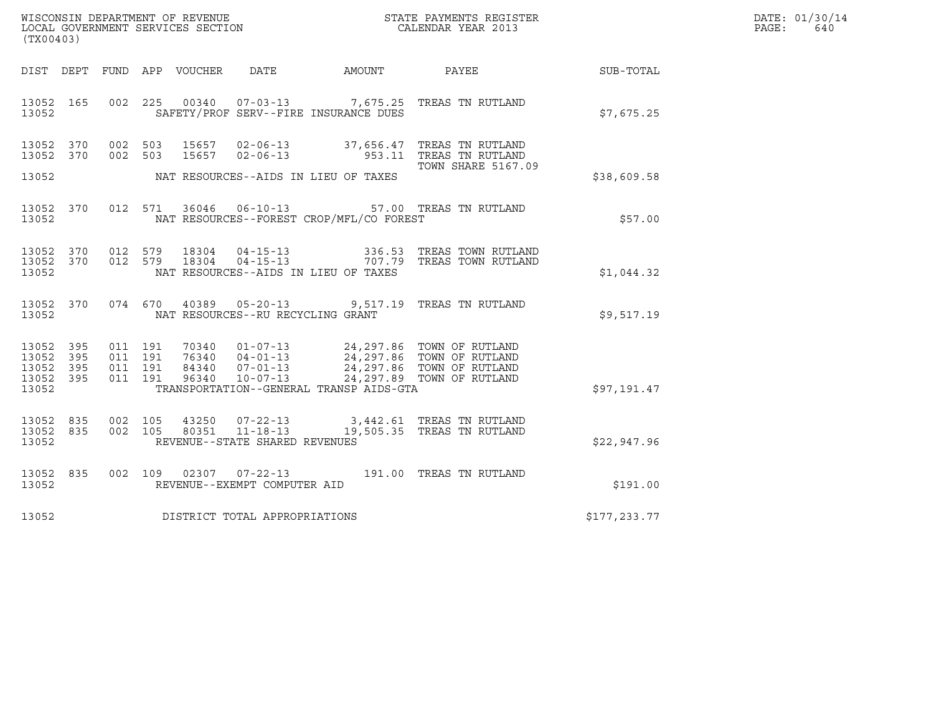| WISCONSIN DEPARTMENT OF REVENUE<br>LOCAL GOVERNMENT SERVICES SECTION<br>(TX00403) | STATE PAYMENTS REGISTER<br>CALENDAR YEAR 2013 | DATE: 01/30/14<br>PAGE:<br>640 |
|-----------------------------------------------------------------------------------|-----------------------------------------------|--------------------------------|

| DATE<br>PAYEE<br>DIST DEPT<br>FUND APP VOUCHER<br>AMOUNT<br>002<br>225<br>00340  07-03-13  7,675.25  TREAS TN RUTLAND<br>13052<br>165<br>SAFETY/PROF SERV--FIRE INSURANCE DUES<br>13052<br>370<br>002<br>503<br>15657  02-06-13  37,656.47  TREAS TN RUTLAND<br>13052<br>953.11 TREAS TN RUTLAND<br>13052<br>370<br>002<br>503<br>15657<br>$02 - 06 - 13$<br><b>TOWN SHARE 5167.09</b><br>13052<br>NAT RESOURCES--AIDS IN LIEU OF TAXES<br>\$38,609.58<br>$06 - 10 - 13$<br>57.00 TREAS TN RUTLAND<br>13052<br>370<br>012<br>571<br>36046<br>NAT RESOURCES--FOREST CROP/MFL/CO FOREST<br>13052<br>012<br>18304  04-15-13  336.53  TREAS TOWN RUTLAND<br>18304  04-15-13  707.79  TREAS TOWN RUTLAND<br>13052<br>370<br>579<br>012<br>579<br>13052<br>370<br>13052<br>NAT RESOURCES--AIDS IN LIEU OF TAXES<br>074 670<br>9,517.19 TREAS TN RUTLAND<br>13052 370<br>40389 05-20-13<br>NAT RESOURCES--RU RECYCLING GRANT<br>13052<br>24,297.86 TOWN OF RUTLAND<br>24,297.86 TOWN OF RUTLAND<br>13052<br>395<br>011<br>191<br>70340<br>$01 - 07 - 13$<br>$76340$ $04-01-13$<br>191<br>13052<br>395<br>011<br>24,297.86 TOWN OF RUTLAND<br>13052<br>011<br>191<br>84340<br>$07 - 01 - 13$<br>395<br>$10 - 07 - 13$<br>24,297.89 TOWN OF RUTLAND<br>13052<br>395<br>011<br>191<br>96340<br>TRANSPORTATION--GENERAL TRANSP AIDS-GTA<br>13052<br>\$97,191.47<br>002<br>43250  07-22-13  3,442.61  TREAS TN RUTLAND<br>13052<br>835<br>105<br>11-18-13 19,505.35 TREAS TN RUTLAND<br>13052<br>835<br>002<br>105<br>80351<br>13052<br>REVENUE--STATE SHARED REVENUES<br>\$22,947.96<br>$07 - 22 - 13$<br>835<br>002<br>109<br>02307<br>191.00<br>TREAS TN RUTLAND<br>13052 |            |  |
|------------------------------------------------------------------------------------------------------------------------------------------------------------------------------------------------------------------------------------------------------------------------------------------------------------------------------------------------------------------------------------------------------------------------------------------------------------------------------------------------------------------------------------------------------------------------------------------------------------------------------------------------------------------------------------------------------------------------------------------------------------------------------------------------------------------------------------------------------------------------------------------------------------------------------------------------------------------------------------------------------------------------------------------------------------------------------------------------------------------------------------------------------------------------------------------------------------------------------------------------------------------------------------------------------------------------------------------------------------------------------------------------------------------------------------------------------------------------------------------------------------------------------------------------------------------------------------------------------------------------------------------------------------------|------------|--|
|                                                                                                                                                                                                                                                                                                                                                                                                                                                                                                                                                                                                                                                                                                                                                                                                                                                                                                                                                                                                                                                                                                                                                                                                                                                                                                                                                                                                                                                                                                                                                                                                                                                                  | SUB-TOTAL  |  |
|                                                                                                                                                                                                                                                                                                                                                                                                                                                                                                                                                                                                                                                                                                                                                                                                                                                                                                                                                                                                                                                                                                                                                                                                                                                                                                                                                                                                                                                                                                                                                                                                                                                                  | \$7,675.25 |  |
|                                                                                                                                                                                                                                                                                                                                                                                                                                                                                                                                                                                                                                                                                                                                                                                                                                                                                                                                                                                                                                                                                                                                                                                                                                                                                                                                                                                                                                                                                                                                                                                                                                                                  |            |  |
|                                                                                                                                                                                                                                                                                                                                                                                                                                                                                                                                                                                                                                                                                                                                                                                                                                                                                                                                                                                                                                                                                                                                                                                                                                                                                                                                                                                                                                                                                                                                                                                                                                                                  |            |  |
|                                                                                                                                                                                                                                                                                                                                                                                                                                                                                                                                                                                                                                                                                                                                                                                                                                                                                                                                                                                                                                                                                                                                                                                                                                                                                                                                                                                                                                                                                                                                                                                                                                                                  | \$57.00    |  |
|                                                                                                                                                                                                                                                                                                                                                                                                                                                                                                                                                                                                                                                                                                                                                                                                                                                                                                                                                                                                                                                                                                                                                                                                                                                                                                                                                                                                                                                                                                                                                                                                                                                                  | \$1,044.32 |  |
|                                                                                                                                                                                                                                                                                                                                                                                                                                                                                                                                                                                                                                                                                                                                                                                                                                                                                                                                                                                                                                                                                                                                                                                                                                                                                                                                                                                                                                                                                                                                                                                                                                                                  | \$9,517.19 |  |
|                                                                                                                                                                                                                                                                                                                                                                                                                                                                                                                                                                                                                                                                                                                                                                                                                                                                                                                                                                                                                                                                                                                                                                                                                                                                                                                                                                                                                                                                                                                                                                                                                                                                  |            |  |
|                                                                                                                                                                                                                                                                                                                                                                                                                                                                                                                                                                                                                                                                                                                                                                                                                                                                                                                                                                                                                                                                                                                                                                                                                                                                                                                                                                                                                                                                                                                                                                                                                                                                  |            |  |
| 13052<br>REVENUE--EXEMPT COMPUTER AID                                                                                                                                                                                                                                                                                                                                                                                                                                                                                                                                                                                                                                                                                                                                                                                                                                                                                                                                                                                                                                                                                                                                                                                                                                                                                                                                                                                                                                                                                                                                                                                                                            | \$191.00   |  |
| DISTRICT TOTAL APPROPRIATIONS<br>\$177,233.77<br>13052                                                                                                                                                                                                                                                                                                                                                                                                                                                                                                                                                                                                                                                                                                                                                                                                                                                                                                                                                                                                                                                                                                                                                                                                                                                                                                                                                                                                                                                                                                                                                                                                           |            |  |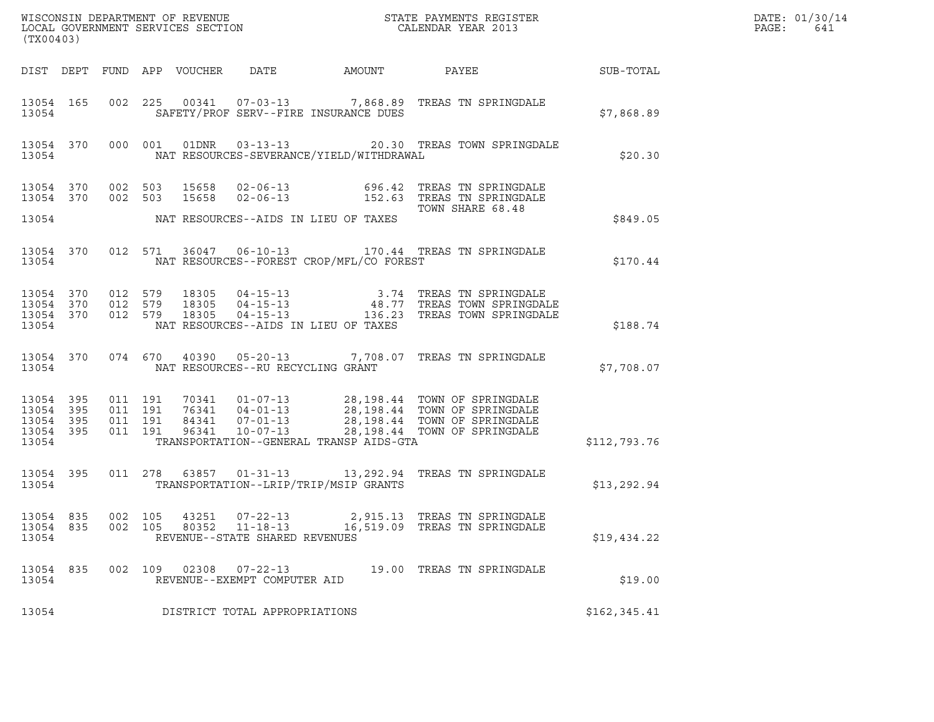| (TX00403)                                    |  |                                         |         |                |                                                                    |                                            |                                                                                                                                                                                                                                                                                                               |               | DATE: 01/30/14<br>PAGE:<br>641 |
|----------------------------------------------|--|-----------------------------------------|---------|----------------|--------------------------------------------------------------------|--------------------------------------------|---------------------------------------------------------------------------------------------------------------------------------------------------------------------------------------------------------------------------------------------------------------------------------------------------------------|---------------|--------------------------------|
|                                              |  |                                         |         |                |                                                                    |                                            |                                                                                                                                                                                                                                                                                                               |               |                                |
| 13054                                        |  |                                         |         |                |                                                                    | SAFETY/PROF SERV--FIRE INSURANCE DUES      | 13054 165 002 225 00341 07-03-13 7,868.89 TREAS TN SPRINGDALE                                                                                                                                                                                                                                                 | \$7,868.89    |                                |
| 13054                                        |  |                                         |         |                |                                                                    | NAT RESOURCES-SEVERANCE/YIELD/WITHDRAWAL   | 13054 370 000 001 01DNR 03-13-13 20.30 TREAS TOWN SPRINGDALE                                                                                                                                                                                                                                                  | \$20.30       |                                |
|                                              |  |                                         |         |                |                                                                    |                                            | 13054 370 002 503 15658 02-06-13 696.42 TREAS TN SPRINGDALE<br>13054 370 002 503 15658 02-06-13 152.63 TREAS TN SPRINGDALE<br>TOWN SHARE 68.48                                                                                                                                                                |               |                                |
|                                              |  |                                         |         |                |                                                                    | 13054 NAT RESOURCES--AIDS IN LIEU OF TAXES |                                                                                                                                                                                                                                                                                                               | \$849.05      |                                |
| 13054                                        |  |                                         |         |                |                                                                    | NAT RESOURCES--FOREST CROP/MFL/CO FOREST   | 13054 370 012 571 36047 06-10-13 170.44 TREAS TN SPRINGDALE                                                                                                                                                                                                                                                   | \$170.44      |                                |
| 13054                                        |  |                                         |         |                |                                                                    | NAT RESOURCES--AIDS IN LIEU OF TAXES       | $\begin{array}{cccccccc} 13054 & 370 & 012 & 579 & 18305 & 04-15-13 & & & & 3.74 & \text{TREAS TN SPRINGDALE} \\ 13054 & 370 & 012 & 579 & 18305 & 04-15-13 & & & 48.77 & \text{TREAS TOWN SPRINGDALE} \\ 13054 & 370 & 012 & 579 & 18305 & 04-15-13 & & & 136.23 & \text{TREAS TOWN SPRINGDALE} \end{array}$ | \$188.74      |                                |
|                                              |  |                                         |         |                | 13054 NAT RESOURCES--RU RECYCLING GRANT                            |                                            | 13054 370 074 670 40390 05-20-13 7,708.07 TREAS TN SPRINGDALE                                                                                                                                                                                                                                                 | \$7,708.07    |                                |
| 13054 395<br>13054 395<br>13054 395<br>13054 |  | 13054 395 011 191<br>011 191<br>011 191 | 011 191 |                |                                                                    | TRANSPORTATION--GENERAL TRANSP AIDS-GTA    | 70341  01-07-13  28,198.44  TOWN OF SPRINGDALE<br>76341  04-01-13  28,198.44  TOWN OF SPRINGDALE<br>84341  07-01-13  28,198.44  TOWN OF SPRINGDALE<br>96341  10-07-13  28,198.44  TOWN OF SPRINGDALE                                                                                                          | \$112,793.76  |                                |
| 13054                                        |  |                                         |         |                |                                                                    | TRANSPORTATION--LRIP/TRIP/MSIP GRANTS      | 13054 395 011 278 63857 01-31-13 13,292.94 TREAS TN SPRINGDALE                                                                                                                                                                                                                                                | \$13,292.94   |                                |
| 13054 835<br>13054 835<br>13054              |  | 002 105<br>002 105                      |         | 43251<br>80352 | $07 - 22 - 13$<br>$11 - 18 - 13$<br>REVENUE--STATE SHARED REVENUES |                                            | 2,915.13 TREAS TN SPRINGDALE<br>16,519.09 TREAS TN SPRINGDALE                                                                                                                                                                                                                                                 | \$19,434.22   |                                |
| 13054 835<br>13054                           |  |                                         |         |                | 002 109 02308 07-22-13<br>REVENUE--EXEMPT COMPUTER AID             |                                            | 19.00 TREAS TN SPRINGDALE                                                                                                                                                                                                                                                                                     | \$19.00       |                                |
| 13054                                        |  |                                         |         |                | DISTRICT TOTAL APPROPRIATIONS                                      |                                            |                                                                                                                                                                                                                                                                                                               | \$162, 345.41 |                                |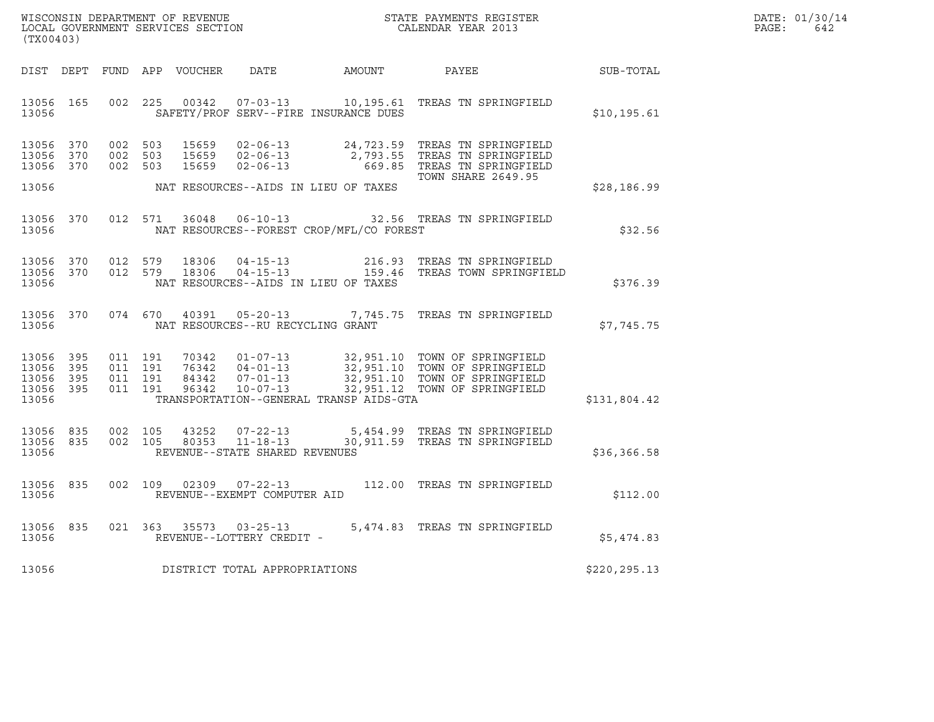| WISCONSIN DEPARTMENT OF REVENUE   | STATE PAYMENTS REGISTER | DATE: 01/30/14 |
|-----------------------------------|-------------------------|----------------|
| LOCAL GOVERNMENT SERVICES SECTION | CALENDAR YEAR 2013      | PAGE :<br>642  |

| (TX00403)                                                 |     |         |         |                                |                                                               |                                              |                                                                                                                                                                                                                              | DATE: 01/30/14<br>PAGE:<br>642 |  |
|-----------------------------------------------------------|-----|---------|---------|--------------------------------|---------------------------------------------------------------|----------------------------------------------|------------------------------------------------------------------------------------------------------------------------------------------------------------------------------------------------------------------------------|--------------------------------|--|
|                                                           |     |         |         |                                |                                                               | DIST DEPT FUND APP VOUCHER DATE AMOUNT PAYEE |                                                                                                                                                                                                                              | SUB-TOTAL                      |  |
| 13056 165<br>13056                                        |     |         |         |                                |                                                               | SAFETY/PROF SERV--FIRE INSURANCE DUES        | 002 225 00342 07-03-13 10,195.61 TREAS TN SPRINGFIELD                                                                                                                                                                        | \$10, 195.61                   |  |
| 13056 370<br>13056<br>13056 370                           | 370 |         |         | 002 503 15659                  | $02 - 06 - 13$                                                |                                              | 002 503 15659 02-06-13 24,723.59 TREAS TN SPRINGFIELD<br>002 503 15659 02-06-13 2,793.55 TREAS TN SPRINGFIELD<br>669.85 TREAS TN SPRINGFIELD<br>TOWN SHARE 2649.95                                                           |                                |  |
| 13056                                                     |     |         |         |                                |                                                               | NAT RESOURCES--AIDS IN LIEU OF TAXES         |                                                                                                                                                                                                                              | \$28,186.99                    |  |
| 13056                                                     |     |         |         |                                |                                                               | NAT RESOURCES--FOREST CROP/MFL/CO FOREST     | 13056 370 012 571 36048 06-10-13 32.56 TREAS TN SPRINGFIELD                                                                                                                                                                  | \$32.56                        |  |
| 13056 370<br>13056 370<br>13056                           |     |         |         | 012 579 18306<br>012 579 18306 |                                                               | NAT RESOURCES--AIDS IN LIEU OF TAXES         |                                                                                                                                                                                                                              | \$376.39                       |  |
| 13056                                                     |     |         |         |                                |                                                               | NAT RESOURCES--RU RECYCLING GRANT            | 13056 370 074 670 40391 05-20-13 7,745.75 TREAS TN SPRINGFIELD                                                                                                                                                               | \$7,745.75                     |  |
| 13056 395<br>13056 395<br>13056 395<br>13056 395<br>13056 |     | 011 191 |         |                                |                                                               | TRANSPORTATION--GENERAL TRANSP AIDS-GTA      | 011 191 70342 01-07-13 32,951.10 TOWN OF SPRINGFIELD<br>011 191 76342 04-01-13 32,951.10 TOWN OF SPRINGFIELD<br>011 191 96342 10-07-13 32,951.10 TOWN OF SPRINGFIELD<br>011 191 96342 10-07-13 32,951.12 TOWN OF SPRINGFIELD | \$131,804.42                   |  |
| 13056 835<br>13056 835<br>13056                           |     |         | 002 105 | 43252                          | REVENUE--STATE SHARED REVENUES                                |                                              | 07-22-13 5,454.99 TREAS TN SPRINGFIELD<br>002 105 80353 11-18-13 30,911.59 TREAS TN SPRINGFIELD                                                                                                                              | \$36,366.58                    |  |
| 13056 835<br>13056                                        |     |         |         |                                | 002 109 02309 07-22-13<br>REVENUE--EXEMPT COMPUTER AID        |                                              | 112.00 TREAS TN SPRINGFIELD                                                                                                                                                                                                  | \$112.00                       |  |
| 13056                                                     |     |         |         |                                | 13056 835 021 363 35573 03-25-13<br>REVENUE--LOTTERY CREDIT - |                                              | 5,474.83 TREAS TN SPRINGFIELD                                                                                                                                                                                                | \$5,474.83                     |  |
| 13056                                                     |     |         |         |                                | DISTRICT TOTAL APPROPRIATIONS                                 |                                              |                                                                                                                                                                                                                              | \$220, 295.13                  |  |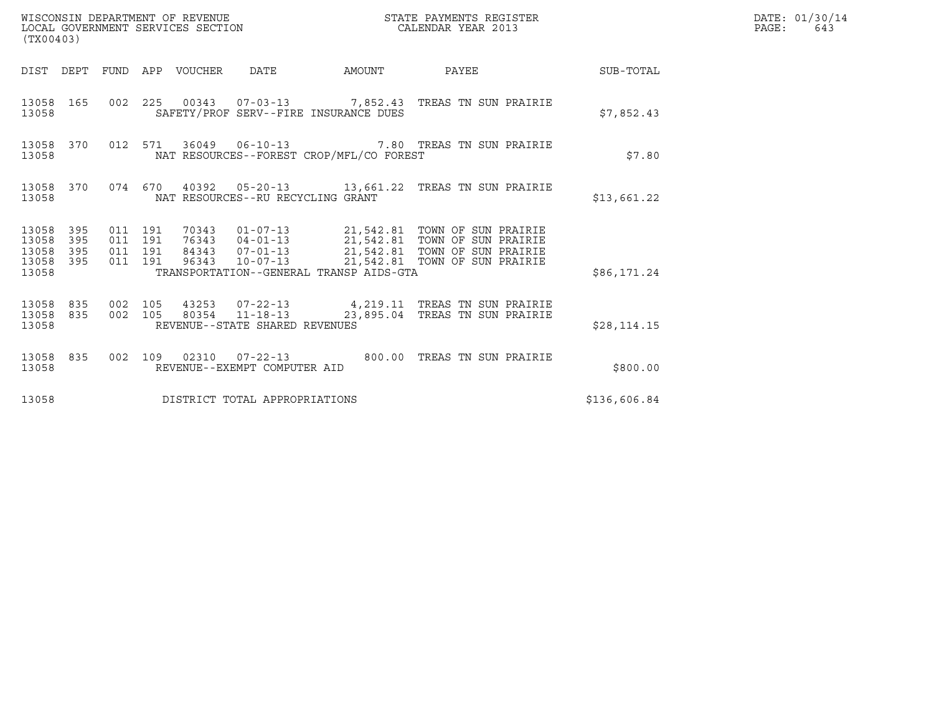| (TX00403)                                         |            |                               |         |                                 | WISCONSIN DEPARTMENT OF REVENUE<br>LOCAL GOVERNMENT SERVICES SECTION |                                          | STATE PAYMENTS REGISTER<br>CALENDAR YEAR 2013                                                                                                                                                                         |              | DATE: 01/30/14<br>$\mathtt{PAGE:}$<br>643 |
|---------------------------------------------------|------------|-------------------------------|---------|---------------------------------|----------------------------------------------------------------------|------------------------------------------|-----------------------------------------------------------------------------------------------------------------------------------------------------------------------------------------------------------------------|--------------|-------------------------------------------|
|                                                   |            |                               |         | DIST DEPT FUND APP VOUCHER DATE |                                                                      |                                          | AMOUNT PAYEE SUB-TOTAL                                                                                                                                                                                                |              |                                           |
| 13058                                             |            |                               |         |                                 |                                                                      | SAFETY/PROF SERV--FIRE INSURANCE DUES    | 13058 165 002 225 00343 07-03-13 7,852.43 TREAS TN SUN PRAIRIE                                                                                                                                                        | \$7,852.43   |                                           |
| 13058                                             |            |                               |         |                                 |                                                                      | NAT RESOURCES--FOREST CROP/MFL/CO FOREST | 13058 370 012 571 36049 06-10-13 7.80 TREAS TN SUN PRAIRIE                                                                                                                                                            | \$7.80       |                                           |
| 13058                                             |            |                               |         |                                 | NAT RESOURCES--RU RECYCLING GRANT                                    |                                          | 13058 370 074 670 40392 05-20-13 13,661.22 TREAS TN SUN PRAIRIE                                                                                                                                                       | \$13,661.22  |                                           |
| 13058 395<br>13058<br>13058<br>13058 395<br>13058 | 395<br>395 | 011 191<br>011 191<br>011 191 | 011 191 |                                 |                                                                      | TRANSPORTATION--GENERAL TRANSP AIDS-GTA  | 96343  10-07-13  21,542.81  TOWN OF SUN PRAIRIE                                                                                                                                                                       | \$86,171.24  |                                           |
| 13058                                             |            |                               |         |                                 | REVENUE--STATE SHARED REVENUES                                       |                                          | $\begin{array}{cccccccc} 13058 & 835 & 002 & 105 & 43253 & 07-22-13 & & 4,219.11 & \text{TREAS TN SUN PRAIRIE} \\ 13058 & 835 & 002 & 105 & 80354 & 11-18-13 & & 23,895.04 & \text{TREAS TN SUN PRAIRIE} \end{array}$ | \$28, 114.15 |                                           |
| 13058                                             |            |                               |         |                                 | REVENUE--EXEMPT COMPUTER AID                                         |                                          | 13058 835 002 109 02310 07-22-13 800.00 TREAS TN SUN PRAIRIE                                                                                                                                                          | \$800.00     |                                           |
| 13058                                             |            |                               |         |                                 | DISTRICT TOTAL APPROPRIATIONS                                        |                                          |                                                                                                                                                                                                                       | \$136,606.84 |                                           |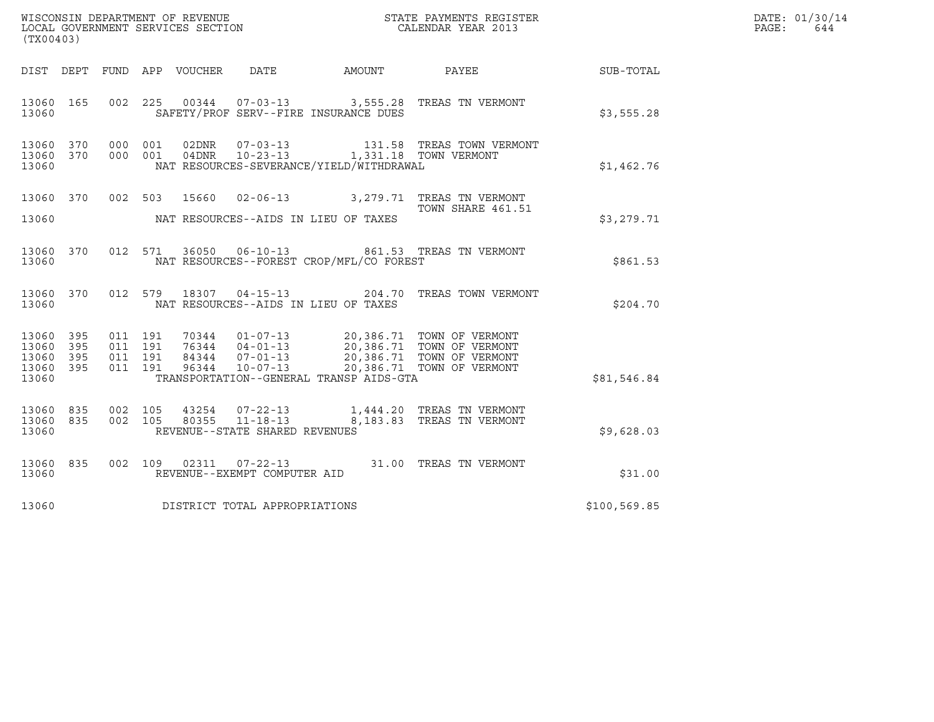| (TX00403)                                         |            |                    |                    |                                 |                                                                    |                                                                            |                                                                                                                                                                                                                                                                                                                            |               | DATE: 01/30/14<br>PAGE:<br>644 |
|---------------------------------------------------|------------|--------------------|--------------------|---------------------------------|--------------------------------------------------------------------|----------------------------------------------------------------------------|----------------------------------------------------------------------------------------------------------------------------------------------------------------------------------------------------------------------------------------------------------------------------------------------------------------------------|---------------|--------------------------------|
|                                                   |            |                    |                    | DIST DEPT FUND APP VOUCHER DATE |                                                                    | AMOUNT                                                                     | PAYEE                                                                                                                                                                                                                                                                                                                      | SUB-TOTAL     |                                |
| 13060 165<br>13060                                |            |                    |                    |                                 |                                                                    | SAFETY/PROF SERV--FIRE INSURANCE DUES                                      | 002 225 00344 07-03-13 3,555.28 TREAS TN VERMONT                                                                                                                                                                                                                                                                           | \$3,555.28    |                                |
| 13060 370<br>13060 370<br>13060                   |            |                    | 000 001<br>000 001 | 02DNR<br>04DNR                  |                                                                    | 10-23-13 1,331.18 TOWN VERMONT<br>NAT RESOURCES-SEVERANCE/YIELD/WITHDRAWAL |                                                                                                                                                                                                                                                                                                                            | \$1,462.76    |                                |
| 13060 370<br>13060                                |            |                    |                    |                                 |                                                                    | NAT RESOURCES--AIDS IN LIEU OF TAXES                                       | 002 503 15660 02-06-13 3, 279.71 TREAS TN VERMONT<br>TOWN SHARE 461.51                                                                                                                                                                                                                                                     | \$3,279.71    |                                |
| 13060 370<br>13060                                |            |                    | 012 571            |                                 |                                                                    | NAT RESOURCES--FOREST CROP/MFL/CO FOREST                                   | 36050  06-10-13  861.53  TREAS TN VERMONT                                                                                                                                                                                                                                                                                  | \$861.53      |                                |
| 13060 370<br>13060                                |            |                    |                    |                                 |                                                                    | NAT RESOURCES--AIDS IN LIEU OF TAXES                                       | 012 579 18307 04-15-13 204.70 TREAS TOWN VERMONT                                                                                                                                                                                                                                                                           | \$204.70      |                                |
| 13060 395<br>13060<br>13060<br>13060 395<br>13060 | 395<br>395 | 011 191<br>011 191 | 011 191<br>011 191 |                                 |                                                                    | TRANSPORTATION--GENERAL TRANSP AIDS-GTA                                    | $\begin{array}{cccc} 70344 & 01\hbox{-}07\hbox{-}13 & 20,386.71 & \text{TOMN OF VERMONT} \\ 76344 & 04\hbox{-}01\hbox{-}13 & 20,386.71 & \text{TOMN OF VERMONT} \\ 84344 & 07\hbox{-}01\hbox{-}13 & 20,386.71 & \text{TOMN OF VERMONT} \\ 96344 & 10\hbox{-}07\hbox{-}13 & 20,386.71 & \text{TOMN OF VERMONT} \end{array}$ | \$81,546.84   |                                |
| 13060 835<br>13060 835<br>13060                   |            | 002 105<br>002 105 |                    | 80355                           | 43254 07-22-13<br>$11 - 18 - 13$<br>REVENUE--STATE SHARED REVENUES |                                                                            | 1,444.20 TREAS TN VERMONT<br>8,183.83 TREAS TN VERMONT                                                                                                                                                                                                                                                                     | \$9,628.03    |                                |
| 13060 835<br>13060                                |            |                    |                    |                                 | REVENUE--EXEMPT COMPUTER AID                                       |                                                                            | 002  109  02311  07-22-13  31.00 TREAS TN VERMONT                                                                                                                                                                                                                                                                          | \$31.00       |                                |
| 13060                                             |            |                    |                    |                                 | DISTRICT TOTAL APPROPRIATIONS                                      |                                                                            |                                                                                                                                                                                                                                                                                                                            | \$100, 569.85 |                                |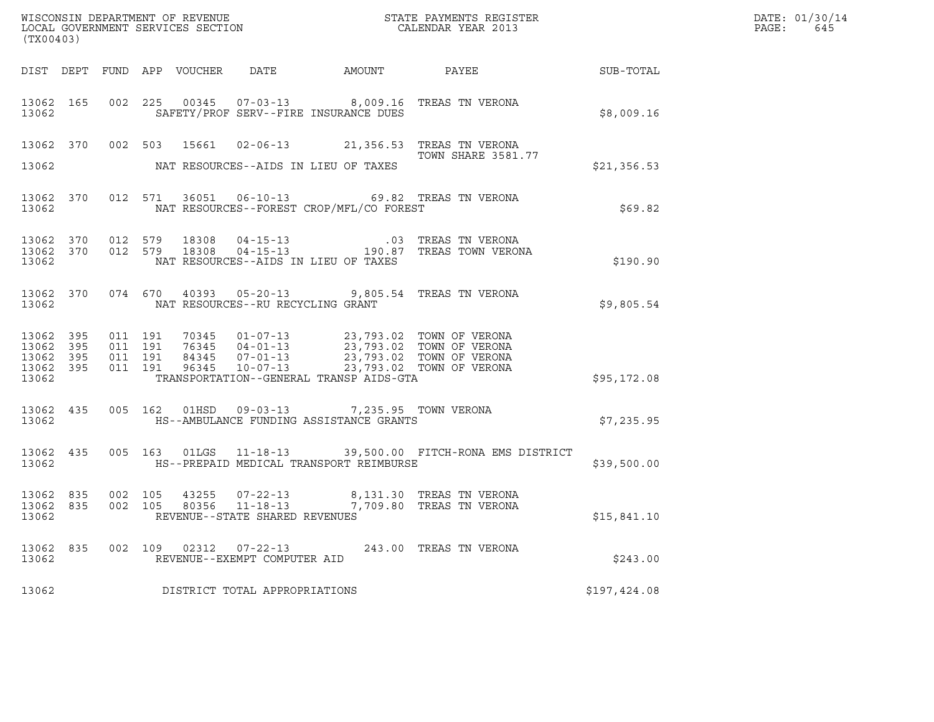| (TX00403)                       |  |  |  |  |                                                        |                                                                                                        |                                                                                                                                                                                                                                                                                                                          |              | DATE: 01/30/14<br>PAGE:<br>645 |
|---------------------------------|--|--|--|--|--------------------------------------------------------|--------------------------------------------------------------------------------------------------------|--------------------------------------------------------------------------------------------------------------------------------------------------------------------------------------------------------------------------------------------------------------------------------------------------------------------------|--------------|--------------------------------|
|                                 |  |  |  |  |                                                        |                                                                                                        | DIST DEPT FUND APP VOUCHER DATE AMOUNT PAYEE SUB-TOTAL                                                                                                                                                                                                                                                                   |              |                                |
| 13062 300                       |  |  |  |  |                                                        | SAFETY/PROF SERV--FIRE INSURANCE DUES                                                                  | 13062 165 002 225 00345 07-03-13 8,009.16 TREAS TN VERONA                                                                                                                                                                                                                                                                | \$8,009.16   |                                |
|                                 |  |  |  |  |                                                        | 13062 NAT RESOURCES--AIDS IN LIEU OF TAXES                                                             | 13062 370 002 503 15661 02-06-13 21,356.53 TREAS TN VERONA<br><b>TOWN SHARE 3581.77</b>                                                                                                                                                                                                                                  | \$21,356.53  |                                |
|                                 |  |  |  |  |                                                        | 13062 NAT RESOURCES--FOREST CROP/MFL/CO FOREST                                                         | 13062 370 012 571 36051 06-10-13 69.82 TREAS TN VERONA                                                                                                                                                                                                                                                                   | \$69.82      |                                |
|                                 |  |  |  |  |                                                        | 13062 NAT RESOURCES--AIDS IN LIEU OF TAXES                                                             | $\begin{array}{cccccccc} 13062 & 370 & 012 & 579 & 18308 & 04-15-13 & .03 & \text{TREAS TN VERONA} \\ 13062 & 370 & 012 & 579 & 18308 & 04-15-13 & 190.87 & \text{TREAS TOWN VERONA} \end{array}$                                                                                                                        | \$190.90     |                                |
|                                 |  |  |  |  | 13062 NAT RESOURCES--RU RECYCLING GRANT                |                                                                                                        | 13062 370 074 670 40393 05-20-13 9,805.54 TREAS TN VERONA                                                                                                                                                                                                                                                                | \$9,805.54   |                                |
| 13062                           |  |  |  |  |                                                        | TRANSPORTATION--GENERAL TRANSP AIDS-GTA                                                                | $\begin{array}{cccccc} 13\,062 & 395 & 011 & 191 & 70345 & 01-07-13 & 23\,,793\,.02 & \text{TOWN OF VERONA} \\ 13\,062 & 395 & 011 & 191 & 76345 & 04-01-13 & 23\,,793\,.02 & \text{TOWN OF VERONA} \\ 13\,062 & 395 & 011 & 191 & 84345 & 07-01-13 & 23\,,793\,.02 & \text{TOWN OF VERONA} \\ 13\,062 & 395 & 011 & 19$ | \$95,172.08  |                                |
|                                 |  |  |  |  |                                                        | 13062 435 005 162 01HSD 09-03-13 7,235.95 TOWN VERONA<br>13062 HS--AMBULANCE FUNDING ASSISTANCE GRANTS |                                                                                                                                                                                                                                                                                                                          | \$7,235.95   |                                |
|                                 |  |  |  |  |                                                        |                                                                                                        | 13062 435 005 163 01LGS 11-18-13 39,500.00 FITCH-RONA EMS DISTRICT<br>13062 HS--PREPAID MEDICAL TRANSPORT REIMBURSE                                                                                                                                                                                                      | \$39,500.00  |                                |
| 13062 835<br>13062 835<br>13062 |  |  |  |  | REVENUE--STATE SHARED REVENUES                         |                                                                                                        | 002 105 43255 07-22-13 8,131.30 TREAS TN VERONA<br>002 105 80356 11-18-13 7,709.80 TREAS TN VERONA                                                                                                                                                                                                                       | \$15,841.10  |                                |
| 13062 835<br>13062              |  |  |  |  | 002 109 02312 07-22-13<br>REVENUE--EXEMPT COMPUTER AID |                                                                                                        | 243.00 TREAS TN VERONA                                                                                                                                                                                                                                                                                                   | \$243.00     |                                |
| 13062                           |  |  |  |  | DISTRICT TOTAL APPROPRIATIONS                          |                                                                                                        |                                                                                                                                                                                                                                                                                                                          | \$197,424.08 |                                |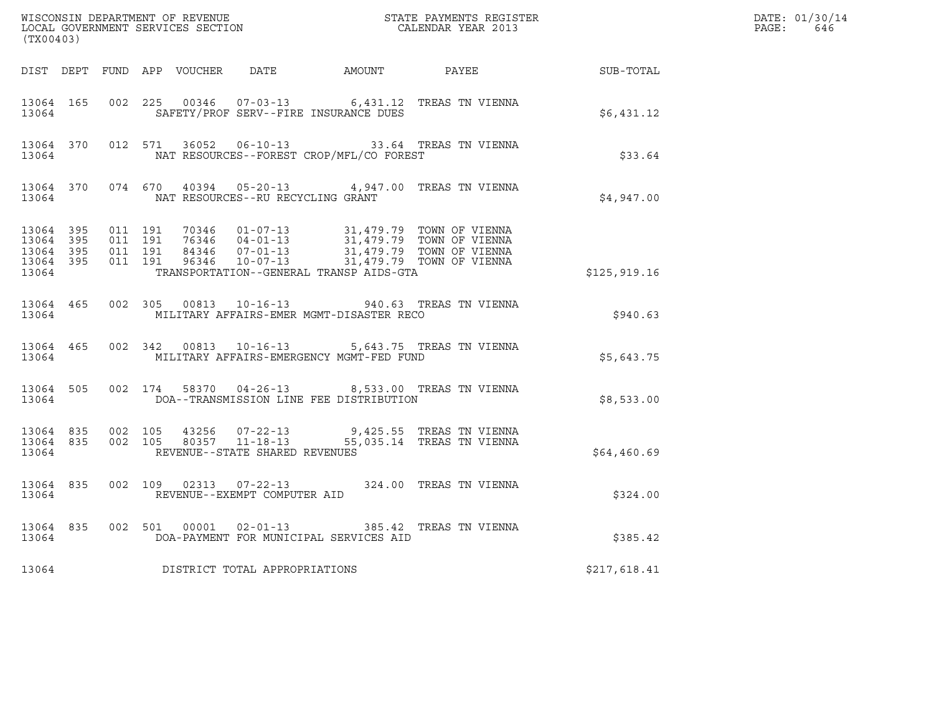| (TX00403) |                                     |                   |  |                                     |                                                | ${\tt WISCONSIM\ DEPARTMENT\ OF\ REVENUE}\qquad \qquad {\tt STATE\ PAYMENTS\ REGISTER} \\ {\tt LOCAL\ GOVERNMENT\ SERVICES\ SECTION}\qquad \qquad {\tt CALENDAR\ YEAR\ 2013}$                                   |                                                              | DATE: 01/30/14<br>$\mathtt{PAGE:}$<br>646 |
|-----------|-------------------------------------|-------------------|--|-------------------------------------|------------------------------------------------|-----------------------------------------------------------------------------------------------------------------------------------------------------------------------------------------------------------------|--------------------------------------------------------------|-------------------------------------------|
|           |                                     |                   |  |                                     |                                                |                                                                                                                                                                                                                 | DIST DEPT FUND APP VOUCHER DATE AMOUNT PAYEE PAYEE SUB-TOTAL |                                           |
|           | 13064                               |                   |  |                                     | SAFETY/PROF SERV--FIRE INSURANCE DUES          | 13064 165 002 225 00346 07-03-13 6,431.12 TREAS TN VIENNA                                                                                                                                                       | \$6,431.12                                                   |                                           |
|           | 13064                               |                   |  |                                     | NAT RESOURCES--FOREST CROP/MFL/CO FOREST       | 13064 370 012 571 36052 06-10-13 33.64 TREAS TN VIENNA                                                                                                                                                          | \$33.64                                                      |                                           |
| 13064     |                                     |                   |  | NAT RESOURCES--RU RECYCLING GRANT   |                                                | 13064 370 074 670 40394 05-20-13 4,947.00 TREAS TN VIENNA                                                                                                                                                       | \$4,947.00                                                   |                                           |
| 13064     | 13064 395<br>13064 395<br>13064 395 | 13064 395 011 191 |  |                                     | TRANSPORTATION--GENERAL TRANSP AIDS-GTA        | 011 191 70346 01-07-13 31,479.79 TOWN OF VIENNA<br>011 191 76346 04-01-13 31,479.79 TOWN OF VIENNA<br>011 191 84346 07-01-13 31,479.79 TOWN OF VIENNA<br>011 191 96346 10-07-13 31,479.79 TOWN OF VIENNA        | \$125,919.16                                                 |                                           |
|           |                                     |                   |  |                                     | 13064 MILITARY AFFAIRS-EMER MGMT-DISASTER RECO | 13064 465 002 305 00813 10-16-13 940.63 TREAS TN VIENNA                                                                                                                                                         | \$940.63                                                     |                                           |
| 13064     | 13064 465                           |                   |  |                                     | MILITARY AFFAIRS-EMERGENCY MGMT-FED FUND       | 002 342 00813 10-16-13 5,643.75 TREAS TN VIENNA                                                                                                                                                                 | \$5,643.75                                                   |                                           |
|           | 13064                               |                   |  |                                     |                                                | 13064 505 002 174 58370 04-26-13 8,533.00 TREAS TN VIENNA<br>DOA--TRANSMISSION LINE FEE DISTRIBUTION                                                                                                            | \$8,533.00                                                   |                                           |
| 13064     | 13064 835                           |                   |  | REVENUE--STATE SHARED REVENUES      |                                                | $\begin{array}{cccccccc} 13064 & 835 & 002 & 105 & 43256 & 07-22-13 & & & 9,425.55 & \text{TREAS TN VIENNA} \\ 13064 & 835 & 002 & 105 & 80357 & 11-18-13 & & & 55,035.14 & \text{TREAS TN VIENNA} \end{array}$ | \$64,460.69                                                  |                                           |
| 13064     | 13064 835                           |                   |  | REVENUE--EXEMPT COMPUTER AID        |                                                | 002 109 02313 07-22-13 324.00 TREAS TN VIENNA                                                                                                                                                                   | \$324.00                                                     |                                           |
|           | 13064 835                           |                   |  |                                     |                                                | 002 501 00001 02-01-13 385.42 TREAS TN VIENNA                                                                                                                                                                   | \$385.42                                                     |                                           |
|           |                                     |                   |  | 13064 DISTRICT TOTAL APPROPRIATIONS |                                                |                                                                                                                                                                                                                 | \$217,618.41                                                 |                                           |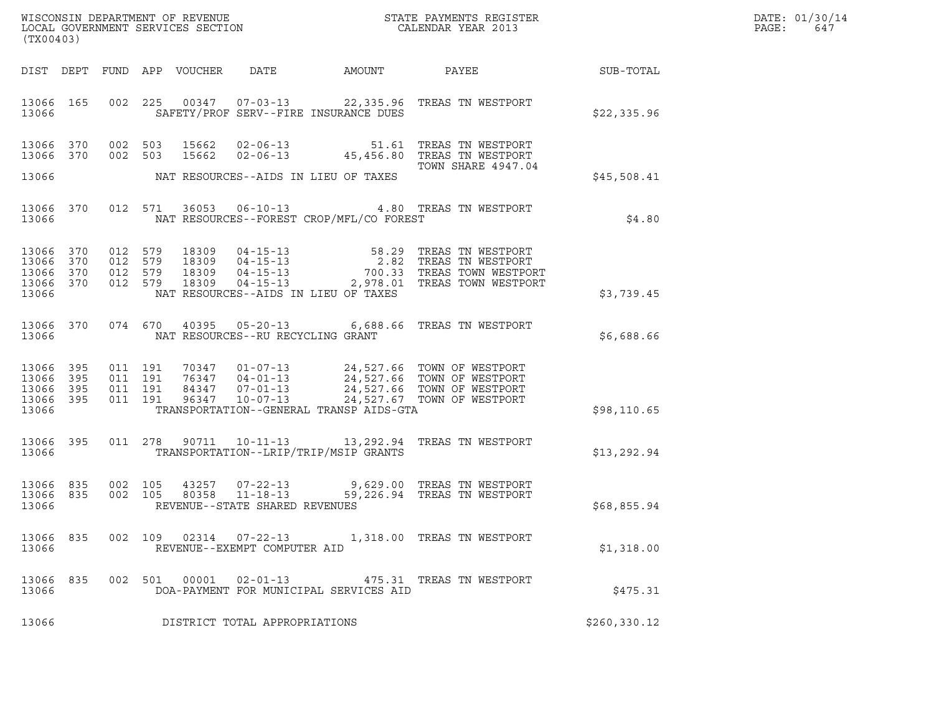| DATE: | 01/30/14 |
|-------|----------|
| PAGE: | 647      |

| (TX00403)                                                 |     |         |                               |                                 |                                   |                                            |                                                                                                                                                                                                                                                                                    |               | DATE: 01/30/14<br>PAGE:<br>647 |
|-----------------------------------------------------------|-----|---------|-------------------------------|---------------------------------|-----------------------------------|--------------------------------------------|------------------------------------------------------------------------------------------------------------------------------------------------------------------------------------------------------------------------------------------------------------------------------------|---------------|--------------------------------|
|                                                           |     |         |                               | DIST DEPT FUND APP VOUCHER DATE |                                   |                                            | AMOUNT PAYEE SUB-TOTAL                                                                                                                                                                                                                                                             |               |                                |
| 13066 165<br>13066                                        |     |         |                               |                                 |                                   | SAFETY/PROF SERV--FIRE INSURANCE DUES      | 002 225 00347 07-03-13 22,335.96 TREAS TN WESTPORT                                                                                                                                                                                                                                 | \$22,335.96   |                                |
| 13066 370<br>13066 370                                    |     |         |                               |                                 |                                   |                                            | $\begin{array}{cccc} 002 & 503 & 15662 & 02\texttt{-}06\texttt{-}13 & 51.61 & \texttt{TERAS} & \texttt{TN} & \texttt{WESTPORT} \\ 002 & 503 & 15662 & 02\texttt{-}06\texttt{-}13 & 45,456.80 & \texttt{TREAS} & \texttt{TN} & \texttt{WESTPORT} \end{array}$<br>TOWN SHARE 4947.04 |               |                                |
|                                                           |     |         |                               |                                 |                                   | 13066 MAT RESOURCES--AIDS IN LIEU OF TAXES |                                                                                                                                                                                                                                                                                    | \$45,508.41   |                                |
| 13066 370<br>13066                                        |     |         |                               |                                 |                                   | NAT RESOURCES--FOREST CROP/MFL/CO FOREST   | 012 571 36053 06-10-13 4.80 TREAS TN WESTPORT                                                                                                                                                                                                                                      | \$4.80        |                                |
| 13066 370<br>13066 370<br>13066 370<br>13066 370<br>13066 |     |         |                               |                                 |                                   | NAT RESOURCES--AIDS IN LIEU OF TAXES       | 012 579 18309 04-15-13 58.29 TREAS TN WESTPORT<br>012 579 18309 04-15-13 2.82 TREAS TN WESTPORT<br>012 579 18309 04-15-13 700.33 TREAS TOWN WESTPORT<br>012 579 18309 04-15-13 2,978.01 TREAS TOWN WESTPORT                                                                        | \$3,739.45    |                                |
| 13066 370<br>13066                                        |     |         |                               |                                 | NAT RESOURCES--RU RECYCLING GRANT |                                            | 074 670 40395 05-20-13 6,688.66 TREAS TN WESTPORT                                                                                                                                                                                                                                  | \$6,688.66    |                                |
| 13066<br>13066 395<br>13066 395<br>13066 395<br>13066     | 395 | 011 191 | 011 191<br>011 191<br>011 191 |                                 |                                   | TRANSPORTATION--GENERAL TRANSP AIDS-GTA    | 70347  01-07-13  24,527.66  TOWN OF WESTPORT<br>76347  04-01-13  24,527.66  TOWN OF WESTPORT<br>84347  07-01-13  24,527.66  TOWN OF WESTPORT<br>96347  10-07-13  24,527.67  TOWN OF WESTPORT                                                                                       | \$98, 110.65  |                                |
| 13066 395<br>13066                                        |     |         |                               |                                 |                                   | TRANSPORTATION--LRIP/TRIP/MSIP GRANTS      | 011  278  90711  10-11-13  13, 292.94  TREAS TN WESTPORT                                                                                                                                                                                                                           | \$13,292.94   |                                |
| 13066 835<br>13066 835<br>13066                           |     |         | 002 105<br>002 105            |                                 | REVENUE--STATE SHARED REVENUES    |                                            |                                                                                                                                                                                                                                                                                    | \$68,855.94   |                                |
| 13066 835<br>13066                                        |     |         | 002 109                       | 02314                           | REVENUE--EXEMPT COMPUTER AID      |                                            | 07-22-13 1.318.00 TREAS TN WESTPORT                                                                                                                                                                                                                                                | \$1,318.00    |                                |
| 13066<br>13066                                            | 835 | 002     | 501                           | 00001                           | $02 - 01 - 13$                    | DOA-PAYMENT FOR MUNICIPAL SERVICES AID     | 475.31 TREAS TN WESTPORT                                                                                                                                                                                                                                                           | \$475.31      |                                |
| 13066                                                     |     |         |                               |                                 | DISTRICT TOTAL APPROPRIATIONS     |                                            |                                                                                                                                                                                                                                                                                    | \$260, 330.12 |                                |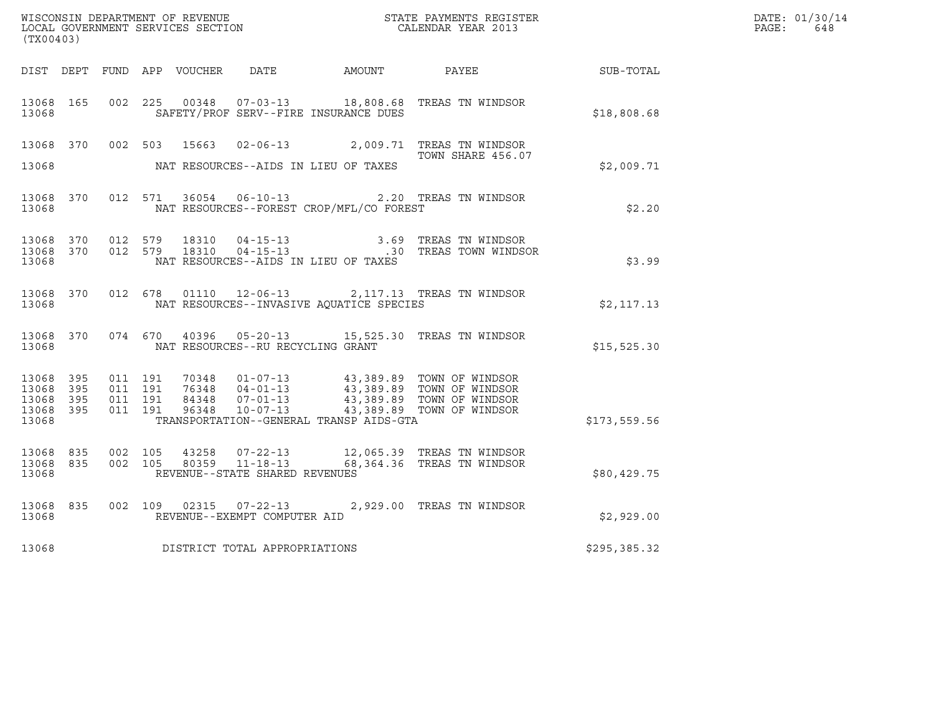| (TX00403)                                    |           |                               |         |                                   |                                          | WISCONSIN DEPARTMENT OF REVENUE<br>LOCAL GOVERNMENT SERVICES SECTION<br>CALENDAR YEAR 2013                                                                                                                                                                                                                      |              | DATE: 01/30/14<br>$\mathtt{PAGE:}$<br>648 |
|----------------------------------------------|-----------|-------------------------------|---------|-----------------------------------|------------------------------------------|-----------------------------------------------------------------------------------------------------------------------------------------------------------------------------------------------------------------------------------------------------------------------------------------------------------------|--------------|-------------------------------------------|
|                                              |           |                               |         |                                   |                                          | DIST DEPT FUND APP VOUCHER DATE AMOUNT PAYEE THE SUB-TOTAL                                                                                                                                                                                                                                                      |              |                                           |
| 13068                                        | 13068 165 |                               |         |                                   | SAFETY/PROF SERV--FIRE INSURANCE DUES    | 002 225 00348 07-03-13 18,808.68 TREAS TN WINDSOR                                                                                                                                                                                                                                                               | \$18,808.68  |                                           |
|                                              |           |                               |         |                                   |                                          | 13068 370 002 503 15663 02-06-13 2,009.71 TREAS TN WINDSOR<br>TOWN SHARE 456.07                                                                                                                                                                                                                                 |              |                                           |
| 13068                                        |           |                               |         |                                   | NAT RESOURCES--AIDS IN LIEU OF TAXES     |                                                                                                                                                                                                                                                                                                                 | \$2,009.71   |                                           |
| 13068                                        |           |                               |         | 13068 370 012 571 36054 06-10-13  | NAT RESOURCES--FOREST CROP/MFL/CO FOREST | 2.20 TREAS TN WINDSOR                                                                                                                                                                                                                                                                                           | \$2.20       |                                           |
| 13068                                        |           |                               |         |                                   | NAT RESOURCES--AIDS IN LIEU OF TAXES     | $\begin{array}{cccccccc} 13068 & 370 & 012 & 579 & 18310 & 04-15-13 & & & & 3.69 & \text{TREAS TN WINDSOR} \\ 13068 & 370 & 012 & 579 & 18310 & 04-15-13 & & & .30 & \text{TREAS TOWN WINDSOR} \end{array}$                                                                                                     | \$3.99       |                                           |
| 13068                                        |           |                               |         |                                   | NAT RESOURCES--INVASIVE AQUATICE SPECIES | 13068 370 012 678 01110 12-06-13 2,117.13 TREAS TN WINDSOR                                                                                                                                                                                                                                                      | \$2,117.13   |                                           |
| 13068                                        |           |                               |         | NAT RESOURCES--RU RECYCLING GRANT |                                          | 13068 370 074 670 40396 05-20-13 15,525.30 TREAS TN WINDSOR                                                                                                                                                                                                                                                     | \$15,525.30  |                                           |
| 13068 395<br>13068 395<br>13068 395<br>13068 | 13068 395 | 011 191<br>011 191<br>011 191 | 011 191 |                                   | TRANSPORTATION--GENERAL TRANSP AIDS-GTA  | $\begin{tabular}{c c c c c c c c c c} \hline $\gamma$0348 & 01-07-13 & 43\,, 389\,.89 & TOWN OF WINDSOR \\ \hline $76348 & 04-01-13 & 43\,, 389\,.89 & TOWN OF WINDSOR \\ $84348 & 07-01-13 & 43\,, 389\,.89 & TOWN OF WINDSOR \\ $96348 & 10-07-13 & 43\,, 389\,.89 & TOWN OF WINDSOR \\ \hline \end{tabular}$ | \$173,559.56 |                                           |
| 13068                                        | 13068 835 | 13068 835 002 105             |         | REVENUE--STATE SHARED REVENUES    |                                          | 002 105 43258 07-22-13 12,065.39 TREAS TN WINDSOR<br>002 105 80359 11-18-13 68,364.36 TREAS TN WINDSOR                                                                                                                                                                                                          | \$80,429.75  |                                           |
| 13068                                        |           |                               |         | REVENUE--EXEMPT COMPUTER AID      |                                          | 13068 835 002 109 02315 07-22-13 2,929.00 TREAS TN WINDSOR                                                                                                                                                                                                                                                      | \$2,929.00   |                                           |
| 13068                                        |           |                               |         | DISTRICT TOTAL APPROPRIATIONS     |                                          |                                                                                                                                                                                                                                                                                                                 | \$295,385.32 |                                           |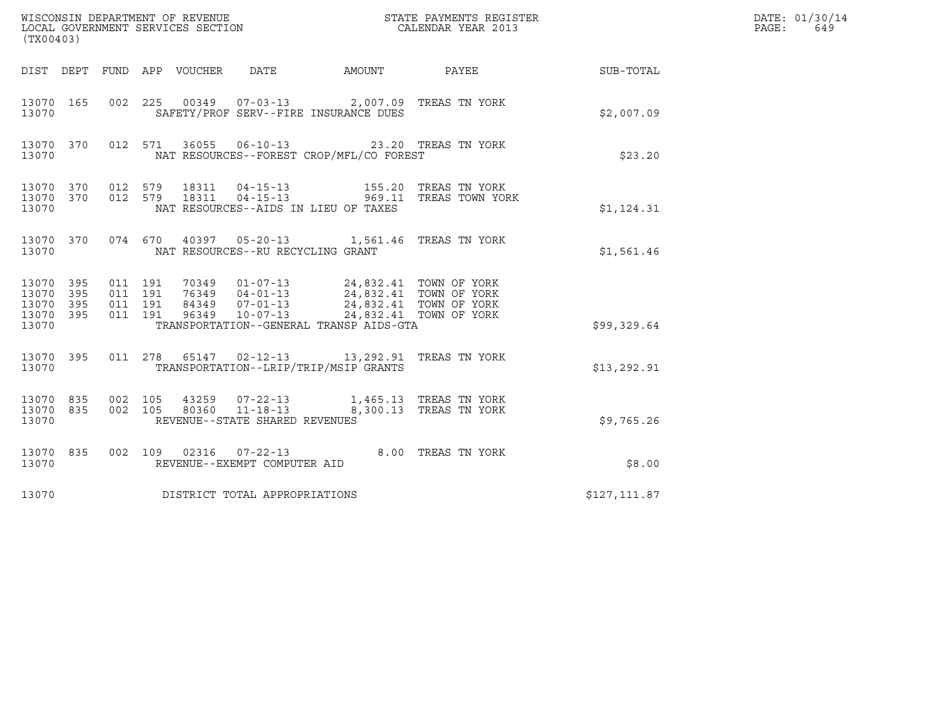| (TX00403)                                     |                   |                                          |                            | WISCONSIN DEPARTMENT OF REVENUE<br>LOCAL GOVERNMENT SERVICES SECTION |                                                                                                                                                                             | STATE PAYMENTS REGISTER<br>CALENDAR YEAR 2013                                                |              | DATE: 01/30/14<br>PAGE:<br>649 |
|-----------------------------------------------|-------------------|------------------------------------------|----------------------------|----------------------------------------------------------------------|-----------------------------------------------------------------------------------------------------------------------------------------------------------------------------|----------------------------------------------------------------------------------------------|--------------|--------------------------------|
|                                               |                   |                                          | DIST DEPT FUND APP VOUCHER | DATE                                                                 | AMOUNT PAYEE                                                                                                                                                                |                                                                                              | SUB-TOTAL    |                                |
| 13070 165<br>13070                            |                   |                                          |                            |                                                                      | 002  225  00349  07-03-13  2,007.09  TREAS TN YORK<br>SAFETY/PROF SERV--FIRE INSURANCE DUES                                                                                 |                                                                                              | \$2,007.09   |                                |
| 13070 370<br>13070                            |                   |                                          |                            |                                                                      | 012 571 36055 06-10-13 23.20 TREAS TN YORK<br>NAT RESOURCES--FOREST CROP/MFL/CO FOREST                                                                                      |                                                                                              | \$23.20      |                                |
| 13070 370 012 579<br>13070 370<br>13070       |                   |                                          |                            |                                                                      | NAT RESOURCES--AIDS IN LIEU OF TAXES                                                                                                                                        | 012 579 18311 04-15-13 155.20 TREAS TN YORK<br>012 579 18311 04-15-13 969.11 TREAS TOWN YORK | \$1,124.31   |                                |
| 13070 370<br>13070                            |                   |                                          |                            | NAT RESOURCES--RU RECYCLING GRANT                                    | 074 670 40397 05-20-13 1,561.46 TREAS TN YORK                                                                                                                               |                                                                                              | \$1,561.46   |                                |
| 13070 395<br>13070<br>13070<br>13070<br>13070 | 395<br>395<br>395 | 011 191<br>011 191<br>011 191<br>011 191 | 96349                      | $10 - 07 - 13$                                                       | 70349  01-07-13  24,832.41  TOWN OF YORK<br>76349  04-01-13  24,832.41  TOWN OF YORK<br>84349  07-01-13  24,832.41  TOWN OF YORK<br>TRANSPORTATION--GENERAL TRANSP AIDS-GTA | 24,832.41 TOWN OF YORK                                                                       | \$99,329.64  |                                |
| 13070 395<br>13070                            |                   |                                          |                            |                                                                      | 011  278  65147  02-12-13  13,292.91  TREAS TN YORK<br>TRANSPORTATION--LRIP/TRIP/MSIP GRANTS                                                                                |                                                                                              | \$13, 292.91 |                                |
| 13070 835<br>13070 835<br>13070               |                   | 002 105                                  |                            | 002 105 80360 11-18-13<br>REVENUE--STATE SHARED REVENUES             | 43259  07-22-13  1,465.13  TREAS  TN YORK<br>8,300.13 TREAS TN YORK                                                                                                         |                                                                                              | \$9,765.26   |                                |
| 13070 835<br>13070                            |                   |                                          |                            | REVENUE--EXEMPT COMPUTER AID                                         | 002 109 02316 07-22-13 8.00 TREAS TN YORK                                                                                                                                   |                                                                                              | \$8.00       |                                |
| 13070                                         |                   |                                          |                            | DISTRICT TOTAL APPROPRIATIONS                                        |                                                                                                                                                                             |                                                                                              | \$127,111.87 |                                |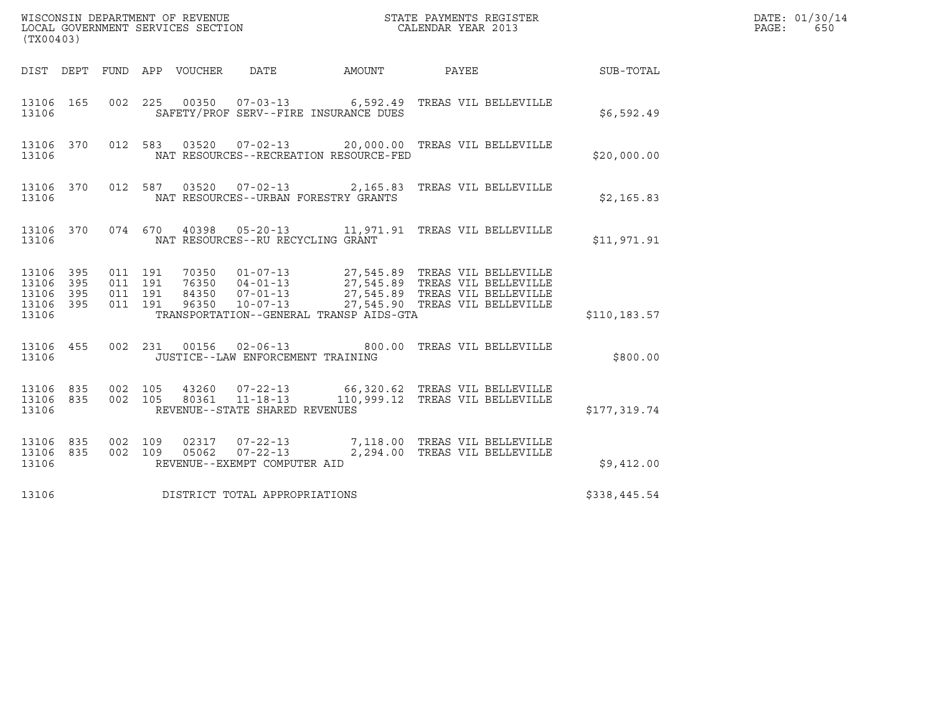| (TX00403)                                                                                                   | WISCONSIN DEPARTMENT OF REVENUE<br>LOCAL GOVERNMENT SERVICES SECTION                          |                                                                   | DATE: 01/30/14<br>PAGE:<br>650 |  |
|-------------------------------------------------------------------------------------------------------------|-----------------------------------------------------------------------------------------------|-------------------------------------------------------------------|--------------------------------|--|
| DIST DEPT FUND APP VOUCHER                                                                                  | DATE<br>AMOUNT                                                                                | PAYEE                                                             | SUB-TOTAL                      |  |
| 13106 165<br>13106                                                                                          | 002 225 00350 07-03-13 6,592.49 TREAS VIL BELLEVILLE<br>SAFETY/PROF SERV--FIRE INSURANCE DUES |                                                                   | \$6,592.49                     |  |
| 13106 370<br>13106                                                                                          | 012 583<br>03520<br>NAT RESOURCES--RECREATION RESOURCE-FED                                    | 07-02-13 20,000.00 TREAS VIL BELLEVILLE                           | \$20,000.00                    |  |
| 13106 370<br>13106                                                                                          | 012 587 03520<br>NAT RESOURCES--URBAN FORESTRY GRANTS                                         | 07-02-13  2,165.83 TREAS VIL BELLEVILLE                           | \$2,165.83                     |  |
| 13106 370<br>13106                                                                                          | 074 670<br>40398<br>NAT RESOURCES--RU RECYCLING GRANT                                         | 05-20-13 11,971.91 TREAS VIL BELLEVILLE                           | \$11,971.91                    |  |
| 011 191<br>13106 395<br>13106<br>395<br>011 191<br>011 191<br>13106<br>395<br>011 191<br>13106 395<br>13106 | 70350<br>76350<br>84350<br>96350<br>TRANSPORTATION--GENERAL TRANSP AIDS-GTA                   |                                                                   | \$110,183.57                   |  |
| 13106 455<br>13106                                                                                          | 002 231 00156 02-06-13<br>JUSTICE--LAW ENFORCEMENT TRAINING                                   | 800.00 TREAS VIL BELLEVILLE                                       | \$800.00                       |  |
| 13106 835<br>002 105<br>13106 835<br>002 105<br>13106                                                       | 43260<br>$07 - 22 - 13$<br>$11 - 18 - 13$<br>80361<br>REVENUE--STATE SHARED REVENUES          | 66,320.62 TREAS VIL BELLEVILLE<br>110,999.12 TREAS VIL BELLEVILLE | \$177,319.74                   |  |
| 13106 835<br>002 109<br>13106 835<br>002 109<br>13106                                                       | 02317<br>$07 - 22 - 13$<br>$07 - 22 - 13$<br>05062<br>REVENUE--EXEMPT COMPUTER AID            | 7,118.00 TREAS VIL BELLEVILLE<br>2,294.00 TREAS VIL BELLEVILLE    | \$9,412.00                     |  |
| 13106                                                                                                       | DISTRICT TOTAL APPROPRIATIONS                                                                 |                                                                   | \$338,445.54                   |  |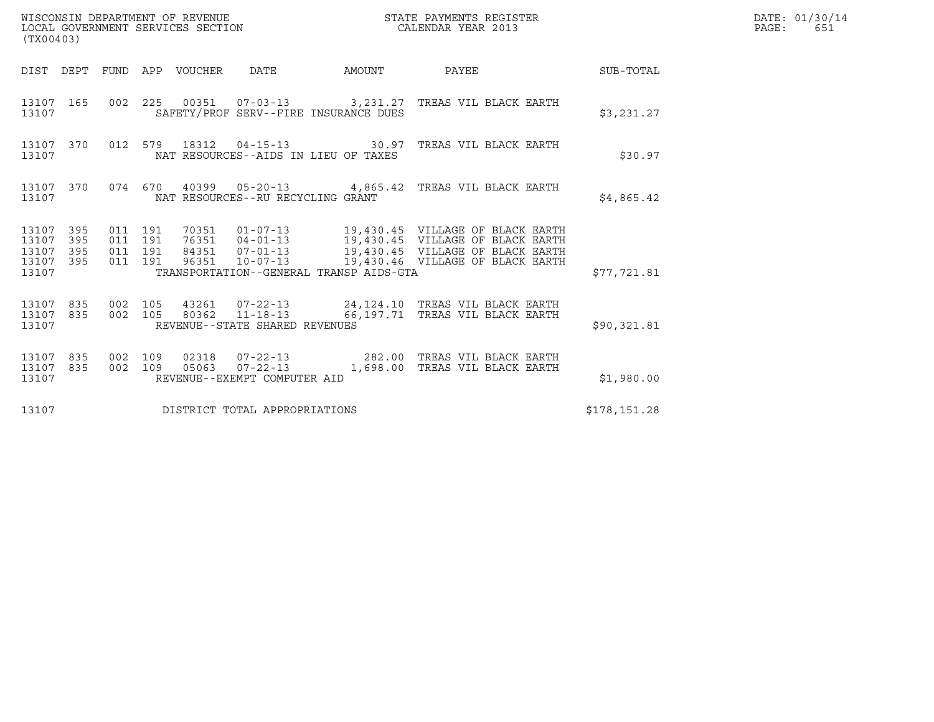| WISCONSIN DEPARTMENT OF REVENUE<br>LOCAL GOVERNMENT SERVICES SECTION<br>LOCAL GOVERNMENT SERVICES SECTION<br>(TX00403) |                   |                                          |  |                                 |                                       |                                         | STATE PAYMENTS REGISTER<br>CALENDAR YEAR 2013                                                                                                                                                                    |              | DATE: 01/30/14<br>PAGE:<br>651 |
|------------------------------------------------------------------------------------------------------------------------|-------------------|------------------------------------------|--|---------------------------------|---------------------------------------|-----------------------------------------|------------------------------------------------------------------------------------------------------------------------------------------------------------------------------------------------------------------|--------------|--------------------------------|
|                                                                                                                        |                   |                                          |  | DIST DEPT FUND APP VOUCHER DATE |                                       |                                         | AMOUNT PAYEE SUB-TOTAL                                                                                                                                                                                           |              |                                |
| 13107 165<br>13107                                                                                                     |                   |                                          |  |                                 | SAFETY/PROF SERV--FIRE INSURANCE DUES |                                         | 002 225 00351 07-03-13 3,231.27 TREAS VIL BLACK EARTH                                                                                                                                                            | \$3,231.27   |                                |
| 13107                                                                                                                  | 13107 370         |                                          |  |                                 | NAT RESOURCES--AIDS IN LIEU OF TAXES  |                                         | 012 579 18312 04-15-13 30.97 TREAS VIL BLACK EARTH                                                                                                                                                               | \$30.97      |                                |
| 13107                                                                                                                  | 13107 370         |                                          |  |                                 | NAT RESOURCES--RU RECYCLING GRANT     |                                         | 074 670 40399 05-20-13 4,865.42 TREAS VIL BLACK EARTH                                                                                                                                                            | \$4,865.42   |                                |
| 13107 395<br>13107<br>13107<br>13107<br>13107                                                                          | 395<br>395<br>395 | 011 191<br>011 191<br>011 191<br>011 191 |  | 96351                           |                                       | TRANSPORTATION--GENERAL TRANSP AIDS-GTA | 70351  01-07-13   19,430.45   VILLAGE OF BLACK EARTH<br>76351  04-01-13   19,430.45   VILLAGE OF BLACK EARTH<br>84351 07-01-13 19,430.45 VILLAGE OF BLACK EARTH<br>$10-07-13$ $19,430.46$ VILLAGE OF BLACK EARTH | \$77,721.81  |                                |
| 13107 835<br>13107 835<br>13107                                                                                        |                   | 002 105<br>002 105                       |  |                                 | REVENUE--STATE SHARED REVENUES        |                                         | 43261  07-22-13  24,124.10 TREAS VIL BLACK EARTH<br>80362  11-18-13   66,197.71  TREAS VIL BLACK EARTH                                                                                                           | \$90,321.81  |                                |
| 13107 835<br>13107<br>13107                                                                                            | 835               | 002 109<br>002 109                       |  |                                 | REVENUE--EXEMPT COMPUTER AID          |                                         | 02318  07-22-13  282.00  TREAS VIL BLACK EARTH<br>05063  07-22-13  1,698.00 TREAS VIL BLACK EARTH                                                                                                                | \$1,980.00   |                                |
| 13107                                                                                                                  |                   |                                          |  |                                 | DISTRICT TOTAL APPROPRIATIONS         |                                         |                                                                                                                                                                                                                  | \$178,151.28 |                                |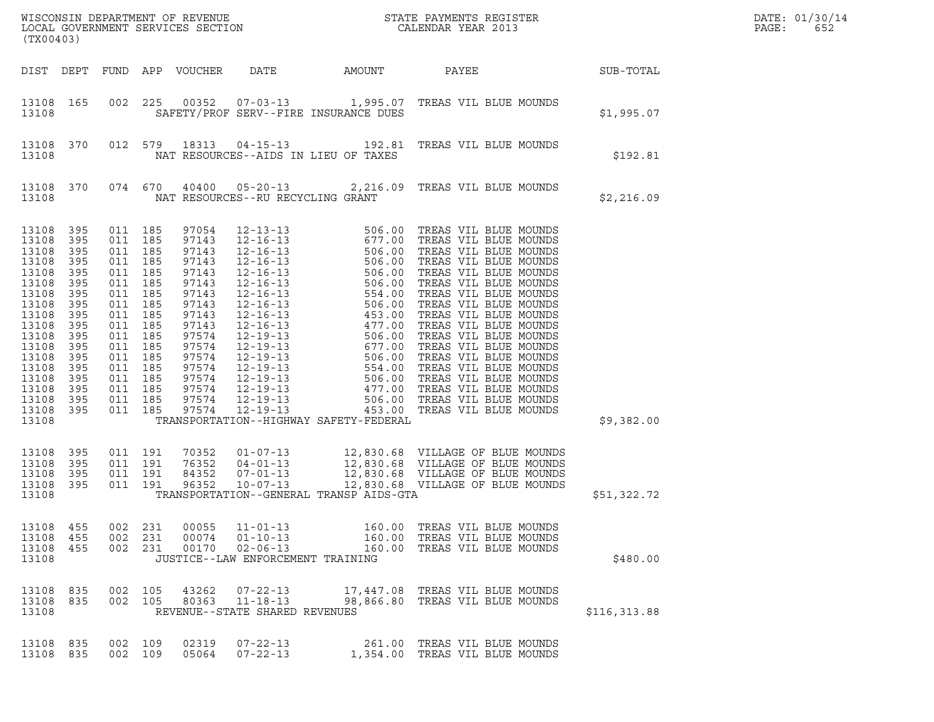| (TX00403)                                                                                                                                                               |                                                                                                                            |                                                                                                                                                                                |                                 |                                                                                                                                                                |                                                                                         |                                         |                                                                                                                                                                                  |               | DATE: 01/30/14<br>PAGE:<br>652 |
|-------------------------------------------------------------------------------------------------------------------------------------------------------------------------|----------------------------------------------------------------------------------------------------------------------------|--------------------------------------------------------------------------------------------------------------------------------------------------------------------------------|---------------------------------|----------------------------------------------------------------------------------------------------------------------------------------------------------------|-----------------------------------------------------------------------------------------|-----------------------------------------|----------------------------------------------------------------------------------------------------------------------------------------------------------------------------------|---------------|--------------------------------|
|                                                                                                                                                                         |                                                                                                                            |                                                                                                                                                                                |                                 | DIST DEPT FUND APP VOUCHER                                                                                                                                     | DATE                                                                                    | AMOUNT                                  | PAYEE                                                                                                                                                                            | SUB-TOTAL     |                                |
| 13108 165<br>13108                                                                                                                                                      |                                                                                                                            | 002                                                                                                                                                                            | 225                             |                                                                                                                                                                |                                                                                         | SAFETY/PROF SERV--FIRE INSURANCE DUES   | 00352  07-03-13  1,995.07  TREAS VIL BLUE MOUNDS                                                                                                                                 | \$1,995.07    |                                |
| 13108 370<br>13108                                                                                                                                                      |                                                                                                                            |                                                                                                                                                                                | 012 579                         | 18313                                                                                                                                                          |                                                                                         | NAT RESOURCES--AIDS IN LIEU OF TAXES    | 04-15-13 192.81 TREAS VIL BLUE MOUNDS                                                                                                                                            | \$192.81      |                                |
| 13108 370<br>13108                                                                                                                                                      |                                                                                                                            | 074 670                                                                                                                                                                        |                                 | 40400                                                                                                                                                          | NAT RESOURCES--RU RECYCLING GRANT                                                       |                                         | 05-20-13 2,216.09 TREAS VIL BLUE MOUNDS                                                                                                                                          | \$2,216.09    |                                |
| 13108<br>13108<br>13108<br>13108<br>13108<br>13108<br>13108<br>13108<br>13108<br>13108<br>13108<br>13108<br>13108<br>13108<br>13108<br>13108<br>13108<br>13108<br>13108 | 395<br>395<br>395<br>395<br>395<br>395<br>395<br>395<br>395<br>395<br>395<br>395<br>395<br>395<br>395<br>395<br>395<br>395 | 011 185<br>011 185<br>011 185<br>011<br>011 185<br>011<br>011 185<br>011<br>011 185<br>011<br>011 185<br>011<br>011 185<br>011 185<br>011 185<br>011 185<br>011 185<br>011 185 | 185<br>185<br>185<br>185<br>185 | 97054<br>97143<br>97143<br>97143<br>97143<br>97143<br>97143<br>97143<br>97143<br>97143<br>97574<br>97574<br>97574<br>97574<br>97574<br>97574<br>97574<br>97574 |                                                                                         | TRANSPORTATION--HIGHWAY SAFETY-FEDERAL  |                                                                                                                                                                                  | \$9,382.00    |                                |
| 13108<br>13108<br>13108<br>13108<br>13108                                                                                                                               | 395<br>395<br>395<br>395                                                                                                   | 011 191<br>011 191<br>011 191<br>011 191                                                                                                                                       |                                 | 70352<br>76352<br>84352<br>96352                                                                                                                               | $01 - 07 - 13$<br>$04 - 01 - 13$<br>$07 - 01 - 13$<br>$10 - 07 - 13$                    | TRANSPORTATION--GENERAL TRANSP AIDS-GTA | 12,830.68 VILLAGE OF BLUE MOUNDS<br>12,830.68 VILLAGE OF BLUE MOUNDS<br>12,830.68 VILLAGE OF BLUE MOUNDS<br>12,830.68 VILLAGE OF BLUE MOUNDS<br>12,830.68 VILLAGE OF BLUE MOUNDS | \$51,322.72   |                                |
| 13108<br>13108<br>13108<br>13108                                                                                                                                        | 455<br>455<br>455                                                                                                          | 002<br>002<br>002                                                                                                                                                              | 231<br>231<br>231               | 00055<br>00074<br>00170                                                                                                                                        | $11 - 01 - 13$<br>$01 - 10 - 13$<br>$02 - 06 - 13$<br>JUSTICE--LAW ENFORCEMENT TRAINING | 160.00<br>160.00<br>160.00              | TREAS VIL BLUE MOUNDS<br>TREAS VIL BLUE MOUNDS<br>TREAS VIL BLUE MOUNDS                                                                                                          | \$480.00      |                                |
| 13108<br>13108<br>13108                                                                                                                                                 | 835<br>835                                                                                                                 | 002<br>002 105                                                                                                                                                                 | 105                             | 43262<br>80363                                                                                                                                                 | $07 - 22 - 13$<br>$11 - 18 - 13$<br>REVENUE--STATE SHARED REVENUES                      | 17,447.08<br>98,866.80                  | TREAS VIL BLUE MOUNDS<br>TREAS VIL BLUE MOUNDS                                                                                                                                   | \$116, 313.88 |                                |
| 13108<br>13108                                                                                                                                                          | 835<br>835                                                                                                                 | 002<br>002                                                                                                                                                                     | 109<br>109                      | 02319<br>05064                                                                                                                                                 | $07 - 22 - 13$<br>$07 - 22 - 13$                                                        | 261.00<br>1,354.00                      | TREAS VIL BLUE MOUNDS<br>TREAS VIL BLUE MOUNDS                                                                                                                                   |               |                                |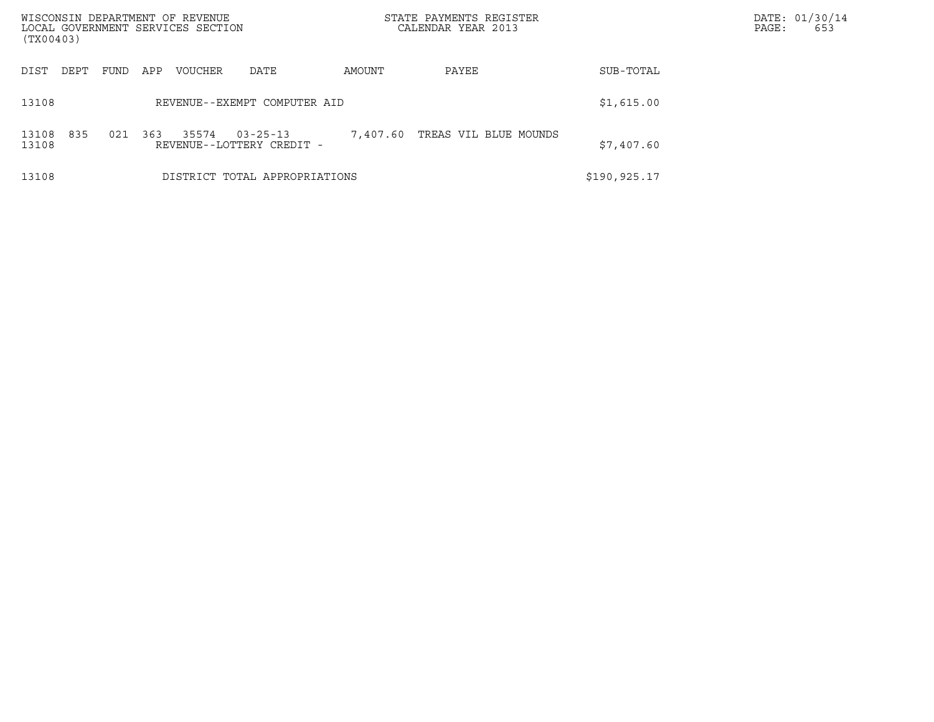| WISCONSIN DEPARTMENT OF REVENUE<br>LOCAL GOVERNMENT SERVICES SECTION<br>(TX00403) |                                                             |          | STATE PAYMENTS REGISTER<br>CALENDAR YEAR 2013 |              | DATE: 01/30/14<br>653<br>PAGE: |
|-----------------------------------------------------------------------------------|-------------------------------------------------------------|----------|-----------------------------------------------|--------------|--------------------------------|
| DIST<br>DEPT<br>FUND                                                              | APP<br><b>VOUCHER</b><br>DATE                               | PAYEE    | SUB-TOTAL                                     |              |                                |
| 13108                                                                             | REVENUE--EXEMPT COMPUTER AID                                |          |                                               | \$1,615.00   |                                |
| 835<br>021<br>13108<br>13108                                                      | 363<br>35574<br>$03 - 25 - 13$<br>REVENUE--LOTTERY CREDIT - | 7,407.60 | TREAS VIL BLUE MOUNDS                         | \$7,407.60   |                                |
| 13108                                                                             | DISTRICT TOTAL APPROPRIATIONS                               |          |                                               | \$190,925.17 |                                |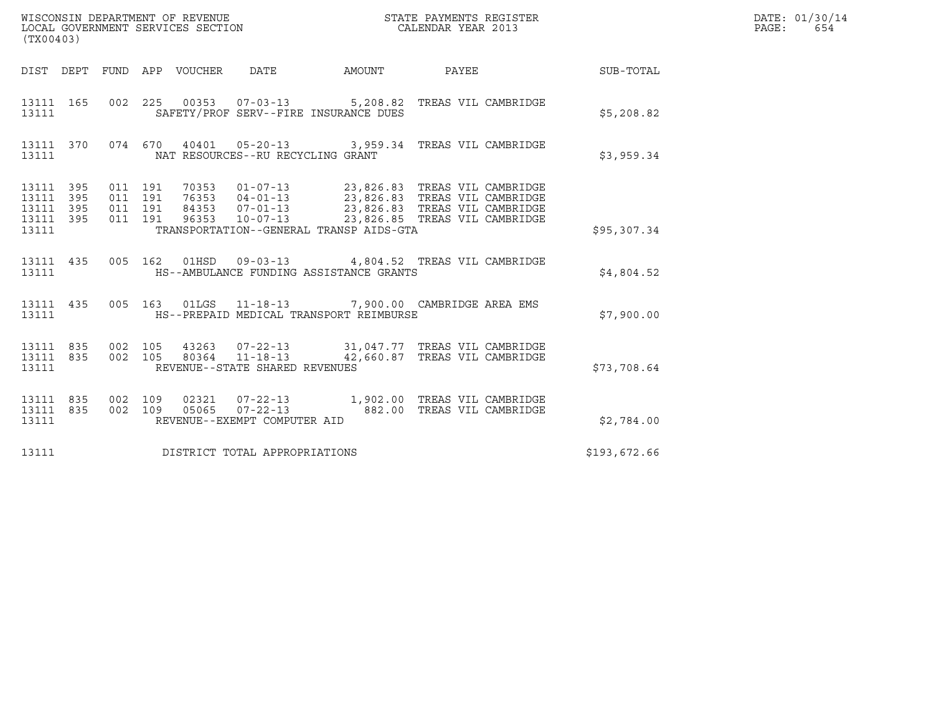| (TX00403)                                             |     |                               |         |                                         |                                                                                                                   |                                                           | DATE: 01/30/14<br>PAGE:<br>654 |
|-------------------------------------------------------|-----|-------------------------------|---------|-----------------------------------------|-------------------------------------------------------------------------------------------------------------------|-----------------------------------------------------------|--------------------------------|
|                                                       |     |                               |         |                                         |                                                                                                                   | DIST DEPT FUND APP VOUCHER DATE AMOUNT PAYEE TO SUB-TOTAL |                                |
| 13111 165<br>13111                                    |     |                               |         | SAFETY/PROF SERV--FIRE INSURANCE DUES   | 002 225 00353 07-03-13 5,208.82 TREAS VIL CAMBRIDGE                                                               | \$5,208.82                                                |                                |
| 13111                                                 |     |                               |         | NAT RESOURCES--RU RECYCLING GRANT       | 13111 370 074 670 40401 05-20-13 3,959.34 TREAS VIL CAMBRIDGE                                                     | \$3,959.34                                                |                                |
| 13111 395<br>13111<br>13111 395<br>13111 395<br>13111 | 395 | 011 191<br>011 191<br>011 191 | 011 191 | TRANSPORTATION--GENERAL TRANSP AIDS-GTA | \$95,307.34                                                                                                       |                                                           |                                |
| 13111                                                 |     |                               |         | HS--AMBULANCE FUNDING ASSISTANCE GRANTS | 13111 435 005 162 01HSD 09-03-13 4,804.52 TREAS VIL CAMBRIDGE                                                     | \$4,804.52                                                |                                |
| 13111 435<br>13111                                    |     |                               |         | HS--PREPAID MEDICAL TRANSPORT REIMBURSE | 005 163 01LGS 11-18-13 7,900.00 CAMBRIDGE AREA EMS                                                                | \$7,900.00                                                |                                |
| 13111 835<br>13111                                    |     | 002 105                       |         | REVENUE--STATE SHARED REVENUES          | 43263  07-22-13  31,047.77  TREAS VIL CAMBRIDGE<br>13111 835 002 105 80364 11-18-13 42,660.87 TREAS VIL CAMBRIDGE | \$73,708.64                                               |                                |
| 13111 835<br>13111 835<br>13111                       |     | 002 109                       |         | REVENUE--EXEMPT COMPUTER AID            | 02321  07-22-13  1,902.00 TREAS VIL CAMBRIDGE<br>002 109 05065 07-22-13 682.00 TREAS VIL CAMBRIDGE                | \$2,784.00                                                |                                |
| 13111                                                 |     |                               |         | DISTRICT TOTAL APPROPRIATIONS           |                                                                                                                   | \$193,672.66                                              |                                |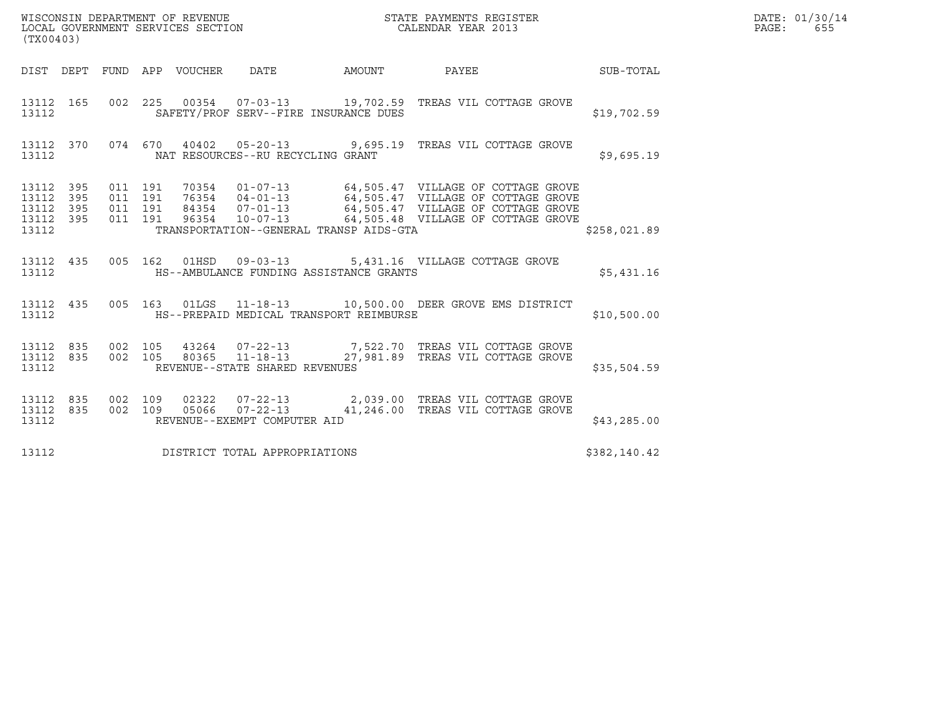| (TX00403)                                             |     |         |                               |                                         | WISCONSIN DEPARTMENT OF REVENUE<br>LOCAL GOVERNMENT SERVICES SECTION<br>CALENDAR YEAR 2013                                                                                                                                   |              | DATE: 01/30/14<br>PAGE: 655 |
|-------------------------------------------------------|-----|---------|-------------------------------|-----------------------------------------|------------------------------------------------------------------------------------------------------------------------------------------------------------------------------------------------------------------------------|--------------|-----------------------------|
|                                                       |     |         |                               |                                         | DIST DEPT FUND APP VOUCHER DATE AMOUNT PAYEE TO SUB-TOTAL                                                                                                                                                                    |              |                             |
| 13112 165<br>13112                                    |     |         |                               | SAFETY/PROF SERV--FIRE INSURANCE DUES   | 002  225  00354  07-03-13  19,702.59  TREAS VIL COTTAGE GROVE                                                                                                                                                                | \$19,702.59  |                             |
| 13112                                                 |     |         |                               | NAT RESOURCES--RU RECYCLING GRANT       | 13112 370 074 670 40402 05-20-13 9,695.19 TREAS VIL COTTAGE GROVE                                                                                                                                                            | \$9,695.19   |                             |
| 13112 395<br>13112<br>13112 395<br>13112 395<br>13112 | 395 | 011 191 | 011 191<br>011 191<br>011 191 | TRANSPORTATION--GENERAL TRANSP AIDS-GTA | 70354  01-07-13  64,505.47  VILLAGE OF COTTAGE GROVE<br>76354  04-01-13  64,505.47  VILLAGE OF COTTAGE GROVE<br>84354  07-01-13  64,505.47  VILLAGE OF COTTAGE GROVE<br>96354  10-07-13  64,505.48  VILLAGE OF COTTAGE GROVE | \$258,021.89 |                             |
| 13112                                                 |     |         |                               | HS--AMBULANCE FUNDING ASSISTANCE GRANTS | 13112 435 005 162 01HSD 09-03-13 5,431.16 VILLAGE COTTAGE GROVE                                                                                                                                                              | \$5,431.16   |                             |
| 13112                                                 |     |         |                               | HS--PREPAID MEDICAL TRANSPORT REIMBURSE | 13112 435 005 163 01LGS 11-18-13 10,500.00 DEER GROVE EMS DISTRICT                                                                                                                                                           | \$10,500.00  |                             |
| 13112                                                 |     |         |                               | REVENUE--STATE SHARED REVENUES          | $\begin{array}{cccccc} 13112 & 835 & 002 & 105 & 43264 & 07-22-13 & & 7,522.70 & \text{TREAS VIL COTTAGE GROVE} \\ 13112 & 835 & 002 & 105 & 80365 & 11-18-13 & & 27,981.89 & \text{TREAS VIL COTTAGE GROVE} \end{array}$    | \$35,504.59  |                             |
| 13112 835<br>13112                                    |     |         | 002 109                       | REVENUE--EXEMPT COMPUTER AID            | 02322  07-22-13  2,039.00  TREAS VIL COTTAGE GROVE<br>13112 835 002 109 05066 07-22-13 41,246.00 TREAS VIL COTTAGE GROVE                                                                                                     | \$43,285.00  |                             |
| 13112                                                 |     |         |                               | DISTRICT TOTAL APPROPRIATIONS           |                                                                                                                                                                                                                              | \$382,140.42 |                             |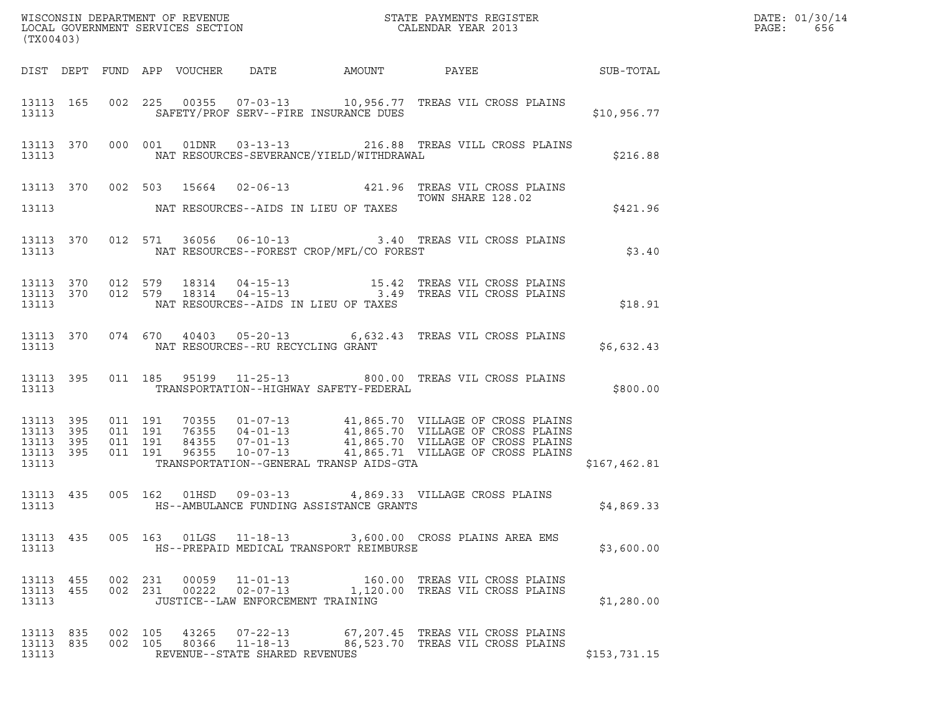| (TX00403)                          |         |                                                                                                                                                                                                                                                                                    |                     |  |
|------------------------------------|---------|------------------------------------------------------------------------------------------------------------------------------------------------------------------------------------------------------------------------------------------------------------------------------------|---------------------|--|
|                                    |         | DIST DEPT FUND APP VOUCHER DATE AMOUNT PAYEE PAYER SUB-TOTAL                                                                                                                                                                                                                       |                     |  |
|                                    |         | 13113 165 002 225 00355 07-03-13 10,956.77 TREAS VIL CROSS PLAINS<br>13113 SAFETY/PROF SERV--FIRE INSURANCE DUES \$10,956.77                                                                                                                                                       |                     |  |
|                                    |         | 13113 370 000 001 01DNR 03-13-13 216.88 TREAS VILL CROSS PLAINS<br>13113 NAT RESOURCES-SEVERANCE/YIELD/WITHDRAWAL \$216.88                                                                                                                                                         |                     |  |
|                                    |         | 13113 370 002 503 15664 02-06-13 421.96 TREAS VIL CROSS PLAINS<br>13113 NAT RESOURCES--AIDS IN LIEU OF TAXES TOWN SHARE 128.02                                                                                                                                                     |                     |  |
|                                    |         |                                                                                                                                                                                                                                                                                    | \$421.96            |  |
|                                    |         | 13113 370 012 571 36056 06-10-13 3.40 TREAS VIL CROSS PLAINS<br>13113 NAT RESOURCES--FOREST CROP/MFL/CO FOREST                                                                                                                                                                     | \$3.40              |  |
|                                    |         | $\begin{array}{cccccccc} 13113 & 370 & 012 & 579 & 18314 & 04-15-13 & & & 15.42 & \text{TREAS VIL CROS PLAINS} \\ 13113 & 370 & 012 & 579 & 18314 & 04-15-13 & & & 3.49 & \text{TREAS VIL CROS PLAINS} \end{array}$<br>13113 NAT RESOURCES--AIDS IN LIEU OF TAXES                  | \$18.91             |  |
|                                    |         | 13113 370 074 670 40403 05-20-13 6,632.43 TREAS VIL CROSS PLAINS<br>13113 NAT RESOURCES--RU RECYCLING GRANT                                                                                                                                                                        | INS<br>$$6,632.43$  |  |
|                                    |         | 13113 395 011 185 95199 11-25-13 800.00 TREAS VIL CROSS PLAINS<br>13113 TRANSPORTATION--HIGHWAY SAFETY-FEDERAL                                                                                                                                                                     | LAINS<br>\$800.00\$ |  |
| 13113                              |         | 13113 395 011 191 70355 01-07-13 41,865.70 VILLAGE OF CROSS PLAINS<br>13113 395 011 191 76355 04-01-13 41,865.70 VILLAGE OF CROSS PLAINS<br>13113 395 011 191 84355 07-01-13 41,865.70 VILLAGE OF CROSS PLAINS<br>13113 395 011 191 963<br>TRANSPORTATION--GENERAL TRANSP AIDS-GTA | \$167,462.81        |  |
|                                    |         | 13113 435 005 162 01HSD 09-03-13 4,869.33 VILLAGE CROSS PLAINS<br>13113 HS--AMBULANCE FUNDING ASSISTANCE GRANTS                                                                                                                                                                    | \$4,869.33          |  |
| 13113 435<br>13113                 |         | 005 163 01LGS 11-18-13 3,600.00 CROSS PLAINS AREA EMS<br>HS--PREPAID MEDICAL TRANSPORT REIMBURSE                                                                                                                                                                                   | \$3,600.00          |  |
| 13113<br>455<br>13113 455<br>13113 |         | 002 231 00059 11-01-13 160.00 TREAS VIL CROSS PLAINS<br>002 231 00222 02-07-13 1,120.00 TREAS VIL CROSS PLAINS<br>JUSTICE--LAW ENFORCEMENT TRAINING                                                                                                                                | \$1,280.00          |  |
| 13113 835<br>13113 835<br>13113    | 002 105 | 002 105<br>43265  07-22-13   67,207.45   TREAS VIL CROSS PLAINS<br>80366 11-18-13 86,523.70 TREAS VIL CROSS PLAINS<br>REVENUE--STATE SHARED REVENUES                                                                                                                               | \$153,731.15        |  |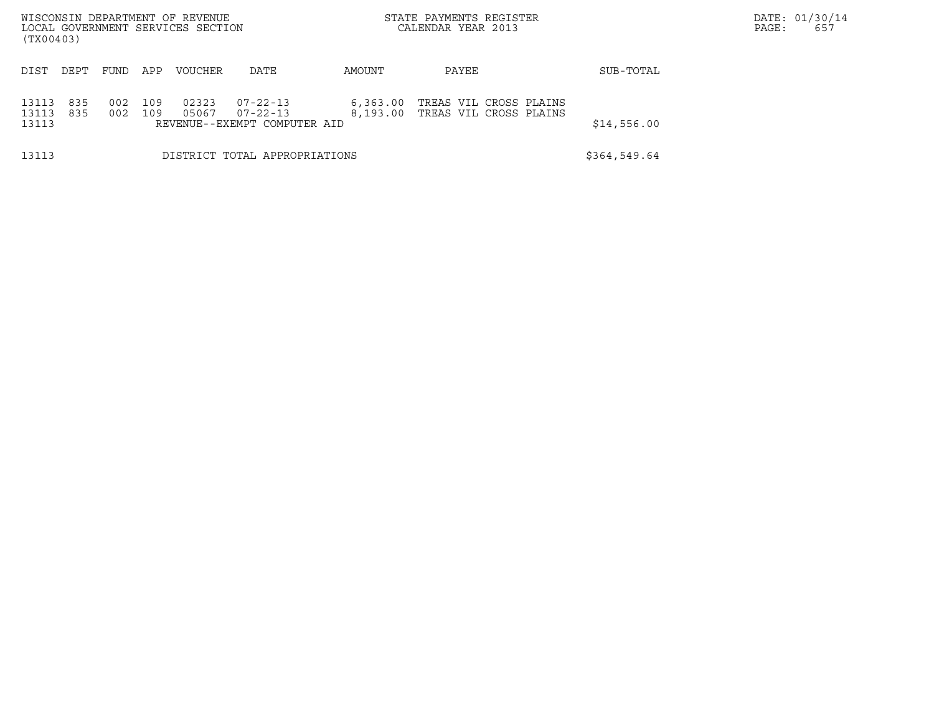| WISCONSIN DEPARTMENT OF REVENUE<br>LOCAL GOVERNMENT SERVICES SECTION<br>(TX00403) |                                                                                                                                                       |      |     |                |      |        | STATE PAYMENTS REGISTER<br>CALENDAR YEAR 2013    |              | DATE: 01/30/14<br>PAGE:<br>657 |
|-----------------------------------------------------------------------------------|-------------------------------------------------------------------------------------------------------------------------------------------------------|------|-----|----------------|------|--------|--------------------------------------------------|--------------|--------------------------------|
| DIST                                                                              | DEPT                                                                                                                                                  | FUND | APP | <b>VOUCHER</b> | DATE | AMOUNT | PAYEE                                            | SUB-TOTAL    |                                |
| 13113<br>13113<br>13113                                                           | 02323<br>835<br>002<br>109<br>$07 - 22 - 13$<br>6, 363.00<br>835<br>002<br>109<br>05067<br>8.193.00<br>$07 - 22 - 13$<br>REVENUE--EXEMPT COMPUTER AID |      |     |                |      |        | TREAS VIL CROSS PLAINS<br>TREAS VIL CROSS PLAINS | \$14,556.00  |                                |
| 13113                                                                             | DISTRICT TOTAL APPROPRIATIONS                                                                                                                         |      |     |                |      |        |                                                  | \$364,549.64 |                                |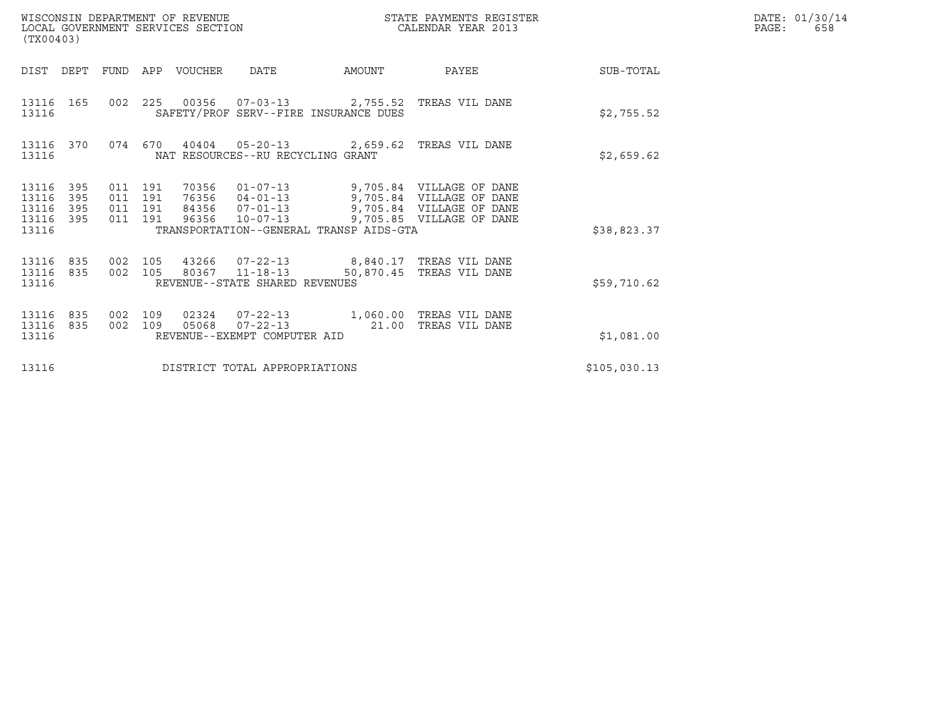| WISCONSIN DEPARTMENT OF REVENUE<br>LOCAL GOVERNMENT SERVICES SECTION<br>(TX00403) |                                          |     |                  |                                                                                                                        |        | STATE PAYMENTS REGISTER<br>CALENDAR YEAR 2013                                                                                                                         |              | DATE: 01/30/14<br>PAGE:<br>658 |
|-----------------------------------------------------------------------------------|------------------------------------------|-----|------------------|------------------------------------------------------------------------------------------------------------------------|--------|-----------------------------------------------------------------------------------------------------------------------------------------------------------------------|--------------|--------------------------------|
| DIST DEPT                                                                         |                                          |     | FUND APP VOUCHER | DATE                                                                                                                   | AMOUNT | PAYEE                                                                                                                                                                 | SUB-TOTAL    |                                |
| 13116 165<br>13116                                                                |                                          |     |                  | 002 225 00356 07-03-13 2,755.52 TREAS VIL DANE<br>SAFETY/PROF SERV--FIRE INSURANCE DUES                                |        |                                                                                                                                                                       | \$2,755.52   |                                |
| 13116 370<br>13116                                                                |                                          |     |                  | 074 670 40404 05-20-13 2,659.62 TREAS VIL DANE<br>NAT RESOURCES--RU RECYCLING GRANT                                    |        |                                                                                                                                                                       | \$2,659.62   |                                |
| 13116 395<br>13116<br>395<br>13116<br>395<br>395<br>13116                         | 011 191<br>011 191<br>011 191<br>011 191 |     | 96356            |                                                                                                                        |        | 70356  01-07-13  9,705.84  VILLAGE OF DANE<br>76356 04-01-13 9,705.84 VILLAGE OF DANE<br>84356 07-01-13 9,705.84 VILLAGE OF DANE<br>10-07-13 9,705.85 VILLAGE OF DANE |              |                                |
| 13116                                                                             |                                          |     |                  | TRANSPORTATION--GENERAL TRANSP AIDS-GTA                                                                                |        |                                                                                                                                                                       | \$38,823.37  |                                |
| 13116 835<br>13116 835<br>13116                                                   | 002 105<br>002 105                       |     |                  | 43266  07-22-13  8,840.17  TREAS VIL DANE<br>80367 11-18-13 50,870.45 TREAS VIL DANE<br>REVENUE--STATE SHARED REVENUES |        |                                                                                                                                                                       | \$59,710.62  |                                |
| 13116<br>835<br>13116<br>835<br>13116                                             | 002<br>002 109                           | 109 | 05068            | 02324  07-22-13  1,060.00 TREAS VIL DANE<br>07-22-13 21.00 TREAS VIL DANE<br>REVENUE--EXEMPT COMPUTER AID              |        |                                                                                                                                                                       | \$1,081.00   |                                |
| 13116                                                                             |                                          |     |                  | DISTRICT TOTAL APPROPRIATIONS                                                                                          |        |                                                                                                                                                                       | \$105,030.13 |                                |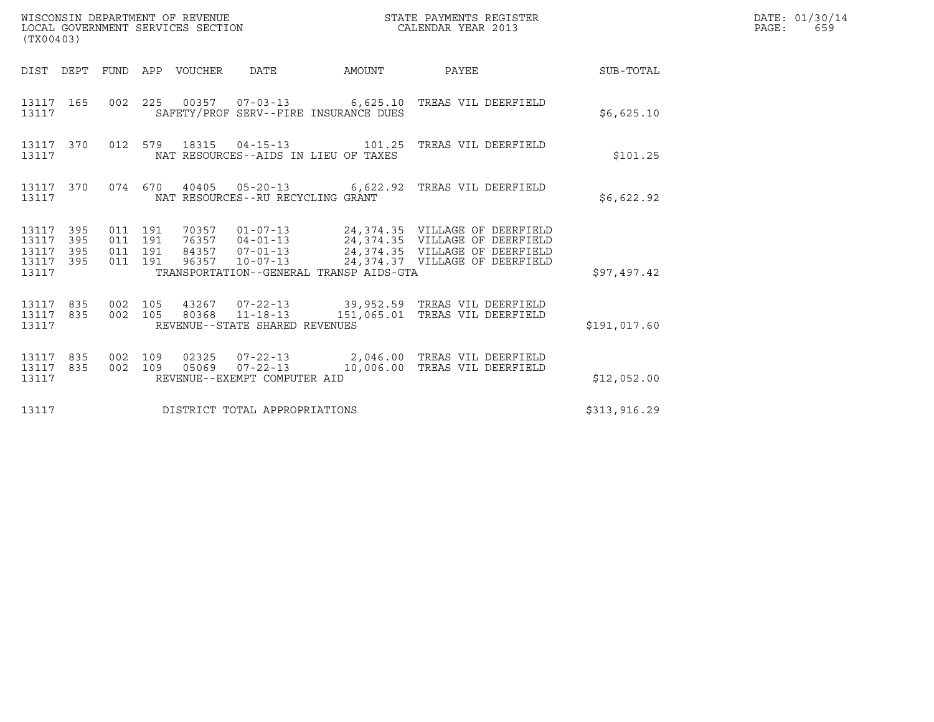| WISCONSIN DEPARTMENT OF REVENUE<br>LOCAL GOVERNMENT SERVICES SECTION<br>(TX00403) |         |                               |       |                                                |                                         | STATE PAYMENTS REGISTER<br>CALENDAR YEAR 2013                                                                                                                                                          |              | DATE: 01/30/14<br>PAGE:<br>659 |
|-----------------------------------------------------------------------------------|---------|-------------------------------|-------|------------------------------------------------|-----------------------------------------|--------------------------------------------------------------------------------------------------------------------------------------------------------------------------------------------------------|--------------|--------------------------------|
| DIST DEPT FUND APP VOUCHER DATE                                                   |         |                               |       |                                                | AMOUNT                                  | PAYEE SUB-TOTAL                                                                                                                                                                                        |              |                                |
| 13117 165<br>13117                                                                |         |                               |       |                                                | SAFETY/PROF SERV--FIRE INSURANCE DUES   | 002 225 00357 07-03-13 6,625.10 TREAS VIL DEERFIELD                                                                                                                                                    | \$6,625.10   |                                |
| 13117 370<br>13117                                                                |         |                               |       |                                                | NAT RESOURCES--AIDS IN LIEU OF TAXES    | 012 579 18315 04-15-13 101.25 TREAS VIL DEERFIELD                                                                                                                                                      | \$101.25     |                                |
| 13117 370<br>13117                                                                |         |                               |       | NAT RESOURCES--RU RECYCLING GRANT              |                                         | 074 670 40405 05-20-13 6,622.92 TREAS VIL DEERFIELD                                                                                                                                                    | \$6,622.92   |                                |
| 13117 395<br>13117<br>395<br>395<br>13117<br>13117<br>395<br>13117                | 011 191 | 011 191<br>011 191<br>011 191 |       |                                                | TRANSPORTATION--GENERAL TRANSP AIDS-GTA | 70357  01-07-13  24,374.35  VILLAGE OF DEERFIELD<br>76357  04-01-13  24,374.35  VILLAGE OF DEERFIELD<br>84357 07-01-13 24,374.35 VILLAGE OF DEERFIELD<br>96357 10-07-13 24,374.37 VILLAGE OF DEERFIELD | \$97,497.42  |                                |
| 13117 835<br>13117 835<br>13117                                                   |         | 002 105<br>002 105            |       | REVENUE--STATE SHARED REVENUES                 |                                         | 43267  07-22-13  39,952.59  TREAS VIL DEERFIELD<br>80368 11-18-13 151,065.01 TREAS VIL DEERFIELD                                                                                                       | \$191,017.60 |                                |
| 13117 835<br>13117<br>835<br>13117                                                |         | 002 109<br>002 109            | 05069 | $07 - 22 - 13$<br>REVENUE--EXEMPT COMPUTER AID |                                         | 02325  07-22-13  2,046.00  TREAS VIL DEERFIELD<br>10,006.00 TREAS VIL DEERFIELD                                                                                                                        | \$12,052.00  |                                |
| 13117                                                                             |         |                               |       | DISTRICT TOTAL APPROPRIATIONS                  |                                         |                                                                                                                                                                                                        | \$313,916.29 |                                |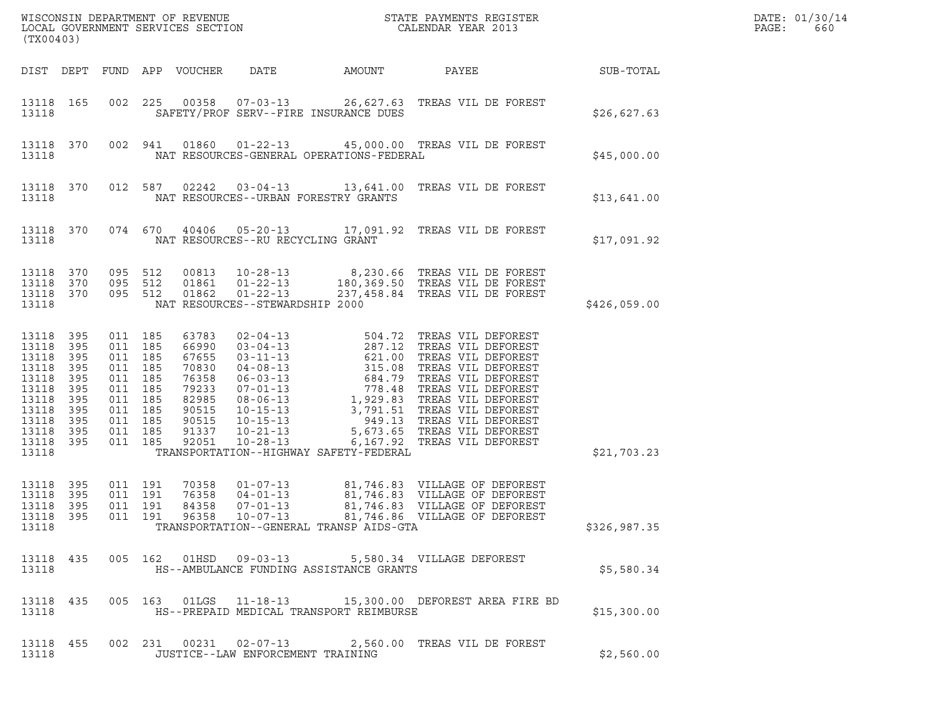| (TX00403)                                                                                                    |                                                                    |                                                                                                                   | LOCAL GOVERNMENT SERVICES SECTION                                                                      |                                                                     |                                                    |                                                                                                                                                                                                                                                                                                                           |              | DATE: 01/30/14<br>PAGE:<br>660 |
|--------------------------------------------------------------------------------------------------------------|--------------------------------------------------------------------|-------------------------------------------------------------------------------------------------------------------|--------------------------------------------------------------------------------------------------------|---------------------------------------------------------------------|----------------------------------------------------|---------------------------------------------------------------------------------------------------------------------------------------------------------------------------------------------------------------------------------------------------------------------------------------------------------------------------|--------------|--------------------------------|
|                                                                                                              |                                                                    |                                                                                                                   | DIST DEPT FUND APP VOUCHER                                                                             | DATE                                                                | AMOUNT                                             | PAYEE                                                                                                                                                                                                                                                                                                                     | SUB-TOTAL    |                                |
| 13118 165<br>13118                                                                                           |                                                                    |                                                                                                                   |                                                                                                        | SAFETY/PROF SERV--FIRE INSURANCE DUES                               |                                                    | 002  225  00358  07-03-13  26,627.63  TREAS VIL DE FOREST                                                                                                                                                                                                                                                                 | \$26,627.63  |                                |
| 13118 370<br>13118                                                                                           |                                                                    |                                                                                                                   | 002 941                                                                                                |                                                                     | NAT RESOURCES-GENERAL OPERATIONS-FEDERAL           | 01860  01-22-13  45,000.00  TREAS VIL DE FOREST                                                                                                                                                                                                                                                                           | \$45,000.00  |                                |
| 13118 370<br>13118                                                                                           |                                                                    |                                                                                                                   | 012 587<br>02242                                                                                       | NAT RESOURCES--URBAN FORESTRY GRANTS                                |                                                    |                                                                                                                                                                                                                                                                                                                           | \$13,641.00  |                                |
| 13118 370<br>13118                                                                                           |                                                                    |                                                                                                                   | 074 670                                                                                                | NAT RESOURCES--RU RECYCLING GRANT                                   |                                                    | 40406  05-20-13  17,091.92  TREAS VIL DE FOREST                                                                                                                                                                                                                                                                           | \$17,091.92  |                                |
| 13118<br>13118<br>13118 370<br>13118                                                                         | 370<br>370                                                         | 095 512<br>095 512<br>095 512                                                                                     | 00813<br>01861<br>01862                                                                                | $01 - 22 - 13$<br>$01 - 22 - 13$<br>NAT RESOURCES--STEWARDSHIP 2000 |                                                    | 10-28-13 8,230.66 TREAS VIL DE FOREST<br>180,369.50 TREAS VIL DE FOREST<br>237,458.84 TREAS VIL DE FOREST                                                                                                                                                                                                                 | \$426,059.00 |                                |
| 13118<br>13118<br>13118<br>13118<br>13118<br>13118<br>13118<br>13118<br>13118<br>13118<br>13118 395<br>13118 | 395<br>395<br>395<br>395<br>395<br>395<br>395<br>395<br>395<br>395 | 011 185<br>011 185<br>011 185<br>011 185<br>011 185<br>011 185<br>011 185<br>011 185<br>011 185<br>011<br>011 185 | 63783<br>66990<br>67655<br>70830<br>76358<br>79233<br>82985<br>90515<br>90515<br>185<br>91337<br>92051 | $10 - 21 - 13$<br>$10 - 28 - 13$                                    | 5,673.65<br>TRANSPORTATION--HIGHWAY SAFETY-FEDERAL | 02-04-13<br>03-04-13<br>03-04-13<br>03-11-13<br>287.12<br>287.12<br>287.12<br>TREAS VIL DEFOREST<br>04-08-13<br>315.08<br>TREAS VIL DEFOREST<br>06-03-13<br>07-01-13<br>778.48<br>TREAS VIL DEFOREST<br>08-06-13<br>1,929.83<br>TREAS VIL DEFOREST<br>10-15-13<br>3,<br>TREAS VIL DEFOREST<br>6,167.92 TREAS VIL DEFOREST | \$21,703.23  |                                |
| 13118 395<br>13118<br>13118<br>13118                                                                         | 395<br>395                                                         | 011 191<br>011 191                                                                                                | 70358<br>76358<br>011 191<br>84358                                                                     | $01 - 07 - 13$<br>$04 - 01 - 13$<br>$07 - 01 - 13$                  | TRANSPORTATION--GENERAL TRANSP AIDS-GTA            | 81,746.83 VILLAGE OF DEFOREST<br>81,746.83 VILLAGE OF DEFOREST<br>81,746.83 VILLAGE OF DEFOREST<br>13118 395 011 191 96358 10-07-13 81,746.86 VILLAGE OF DEFOREST                                                                                                                                                         | \$326,987.35 |                                |
| 13118                                                                                                        |                                                                    |                                                                                                                   |                                                                                                        |                                                                     | HS--AMBULANCE FUNDING ASSISTANCE GRANTS            | 13118 435 005 162 01HSD 09-03-13 5,580.34 VILLAGE DEFOREST                                                                                                                                                                                                                                                                | \$5,580.34   |                                |
| 13118                                                                                                        |                                                                    |                                                                                                                   |                                                                                                        |                                                                     | HS--PREPAID MEDICAL TRANSPORT REIMBURSE            | 13118 435 005 163 01LGS 11-18-13 15,300.00 DEFOREST AREA FIRE BD                                                                                                                                                                                                                                                          | \$15,300.00  |                                |
| 13118 455<br>13118                                                                                           |                                                                    |                                                                                                                   |                                                                                                        | JUSTICE--LAW ENFORCEMENT TRAINING                                   |                                                    | 002 231 00231 02-07-13 2,560.00 TREAS VIL DE FOREST                                                                                                                                                                                                                                                                       | \$2,560.00   |                                |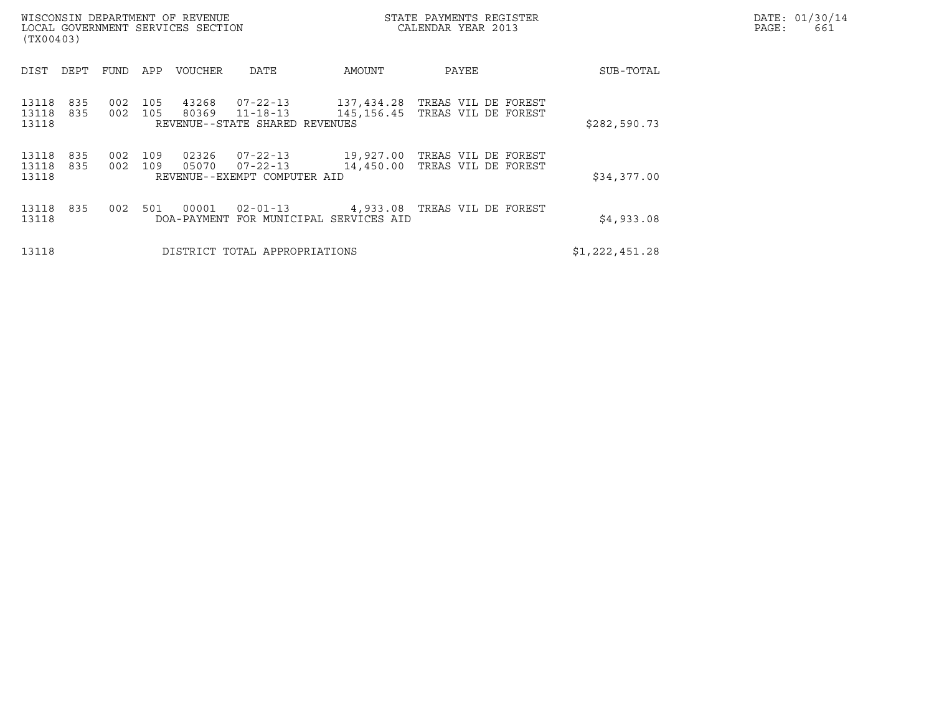| WISCONSIN DEPARTMENT OF REVENUE<br>LOCAL GOVERNMENT SERVICES SECTION<br>(TX00403) |            |            |                |                                                                  |                                                    | STATE PAYMENTS REGISTER<br>CALENDAR YEAR 2013         |                | DATE: 01/30/14<br>PAGE:<br>661 |
|-----------------------------------------------------------------------------------|------------|------------|----------------|------------------------------------------------------------------|----------------------------------------------------|-------------------------------------------------------|----------------|--------------------------------|
| DIST<br>DEPT                                                                      | FUND       | APP        | VOUCHER        | DATE                                                             | AMOUNT                                             | PAYEE                                                 | SUB-TOTAL      |                                |
| 13118<br>835<br>13118<br>835<br>13118                                             | 002<br>002 | 105<br>105 | 43268<br>80369 | 07-22-13<br>$11 - 18 - 13$<br>REVENUE--STATE SHARED REVENUES     | 137,434.28                                         | TREAS VIL DE FOREST<br>145,156.45 TREAS VIL DE FOREST | \$282,590.73   |                                |
| 13118<br>835<br>13118<br>835<br>13118                                             | 002<br>002 | 109<br>109 | 02326<br>05070 | $07 - 22 - 13$<br>$07 - 22 - 13$<br>REVENUE--EXEMPT COMPUTER AID | 19,927.00<br>14,450.00                             | TREAS VIL DE FOREST<br>TREAS VIL DE FOREST            | \$34,377.00    |                                |
| 13118<br>835<br>13118                                                             | 002        | 501        | 00001          | $02 - 01 - 13$                                                   | 4,933.08<br>DOA-PAYMENT FOR MUNICIPAL SERVICES AID | TREAS VIL DE FOREST                                   | \$4,933.08     |                                |
| 13118                                                                             |            |            |                | DISTRICT TOTAL APPROPRIATIONS                                    |                                                    |                                                       | \$1,222,451.28 |                                |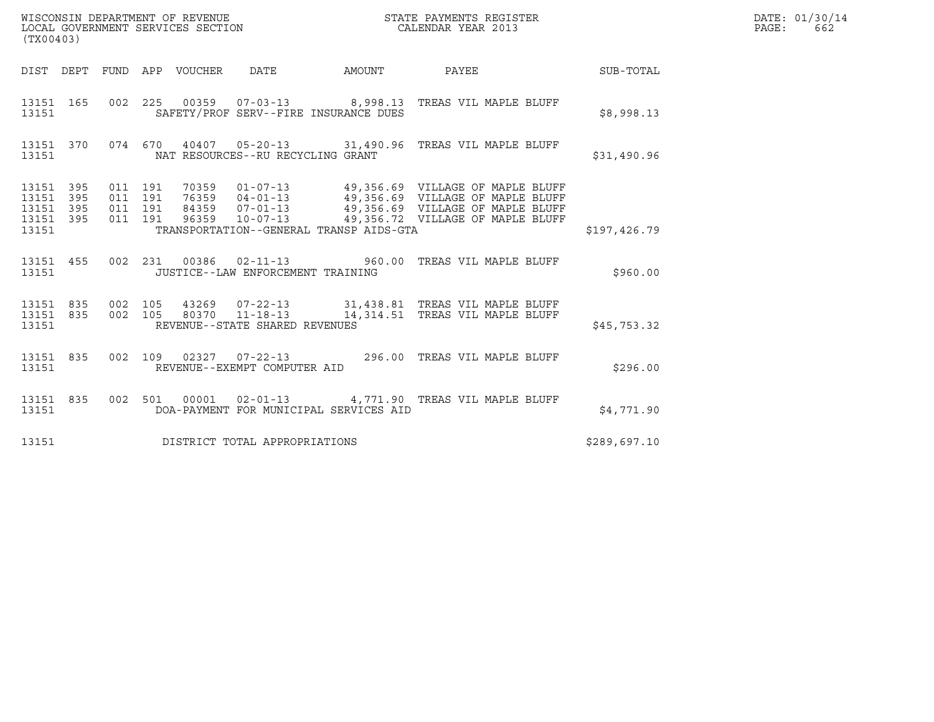| (TX00403)                           |           |                                          |  |                                         | WISCONSIN DEPARTMENT OF REVENUE ${\small \begin{array}{ll} \texttt{STATE} \texttt{ PAYMENTS} \texttt{ REGISTER} \\ \texttt{LCAL} \texttt{ GOVERNMENT} \texttt{SERVICES} \texttt{SECTION} \end{array}}$                   |              | DATE: 01/30/14<br>PAGE:<br>662 |
|-------------------------------------|-----------|------------------------------------------|--|-----------------------------------------|--------------------------------------------------------------------------------------------------------------------------------------------------------------------------------------------------------------------------|--------------|--------------------------------|
|                                     |           |                                          |  |                                         | DIST DEPT FUND APP VOUCHER DATE AMOUNT PAYEE THE SUB-TOTAL                                                                                                                                                               |              |                                |
| 13151                               |           |                                          |  | SAFETY/PROF SERV--FIRE INSURANCE DUES   | 13151 165 002 225 00359 07-03-13 8,998.13 TREAS VIL MAPLE BLUFF                                                                                                                                                          | \$8,998.13   |                                |
| 13151                               |           |                                          |  | NAT RESOURCES--RU RECYCLING GRANT       | 13151 370 074 670 40407 05-20-13 31,490.96 TREAS VIL MAPLE BLUFF                                                                                                                                                         | \$31,490.96  |                                |
| 13151 395<br>13151 395<br>13151 395 | 13151 395 | 011 191<br>011 191<br>011 191<br>011 191 |  |                                         | 70359  01-07-13  49,356.69  VILLAGE OF MAPLE BLUFF<br>76359  04-01-13  49,356.69  VILLAGE OF MAPLE BLUFF<br>84359  07-01-13  49,356.69  VILLAGE OF MAPLE BLUFF<br>96359  10-07-13   49,356.72  VILLAGE OF MAPLE BLUFF    |              |                                |
| 13151                               |           |                                          |  | TRANSPORTATION--GENERAL TRANSP AIDS-GTA |                                                                                                                                                                                                                          | \$197,426.79 |                                |
|                                     |           |                                          |  | JUSTICE--LAW ENFORCEMENT TRAINING       | 13151 455 002 231 00386 02-11-13 960.00 TREAS VIL MAPLE BLUFF                                                                                                                                                            | \$960.00     |                                |
|                                     | 13151     |                                          |  | REVENUE--STATE SHARED REVENUES          | $\begin{array}{cccccccc} 13151 & 835 & 002 & 105 & 43269 & 07-22-13 & & 31,438.81 & \text{TREAS VIL MAPLE BLUFF} \\ 13151 & 835 & 002 & 105 & 80370 & 11-18-13 & & 14,314.51 & \text{TREAS VIL MAPLE BLUFF} \end{array}$ | \$45,753.32  |                                |
|                                     |           |                                          |  |                                         | 13151 835 002 109 02327 07-22-13 296.00 TREAS VIL MAPLE BLUFF 13151 REVENUE--EXEMPT COMPUTER AID                                                                                                                         | \$296.00     |                                |
| 13151                               |           |                                          |  | DOA-PAYMENT FOR MUNICIPAL SERVICES AID  | 13151 835 002 501 00001 02-01-13 4,771.90 TREAS VIL MAPLE BLUFF                                                                                                                                                          | \$4,771.90   |                                |
| 13151                               |           |                                          |  | DISTRICT TOTAL APPROPRIATIONS           |                                                                                                                                                                                                                          | \$289,697.10 |                                |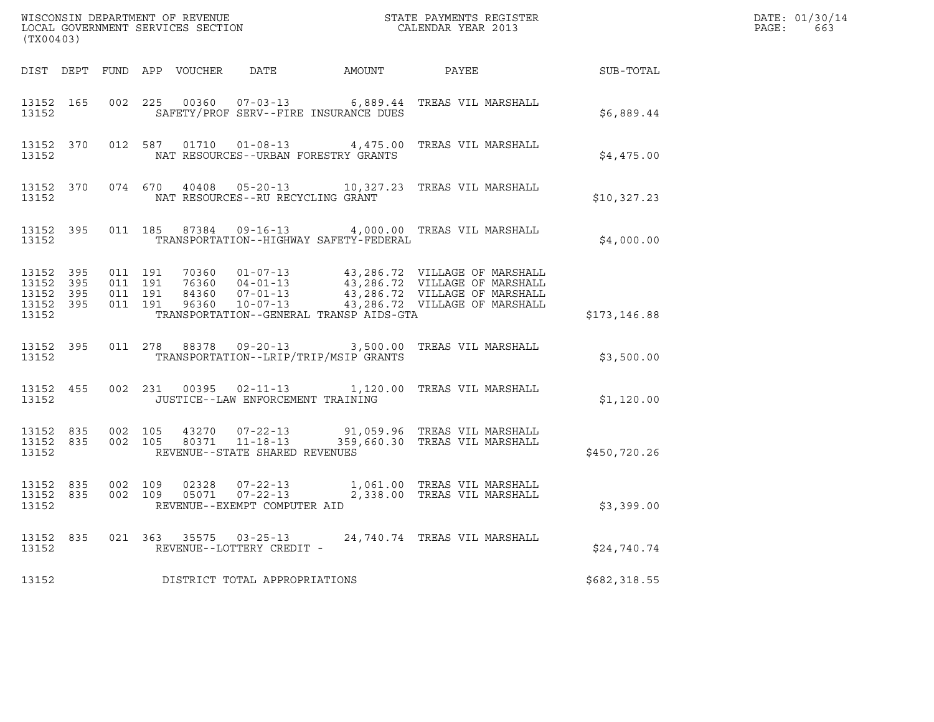| (TX00403)                                    |                                |         |                               |                                         |                                                                                                                                                                                                          |               | DATE: 01/30/14<br>$\mathtt{PAGE:}$<br>663 |
|----------------------------------------------|--------------------------------|---------|-------------------------------|-----------------------------------------|----------------------------------------------------------------------------------------------------------------------------------------------------------------------------------------------------------|---------------|-------------------------------------------|
|                                              |                                |         |                               |                                         | DIST DEPT FUND APP VOUCHER DATE AMOUNT PAYEE THE SUB-TOTAL                                                                                                                                               |               |                                           |
| 13152                                        | 13152 165                      |         |                               | SAFETY/PROF SERV--FIRE INSURANCE DUES   | 002 225 00360 07-03-13 6,889.44 TREAS VIL MARSHALL                                                                                                                                                       | \$6,889.44    |                                           |
| 13152                                        |                                |         |                               | NAT RESOURCES--URBAN FORESTRY GRANTS    | 13152 370 012 587 01710 01-08-13 4,475.00 TREAS VIL MARSHALL                                                                                                                                             | \$4,475.00    |                                           |
| 13152                                        |                                |         |                               | NAT RESOURCES--RU RECYCLING GRANT       | 13152 370 074 670 40408 05-20-13 10,327.23 TREAS VIL MARSHALL                                                                                                                                            | \$10,327.23   |                                           |
| 13152                                        |                                |         |                               | TRANSPORTATION--HIGHWAY SAFETY-FEDERAL  | 13152 395 011 185 87384 09-16-13 4,000.00 TREAS VIL MARSHALL                                                                                                                                             | \$4,000.00    |                                           |
| 13152 395<br>13152 395<br>13152 395<br>13152 | 13152 395                      | 011 191 | 011 191<br>011 191<br>011 191 | TRANSPORTATION--GENERAL TRANSP AIDS-GTA | 70360  01-07-13  43,286.72  VILLAGE OF MARSHALL<br>76360  04-01-13  43,286.72  VILLAGE OF MARSHALL<br>84360  07-01-13  43,286.72  VILLAGE OF MARSHALL<br>96360  10-07-13  43,286.72  VILLAGE OF MARSHALL | \$173, 146.88 |                                           |
| 13152                                        | 13152 395                      |         |                               | TRANSPORTATION--LRIP/TRIP/MSIP GRANTS   | 011 278 88378 09-20-13 3,500.00 TREAS VIL MARSHALL                                                                                                                                                       | \$3,500.00    |                                           |
| 13152                                        | 13152 455                      |         |                               | JUSTICE--LAW ENFORCEMENT TRAINING       | 002 231 00395 02-11-13 1,120.00 TREAS VIL MARSHALL                                                                                                                                                       | \$1,120.00    |                                           |
| 13152                                        |                                |         |                               | REVENUE--STATE SHARED REVENUES          | 13152 835 002 105 43270 07-22-13 91,059.96 TREAS VIL MARSHALL<br>13152 835 002 105 80371 11-18-13 359,660.30 TREAS VIL MARSHALL                                                                          | \$450,720.26  |                                           |
| 13152                                        | 13152 835 002 109<br>13152 835 |         |                               | REVENUE--EXEMPT COMPUTER AID            | 002 109 02328 07-22-13 1,061.00 TREAS VIL MARSHALL<br>002 109 05071 07-22-13 2,338.00 TREAS VIL MARSHALL                                                                                                 | \$3,399.00    |                                           |
| 13152                                        |                                |         |                               | REVENUE--LOTTERY CREDIT -               | 13152 835 021 363 35575 03-25-13 24,740.74 TREAS VIL MARSHALL                                                                                                                                            | \$24,740.74   |                                           |
| 13152                                        |                                |         |                               | DISTRICT TOTAL APPROPRIATIONS           |                                                                                                                                                                                                          | \$682,318.55  |                                           |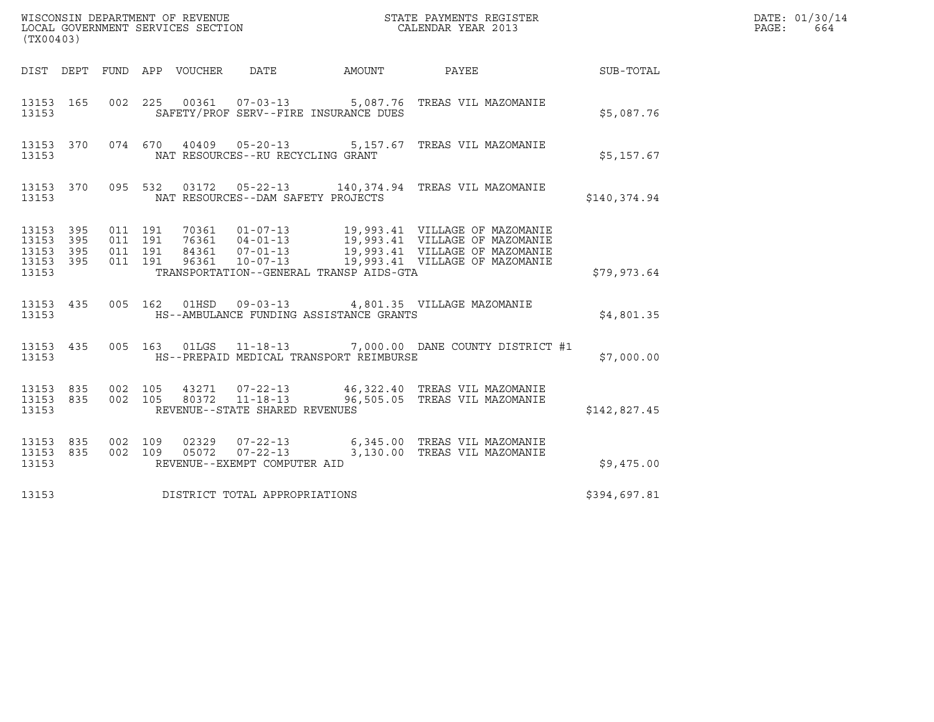| (TX00403)                                         |            |                                          |         |                            |                                                  |        |                                                                       |              | DATE: 01/30/14<br>PAGE:<br>664 |
|---------------------------------------------------|------------|------------------------------------------|---------|----------------------------|--------------------------------------------------|--------|-----------------------------------------------------------------------|--------------|--------------------------------|
|                                                   |            |                                          |         | DIST DEPT FUND APP VOUCHER | DATE                                             | AMOUNT | PAYEE                                                                 | SUB-TOTAL    |                                |
| 13153 165<br>13153                                |            |                                          |         |                            | SAFETY/PROF SERV--FIRE INSURANCE DUES            |        | 002 225 00361 07-03-13 5,087.76 TREAS VIL MAZOMANIE                   | \$5,087.76   |                                |
| 13153 370<br>13153                                |            |                                          |         |                            | NAT RESOURCES--RU RECYCLING GRANT                |        | 074 670 40409 05-20-13 5,157.67 TREAS VIL MAZOMANIE                   | \$5,157.67   |                                |
| 13153                                             |            |                                          |         |                            | NAT RESOURCES--DAM SAFETY PROJECTS               |        | 13153 370 095 532 03172 05-22-13 140,374.94 TREAS VIL MAZOMANIE       | \$140,374.94 |                                |
| 13153 395<br>13153<br>13153<br>13153 395<br>13153 | 395<br>395 | 011 191<br>011 191<br>011 191<br>011 191 |         |                            | TRANSPORTATION--GENERAL TRANSP AIDS-GTA          |        |                                                                       | \$79,973.64  |                                |
| 13153 435<br>13153                                |            |                                          |         | 005 162 01HSD              | HS--AMBULANCE FUNDING ASSISTANCE GRANTS          |        | 09-03-13 4,801.35 VILLAGE MAZOMANIE                                   | \$4,801.35   |                                |
| 13153 435<br>13153                                |            |                                          |         |                            | HS--PREPAID MEDICAL TRANSPORT REIMBURSE          |        | 005 163 01LGS 11-18-13 7,000.00 DANE COUNTY DISTRICT #1               | \$7,000.00   |                                |
| 13153 835<br>13153 835<br>13153                   |            | 002 105<br>002 105                       |         | 80372                      | $11 - 18 - 13$<br>REVENUE--STATE SHARED REVENUES |        | 46,322.40 TREAS VIL MAZOMANIE<br>96,505.05 TREAS VIL MAZOMANIE        | \$142,827.45 |                                |
| 13153 835<br>13153 835<br>13153                   |            | 002 109                                  | 002 109 | 02329                      | 05072 07-22-13<br>REVENUE--EXEMPT COMPUTER AID   |        | 07-22-13 6,345.00 TREAS VIL MAZOMANIE<br>3,130.00 TREAS VIL MAZOMANIE | \$9,475.00   |                                |
| 13153                                             |            |                                          |         |                            | DISTRICT TOTAL APPROPRIATIONS                    |        |                                                                       | \$394,697.81 |                                |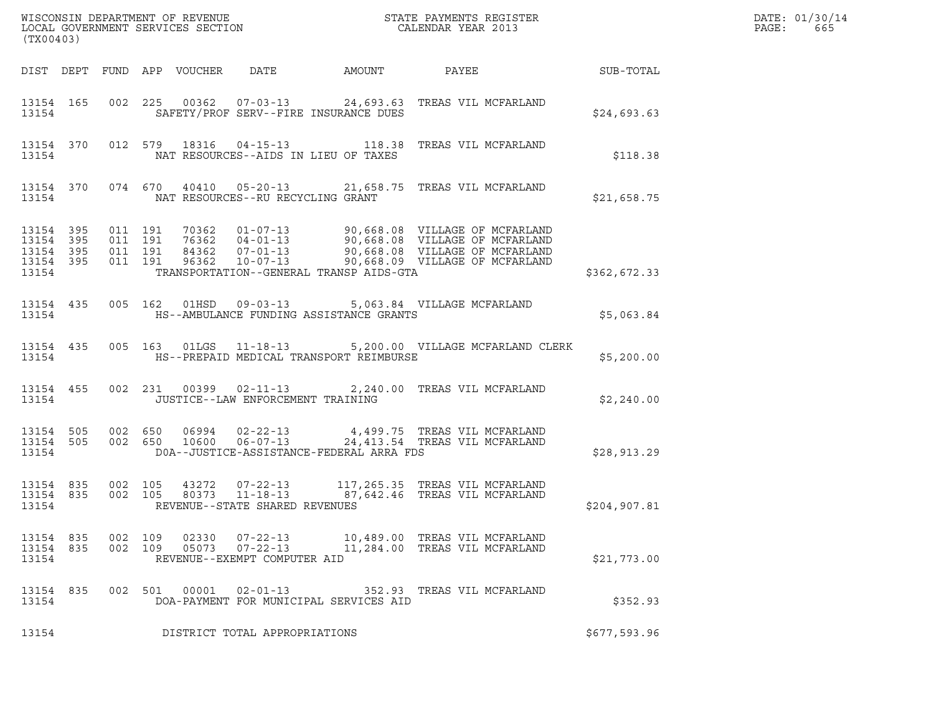| (TX00403)                                                         |                    |         |                                                                  |                                                                                                                                 |               | DATE: 01/30/14<br>PAGE:<br>665 |
|-------------------------------------------------------------------|--------------------|---------|------------------------------------------------------------------|---------------------------------------------------------------------------------------------------------------------------------|---------------|--------------------------------|
|                                                                   |                    |         | DIST DEPT FUND APP VOUCHER DATE AMOUNT                           | PAYEE SUB-TOTAL                                                                                                                 |               |                                |
| 13154                                                             |                    |         | SAFETY/PROF SERV--FIRE INSURANCE DUES                            | 13154 165 002 225 00362 07-03-13 24,693.63 TREAS VIL MCFARLAND                                                                  | \$24,693.63   |                                |
| 13154                                                             |                    |         | NAT RESOURCES--AIDS IN LIEU OF TAXES                             | 13154 370 012 579 18316 04-15-13 118.38 TREAS VIL MCFARLAND                                                                     | \$118.38      |                                |
| 13154                                                             |                    |         | NAT RESOURCES--RU RECYCLING GRANT                                | 13154 370 074 670 40410 05-20-13 21,658.75 TREAS VIL MCFARLAND                                                                  | \$21,658.75   |                                |
| 13154 395 011 191<br>13154 395<br>13154 395<br>13154 395<br>13154 | 011 191<br>011 191 | 011 191 | TRANSPORTATION--GENERAL TRANSP AIDS-GTA                          |                                                                                                                                 | \$362,672.33  |                                |
| 13154                                                             |                    |         | HS--AMBULANCE FUNDING ASSISTANCE GRANTS                          | 13154 435 005 162 01HSD 09-03-13 5,063.84 VILLAGE MCFARLAND                                                                     | \$5,063.84    |                                |
| 13154                                                             |                    |         | HS--PREPAID MEDICAL TRANSPORT REIMBURSE                          | 13154 435 005 163 01LGS 11-18-13 5,200.00 VILLAGE MCFARLAND CLERK                                                               | \$5,200.00    |                                |
| 13154 455<br>13154                                                |                    |         | JUSTICE--LAW ENFORCEMENT TRAINING                                | 002 231 00399 02-11-13 2,240.00 TREAS VIL MCFARLAND                                                                             | \$2,240.00    |                                |
| 13154                                                             |                    |         | DOA--JUSTICE-ASSISTANCE-FEDERAL ARRA FDS                         | 13154 505 002 650 06994 02-22-13 4,499.75 TREAS VIL MCFARLAND<br>13154 505 002 650 10600 06-07-13 24,413.54 TREAS VIL MCFARLAND | \$28,913.29   |                                |
| 13154 835 002 105<br>13154 835<br>13154                           |                    |         | REVENUE--STATE SHARED REVENUES                                   | 002 105 43272 07-22-13 117,265.35 TREAS VIL MCFARLAND<br>002 105 80373 11-18-13 87,642.46 TREAS VIL MCFARLAND                   | \$204, 907.81 |                                |
| 13154 835<br>13154 835<br>13154                                   | 002 109<br>002 109 |         | REVENUE--EXEMPT COMPUTER AID                                     | 02330  07-22-13  10,489.00  TREAS VIL MCFARLAND<br>11,284.00 TREAS VIL MCFARLAND                                                | \$21,773.00   |                                |
| 13154 835<br>13154                                                |                    |         | 002 501 00001 02-01-13<br>DOA-PAYMENT FOR MUNICIPAL SERVICES AID | 352.93 TREAS VIL MCFARLAND                                                                                                      | \$352.93      |                                |
| 13154                                                             |                    |         | DISTRICT TOTAL APPROPRIATIONS                                    |                                                                                                                                 | \$677,593.96  |                                |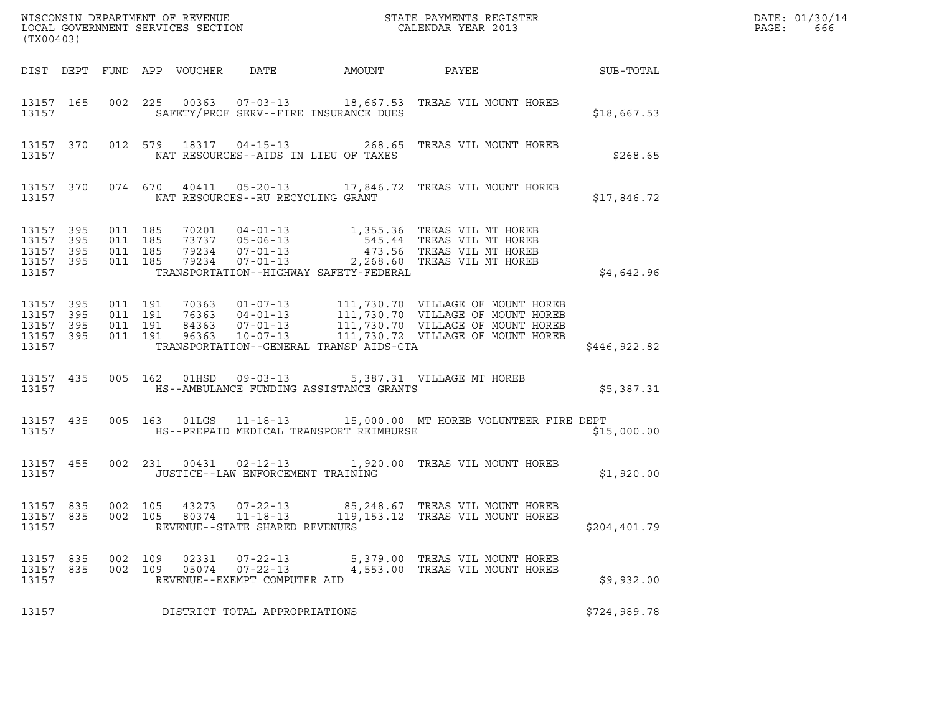| (TX00403)                                                 |                                          |                |                                                                    |                                         |                                                                                                                                                                                            |               | DATE: 01/30/14<br>PAGE:<br>666 |
|-----------------------------------------------------------|------------------------------------------|----------------|--------------------------------------------------------------------|-----------------------------------------|--------------------------------------------------------------------------------------------------------------------------------------------------------------------------------------------|---------------|--------------------------------|
|                                                           |                                          |                |                                                                    |                                         |                                                                                                                                                                                            |               |                                |
| 13157 165<br>13157                                        |                                          |                |                                                                    | SAFETY/PROF SERV--FIRE INSURANCE DUES   | 002 225 00363 07-03-13 18,667.53 TREAS VIL MOUNT HOREB                                                                                                                                     | \$18,667.53   |                                |
| 13157                                                     |                                          |                | NAT RESOURCES--AIDS IN LIEU OF TAXES                               |                                         | 13157 370 012 579 18317 04-15-13 268.65 TREAS VIL MOUNT HOREB                                                                                                                              | \$268.65      |                                |
| 13157                                                     |                                          |                | NAT RESOURCES--RU RECYCLING GRANT                                  |                                         | 13157 370 074 670 40411 05-20-13 17,846.72 TREAS VIL MOUNT HOREB                                                                                                                           | \$17,846.72   |                                |
| 13157 395<br>13157 395<br>13157 395<br>13157 395<br>13157 | 011 185<br>011 185<br>011 185<br>011 185 |                |                                                                    | TRANSPORTATION--HIGHWAY SAFETY-FEDERAL  | 70201  04-01-13  1,355.36 TREAS VIL MT HOREB<br>73737  05-06-13  545.44 TREAS VIL MT HOREB<br>79234  07-01-13  2,268.60 TREAS VIL MT HOREB<br>79234  07-01-13  2,268.60 TREAS VIL MT HOREB | \$4,642.96    |                                |
| 13157 395<br>13157 395<br>13157 395<br>13157 395<br>13157 | 011 191<br>011 191<br>011 191<br>011 191 |                |                                                                    | TRANSPORTATION--GENERAL TRANSP AIDS-GTA |                                                                                                                                                                                            | \$446,922.82  |                                |
| 13157                                                     |                                          |                |                                                                    | HS--AMBULANCE FUNDING ASSISTANCE GRANTS | 13157 435 005 162 01HSD 09-03-13 5,387.31 VILLAGE MT HOREB                                                                                                                                 | \$5,387.31    |                                |
| 13157                                                     |                                          |                |                                                                    | HS--PREPAID MEDICAL TRANSPORT REIMBURSE | 13157 435 005 163 01LGS 11-18-13 15,000.00 MT HOREB VOLUNTEER FIRE DEPT                                                                                                                    | \$15,000.00   |                                |
| 13157                                                     |                                          |                | JUSTICE--LAW ENFORCEMENT TRAINING                                  |                                         | 13157 455 002 231 00431 02-12-13 1,920.00 TREAS VIL MOUNT HOREB                                                                                                                            | \$1,920.00    |                                |
| 13157 835<br>13157                                        | 002 105                                  |                | 13157 835 002 105 43273 07-22-13<br>REVENUE--STATE SHARED REVENUES |                                         | 85,248.67   TREAS VIL MOUNT HOREB<br>80374   11-18-13   119,153.12   TREAS   VIL MOUNT HOREB                                                                                               | \$204, 401.79 |                                |
| 13157 835<br>13157 835<br>13157                           | 002 109<br>002 109                       | 02331<br>05074 | 07-22-13<br>$07 - 22 - 13$<br>REVENUE--EXEMPT COMPUTER AID         |                                         | 5,379.00 TREAS VIL MOUNT HOREB<br>4,553.00 TREAS VIL MOUNT HOREB                                                                                                                           | \$9,932.00    |                                |
| 13157                                                     |                                          |                | DISTRICT TOTAL APPROPRIATIONS                                      |                                         |                                                                                                                                                                                            | \$724,989.78  |                                |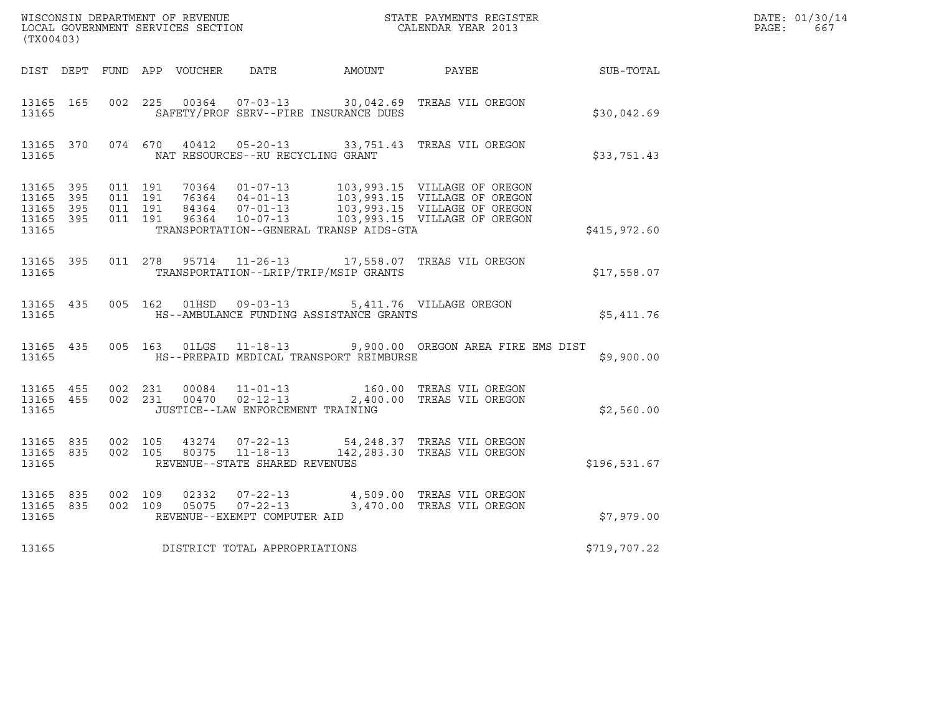| (TX00403)                                    |                        |                               |         |                |                                   |                                              | WISCONSIN DEPARTMENT OF REVENUE<br>LOCAL GOVERNMENT SERVICES SECTION<br>CALENDAR YEAR 2013                                                                                                           |              | DATE: 01/30/14<br>$\mathtt{PAGE:}$<br>667 |
|----------------------------------------------|------------------------|-------------------------------|---------|----------------|-----------------------------------|----------------------------------------------|------------------------------------------------------------------------------------------------------------------------------------------------------------------------------------------------------|--------------|-------------------------------------------|
|                                              |                        |                               |         |                |                                   | DIST DEPT FUND APP VOUCHER DATE AMOUNT PAYEE |                                                                                                                                                                                                      | SUB-TOTAL    |                                           |
| 13165 165<br>13165                           |                        |                               |         |                |                                   | SAFETY/PROF SERV--FIRE INSURANCE DUES        | 002 225 00364 07-03-13 30,042.69 TREAS VIL OREGON                                                                                                                                                    | \$30,042.69  |                                           |
|                                              | 13165                  |                               |         |                | NAT RESOURCES--RU RECYCLING GRANT |                                              | 13165 370 074 670 40412 05-20-13 33,751.43 TREAS VIL OREGON                                                                                                                                          | \$33,751.43  |                                           |
| 13165 395<br>13165 395<br>13165 395<br>13165 | 13165 395              | 011 191<br>011 191<br>011 191 | 011 191 |                |                                   | TRANSPORTATION--GENERAL TRANSP AIDS-GTA      | 70364  01-07-13  103,993.15  VILLAGE OF OREGON<br>76364  04-01-13  103,993.15  VILLAGE OF OREGON<br>84364  07-01-13  103,993.15  VILLAGE OF OREGON<br>96364  10-07-13  103,993.15  VILLAGE OF OREGON | \$415,972.60 |                                           |
| 13165                                        | 13165 395              |                               |         |                |                                   | TRANSPORTATION--LRIP/TRIP/MSIP GRANTS        | 011  278  95714  11-26-13  17,558.07  TREAS VIL OREGON                                                                                                                                               | \$17,558.07  |                                           |
| 13165                                        | 13165 435              |                               |         |                | 005 162 01HSD 09-03-13            | HS--AMBULANCE FUNDING ASSISTANCE GRANTS      | 5,411.76 VILLAGE OREGON                                                                                                                                                                              | \$5,411.76   |                                           |
| 13165                                        | 13165 435              |                               |         |                |                                   | HS--PREPAID MEDICAL TRANSPORT REIMBURSE      | 005 163 01LGS 11-18-13 9,900.00 OREGON AREA FIRE EMS DIST                                                                                                                                            | \$9,900.00   |                                           |
| 13165                                        | 13165 455<br>13165 455 | 002 231                       | 002 231 |                | JUSTICE--LAW ENFORCEMENT TRAINING |                                              | 00084  11-01-13  160.00  TREAS VIL OREGON<br>00470  02-12-13  2,400.00 TREAS VIL OREGON                                                                                                              | \$2,560.00   |                                           |
| 13165                                        | 13165 835              | 13165 835 002 105             |         |                | REVENUE--STATE SHARED REVENUES    |                                              | 002 105  43274  07-22-13  54,248.37 TREAS VIL OREGON   002  105  80375  11-18-13  142,283.30 TREAS VIL OREGON                                                                                        | \$196,531.67 |                                           |
| 13165 835<br>13165                           |                        | 13165 835 002 109<br>002 109  |         | 02332<br>05075 | REVENUE--EXEMPT COMPUTER AID      |                                              | 07-22-13 4,509.00 TREAS VIL OREGON<br>07-22-13 3,470.00 TREAS VIL OREGON                                                                                                                             | \$7,979.00   |                                           |
| 13165                                        |                        |                               |         |                | DISTRICT TOTAL APPROPRIATIONS     |                                              |                                                                                                                                                                                                      | \$719,707.22 |                                           |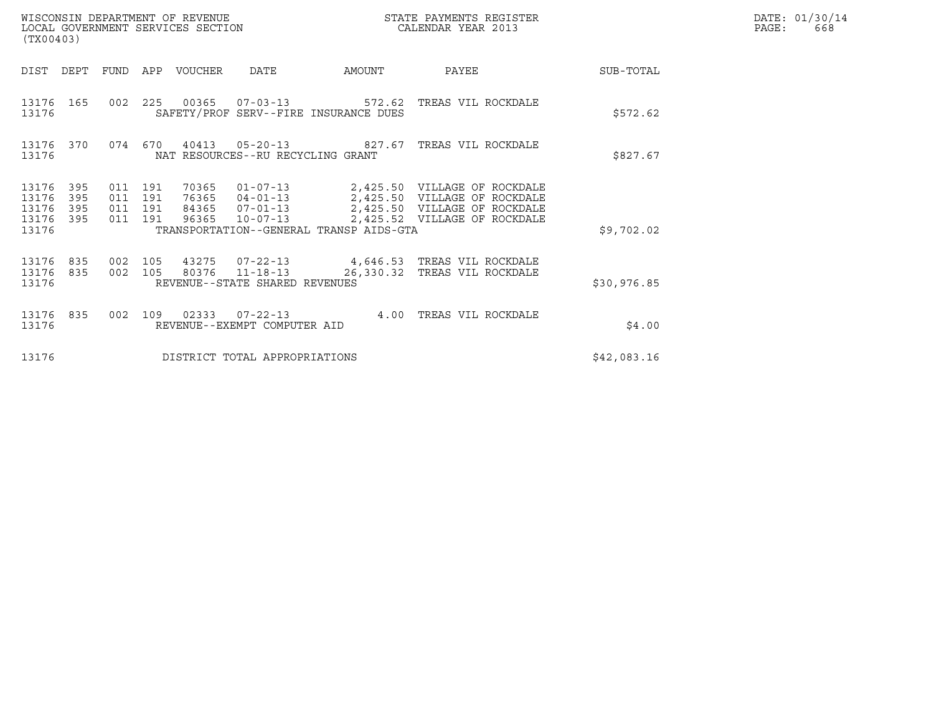| DATE: | 01/30/14 |
|-------|----------|
| PAGE: | 668      |

| WISCONSIN DEPARTMENT OF REVENUE<br>LOCAL GOVERNMENT SERVICES SECTION<br>(TX00403)                              |                                                                                                                                                                   |           | STATE PAYMENTS REGISTER<br>CALENDAR YEAR 2013                                                |             | DATE: 01/30/14<br>PAGE:<br>668 |
|----------------------------------------------------------------------------------------------------------------|-------------------------------------------------------------------------------------------------------------------------------------------------------------------|-----------|----------------------------------------------------------------------------------------------|-------------|--------------------------------|
| DIST<br>DEPT<br>FUND                                                                                           | APP VOUCHER<br>DATE                                                                                                                                               | AMOUNT    | PAYEE                                                                                        | SUB-TOTAL   |                                |
| 225<br>002<br>13176 165<br>13176                                                                               | SAFETY/PROF SERV--FIRE INSURANCE DUES                                                                                                                             |           |                                                                                              | \$572.62    |                                |
| 13176 370<br>13176                                                                                             | 074  670  40413  05-20-13  827.67  TREAS VIL ROCKDALE<br>NAT RESOURCES--RU RECYCLING GRANT                                                                        |           |                                                                                              | \$827.67    |                                |
| 395<br>011 191<br>13176<br>13176<br>395<br>011 191<br>395<br>011 191<br>13176<br>13176 395<br>011 191<br>13176 | 70365<br>01-07-13 2,425.50 VILLAGE OF ROCKDALE<br>76365<br>$04 - 01 - 13$<br>84365 07-01-13<br>96365<br>$10 - 07 - 13$<br>TRANSPORTATION--GENERAL TRANSP AIDS-GTA |           | 2,425.50 VILLAGE OF ROCKDALE<br>2,425.50 VILLAGE OF ROCKDALE<br>2,425.52 VILLAGE OF ROCKDALE | \$9,702.02  |                                |
|                                                                                                                |                                                                                                                                                                   |           |                                                                                              |             |                                |
| 002 105<br>13176 835<br>002 105<br>13176 835<br>13176                                                          | 43275 07-22-13<br>80376 11-18-13<br>REVENUE--STATE SHARED REVENUES                                                                                                | 26,330.32 | 4,646.53 TREAS VIL ROCKDALE<br>TREAS VIL ROCKDALE                                            | \$30,976.85 |                                |
| 13176 835<br>002<br>109<br>13176                                                                               | $02333007 - 22 - 13$<br>REVENUE--EXEMPT COMPUTER AID                                                                                                              | 4.00      | TREAS VIL ROCKDALE                                                                           | \$4.00      |                                |
| 13176                                                                                                          | DISTRICT TOTAL APPROPRIATIONS                                                                                                                                     |           |                                                                                              | \$42,083.16 |                                |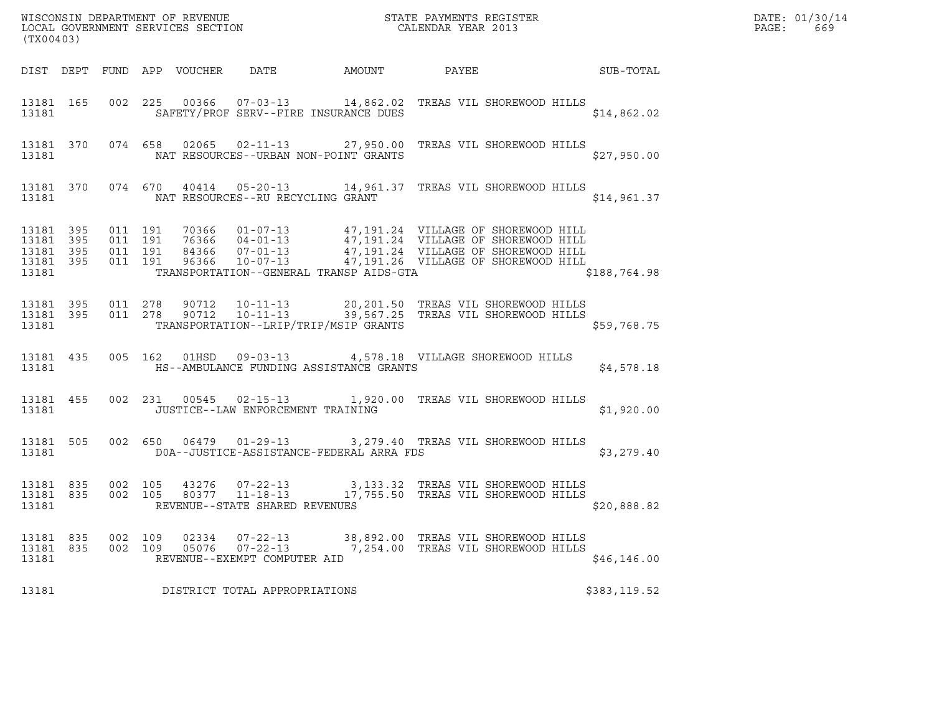| (TX00403)                       |                                |                |                    |                |                                                            |                                         | $\tt WISCONSIM$ DEPARTMENT OF REVENUE $$\tt STATE$ PAYMENTS REGISTER LOCAL GOVERNMENT SERVICES SECTION $$\tt CALEINDAR$ YEAR 2013                                                                                                |              | DATE: 01/30/14<br>PAGE:<br>669 |
|---------------------------------|--------------------------------|----------------|--------------------|----------------|------------------------------------------------------------|-----------------------------------------|----------------------------------------------------------------------------------------------------------------------------------------------------------------------------------------------------------------------------------|--------------|--------------------------------|
|                                 |                                |                |                    |                |                                                            |                                         | DIST DEPT FUND APP VOUCHER DATE AMOUNT PAYEE TO SUB-TOTAL                                                                                                                                                                        |              |                                |
|                                 | 13181                          |                |                    |                |                                                            | SAFETY/PROF SERV--FIRE INSURANCE DUES   | 13181 165 002 225 00366 07-03-13 14,862.02 TREAS VIL SHOREWOOD HILLS                                                                                                                                                             | \$14,862.02  |                                |
| 13181                           |                                |                |                    |                | NAT RESOURCES--URBAN NON-POINT GRANTS                      |                                         | 13181 370 074 658 02065 02-11-13 27,950.00 TREAS VIL SHOREWOOD HILLS                                                                                                                                                             | \$27,950.00  |                                |
|                                 |                                |                |                    |                | 13181 NAT RESOURCES--RU RECYCLING GRANT                    |                                         | 13181 370 074 670 40414 05-20-13 14,961.37 TREAS VIL SHOREWOOD HILLS                                                                                                                                                             | \$14,961.37  |                                |
| 13181 395<br>13181 395<br>13181 | 13181 395 011 191<br>13181 395 | 011 191        | 011 191<br>011 191 |                |                                                            | TRANSPORTATION--GENERAL TRANSP AIDS-GTA | 70366  01-07-13  47,191.24  VILLAGE OF SHOREWOOD HILL<br>76366  04-01-13  47,191.24  VILLAGE OF SHOREWOOD HILL<br>84366  07-01-13  47,191.24  VILLAGE OF SHOREWOOD HILL<br>96366  10-07-13  47,191.26  VILLAGE OF SHOREWOOD HILL | \$188,764.98 |                                |
| 13181                           |                                |                |                    |                | TRANSPORTATION--LRIP/TRIP/MSIP GRANTS                      |                                         | 13181 395 011 278 90712 10-11-13 20,201.50 TREAS VIL SHOREWOOD HILLS<br>13181 395 011 278 90712 10-11-13 39,567.25 TREAS VIL SHOREWOOD HILLS                                                                                     | \$59,768.75  |                                |
|                                 |                                |                |                    |                |                                                            |                                         | 13181 435 005 162 01HSD 09-03-13 4,578.18 VILLAGE SHOREWOOD HILLS                                                                                                                                                                | \$4,578.18   |                                |
|                                 | 13181 200                      |                |                    |                | JUSTICE--LAW ENFORCEMENT TRAINING                          |                                         | 13181 455 002 231 00545 02-15-13 1,920.00 TREAS VIL SHOREWOOD HILLS                                                                                                                                                              | \$1,920.00   |                                |
|                                 |                                |                |                    |                |                                                            |                                         | 13181 505 002 650 06479 01-29-13 3,279.40 TREAS VIL SHOREWOOD HILLS<br>13181                    DOA--JUSTICE-ASSISTANCE-FEDERAL ARRA FDS                                                                                         | \$3,279.40   |                                |
| 13181                           | 13181 835 002 105<br>13181 835 |                |                    |                | REVENUE--STATE SHARED REVENUES                             |                                         | 002 105 43276 07-22-13 3,133.32 TREAS VIL SHOREWOOD HILLS<br>002 105 80377 11-18-13 17,755.50 TREAS VIL SHOREWOOD HILLS                                                                                                          | \$20,888.82  |                                |
| 13181<br>13181<br>13181         | 835<br>835                     | 002<br>002 109 | 109                | 02334<br>05076 | $07 - 22 - 13$<br>07-22-13<br>REVENUE--EXEMPT COMPUTER AID |                                         | 38,892.00 TREAS VIL SHOREWOOD HILLS<br>7,254.00 TREAS VIL SHOREWOOD HILLS                                                                                                                                                        | \$46, 146.00 |                                |
| 13181                           |                                |                |                    |                | DISTRICT TOTAL APPROPRIATIONS                              |                                         |                                                                                                                                                                                                                                  | \$383,119.52 |                                |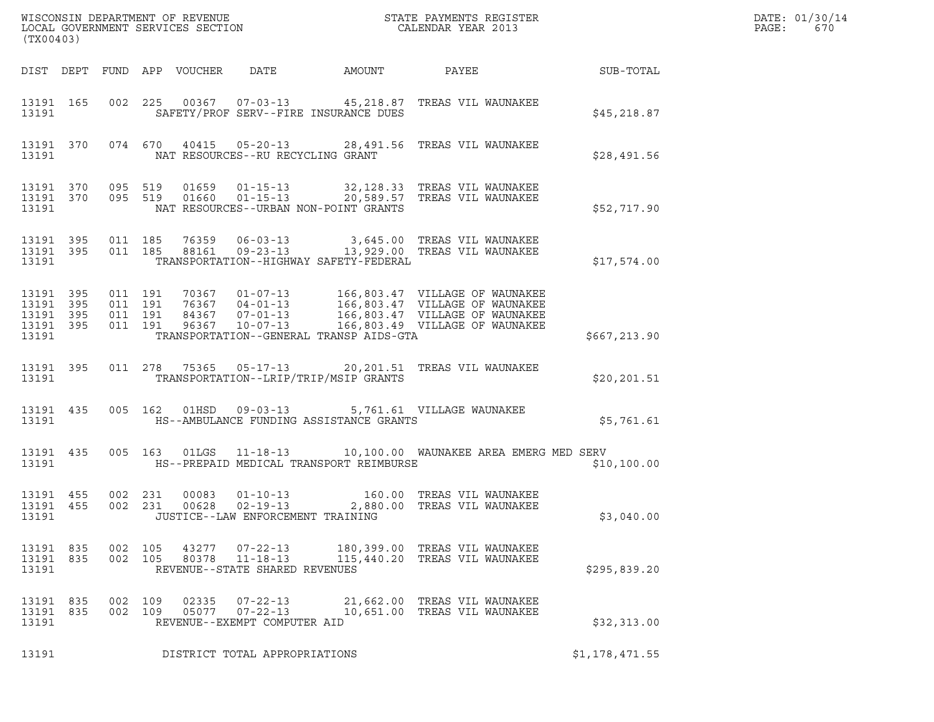| % WISCONSIN DEPARTMENT OF REVENUE $$\tt STATE$ PAYMENTS REGISTER LOCAL GOVERNMENT SERVICES SECTION $$\tt CALENDAR$ YEAR 2013<br>(TX00403) |  |                    |         |       |                                                                    |                                         |                                                                                                                                                      |                | DATE: 01/30/14<br>PAGE:<br>670 |
|-------------------------------------------------------------------------------------------------------------------------------------------|--|--------------------|---------|-------|--------------------------------------------------------------------|-----------------------------------------|------------------------------------------------------------------------------------------------------------------------------------------------------|----------------|--------------------------------|
|                                                                                                                                           |  |                    |         |       |                                                                    |                                         |                                                                                                                                                      |                |                                |
| 13191                                                                                                                                     |  |                    |         |       |                                                                    | SAFETY/PROF SERV--FIRE INSURANCE DUES   | 13191 165 002 225 00367 07-03-13 45,218.87 TREAS VIL WAUNAKEE                                                                                        | \$45,218.87    |                                |
| 13191                                                                                                                                     |  |                    |         |       | NAT RESOURCES--RU RECYCLING GRANT                                  |                                         | 13191 370 074 670 40415 05-20-13 28,491.56 TREAS VIL WAUNAKEE                                                                                        | \$28,491.56    |                                |
| 13191                                                                                                                                     |  |                    |         |       |                                                                    | NAT RESOURCES--URBAN NON-POINT GRANTS   | 13191 370 095 519 01659 01-15-13 32,128.33 TREAS VIL WAUNAKEE<br>13191 370 095 519 01660 01-15-13 20,589.57 TREAS VIL WAUNAKEE                       | \$52,717.90    |                                |
| 13191                                                                                                                                     |  |                    |         |       |                                                                    | TRANSPORTATION--HIGHWAY SAFETY-FEDERAL  | 13191 395 011 185 76359 06-03-13 3,645.00 TREAS VIL WAUNAKEE<br>13191 395 011 185 88161 09-23-13 13,929.00 TREAS VIL WAUNAKEE                        | \$17,574.00    |                                |
| 13191                                                                                                                                     |  |                    |         |       |                                                                    | TRANSPORTATION--GENERAL TRANSP AIDS-GTA |                                                                                                                                                      | \$667,213.90   |                                |
|                                                                                                                                           |  | 13191 13191        |         |       |                                                                    | TRANSPORTATION--LRIP/TRIP/MSIP GRANTS   | 13191 395 011 278 75365 05-17-13 20,201.51 TREAS VIL WAUNAKEE                                                                                        | \$20, 201.51   |                                |
|                                                                                                                                           |  |                    |         |       |                                                                    |                                         | 13191 435 005 162 01HSD 09-03-13 5,761.61 VILLAGE WAUNAKEE                                                                                           | \$5,761.61     |                                |
|                                                                                                                                           |  |                    |         |       |                                                                    |                                         | 13191 435 005 163 01LGS 11-18-13 10,100.00 WAUNAKEE AREA EMERG MED SERV<br>13191                             HS--PREPAID MEDICAL TRANSPORT REIMBURSE | \$10,100.00    |                                |
| 13191 455<br>13191 455<br>13191                                                                                                           |  | 002 231            | 002 231 |       | JUSTICE--LAW ENFORCEMENT TRAINING                                  |                                         |                                                                                                                                                      | \$3,040.00     |                                |
| 13191 835<br>13191 835<br>13191                                                                                                           |  | 002 105<br>002 105 |         |       | 43277 07-22-13<br>80378 11-18-13<br>REVENUE--STATE SHARED REVENUES |                                         | 180,399.00 TREAS VIL WAUNAKEE<br>115,440.20 TREAS VIL WAUNAKEE                                                                                       | \$295,839.20   |                                |
| 13191 835<br>13191 835<br>13191                                                                                                           |  | 002 109<br>002 109 |         | 02335 | $07 - 22 - 13$<br>05077 07-22-13<br>REVENUE--EXEMPT COMPUTER AID   |                                         | 21,662.00 TREAS VIL WAUNAKEE<br>10,651.00 TREAS VIL WAUNAKEE                                                                                         | \$32,313.00    |                                |
| 13191                                                                                                                                     |  |                    |         |       | DISTRICT TOTAL APPROPRIATIONS                                      |                                         |                                                                                                                                                      | \$1,178,471.55 |                                |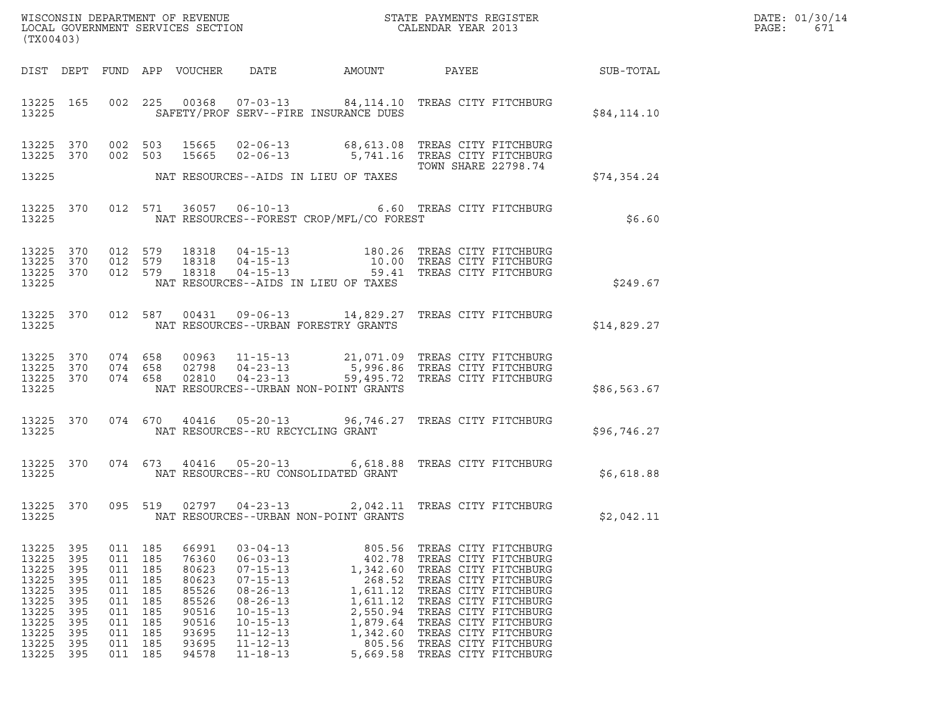| DATE: | 01/30/14 |
|-------|----------|
| PAGE: | 671      |

| (TX00403)                                                                                                                                                                    |                                               |                                                                                           |                                                                                                 |                                                                                                                                                                                                    |                                                                            |                                                                                                                                                                                                                                                                                                        |                                                        | DATE: 01/30/14<br>PAGE:<br>671 |
|------------------------------------------------------------------------------------------------------------------------------------------------------------------------------|-----------------------------------------------|-------------------------------------------------------------------------------------------|-------------------------------------------------------------------------------------------------|----------------------------------------------------------------------------------------------------------------------------------------------------------------------------------------------------|----------------------------------------------------------------------------|--------------------------------------------------------------------------------------------------------------------------------------------------------------------------------------------------------------------------------------------------------------------------------------------------------|--------------------------------------------------------|--------------------------------|
|                                                                                                                                                                              |                                               |                                                                                           |                                                                                                 |                                                                                                                                                                                                    |                                                                            |                                                                                                                                                                                                                                                                                                        | DIST DEPT FUND APP VOUCHER DATE AMOUNT PAYEE SUB-TOTAL |                                |
| 13225                                                                                                                                                                        |                                               |                                                                                           |                                                                                                 |                                                                                                                                                                                                    | SAFETY/PROF SERV--FIRE INSURANCE DUES                                      | 13225 165 002 225 00368 07-03-13 84,114.10 TREAS CITY FITCHBURG                                                                                                                                                                                                                                        | \$84,114.10                                            |                                |
| 13225 370<br>13225 370                                                                                                                                                       |                                               |                                                                                           |                                                                                                 |                                                                                                                                                                                                    |                                                                            | 002 503 15665 02-06-13 68,613.08 TREAS CITY FITCHBURG<br>002 503 15665 02-06-13 5,741.16 TREAS CITY FITCHBURG<br>TOWN SHARE 22798.74                                                                                                                                                                   |                                                        |                                |
| 13225                                                                                                                                                                        |                                               |                                                                                           |                                                                                                 |                                                                                                                                                                                                    | NAT RESOURCES--AIDS IN LIEU OF TAXES                                       |                                                                                                                                                                                                                                                                                                        | \$74,354.24                                            |                                |
| 13225                                                                                                                                                                        |                                               |                                                                                           |                                                                                                 |                                                                                                                                                                                                    | NAT RESOURCES--FOREST CROP/MFL/CO FOREST                                   | 13225 370 012 571 36057 06-10-13 6.60 TREAS CITY FITCHBURG                                                                                                                                                                                                                                             | \$6.60                                                 |                                |
| 13225 370<br>13225 370<br>13225 370<br>13225                                                                                                                                 |                                               |                                                                                           |                                                                                                 |                                                                                                                                                                                                    | NAT RESOURCES--AIDS IN LIEU OF TAXES                                       | 012 579 18318 04-15-13 180.26 TREAS CITY FITCHBURG<br>012 579 18318 04-15-13 10.00 TREAS CITY FITCHBURG<br>012 579 18318 04-15-13 59.41 TREAS CITY FITCHBURG                                                                                                                                           | \$249.67                                               |                                |
| 13225                                                                                                                                                                        |                                               |                                                                                           |                                                                                                 |                                                                                                                                                                                                    | NAT RESOURCES--URBAN FORESTRY GRANTS                                       | 13225 370 012 587 00431 09-06-13 14,829.27 TREAS CITY FITCHBURG                                                                                                                                                                                                                                        | \$14,829.27                                            |                                |
| 13225 370<br>13225 370<br>13225 370<br>13225                                                                                                                                 |                                               |                                                                                           |                                                                                                 |                                                                                                                                                                                                    | NAT RESOURCES--URBAN NON-POINT GRANTS                                      | 074 658 00963 11-15-13 21,071.09 TREAS CITY FITCHBURG<br>074 658 02798 04-23-13 5,996.86 TREAS CITY FITCHBURG<br>074 658 02810 04-23-13 59,495.72 TREAS CITY FITCHBURG                                                                                                                                 | \$86,563.67                                            |                                |
| 13225                                                                                                                                                                        |                                               |                                                                                           |                                                                                                 | NAT RESOURCES--RU RECYCLING GRANT                                                                                                                                                                  |                                                                            | 13225 370 074 670 40416 05-20-13 96,746.27 TREAS CITY FITCHBURG                                                                                                                                                                                                                                        | \$96,746.27                                            |                                |
| 13225                                                                                                                                                                        |                                               |                                                                                           |                                                                                                 |                                                                                                                                                                                                    | NAT RESOURCES--RU CONSOLIDATED GRANT                                       | 13225 370 074 673 40416 05-20-13 6,618.88 TREAS CITY FITCHBURG                                                                                                                                                                                                                                         | \$6,618.88                                             |                                |
| 13225                                                                                                                                                                        |                                               |                                                                                           |                                                                                                 | 13225 370 095 519 02797 04-23-13                                                                                                                                                                   | NAT RESOURCES--URBAN NON-POINT GRANTS                                      | 2,042.11 TREAS CITY FITCHBURG                                                                                                                                                                                                                                                                          | \$2,042.11                                             |                                |
| 13225<br>395<br>13225<br>395<br>13225<br>395<br>13225<br>395<br>13225<br>395<br>13225<br>395<br>13225<br>395<br>13225<br>395<br>13225<br>395<br>13225<br>395<br>13225<br>395 | 011<br>011<br>011<br>011<br>011<br>011<br>011 | 011 185<br>185<br>185<br>185<br>011 185<br>185<br>185<br>185<br>011 185<br>185<br>011 185 | 66991<br>76360<br>80623<br>80623<br>85526<br>85526<br>90516<br>90516<br>93695<br>93695<br>94578 | $03 - 04 - 13$<br>$06 - 03 - 13$<br>$07 - 15 - 13$<br>$07 - 15 - 13$<br>$08 - 26 - 13$<br>$08 - 26 - 13$<br>$10 - 15 - 13$<br>$10 - 15 - 13$<br>$11 - 12 - 13$<br>$11 - 12 - 13$<br>$11 - 18 - 13$ | 805.56<br>402.78<br>1,342.60<br>268.52<br>1,611.12<br>1,611.12<br>1,879.64 | TREAS CITY FITCHBURG<br>TREAS CITY FITCHBURG<br>TREAS CITY FITCHBURG<br>TREAS CITY FITCHBURG<br>TREAS CITY FITCHBURG<br>TREAS CITY FITCHBURG<br>2,550.94 TREAS CITY FITCHBURG<br>TREAS CITY FITCHBURG<br>1,342.60 TREAS CITY FITCHBURG<br>805.56 TREAS CITY FITCHBURG<br>5,669.58 TREAS CITY FITCHBURG |                                                        |                                |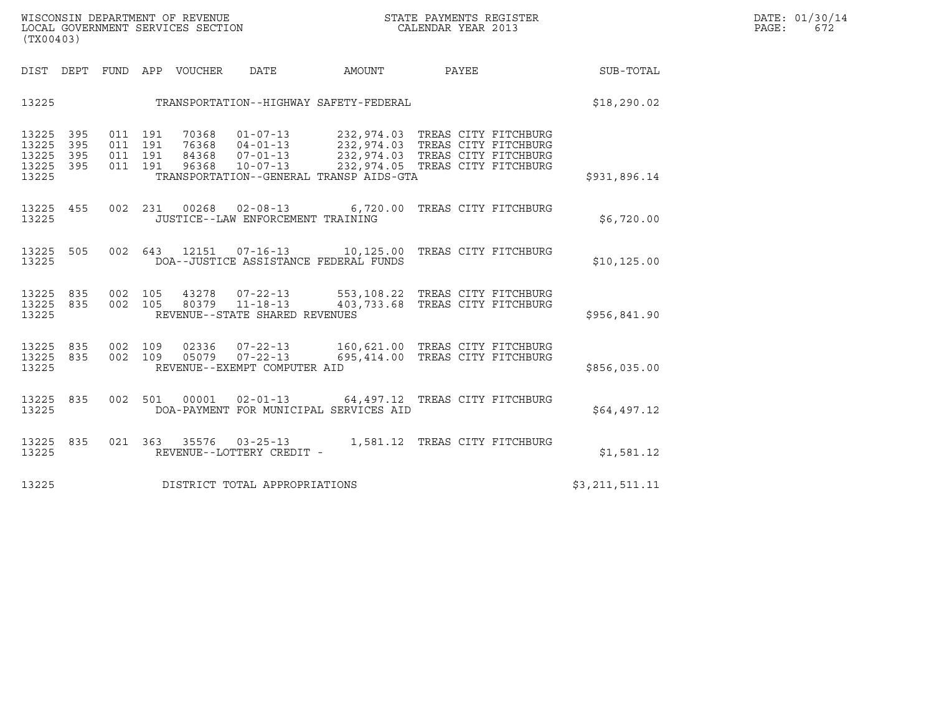| (TX00403)                                 |                          |                          |                          |                                  |                                                                      |                                                                                                                                                                                     |       |                      |                |  |
|-------------------------------------------|--------------------------|--------------------------|--------------------------|----------------------------------|----------------------------------------------------------------------|-------------------------------------------------------------------------------------------------------------------------------------------------------------------------------------|-------|----------------------|----------------|--|
| DIST                                      | DEPT                     | FUND                     | APP                      | VOUCHER                          | <b>DATE</b>                                                          | AMOUNT                                                                                                                                                                              | PAYEE |                      | SUB-TOTAL      |  |
| 13225                                     |                          |                          |                          |                                  |                                                                      | TRANSPORTATION--HIGHWAY SAFETY-FEDERAL                                                                                                                                              |       |                      | \$18, 290.02   |  |
| 13225<br>13225<br>13225<br>13225<br>13225 | 395<br>395<br>395<br>395 | 011<br>011<br>011<br>011 | 191<br>191<br>191<br>191 | 70368<br>76368<br>84368<br>96368 | $01 - 07 - 13$<br>$04 - 01 - 13$<br>$07 - 01 - 13$<br>$10 - 07 - 13$ | 232,974.03 TREAS CITY FITCHBURG<br>232,974.03 TREAS CITY FITCHBURG<br>232,974.03 TREAS CITY FITCHBURG<br>232,974.05 TREAS CITY FITCHBURG<br>TRANSPORTATION--GENERAL TRANSP AIDS-GTA |       |                      | \$931,896.14   |  |
| 13225<br>13225                            | 455                      | 002                      | 231                      | 00268                            | JUSTICE--LAW ENFORCEMENT TRAINING                                    | $02 - 08 - 13$ 6,720.00                                                                                                                                                             |       | TREAS CITY FITCHBURG | \$6,720.00     |  |
| 13225<br>13225                            | 505                      | 002                      | 643                      | 12151                            | $07 - 16 - 13$                                                       | 10,125.00 TREAS CITY FITCHBURG<br>DOA--JUSTICE ASSISTANCE FEDERAL FUNDS                                                                                                             |       |                      | \$10, 125.00   |  |
| 13225 835<br>13225<br>13225               | 835                      | 002<br>002               | 105<br>105               |                                  | 43278 07-22-13<br>80379 11-18-13<br>REVENUE--STATE SHARED REVENUES   | 553,108.22 TREAS CITY FITCHBURG<br>403,733.68 TREAS CITY FITCHBURG                                                                                                                  |       |                      | \$956,841.90   |  |
| 13225<br>13225<br>13225                   | 835<br>835               | 002<br>002               | 109<br>109               |                                  | 02336 07-22-13<br>05079 07-22-13<br>REVENUE--EXEMPT COMPUTER AID     | 160,621.00 TREAS CITY FITCHBURG<br>695,414.00                                                                                                                                       |       | TREAS CITY FITCHBURG | \$856,035.00   |  |
| 13225<br>13225                            | 835                      | 002                      | 501                      | 00001                            | $02 - 01 - 13$                                                       | 64,497.12 TREAS CITY FITCHBURG<br>DOA-PAYMENT FOR MUNICIPAL SERVICES AID                                                                                                            |       |                      | \$64,497.12    |  |
| 13225<br>13225                            | 835                      | 021                      | 363                      | 35576                            | $03 - 25 - 13$<br>REVENUE--LOTTERY CREDIT -                          | 1,581.12                                                                                                                                                                            |       | TREAS CITY FITCHBURG | \$1,581.12     |  |
| 13225                                     |                          |                          |                          |                                  | DISTRICT TOTAL APPROPRIATIONS                                        |                                                                                                                                                                                     |       |                      | \$3,211,511.11 |  |
|                                           |                          |                          |                          |                                  |                                                                      |                                                                                                                                                                                     |       |                      |                |  |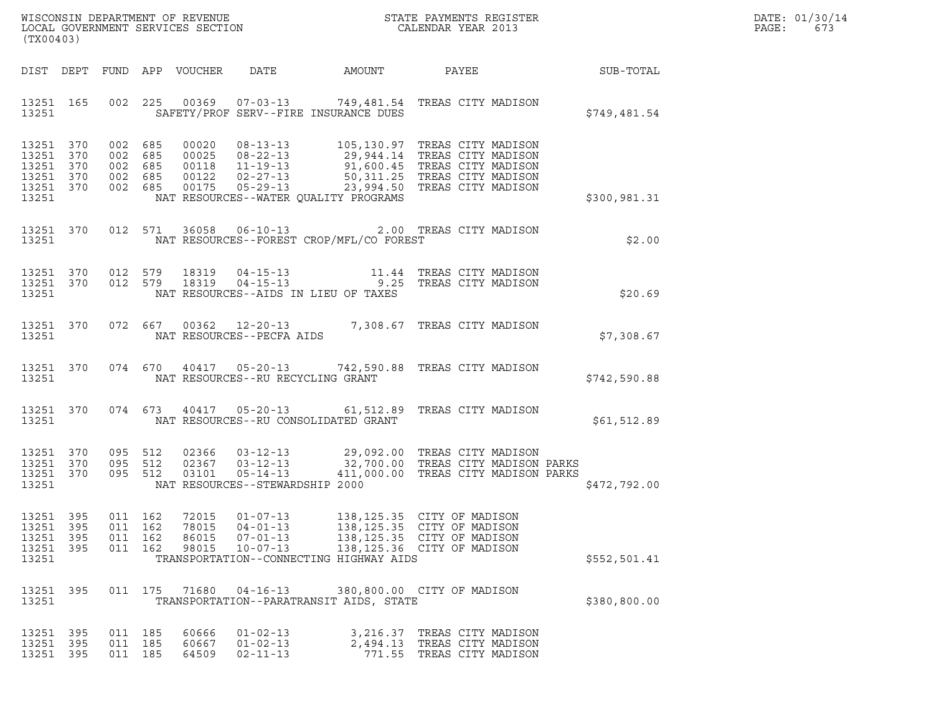|       | DATE: 01/30/14 |
|-------|----------------|
| PAGE: | 673            |

| (TX00403)                                                              |                   |                               |                   |                                  |                                                                      |                                            |                                                                                                                                                                                                                                        |              | DATE: 01/30/14<br>PAGE:<br>673 |
|------------------------------------------------------------------------|-------------------|-------------------------------|-------------------|----------------------------------|----------------------------------------------------------------------|--------------------------------------------|----------------------------------------------------------------------------------------------------------------------------------------------------------------------------------------------------------------------------------------|--------------|--------------------------------|
|                                                                        |                   |                               |                   | DIST DEPT FUND APP VOUCHER DATE  |                                                                      |                                            | AMOUNT PAYEE SUB-TOTAL                                                                                                                                                                                                                 |              |                                |
| 13251 165<br>13251                                                     |                   |                               |                   |                                  |                                                                      | SAFETY/PROF SERV--FIRE INSURANCE DUES      | 002 225 00369 07-03-13 749,481.54 TREAS CITY MADISON                                                                                                                                                                                   | \$749,481.54 |                                |
| 13251 370<br>13251 370<br>13251 370<br>13251 370<br>13251 370<br>13251 |                   |                               |                   |                                  |                                                                      | NAT RESOURCES--WATER QUALITY PROGRAMS      | 002 685 00020 08-13-13 105,130.97 TREAS CITY MADISON<br>002 685 00025 08-22-13 29,944.14 TREAS CITY MADISON<br>002 685 00118 11-19-13 91,600.45 TREAS CITY MADISON<br>002 685 00122 02-27-13 50,311.25 TREAS CITY MADISON<br>002 685 0 | \$300,981.31 |                                |
| 13251 370<br>13251                                                     |                   |                               |                   |                                  |                                                                      | NAT RESOURCES--FOREST CROP/MFL/CO FOREST   | 012 571 36058 06-10-13 2.00 TREAS CITY MADISON                                                                                                                                                                                         | \$2.00       |                                |
| 13251                                                                  |                   |                               |                   |                                  |                                                                      | NAT RESOURCES--AIDS IN LIEU OF TAXES       | $\begin{array}{cccccccc} 13251 & 370 & 012 & 579 & 18319 & 04-15-13 & & & 11.44 & \text{TREAS CITY MADISON} \\ 13251 & 370 & 012 & 579 & 18319 & 04-15-13 & & & 9.25 & \text{TREAS CITY MADISON} \end{array}$                          | \$20.69      |                                |
|                                                                        |                   |                               |                   |                                  | 13251 NAT RESOURCES--PECFA AIDS                                      |                                            | 13251 370 072 667 00362 12-20-13 7,308.67 TREAS CITY MADISON                                                                                                                                                                           | \$7,308.67   |                                |
|                                                                        |                   |                               |                   |                                  | 13251 NAT RESOURCES--RU RECYCLING GRANT                              |                                            | 13251 370 074 670 40417 05-20-13 742,590.88 TREAS CITY MADISON                                                                                                                                                                         | \$742,590.88 |                                |
| 13251 370                                                              |                   |                               |                   |                                  |                                                                      | 13251 NAT RESOURCES--RU CONSOLIDATED GRANT | 074 673 40417 05-20-13 61,512.89 TREAS CITY MADISON                                                                                                                                                                                    | \$61,512.89  |                                |
| 13251 370<br>13251 370<br>13251 370<br>13251                           |                   | 095 512<br>095 512<br>095 512 |                   |                                  | NAT RESOURCES--STEWARDSHIP 2000                                      |                                            | 02366  03-12-13  29,092.00 TREAS CITY MADISON<br>02367  03-12-13  32,700.00 TREAS CITY MADISON PARKS<br>03101  05-14-13  411,000.00 TREAS CITY MADISON PARKS                                                                           | \$472,792.00 |                                |
| 13251<br>13251<br>13251<br>13251 395<br>13251                          | 395<br>395<br>395 | 011<br>011<br>011<br>011 162  | 162<br>162<br>162 | 72015<br>78015<br>86015<br>98015 | $01 - 07 - 13$<br>$04 - 01 - 13$<br>$07 - 01 - 13$<br>$10 - 07 - 13$ | TRANSPORTATION--CONNECTING HIGHWAY AIDS    | 138, 125.35 CITY OF MADISON<br>138, 125.35 CITY OF MADISON<br>138, 125.35 CITY OF MADISON<br>138,125.36 CITY OF MADISON                                                                                                                | \$552,501.41 |                                |
| 13251 395<br>13251                                                     |                   |                               | 011 175           | 71680                            | $04 - 16 - 13$                                                       | TRANSPORTATION--PARATRANSIT AIDS, STATE    | 380,800.00 CITY OF MADISON                                                                                                                                                                                                             | \$380,800.00 |                                |
| 13251 395<br>13251 395<br>13251 395                                    |                   | 011 185<br>011<br>011 185     | 185               | 60666<br>60667<br>64509          | $01 - 02 - 13$<br>$01 - 02 - 13$<br>$02 - 11 - 13$                   | 2,494.13                                   | 3,216.37 TREAS CITY MADISON<br>TREAS CITY MADISON<br>771.55 TREAS CITY MADISON                                                                                                                                                         |              |                                |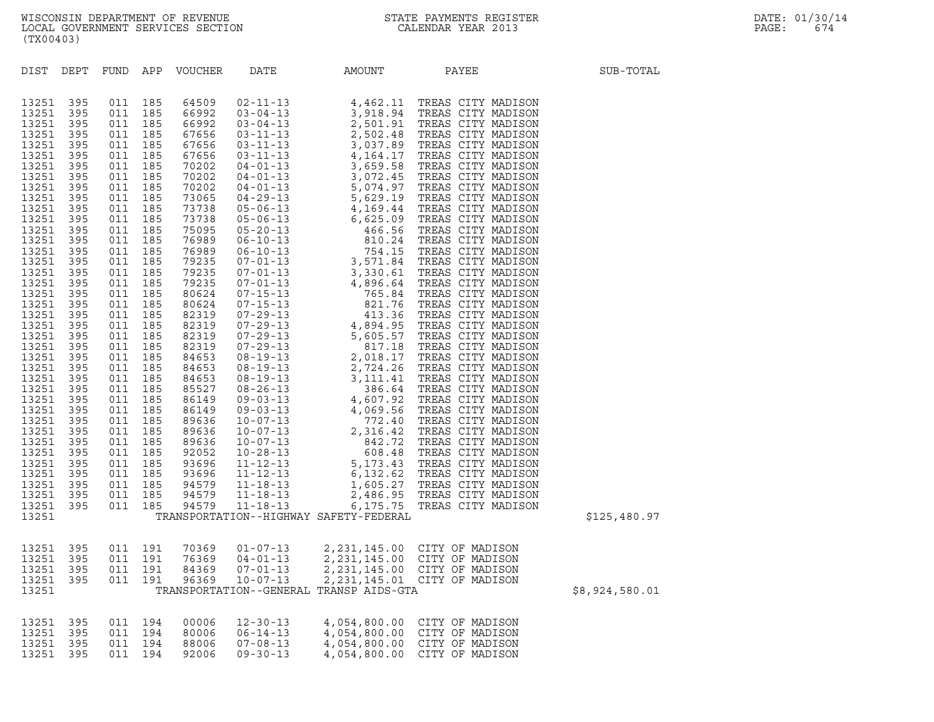| (TX00403)                                                                                                                                                                                                                                                                                                                                                            |                                                                                                                                                                                                                                                                               |                          |                          |                                  |                                                                      |                                                              |                                                                                                                              |                |
|----------------------------------------------------------------------------------------------------------------------------------------------------------------------------------------------------------------------------------------------------------------------------------------------------------------------------------------------------------------------|-------------------------------------------------------------------------------------------------------------------------------------------------------------------------------------------------------------------------------------------------------------------------------|--------------------------|--------------------------|----------------------------------|----------------------------------------------------------------------|--------------------------------------------------------------|------------------------------------------------------------------------------------------------------------------------------|----------------|
|                                                                                                                                                                                                                                                                                                                                                                      |                                                                                                                                                                                                                                                                               |                          |                          | DIST DEPT FUND APP VOUCHER       | DATE                                                                 | AMOUNT                                                       | PAYEE                                                                                                                        | SUB-TOTAL      |
| 13251<br>13251<br>13251<br>13251<br>13251<br>13251<br>13251<br>13251<br>13251<br>13251<br>13251<br>13251<br>13251<br>13251<br>13251<br>13251<br>13251<br>13251<br>13251<br>13251<br>13251<br>13251<br>13251<br>13251<br>13251<br>13251<br>13251<br>13251<br>13251<br>13251<br>13251<br>13251<br>13251<br>13251<br>13251<br>13251<br>13251<br>13251<br>13251<br>13251 | 395<br>395<br>395<br>395<br>395<br>395<br>395<br>395<br>395<br>395<br>395<br>395<br>395<br>395<br>395<br>395<br>395<br>395<br>395<br>395<br>395<br>395<br>395<br>395<br>395<br>395<br>395<br>395<br>395<br>395<br>395<br>395<br>395<br>395<br>395<br>395<br>395<br>395<br>395 |                          |                          |                                  |                                                                      | TRANSPORTATION--HIGHWAY SAFETY-FEDERAL                       |                                                                                                                              | \$125,480.97   |
| 13251<br>13251<br>13251<br>13251<br>13251                                                                                                                                                                                                                                                                                                                            | 395<br>395<br>395<br>395                                                                                                                                                                                                                                                      | 011 191<br>011<br>011    | 011 191<br>191<br>191    | 84369<br>96369                   | 70369 01-07-13<br>76369 04-01-13<br>$07 - 01 - 13$<br>$10 - 07 - 13$ | TRANSPORTATION--GENERAL TRANSP AIDS-GTA                      | 2,231,145.00 CITY OF MADISON<br>2,231,145.00 CITY OF MADISON<br>2,231,145.00 CITY OF MADISON<br>2,231,145.01 CITY OF MADISON | \$8,924,580.01 |
| 13251<br>13251<br>13251<br>13251                                                                                                                                                                                                                                                                                                                                     | 395<br>395<br>395<br>395                                                                                                                                                                                                                                                      | 011<br>011<br>011<br>011 | 194<br>194<br>194<br>194 | 00006<br>80006<br>88006<br>92006 | $12 - 30 - 13$<br>$06 - 14 - 13$<br>$07 - 08 - 13$<br>$09 - 30 - 13$ | 4,054,800.00<br>4,054,800.00<br>4,054,800.00<br>4,054,800.00 | CITY OF MADISON<br>CITY OF MADISON<br>CITY OF MADISON<br>CITY OF MADISON                                                     |                |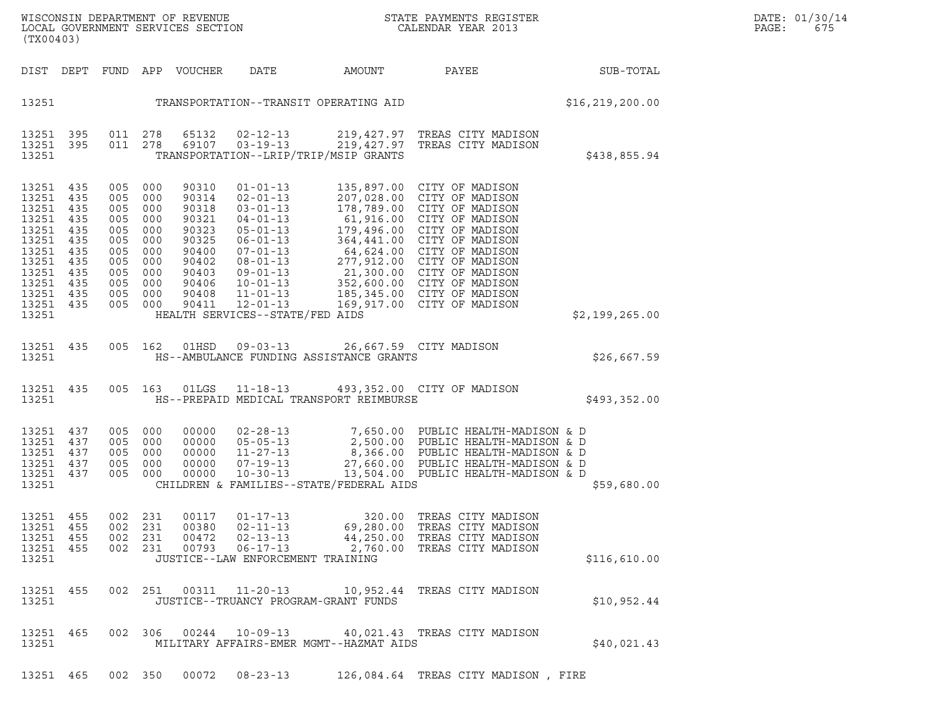| (TX00403)                                                                                                             |                                                                           |                                                                                                              |                                 |                                                                                                          |                                                                                                     |                                                                                |                                                                                                                                                                                                                                                                                                                                                                                                                                                                                                                                                                                        | DATE: 01/30/14<br>PAGE:<br>675 |  |
|-----------------------------------------------------------------------------------------------------------------------|---------------------------------------------------------------------------|--------------------------------------------------------------------------------------------------------------|---------------------------------|----------------------------------------------------------------------------------------------------------|-----------------------------------------------------------------------------------------------------|--------------------------------------------------------------------------------|----------------------------------------------------------------------------------------------------------------------------------------------------------------------------------------------------------------------------------------------------------------------------------------------------------------------------------------------------------------------------------------------------------------------------------------------------------------------------------------------------------------------------------------------------------------------------------------|--------------------------------|--|
| DIST DEPT                                                                                                             |                                                                           |                                                                                                              |                                 | FUND APP VOUCHER                                                                                         | DATE                                                                                                | AMOUNT                                                                         | PAYEE                                                                                                                                                                                                                                                                                                                                                                                                                                                                                                                                                                                  | SUB-TOTAL                      |  |
| 13251                                                                                                                 |                                                                           |                                                                                                              |                                 |                                                                                                          |                                                                                                     | TRANSPORTATION--TRANSIT OPERATING AID                                          |                                                                                                                                                                                                                                                                                                                                                                                                                                                                                                                                                                                        | \$16, 219, 200.00              |  |
| 13251 395<br>13251 395<br>13251                                                                                       |                                                                           | 011 278<br>011 278                                                                                           |                                 | 65132<br>69107                                                                                           | $02 - 12 - 13$<br>$03 - 19 - 13$                                                                    | TRANSPORTATION--LRIP/TRIP/MSIP GRANTS                                          | 219,427.97 TREAS CITY MADISON<br>219,427.97 TREAS CITY MADISON                                                                                                                                                                                                                                                                                                                                                                                                                                                                                                                         | \$438,855.94                   |  |
| 13251 435<br>13251<br>13251<br>13251<br>13251<br>13251<br>13251<br>13251<br>13251<br>13251<br>13251<br>13251<br>13251 | 435<br>435<br>435<br>435<br>435<br>435<br>435<br>435<br>435<br>435<br>435 | 005 000<br>005<br>005 000<br>005<br>005<br>005<br>005 000<br>005<br>005 000<br>005 000<br>005 000<br>005 000 | 000<br>000<br>000<br>000<br>000 | 90310<br>90314<br>90318<br>90321<br>90323<br>90325<br>90400<br>90402<br>90403<br>90406<br>90408<br>90411 | $01 - 01 - 13$<br>$12 - 01 - 13$<br>HEALTH SERVICES--STATE/FED AIDS                                 |                                                                                | 135,897.00 CITY OF MADISON<br>02-01-13<br>03-01-13<br>03-01-13<br>04-01-13<br>178,789.00 CITY OF MADISON<br>04-01-13<br>179,496.00 CITY OF MADISON<br>06-01-13<br>364,441.00 CITY OF MADISON<br>07-01-13<br>64,624.00 CITY OF MADISON<br>07-01-13<br>64,624.00 CITY OF MADISON<br>08-01-13<br>08-01-13<br>09-01-13<br>09-01-13<br>09-01-13<br>052,600.00 CITY OF MADISON<br>09-01-13<br>052,600.00 CITY OF MADISON<br>07-01-13<br>05.345<br>00 CITY OF MADISON<br>07-07-07<br>07-07<br>07-07<br>07-07<br>07-07<br>07-07<br>07-07<br>07-07<br>07-07<br>07<br>169,917.00 CITY OF MADISON | \$2,199,265.00                 |  |
| 13251 435<br>13251                                                                                                    |                                                                           | 005 162                                                                                                      |                                 | 01HSD                                                                                                    | $09 - 03 - 13$                                                                                      | HS--AMBULANCE FUNDING ASSISTANCE GRANTS                                        | 26,667.59 CITY MADISON                                                                                                                                                                                                                                                                                                                                                                                                                                                                                                                                                                 | \$26,667.59                    |  |
| 13251 435<br>13251                                                                                                    |                                                                           | 005 163                                                                                                      |                                 | 01LGS                                                                                                    |                                                                                                     | 11-18-13 493,352.00 CITY OF MADISON<br>HS--PREPAID MEDICAL TRANSPORT REIMBURSE |                                                                                                                                                                                                                                                                                                                                                                                                                                                                                                                                                                                        | \$493,352.00                   |  |
| 13251 437<br>13251 437<br>13251<br>13251<br>13251<br>13251                                                            | 437<br>437<br>437                                                         | 005<br>005 000<br>005<br>005 000<br>005 000                                                                  | 000<br>000                      | 00000<br>00000<br>00000<br>00000<br>00000                                                                | $02 - 28 - 13$<br>$05 - 05 - 13$<br>11-27-13<br>$07 - 19 - 13$<br>$10 - 30 - 13$                    | CHILDREN & FAMILIES--STATE/FEDERAL AIDS                                        | 7,650.00 PUBLIC HEALTH-MADISON & D<br>2,500.00 PUBLIC HEALTH-MADISON & D<br>8,366.00 PUBLIC HEALTH-MADISON & D<br>27,660.00 PUBLIC HEALTH-MADISON & D<br>13,504.00 PUBLIC HEALTH-MADISON & D                                                                                                                                                                                                                                                                                                                                                                                           | \$59,680.00                    |  |
| 13251<br>13251 455<br>13251<br>13251<br>13251                                                                         | 455<br>455<br>455                                                         | 002<br>002 231<br>002<br>002 231                                                                             | 231<br>231                      | 00117<br>00380<br>00472<br>00793                                                                         | 01-17-13<br>$02 - 11 - 13$<br>$02 - 13 - 13$<br>$06 - 17 - 13$<br>JUSTICE--LAW ENFORCEMENT TRAINING | 320.00                                                                         | TREAS CITY MADISON<br>69,280.00 TREAS CITY MADISON<br>44,250.00 TREAS CITY MADISON<br>2,760.00 TREAS CITY MADISON                                                                                                                                                                                                                                                                                                                                                                                                                                                                      | \$116,610.00                   |  |
| 13251 455<br>13251                                                                                                    |                                                                           |                                                                                                              |                                 |                                                                                                          |                                                                                                     | JUSTICE--TRUANCY PROGRAM-GRANT FUNDS                                           | 002  251  00311  11-20-13  10,952.44  TREAS CITY MADISON                                                                                                                                                                                                                                                                                                                                                                                                                                                                                                                               | \$10,952.44                    |  |
| 13251 465<br>13251                                                                                                    |                                                                           |                                                                                                              |                                 |                                                                                                          |                                                                                                     | MILITARY AFFAIRS-EMER MGMT--HAZMAT AIDS                                        | 002 306 00244 10-09-13 40,021.43 TREAS CITY MADISON                                                                                                                                                                                                                                                                                                                                                                                                                                                                                                                                    | \$40,021.43                    |  |

13251 465 002 350 00072 08-23-13 126,084.64 TREAS CITY MADISON , FIRE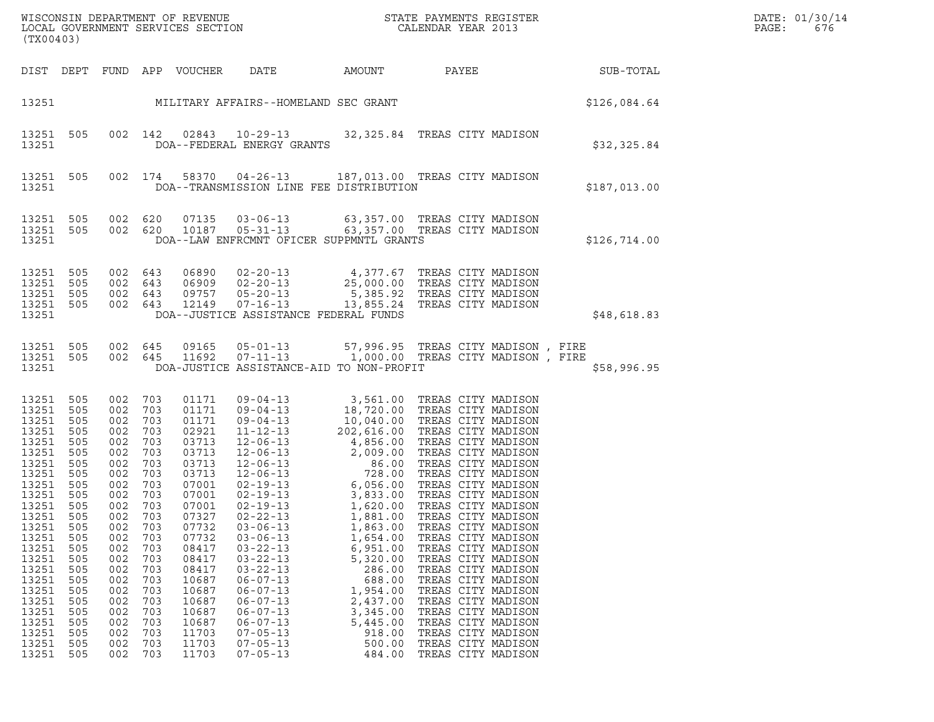| DATE: | 01/30/14 |
|-------|----------|
| PAGE: | 676      |

| (TX00403)                                                                                                                                                                                                                     |                                                                                                                                                                             |                                                                                                                                                                             |                                                                                                                                                                             |                                                                                                                                                                                                                               |                                                                                                                                                                                                                                                                            |                                                                                                                                                                        |                                                                                                                                                                                                                                                                                                                                                                                                                                                                                                                                                                                                  |              | DATE: 01/30/14<br>PAGE:<br>676 |
|-------------------------------------------------------------------------------------------------------------------------------------------------------------------------------------------------------------------------------|-----------------------------------------------------------------------------------------------------------------------------------------------------------------------------|-----------------------------------------------------------------------------------------------------------------------------------------------------------------------------|-----------------------------------------------------------------------------------------------------------------------------------------------------------------------------|-------------------------------------------------------------------------------------------------------------------------------------------------------------------------------------------------------------------------------|----------------------------------------------------------------------------------------------------------------------------------------------------------------------------------------------------------------------------------------------------------------------------|------------------------------------------------------------------------------------------------------------------------------------------------------------------------|--------------------------------------------------------------------------------------------------------------------------------------------------------------------------------------------------------------------------------------------------------------------------------------------------------------------------------------------------------------------------------------------------------------------------------------------------------------------------------------------------------------------------------------------------------------------------------------------------|--------------|--------------------------------|
|                                                                                                                                                                                                                               |                                                                                                                                                                             |                                                                                                                                                                             |                                                                                                                                                                             | DIST DEPT FUND APP VOUCHER                                                                                                                                                                                                    | DATE                                                                                                                                                                                                                                                                       | AMOUNT                                                                                                                                                                 | PAYEE                                                                                                                                                                                                                                                                                                                                                                                                                                                                                                                                                                                            | SUB-TOTAL    |                                |
|                                                                                                                                                                                                                               |                                                                                                                                                                             |                                                                                                                                                                             |                                                                                                                                                                             |                                                                                                                                                                                                                               | 13251 MILITARY AFFAIRS--HOMELAND SEC GRANT                                                                                                                                                                                                                                 |                                                                                                                                                                        |                                                                                                                                                                                                                                                                                                                                                                                                                                                                                                                                                                                                  | \$126,084.64 |                                |
| 13251 505<br>13251                                                                                                                                                                                                            |                                                                                                                                                                             |                                                                                                                                                                             | 002 142                                                                                                                                                                     | 02843                                                                                                                                                                                                                         | DOA--FEDERAL ENERGY GRANTS                                                                                                                                                                                                                                                 |                                                                                                                                                                        | 10-29-13 32,325.84 TREAS CITY MADISON                                                                                                                                                                                                                                                                                                                                                                                                                                                                                                                                                            | \$32,325.84  |                                |
| 13251                                                                                                                                                                                                                         | 13251 505                                                                                                                                                                   |                                                                                                                                                                             | 002 174                                                                                                                                                                     |                                                                                                                                                                                                                               | DOA--TRANSMISSION LINE FEE DISTRIBUTION                                                                                                                                                                                                                                    |                                                                                                                                                                        | 58370  04-26-13  187,013.00  TREAS CITY MADISON                                                                                                                                                                                                                                                                                                                                                                                                                                                                                                                                                  | \$187,013.00 |                                |
| 13251 505<br>13251 505<br>13251                                                                                                                                                                                               |                                                                                                                                                                             | 002 620                                                                                                                                                                     |                                                                                                                                                                             | 07135                                                                                                                                                                                                                         | DOA--LAW ENFRCMNT OFICER SUPPMNTL GRANTS                                                                                                                                                                                                                                   |                                                                                                                                                                        | 03-06-13 63,357.00 TREAS CITY MADISON<br>002 620 10187 05-31-13 63,357.00 TREAS CITY MADISON                                                                                                                                                                                                                                                                                                                                                                                                                                                                                                     | \$126,714.00 |                                |
| 13251 505<br>13251<br>13251 505<br>13251 505<br>13251                                                                                                                                                                         | 505                                                                                                                                                                         | 002 643<br>002 643<br>002 643<br>002 643                                                                                                                                    |                                                                                                                                                                             |                                                                                                                                                                                                                               | DOA--JUSTICE ASSISTANCE FEDERAL FUNDS                                                                                                                                                                                                                                      |                                                                                                                                                                        | 06890 02-20-13 4,377.67 TREAS CITY MADISON<br>06909 02-20-13 25,000.00 TREAS CITY MADISON<br>09757 05-20-13 5,385.92 TREAS CITY MADISON<br>12149 07-16-13 13,855.24 TREAS CITY MADISON                                                                                                                                                                                                                                                                                                                                                                                                           | \$48,618.83  |                                |
| 13251 505<br>13251 505<br>13251                                                                                                                                                                                               |                                                                                                                                                                             |                                                                                                                                                                             |                                                                                                                                                                             |                                                                                                                                                                                                                               | DOA-JUSTICE ASSISTANCE-AID TO NON-PROFIT                                                                                                                                                                                                                                   |                                                                                                                                                                        | 002 645 09165 05-01-13 57,996.95 TREAS CITY MADISON, FIRE<br>002 645 11692 07-11-13 1,000.00 TREAS CITY MADISON, FIRE                                                                                                                                                                                                                                                                                                                                                                                                                                                                            | \$58,996.95  |                                |
| 13251<br>13251<br>13251<br>13251<br>13251<br>13251<br>13251<br>13251<br>13251<br>13251<br>13251<br>13251<br>13251<br>13251<br>13251<br>13251<br>13251<br>13251<br>13251<br>13251<br>13251<br>13251<br>13251<br>13251<br>13251 | 505<br>505<br>505<br>505<br>505<br>505<br>505<br>505<br>505<br>505<br>505<br>505<br>505<br>505<br>505<br>505<br>505<br>505<br>505<br>505<br>505<br>505<br>505<br>505<br>505 | 002<br>002<br>002<br>002<br>002<br>002<br>002<br>002<br>002<br>002<br>002<br>002<br>002<br>002<br>002<br>002<br>002<br>002<br>002<br>002<br>002<br>002<br>002<br>002<br>002 | 703<br>703<br>703<br>703<br>703<br>703<br>703<br>703<br>703<br>703<br>703<br>703<br>703<br>703<br>703<br>703<br>703<br>703<br>703<br>703<br>703<br>703<br>703<br>703<br>703 | 01171<br>01171<br>01171<br>02921<br>03713<br>03713<br>03713<br>03713<br>07001<br>07001<br>07001<br>07327<br>07732<br>07732<br>08417<br>08417<br>08417<br>10687<br>10687<br>10687<br>10687<br>10687<br>11703<br>11703<br>11703 | $02 - 19 - 13$<br>$02 - 22 - 13$<br>$03 - 06 - 13$<br>$03 - 06 - 13$<br>$03 - 22 - 13$<br>$03 - 22 - 13$<br>$03 - 22 - 13$<br>$06 - 07 - 13$<br>$06 - 07 - 13$<br>$06 - 07 - 13$<br>$06 - 07 - 13$<br>$06 - 07 - 13$<br>$07 - 05 - 13$<br>$07 - 05 - 13$<br>$07 - 05 - 13$ | 1,620.00<br>1,881.00<br>1,863.00<br>1,654.00<br>6,951.00<br>5,320.00<br>286.00<br>688.00<br>1,954.00<br>2,437.00<br>3,345.00<br>5,445.00<br>918.00<br>500.00<br>484.00 | 09-04-13<br>09-04-13<br>09-04-13<br>18,720.00 TREAS CITY MADISON<br>09-04-13<br>10,040.00 TREAS CITY MADISON<br>11-12-13<br>202,616.00 TREAS CITY MADISON<br>12-06-13<br>2,009.00 TREAS CITY MADISON<br>12-06-13<br>2,009.00 TREAS CITY MADISON<br>12-<br>TREAS CITY MADISON<br>TREAS CITY MADISON<br>TREAS CITY MADISON<br>TREAS CITY MADISON<br>TREAS CITY MADISON<br>TREAS CITY MADISON<br>TREAS CITY MADISON<br>TREAS CITY MADISON<br>TREAS CITY MADISON<br>TREAS CITY MADISON<br>TREAS CITY MADISON<br>TREAS CITY MADISON<br>TREAS CITY MADISON<br>TREAS CITY MADISON<br>TREAS CITY MADISON |              |                                |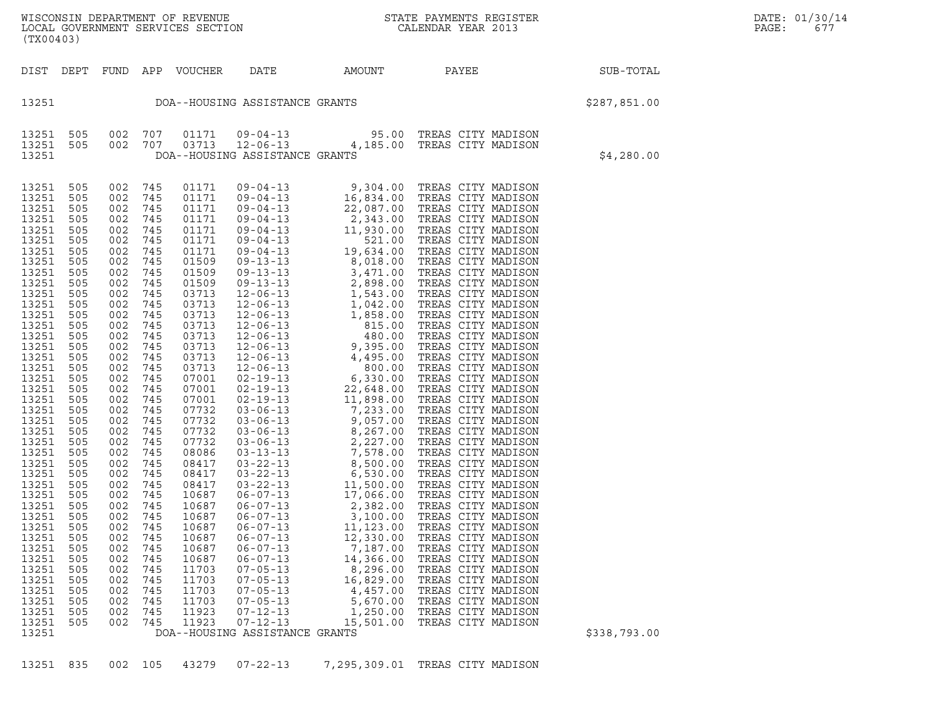WISCONSIN DEPARTMENT OF REVENUE<br>LOCAL GOVERNMENT SERVICES SECTION STATE PAYMENTS REGISTER SEGISTER SERVICES OF SAGE: 2013 WISCONSIN DEPARTMENT OF REVENUE<br>LOCAL GOVERNMENT SERVICES SECTION PARA PROPERTY CALENDAR YEAR 2013<br>(TX00403) (TX00403)

| DIST DEPT FUND APP VOUCHER DATE AMOUNT PAYEE<br>SUB-TOTAL<br>13251 DOA--HOUSING ASSISTANCE GRANTS<br>\$287,851.00<br>13251 505 002 707 01171 09-04-13 95.00 TREAS CITY MADISON<br>13251 505 002 707 03713 12-06-13 4,185.00 TREAS CITY MADISON<br>13251 DOA--HOUSING ASSISTANCE GRANTS<br>\$4,280.00<br>NA-HOUSING ASSISTANCE GRANTS<br>01171 09-04-13 9, 304.00 TREAS CITY WADISON<br>01171 09-04-13 16, 834.00 TREAS CITY WADISON<br>01171 09-04-13 22, 087.00 TREAS CITY WADISON<br>01171 09-04-13 22, 087.00 TREAS CITY WADISON<br>01171 09-<br>505<br>002 745<br>13251<br>13251<br>505<br>002 745<br>745<br>13251<br>505<br>002<br>13251<br>002<br>745<br>505<br>13251<br>505 002<br>745<br>505 002<br>13251<br>745<br>13251<br>505 002<br>505 002<br>745<br>745<br>13251<br>13251<br>505 002<br>745<br>13251<br>505<br>002<br>745<br>13251<br>505 002<br>745<br>505 002<br>505 002<br>13251<br>745<br>745<br>13251<br>505 002<br>505 002<br>505 002<br>13251<br>745<br>13251<br>745<br>13251<br>745<br>$\begin{bmatrix} 1 & 1 & 1 \\ 5 & 0 & 0 \\ 5 & 0 & 0 \\ 0 & 0 & 2 \end{bmatrix}$<br>13251<br>745<br>745<br>13251<br>13251<br>505<br>002<br>745<br>13251<br>002<br>745<br>505<br>505 002<br>13251<br>745<br>13251<br>505 002<br>505 002<br>745<br>745<br>13251<br>13251<br>505 002<br>505 002<br>745<br>13251<br>745<br>505 002<br>13251<br>745<br>13251<br>505 002<br>505 002<br>745<br>745<br>13251 | (TX00403) |     |     |     |  |  |  |
|-------------------------------------------------------------------------------------------------------------------------------------------------------------------------------------------------------------------------------------------------------------------------------------------------------------------------------------------------------------------------------------------------------------------------------------------------------------------------------------------------------------------------------------------------------------------------------------------------------------------------------------------------------------------------------------------------------------------------------------------------------------------------------------------------------------------------------------------------------------------------------------------------------------------------------------------------------------------------------------------------------------------------------------------------------------------------------------------------------------------------------------------------------------------------------------------------------------------------------------------------------------------------------------------------------------------------------------------------------------------------------------------------------------------|-----------|-----|-----|-----|--|--|--|
|                                                                                                                                                                                                                                                                                                                                                                                                                                                                                                                                                                                                                                                                                                                                                                                                                                                                                                                                                                                                                                                                                                                                                                                                                                                                                                                                                                                                                   |           |     |     |     |  |  |  |
|                                                                                                                                                                                                                                                                                                                                                                                                                                                                                                                                                                                                                                                                                                                                                                                                                                                                                                                                                                                                                                                                                                                                                                                                                                                                                                                                                                                                                   |           |     |     |     |  |  |  |
|                                                                                                                                                                                                                                                                                                                                                                                                                                                                                                                                                                                                                                                                                                                                                                                                                                                                                                                                                                                                                                                                                                                                                                                                                                                                                                                                                                                                                   |           |     |     |     |  |  |  |
| 745<br>13251<br>505<br>002<br>13251<br>002<br>505<br>745<br>13251<br>002<br>745<br>505<br>13251<br>002<br>745<br>505<br>13251<br>505<br>002<br>745<br>13251<br>002<br>745<br>505<br>13251<br>505<br>002<br>745<br>13251<br>505<br>002<br>745<br>13251<br>505<br>002<br>745<br>13251<br>002<br>745<br>505<br>745<br>002<br>13251<br>505<br>$\frac{300}{505}$ $\begin{array}{@{}c@{}} 002 & 745 \\ 002 & 745 \\ 505 & 002 & 745 \\ \hline \end{array}$<br>13251<br>13251<br>\$338,793.00<br>13251<br>DOA--HOUSING ASSISTANCE GRANTS                                                                                                                                                                                                                                                                                                                                                                                                                                                                                                                                                                                                                                                                                                                                                                                                                                                                                 | 13251     | 002 | 505 | 745 |  |  |  |

13251 835 002 105 43279 07-22-13 7,295,309.01 TREAS CITY MADISON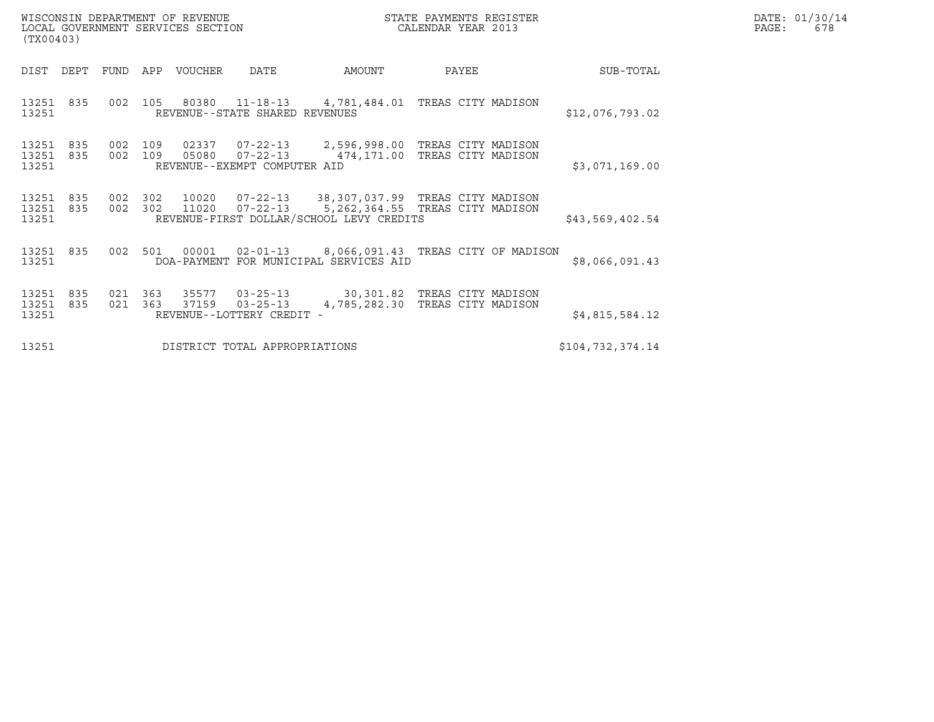| (TX00403)                       |                    | WISCONSIN DEPARTMENT OF REVENUE<br>LOCAL GOVERNMENT SERVICES SECTION |                                                |                                                                                                                                            | STATE PAYMENTS REGISTER<br>CALENDAR YEAR 2013 |                  | DATE: 01/30/14<br>PAGE:<br>678 |
|---------------------------------|--------------------|----------------------------------------------------------------------|------------------------------------------------|--------------------------------------------------------------------------------------------------------------------------------------------|-----------------------------------------------|------------------|--------------------------------|
| DIST DEPT FUND APP VOUCHER      |                    |                                                                      | DATE                                           | AMOUNT                                                                                                                                     | PAYEE                                         | SUB-TOTAL        |                                |
| 13251 835<br>13251              |                    |                                                                      | REVENUE--STATE SHARED REVENUES                 | 002 105 80380 11-18-13 4,781,484.01 TREAS CITY MADISON                                                                                     |                                               | \$12,076,793.02  |                                |
| 13251 835<br>13251 835<br>13251 | 002 109<br>002 109 | 05080                                                                | $07 - 22 - 13$<br>REVENUE--EXEMPT COMPUTER AID | 02337  07-22-13  2,596,998.00 TREAS CITY MADISON<br>474,171.00 TREAS CITY MADISON                                                          |                                               | \$3,071,169.00   |                                |
| 13251 835<br>13251 835<br>13251 | 002 302<br>002 302 | 11020                                                                |                                                | 10020  07-22-13  38,307,037.99  TREAS CITY MADISON<br>07-22-13 5,262,364.55 TREAS CITY MADISON<br>REVENUE-FIRST DOLLAR/SCHOOL LEVY CREDITS |                                               | \$43,569,402.54  |                                |
| 13251 835<br>13251              | 002 501            |                                                                      |                                                | 00001  02-01-13  8,066,091.43  TREAS CITY OF MADISON<br>DOA-PAYMENT FOR MUNICIPAL SERVICES AID                                             |                                               | \$8,066,091.43   |                                |
| 13251 835<br>13251 835<br>13251 | 021 363<br>021 363 |                                                                      | 37159 03-25-13<br>REVENUE--LOTTERY CREDIT -    | 35577  03-25-13  30,301.82  TREAS CITY MADISON<br>4,785,282.30 TREAS CITY MADISON                                                          |                                               | \$4,815,584.12   |                                |
| 13251                           |                    |                                                                      | DISTRICT TOTAL APPROPRIATIONS                  |                                                                                                                                            |                                               | \$104,732,374.14 |                                |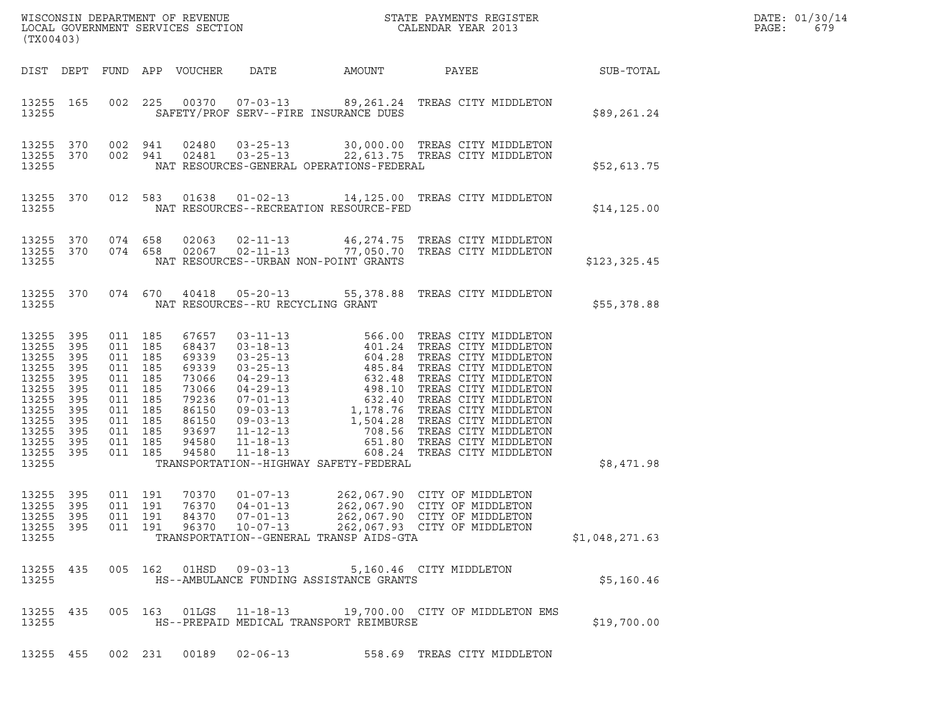| (TX00403)                                                                                                                 |                                                                    |                                                                                                                                  |                    |                                                                                                          | ${\tt WISCONSIM\ DEPARTMENT\ OF\ REVENUE}\qquad \qquad {\tt STATE\ PAYMENTS\ REGISTER\ LOCAL\ GOVERNMENT\ SERVICES\ SECTION\qquad \qquad {\tt CALENDAR\ YEAR\ 2013}}$ |                                          | DATE: 01/30/14<br>PAGE:<br>679                                                                                                       |                  |  |
|---------------------------------------------------------------------------------------------------------------------------|--------------------------------------------------------------------|----------------------------------------------------------------------------------------------------------------------------------|--------------------|----------------------------------------------------------------------------------------------------------|-----------------------------------------------------------------------------------------------------------------------------------------------------------------------|------------------------------------------|--------------------------------------------------------------------------------------------------------------------------------------|------------------|--|
|                                                                                                                           |                                                                    |                                                                                                                                  |                    | DIST DEPT FUND APP VOUCHER                                                                               | DATE                                                                                                                                                                  | AMOUNT                                   | PAYEE                                                                                                                                | <b>SUB-TOTAL</b> |  |
| 13255 165<br>13255                                                                                                        |                                                                    |                                                                                                                                  |                    |                                                                                                          |                                                                                                                                                                       | SAFETY/PROF SERV--FIRE INSURANCE DUES    | 002 225 00370 07-03-13 89,261.24 TREAS CITY MIDDLETON                                                                                | \$89,261.24      |  |
| 13255 370<br>13255                                                                                                        |                                                                    | 13255 370 002 941                                                                                                                |                    |                                                                                                          |                                                                                                                                                                       | NAT RESOURCES-GENERAL OPERATIONS-FEDERAL | 002 941 02480 03-25-13 30,000.00 TREAS CITY MIDDLETON<br>002 941 02481 03-25-13 22,613.75 TREAS CITY MIDDLETON                       | \$52,613.75      |  |
| 13255 370<br>13255                                                                                                        |                                                                    |                                                                                                                                  |                    |                                                                                                          |                                                                                                                                                                       | NAT RESOURCES--RECREATION RESOURCE-FED   | 012 583 01638 01-02-13 14,125.00 TREAS CITY MIDDLETON                                                                                | \$14, 125.00     |  |
| 13255                                                                                                                     |                                                                    |                                                                                                                                  |                    |                                                                                                          |                                                                                                                                                                       | NAT RESOURCES--URBAN NON-POINT GRANTS    | $13255$ 370 074 658 02063 02-11-13 46,274.75 TREAS CITY MIDDLETON<br>13255 370 074 658 02067 02-11-13 77,050.70 TREAS CITY MIDDLETON | \$123,325.45     |  |
| 13255                                                                                                                     |                                                                    |                                                                                                                                  |                    |                                                                                                          | NAT RESOURCES--RU RECYCLING GRANT                                                                                                                                     |                                          | 13255 370 074 670 40418 05-20-13 55,378.88 TREAS CITY MIDDLETON                                                                      | \$55,378.88      |  |
| 13255 395<br>13255<br>13255<br>13255<br>13255<br>13255<br>13255<br>13255<br>13255<br>13255<br>13255<br>13255 395<br>13255 | 395<br>395<br>395<br>395<br>395<br>395<br>395<br>395<br>395<br>395 | 011 185<br>011 185<br>011 185<br>011 185<br>011 185<br>011 185<br>011 185<br>011 185<br>011 185<br>011 185<br>011 185<br>011 185 |                    | 67657<br>68437<br>69339<br>69339<br>73066<br>73066<br>79236<br>86150<br>86150<br>93697<br>94580<br>94580 |                                                                                                                                                                       | TRANSPORTATION--HIGHWAY SAFETY-FEDERAL   |                                                                                                                                      | \$8,471.98       |  |
| 13255 395<br>13255 395<br>13255 395<br>13255 395<br>13255                                                                 |                                                                    | 011 191<br>011 191                                                                                                               | 011 191<br>011 191 | 70370<br>76370<br>96370                                                                                  | $01 - 07 - 13$<br>$04 - 01 - 13$<br>84370 07-01-13<br>$10 - 07 - 13$                                                                                                  | TRANSPORTATION--GENERAL TRANSP AIDS-GTA  | 262,067.90 CITY OF MIDDLETON<br>262,067.90 CITY OF MIDDLETON<br>262,067.90 CITY OF MIDDLETON<br>262,067.93 CITY OF MIDDLETON         | \$1,048,271.63   |  |
| 13255 435<br>13255                                                                                                        |                                                                    |                                                                                                                                  |                    |                                                                                                          | 005 162 01HSD 09-03-13                                                                                                                                                | HS--AMBULANCE FUNDING ASSISTANCE GRANTS  | 5,160.46 CITY MIDDLETON                                                                                                              | \$5,160.46       |  |
| 13255 435<br>13255                                                                                                        |                                                                    |                                                                                                                                  |                    |                                                                                                          | 005 163 01LGS 11-18-13                                                                                                                                                | HS--PREPAID MEDICAL TRANSPORT REIMBURSE  | 19,700.00 CITY OF MIDDLETON EMS                                                                                                      | \$19,700.00      |  |
| 13255 455                                                                                                                 |                                                                    |                                                                                                                                  | 002 231            |                                                                                                          | 00189 02-06-13                                                                                                                                                        |                                          | 558.69 TREAS CITY MIDDLETON                                                                                                          |                  |  |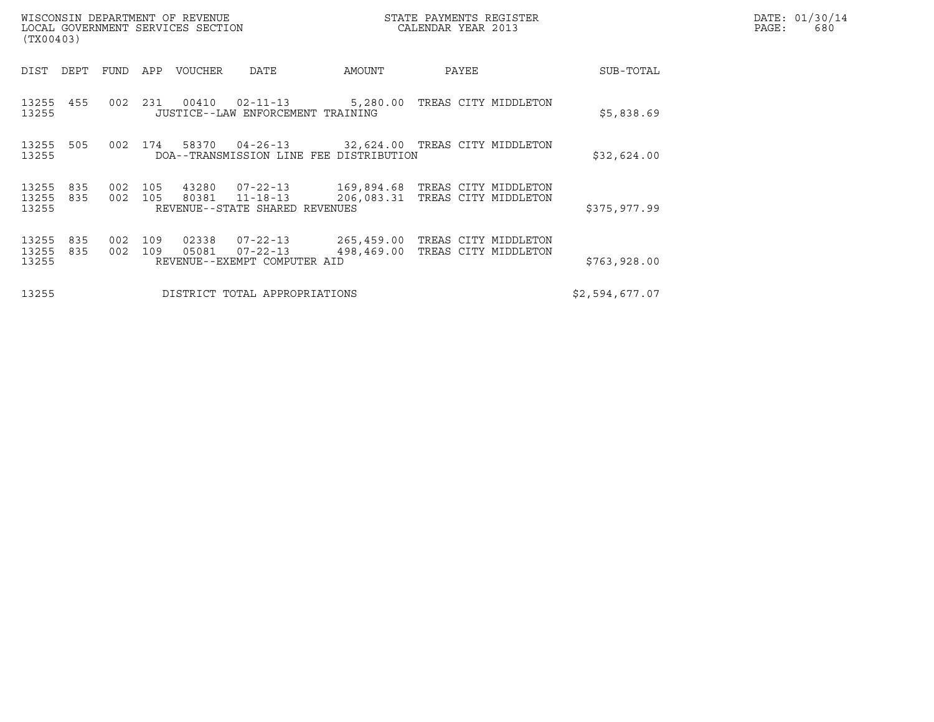| WISCONSIN DEPARTMENT OF REVENUE<br>LOCAL GOVERNMENT SERVICES SECTION<br>(TX00403) |                    |                              |                                                                    |                                               | STATE PAYMENTS REGISTER<br>CALENDAR YEAR 2013 |  | DATE: 01/30/14<br>PAGE:<br>680 |  |
|-----------------------------------------------------------------------------------|--------------------|------------------------------|--------------------------------------------------------------------|-----------------------------------------------|-----------------------------------------------|--|--------------------------------|--|
| DEPT<br>DIST                                                                      | FUND               | APP<br>VOUCHER               | DATE                                                               | AMOUNT                                        | PAYEE                                         |  | SUB-TOTAL                      |  |
| 13255 455<br>13255                                                                | 002 231            | 00410                        | 02-11-13<br>JUSTICE--LAW ENFORCEMENT TRAINING                      |                                               | 5,280.00 TREAS CITY MIDDLETON                 |  | \$5,838.69                     |  |
| 13255<br>505<br>13255                                                             | 002 174            |                              | 58370 04-26-13<br>DOA--TRANSMISSION LINE FEE DISTRIBUTION          |                                               | 32,624.00 TREAS CITY MIDDLETON                |  | \$32,624.00                    |  |
| 835<br>13255<br>13255<br>835<br>13255                                             | 002 105<br>002 105 | 43280                        | $07 - 22 - 13$<br>80381 11-18-13<br>REVENUE--STATE SHARED REVENUES | 169,894.68 TREAS CITY MIDDLETON<br>206,083.31 | TREAS CITY MIDDLETON                          |  | \$375,977.99                   |  |
| 13255<br>835<br>13255<br>835<br>13255                                             | 002<br>002         | 109<br>02338<br>109<br>05081 | $07 - 22 - 13$<br>$07 - 22 - 13$<br>REVENUE--EXEMPT COMPUTER AID   | 265,459.00 TREAS CITY MIDDLETON<br>498,469.00 | TREAS CITY MIDDLETON                          |  | \$763,928.00                   |  |
| 13255                                                                             |                    |                              | DISTRICT TOTAL APPROPRIATIONS                                      |                                               |                                               |  | \$2,594,677.07                 |  |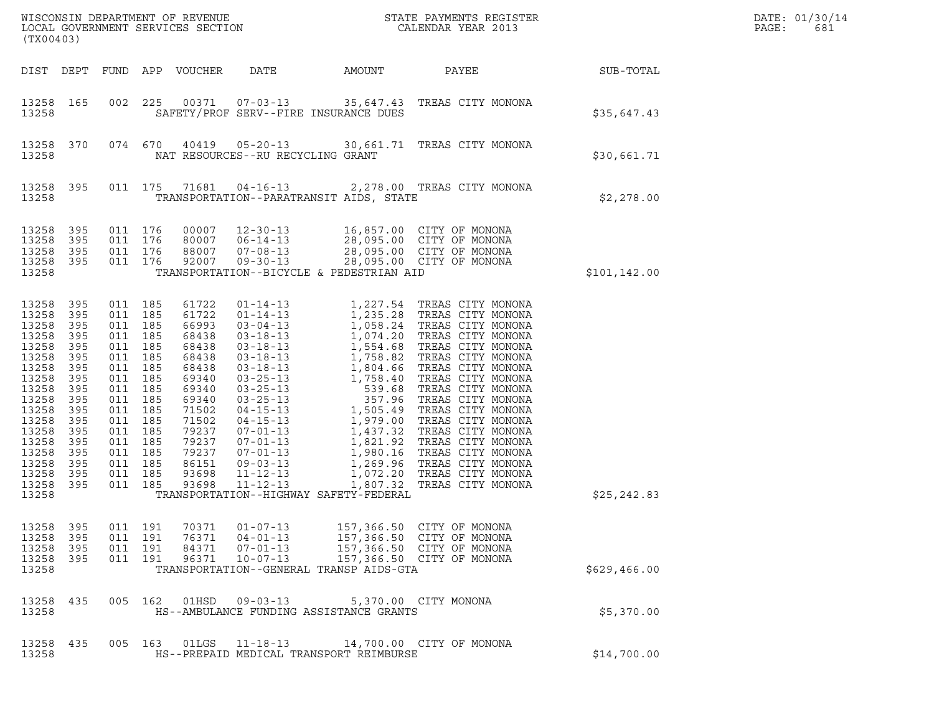| ${\tt WISCONSIM} \begin{tabular}{l} DEPARTMENT OF REVIEW \\ LOCAL BONERNMENT SERVICES SECTION \\ \end{tabular} \begin{tabular}{l} \multicolumn{2}{c}{\textbf{S}} \\ \multicolumn{2}{c}{\textbf{S}} \\ \multicolumn{2}{c}{\textbf{S}} \\ \multicolumn{2}{c}{\textbf{N}} \\ \multicolumn{2}{c}{\textbf{S}} \\ \multicolumn{2}{c}{\textbf{S}} \\ \multicolumn{2}{c}{\textbf{S}} \\ \multicolumn{2}{c}{\textbf{S}} \\ \multicolumn{2}{c}{\textbf{S}} \\ \multicolumn{2}{c}{\textbf{S}} \\ \multicolumn{2}{c}{\textbf{S$<br>(TX00403) |                                                                                                                              |         |                                                                                                                                                                                                    |                                                                                                                                                                |                                                                                                                 |        |                                                                                                                                                                                                                                                                                                |               | DATE: 01/30/14<br>PAGE:<br>681 |
|----------------------------------------------------------------------------------------------------------------------------------------------------------------------------------------------------------------------------------------------------------------------------------------------------------------------------------------------------------------------------------------------------------------------------------------------------------------------------------------------------------------------------------|------------------------------------------------------------------------------------------------------------------------------|---------|----------------------------------------------------------------------------------------------------------------------------------------------------------------------------------------------------|----------------------------------------------------------------------------------------------------------------------------------------------------------------|-----------------------------------------------------------------------------------------------------------------|--------|------------------------------------------------------------------------------------------------------------------------------------------------------------------------------------------------------------------------------------------------------------------------------------------------|---------------|--------------------------------|
|                                                                                                                                                                                                                                                                                                                                                                                                                                                                                                                                  |                                                                                                                              |         |                                                                                                                                                                                                    | DIST DEPT FUND APP VOUCHER                                                                                                                                     | DATE                                                                                                            | AMOUNT | PAYEE                                                                                                                                                                                                                                                                                          | SUB-TOTAL     |                                |
| 13258 165<br>13258                                                                                                                                                                                                                                                                                                                                                                                                                                                                                                               |                                                                                                                              | 002     | 225                                                                                                                                                                                                |                                                                                                                                                                | SAFETY/PROF SERV--FIRE INSURANCE DUES                                                                           |        | 00371  07-03-13  35,647.43  TREAS CITY MONONA                                                                                                                                                                                                                                                  | \$35,647.43   |                                |
| 13258 370<br>13258                                                                                                                                                                                                                                                                                                                                                                                                                                                                                                               |                                                                                                                              |         | 074 670                                                                                                                                                                                            |                                                                                                                                                                | NAT RESOURCES--RU RECYCLING GRANT                                                                               |        | 40419  05-20-13  30,661.71  TREAS CITY MONONA                                                                                                                                                                                                                                                  | \$30,661.71   |                                |
| 13258 395<br>13258                                                                                                                                                                                                                                                                                                                                                                                                                                                                                                               |                                                                                                                              |         |                                                                                                                                                                                                    |                                                                                                                                                                | TRANSPORTATION--PARATRANSIT AIDS, STATE                                                                         |        | 011 175 71681 04-16-13 2,278.00 TREAS CITY MONONA                                                                                                                                                                                                                                              | \$2,278.00    |                                |
| 13258<br>13258<br>13258<br>13258 395<br>13258                                                                                                                                                                                                                                                                                                                                                                                                                                                                                    | 395<br>395<br>395                                                                                                            | 011 176 | 011 176<br>011 176<br>011 176                                                                                                                                                                      | 00007<br>88007<br>92007                                                                                                                                        | $07 - 08 - 13$<br>$09 - 30 - 13$<br>TRANSPORTATION--BICYCLE & PEDESTRIAN AID                                    |        | 12-30-13 16,857.00 CITY OF MONONA<br>80007  06-14-13  28,095.00  CITY OF MONONA<br>88007  07-08-13  28,095.00  CITY OF MONONA<br>28,095.00 CITY OF MONONA<br>28,095.00 CITY OF MONONA                                                                                                          | \$101, 142.00 |                                |
| 13258<br>13258<br>13258<br>13258<br>13258<br>13258<br>13258<br>13258<br>13258<br>13258<br>13258<br>13258<br>13258<br>13258<br>13258<br>13258<br>13258<br>13258<br>13258                                                                                                                                                                                                                                                                                                                                                          | 395<br>395<br>395<br>395<br>395<br>395<br>395<br>395<br>395<br>395<br>395<br>395<br>395<br>395<br>395<br>395<br>395<br>- 395 |         | 011 185<br>011 185<br>011 185<br>011 185<br>011 185<br>011 185<br>011 185<br>011 185<br>011 185<br>011 185<br>011 185<br>011 185<br>011 185<br>011 185<br>011 185<br>011 185<br>011 185<br>011 185 | 61722<br>61722<br>66993<br>68438<br>68438<br>68438<br>68438<br>69340<br>69340<br>69340<br>71502<br>71502<br>79237<br>79237<br>79237<br>86151<br>93698<br>93698 | $11 - 12 - 13$<br>TRANSPORTATION--HIGHWAY SAFETY-FEDERAL                                                        |        | 01-14-13<br>01-14-13<br>01-14-13<br>1,227.54<br>1,227.54<br>TREAS CITY MONONA<br>03-04-13<br>1,058.24<br>TREAS CITY MONONA<br>03-18-13<br>1,074.20<br>TREAS CITY MONONA<br>03-18-13<br>1,554.68<br>TREAS CITY MONONA<br>03-18-13<br>1,758.40<br>TREAS CITY MONON<br>1,807.32 TREAS CITY MONONA | \$25, 242.83  |                                |
| 13258 395<br>13258<br>13258<br>13258 395<br>13258                                                                                                                                                                                                                                                                                                                                                                                                                                                                                | 395<br>395                                                                                                                   |         | 011 191<br>011 191<br>011 191<br>011 191                                                                                                                                                           | 70371<br>76371<br>84371<br>96371                                                                                                                               | $01 - 07 - 13$<br>$04 - 01 - 13$<br>$07 - 01 - 13$<br>$10 - 07 - 13$<br>TRANSPORTATION--GENERAL TRANSP AIDS-GTA |        | 157,366.50 CITY OF MONONA<br>157,366.50 CITY OF MONONA<br>157,366.50 CITY OF MONONA<br>157,366.50 CITY OF MONONA                                                                                                                                                                               | \$629,466.00  |                                |
| 13258 435<br>13258                                                                                                                                                                                                                                                                                                                                                                                                                                                                                                               |                                                                                                                              |         | 005 162                                                                                                                                                                                            |                                                                                                                                                                | 01HSD  09-03-13  5,370.00 CITY MONONA<br>HS--AMBULANCE FUNDING ASSISTANCE GRANTS                                |        |                                                                                                                                                                                                                                                                                                | \$5,370.00    |                                |
| 13258 435<br>13258                                                                                                                                                                                                                                                                                                                                                                                                                                                                                                               |                                                                                                                              |         | 005 163                                                                                                                                                                                            | 01LGS                                                                                                                                                          | HS--PREPAID MEDICAL TRANSPORT REIMBURSE                                                                         |        | 11-18-13 14,700.00 CITY OF MONONA                                                                                                                                                                                                                                                              | \$14,700.00   |                                |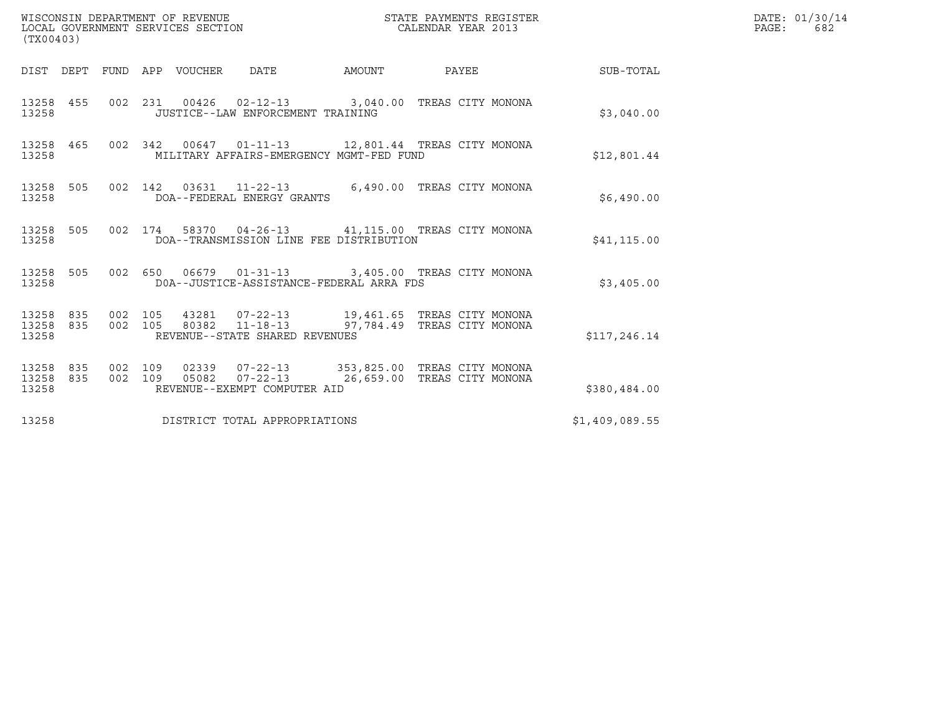| (TX00403)                       |           |                    |                                 | WISCONSIN DEPARTMENT OF REVENUE<br>LOCAL GOVERNMENT SERVICES SECTION                                                                                                                                                                               |        | STATE PAYMENTS REGISTER<br>CALENDAR YEAR 2013 |  | DATE: 01/30/14<br>PAGE:<br>682 |  |
|---------------------------------|-----------|--------------------|---------------------------------|----------------------------------------------------------------------------------------------------------------------------------------------------------------------------------------------------------------------------------------------------|--------|-----------------------------------------------|--|--------------------------------|--|
|                                 |           |                    | DIST DEPT FUND APP VOUCHER DATE |                                                                                                                                                                                                                                                    | AMOUNT |                                               |  | PAYEE SUB-TOTAL                |  |
| 13258 455<br>13258              |           |                    |                                 | 002 231 00426 02-12-13 3,040.00 TREAS CITY MONONA<br>JUSTICE--LAW ENFORCEMENT TRAINING                                                                                                                                                             |        |                                               |  | \$3,040.00                     |  |
| 13258                           | 13258 465 |                    |                                 | 002 342 00647 01-11-13 12,801.44 TREAS CITY MONONA<br>MILITARY AFFAIRS-EMERGENCY MGMT-FED FUND                                                                                                                                                     |        |                                               |  | \$12,801.44                    |  |
| 13258                           | 13258 505 |                    |                                 | 002 142 03631 11-22-13 6,490.00 TREAS CITY MONONA<br>DOA--FEDERAL ENERGY GRANTS                                                                                                                                                                    |        |                                               |  | \$6,490.00                     |  |
| 13258                           | 13258 505 |                    |                                 | 002 174 58370 04-26-13 41,115.00 TREAS CITY MONONA<br>DOA--TRANSMISSION LINE FEE DISTRIBUTION                                                                                                                                                      |        |                                               |  | \$41, 115.00                   |  |
| 13258                           | 13258 505 |                    |                                 | 002 650 06679 01-31-13 3,405.00 TREAS CITY MONONA<br>DOA--JUSTICE-ASSISTANCE-FEDERAL ARRA FDS                                                                                                                                                      |        |                                               |  | \$3,405.00                     |  |
| 13258                           |           |                    |                                 | $\begin{array}{cccccccc} 13258 & 835 & 002 & 105 & 43281 & 07-22-13 & & 19,461.65 & \text{TREAS CITY MONONA} \\ 13258 & 835 & 002 & 105 & 80382 & 11-18-13 & & 97,784.49 & \text{TREAS CITY MONONA} \end{array}$<br>REVENUE--STATE SHARED REVENUES |        |                                               |  | \$117,246.14                   |  |
| 13258 835<br>13258 835<br>13258 |           | 002 109<br>002 109 |                                 | 02339  07-22-13  353,825.00 TREAS CITY MONONA<br>05082  07-22-13  26,659.00 TREAS CITY MONONA<br>REVENUE--EXEMPT COMPUTER AID                                                                                                                      |        |                                               |  | \$380,484.00                   |  |
| 13258                           |           |                    |                                 | DISTRICT TOTAL APPROPRIATIONS                                                                                                                                                                                                                      |        |                                               |  | \$1,409,089.55                 |  |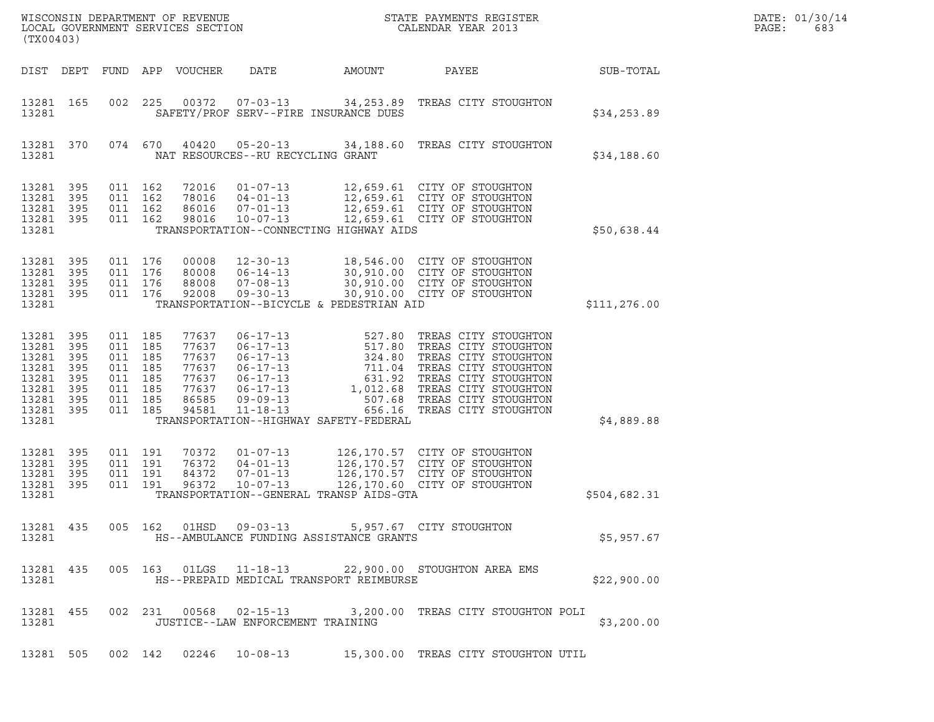| (TX00403)                                                                         |                                               |                                                                          |                   | ${\tt WISCO} {\tt NSM} {\tt NEMR} {\tt NEMR} {\tt NEMR} {\tt NEMR} {\tt NEMR} {\tt NEMR} {\tt NEMR} {\tt NEMR} {\tt NEMR} {\tt NEMR} {\tt NEMR} {\tt NEMR} {\tt NEMR} {\tt NEMR} {\tt NEMR} {\tt NEMR} {\tt NEMR} {\tt NEMR} {\tt NEMR} {\tt NEMR} {\tt NEMR} {\tt NEMR} {\tt NEMR} {\tt NEMR} {\tt NEMR} {\tt NEMR} {\tt NEMR} {\tt NEMR} {\tt NEMR} {\tt NEMR} {\tt NEMR} {\tt NEMR} {\tt NEMR} {\tt NEMR} {\tt NEMR}$<br>LOCAL GOVERNMENT SERVICES SECTION |                                                                                                                                              | DATE: 01/30/14<br>PAGE:<br>683                   |                                                                                                                                                                                                                                                 |              |  |
|-----------------------------------------------------------------------------------|-----------------------------------------------|--------------------------------------------------------------------------|-------------------|---------------------------------------------------------------------------------------------------------------------------------------------------------------------------------------------------------------------------------------------------------------------------------------------------------------------------------------------------------------------------------------------------------------------------------------------------------------|----------------------------------------------------------------------------------------------------------------------------------------------|--------------------------------------------------|-------------------------------------------------------------------------------------------------------------------------------------------------------------------------------------------------------------------------------------------------|--------------|--|
|                                                                                   |                                               |                                                                          |                   | DIST DEPT FUND APP VOUCHER                                                                                                                                                                                                                                                                                                                                                                                                                                    | DATE                                                                                                                                         | AMOUNT                                           | PAYEE                                                                                                                                                                                                                                           | SUB-TOTAL    |  |
| 13281 165<br>13281                                                                |                                               | 002                                                                      | 225               |                                                                                                                                                                                                                                                                                                                                                                                                                                                               | 00372 07-03-13                                                                                                                               | SAFETY/PROF SERV--FIRE INSURANCE DUES            | 34,253.89 TREAS CITY STOUGHTON                                                                                                                                                                                                                  | \$34, 253.89 |  |
| 13281 370<br>13281                                                                |                                               |                                                                          | 074 670           | 40420                                                                                                                                                                                                                                                                                                                                                                                                                                                         | NAT RESOURCES--RU RECYCLING GRANT                                                                                                            | $05 - 20 - 13$ 34, 188.60                        | TREAS CITY STOUGHTON                                                                                                                                                                                                                            | \$34,188.60  |  |
| 13281<br>13281<br>13281<br>13281<br>13281                                         | 395<br>395<br>395<br>395                      | 011 162<br>011 162<br>011 162<br>011 162                                 |                   | 72016<br>78016<br>86016<br>98016                                                                                                                                                                                                                                                                                                                                                                                                                              | $01 - 07 - 13$<br>$04 - 01 - 13$<br>$07 - 01 - 13$<br>$10 - 07 - 13$                                                                         | TRANSPORTATION--CONNECTING HIGHWAY AIDS          | 12,659.61 CITY OF STOUGHTON<br>12,659.61 CITY OF STOUGHTON<br>12,659.61 CITY OF STOUGHTON<br>12,659.61 CITY OF STOUGHTON                                                                                                                        | \$50,638.44  |  |
| 13281<br>13281<br>13281<br>13281 395<br>13281                                     | 395<br>395<br>395                             | 011 176<br>011 176<br>011 176<br>011 176                                 |                   | 00008<br>80008<br>88008<br>92008                                                                                                                                                                                                                                                                                                                                                                                                                              | $12 - 30 - 13$<br>$06 - 14 - 13$<br>$07 - 08 - 13$<br>$09 - 30 - 13$                                                                         | TRANSPORTATION--BICYCLE & PEDESTRIAN AID         | 18,546.00 CITY OF STOUGHTON<br>30,910.00 CITY OF STOUGHTON<br>30,910.00 CITY OF STOUGHTON<br>30,910.00 CITY OF STOUGHTON                                                                                                                        | \$111,276.00 |  |
| 13281<br>13281<br>13281<br>13281<br>13281<br>13281<br>13281<br>13281 395<br>13281 | 395<br>395<br>395<br>395<br>395<br>395<br>395 | 011 185<br>011<br>011 185<br>011<br>011 185<br>011<br>011 185<br>011 185 | 185<br>185<br>185 | 77637<br>77637<br>77637<br>77637<br>77637<br>77637<br>86585<br>94581                                                                                                                                                                                                                                                                                                                                                                                          | $06 - 17 - 13$<br>$06 - 17 - 13$<br>$06 - 17 - 13$<br>$06 - 17 - 13$<br>$06 - 17 - 13$<br>$06 - 17 - 13$<br>$09 - 09 - 13$<br>$11 - 18 - 13$ | 517.80<br>TRANSPORTATION--HIGHWAY SAFETY-FEDERAL | 527.80 TREAS CITY STOUGHTON<br>TREAS CITY STOUGHTON<br>324.80 TREAS CITY STOUGHTON<br>711.04 TREAS CITY STOUGHTON<br>631.92 TREAS CITY STOUGHTON<br>1,012.68 TREAS CITY STOUGHTON<br>507.68 TREAS CITY STOUGHTON<br>656.16 TREAS CITY STOUGHTON | \$4,889.88   |  |
| 13281<br>13281<br>13281<br>13281<br>13281                                         | 395<br>395<br>395<br>395                      | 011 191<br>011 191<br>011<br>011 191                                     | 191               | 70372<br>76372<br>84372<br>96372                                                                                                                                                                                                                                                                                                                                                                                                                              | $01 - 07 - 13$<br>$04 - 01 - 13$<br>$07 - 01 - 13$<br>$10 - 07 - 13$                                                                         | TRANSPORTATION--GENERAL TRANSP AIDS-GTA          | 126, 170.57 CITY OF STOUGHTON<br>126,170.57 CITY OF STOUGHTON<br>126,170.57 CITY OF STOUGHTON<br>126,170.60 CITY OF STOUGHTON                                                                                                                   | \$504,682.31 |  |
| 13281                                                                             | 13281 435                                     |                                                                          |                   |                                                                                                                                                                                                                                                                                                                                                                                                                                                               |                                                                                                                                              | HS--AMBULANCE FUNDING ASSISTANCE GRANTS          | 005 162 01HSD 09-03-13 5,957.67 CITY STOUGHTON                                                                                                                                                                                                  | \$5,957.67   |  |
| 13281                                                                             | 13281 435                                     |                                                                          |                   |                                                                                                                                                                                                                                                                                                                                                                                                                                                               |                                                                                                                                              | HS--PREPAID MEDICAL TRANSPORT REIMBURSE          | 005  163  01LGS  11-18-13  22,900.00  STOUGHTON AREA EMS                                                                                                                                                                                        | \$22,900.00  |  |
| 13281 455<br>13281                                                                |                                               |                                                                          |                   |                                                                                                                                                                                                                                                                                                                                                                                                                                                               | 002 231 00568 02-15-13<br>JUSTICE--LAW ENFORCEMENT TRAINING                                                                                  |                                                  | 3,200.00 TREAS CITY STOUGHTON POLI                                                                                                                                                                                                              | \$3,200.00   |  |
| 13281 505                                                                         |                                               |                                                                          |                   |                                                                                                                                                                                                                                                                                                                                                                                                                                                               |                                                                                                                                              |                                                  | 002 142 02246 10-08-13 15,300.00 TREAS CITY STOUGHTON UTIL                                                                                                                                                                                      |              |  |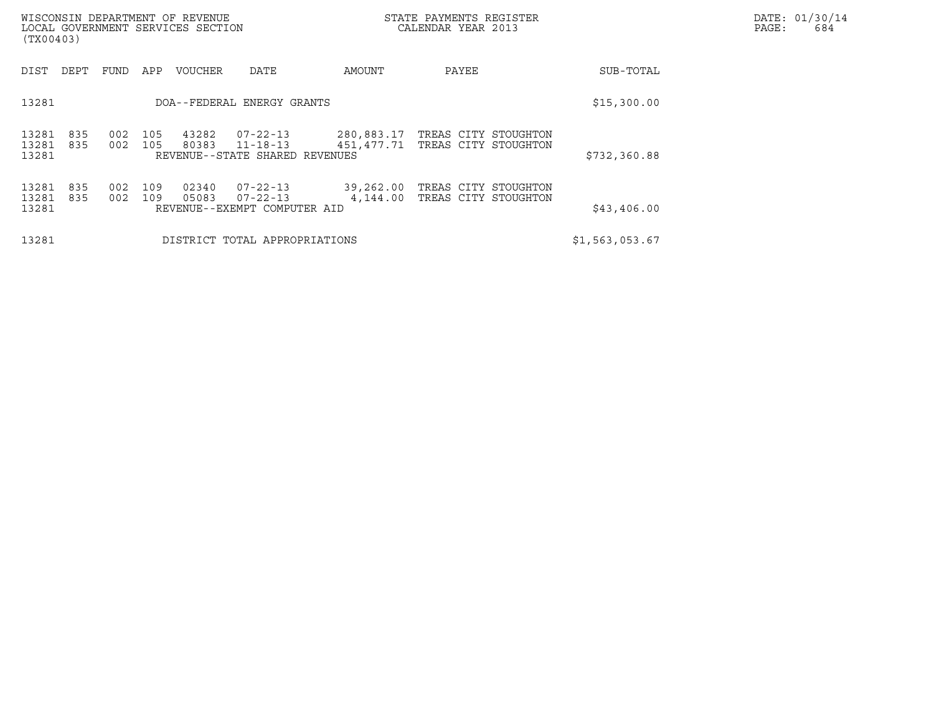| (TX00403)               |            |            |            | WISCONSIN DEPARTMENT OF REVENUE<br>LOCAL GOVERNMENT SERVICES SECTION |                                                              |                          | STATE PAYMENTS REGISTER<br>CALENDAR YEAR 2013 |                | DATE: 01/30/14<br>PAGE:<br>684 |
|-------------------------|------------|------------|------------|----------------------------------------------------------------------|--------------------------------------------------------------|--------------------------|-----------------------------------------------|----------------|--------------------------------|
| DIST                    | DEPT       | FUND       | APP        | <b>VOUCHER</b>                                                       | DATE                                                         | AMOUNT                   | PAYEE                                         | SUB-TOTAL      |                                |
| 13281                   |            |            |            |                                                                      | DOA--FEDERAL ENERGY GRANTS                                   | \$15,300.00              |                                               |                |                                |
| 13281<br>13281<br>13281 | 835<br>835 | 002<br>002 | 105<br>105 | 43282<br>80383                                                       | 07-22-13<br>$11 - 18 - 13$<br>REVENUE--STATE SHARED REVENUES | 280,883.17<br>451,477.71 | TREAS CITY STOUGHTON<br>TREAS CITY STOUGHTON  | \$732, 360.88  |                                |
| 13281<br>13281<br>13281 | 835<br>835 | 002<br>002 | 109<br>109 | 02340<br>05083                                                       | 07-22-13<br>07-22-13<br>REVENUE--EXEMPT COMPUTER AID         | 39,262.00<br>4,144.00    | TREAS CITY STOUGHTON<br>TREAS CITY STOUGHTON  | \$43,406.00    |                                |
| 13281                   |            |            |            |                                                                      | DISTRICT TOTAL APPROPRIATIONS                                |                          |                                               | \$1,563,053.67 |                                |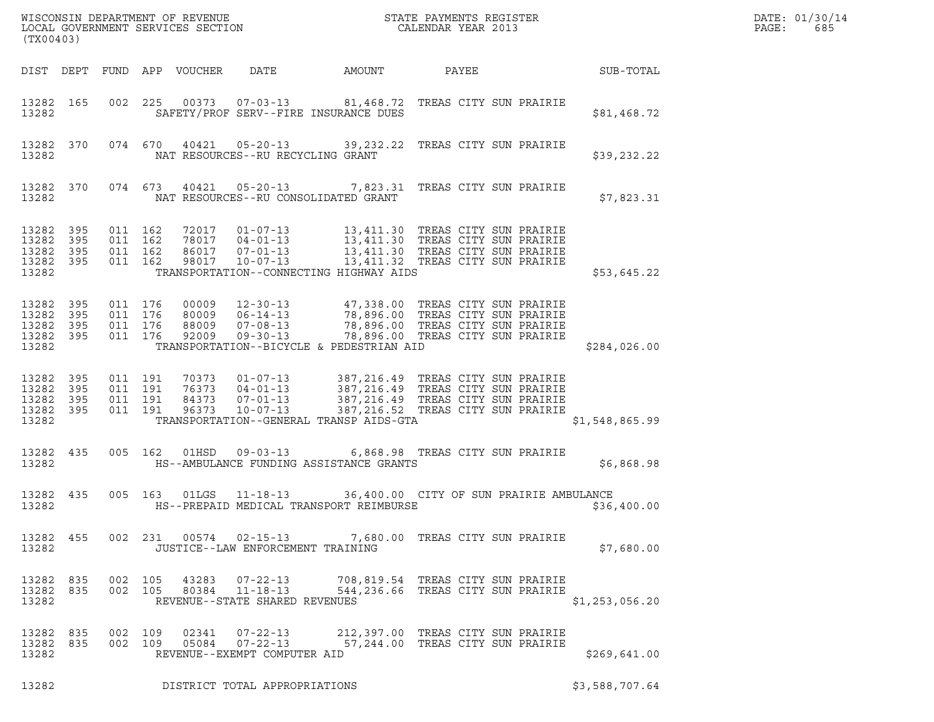| ${\tt WISCONSIM\ DEPARTMENT\ OF\ REVENUE}\qquad \qquad {\tt STATE\ PAYMENTS\ REGISTER} \\ {\tt LOCAL\ GOVERNMENT\ SERVICES\ SECTION}\qquad \qquad {\tt CALENDAR\ YEAR\ 2013}$<br>(TX00403) |           |                                          |         |                            |                                                                  |                                                                                                                                                                                                                                                                      |                                                                         |                  | DATE: 01/30/14<br>PAGE:<br>685 |
|--------------------------------------------------------------------------------------------------------------------------------------------------------------------------------------------|-----------|------------------------------------------|---------|----------------------------|------------------------------------------------------------------|----------------------------------------------------------------------------------------------------------------------------------------------------------------------------------------------------------------------------------------------------------------------|-------------------------------------------------------------------------|------------------|--------------------------------|
|                                                                                                                                                                                            |           |                                          |         | DIST DEPT FUND APP VOUCHER | DATE                                                             | AMOUNT                                                                                                                                                                                                                                                               | PAYEE                                                                   | <b>SUB-TOTAL</b> |                                |
| 13282                                                                                                                                                                                      | 13282 165 |                                          |         |                            |                                                                  | 002 225 00373 07-03-13 81,468.72 TREAS CITY SUN PRAIRIE<br>SAFETY/PROF SERV--FIRE INSURANCE DUES                                                                                                                                                                     |                                                                         | \$81,468.72      |                                |
| 13282                                                                                                                                                                                      | 13282 370 |                                          |         |                            | NAT RESOURCES--RU RECYCLING GRANT                                | 074 670 40421 05-20-13 39,232.22 TREAS CITY SUN PRAIRIE                                                                                                                                                                                                              |                                                                         | \$39,232.22      |                                |
| 13282                                                                                                                                                                                      | 13282 370 |                                          |         |                            |                                                                  | 074 673 40421 05-20-13 7,823.31 TREAS CITY SUN PRAIRIE<br>NAT RESOURCES--RU CONSOLIDATED GRANT                                                                                                                                                                       |                                                                         | \$7,823.31       |                                |
| 13282 395<br>13282<br>13282 395<br>13282 395<br>13282                                                                                                                                      | 395       | 011 162<br>011 162<br>011 162<br>011 162 |         |                            |                                                                  | 72017  01-07-13  13,411.30 TREAS CITY SUN PRAIRIE<br>78017  04-01-13  13,411.30 TREAS CITY SUN PRAIRIE<br>86017  07-01-13  13,411.30 TREAS CITY SUN PRAIRIE<br>98017  10-07-13  13,411.32 TREAS CITY SUN PRAIRIE<br>TRANSPORTATION--CONNECTING HIGHWAY AIDS          |                                                                         | \$53,645.22      |                                |
| 13282 395<br>13282 395<br>13282 395<br>13282 395<br>13282                                                                                                                                  |           | 011 176<br>011 176<br>011 176            | 011 176 |                            |                                                                  | 00009   12-30-13   47,338.00 TREAS CITY SUN PRAIRIE<br>80009   06-14-13   78,896.00 TREAS CITY SUN PRAIRIE<br>88009   07-08-13   78,896.00 TREAS CITY SUN PRAIRIE<br>92009   09-30-13   78,896.00 TREAS CITY SUN PRAIRIE<br>TRANSPORTATION--BICYCLE & PEDESTRIAN AID |                                                                         | \$284,026.00     |                                |
| 13282 395<br>13282<br>13282 395<br>13282 395<br>13282                                                                                                                                      | 395       | 011 191<br>011 191<br>011 191<br>011 191 |         |                            |                                                                  | 70373  01-07-13  387,216.49  TREAS CITY SUN PRAIRIE<br>76373  04-01-13  387,216.49  TREAS CITY SUN PRAIRIE<br>84373  07-01-13  387,216.49  TREAS CITY SUN PRAIRIE<br>96373  10-07-13  387,216.52  TREAS CITY SUN PRAIRIE<br>TRANSPORTATION--GENERAL TRANSP AIDS-GTA  |                                                                         | \$1,548,865.99   |                                |
| 13282                                                                                                                                                                                      | 13282 435 |                                          |         |                            |                                                                  | 005 162 01HSD 09-03-13 6,868.98 TREAS CITY SUN PRAIRIE<br>HS--AMBULANCE FUNDING ASSISTANCE GRANTS                                                                                                                                                                    |                                                                         | \$6,868.98       |                                |
| 13282                                                                                                                                                                                      | 13282 435 |                                          |         |                            |                                                                  | 005 163 01LGS 11-18-13 36,400.00 CITY OF SUN PRAIRIE AMBULANCE<br>HS--PREPAID MEDICAL TRANSPORT REIMBURSE                                                                                                                                                            |                                                                         | \$36,400.00      |                                |
| 13282                                                                                                                                                                                      | 13282 455 |                                          |         |                            | JUSTICE--LAW ENFORCEMENT TRAINING                                | 002  231  00574  02-15-13  7,680.00  TREAS CITY SUN PRAIRIE                                                                                                                                                                                                          |                                                                         | \$7,680.00       |                                |
| 13282 835<br>13282 835<br>13282                                                                                                                                                            |           | 002 105                                  | 002 105 | 43283<br>80384             | $07 - 22 - 13$<br>11-18-13<br>REVENUE--STATE SHARED REVENUES     |                                                                                                                                                                                                                                                                      | 708,819.54 TREAS CITY SUN PRAIRIE<br>544, 236.66 TREAS CITY SUN PRAIRIE | \$1,253,056.20   |                                |
| 13282 835<br>13282 835<br>13282                                                                                                                                                            |           | 002 109                                  | 002 109 | 02341                      | $07 - 22 - 13$<br>05084 07-22-13<br>REVENUE--EXEMPT COMPUTER AID |                                                                                                                                                                                                                                                                      | 212,397.00 TREAS CITY SUN PRAIRIE<br>57,244.00 TREAS CITY SUN PRAIRIE   | \$269,641.00     |                                |
| 13282                                                                                                                                                                                      |           |                                          |         |                            | DISTRICT TOTAL APPROPRIATIONS                                    |                                                                                                                                                                                                                                                                      |                                                                         | \$3,588,707.64   |                                |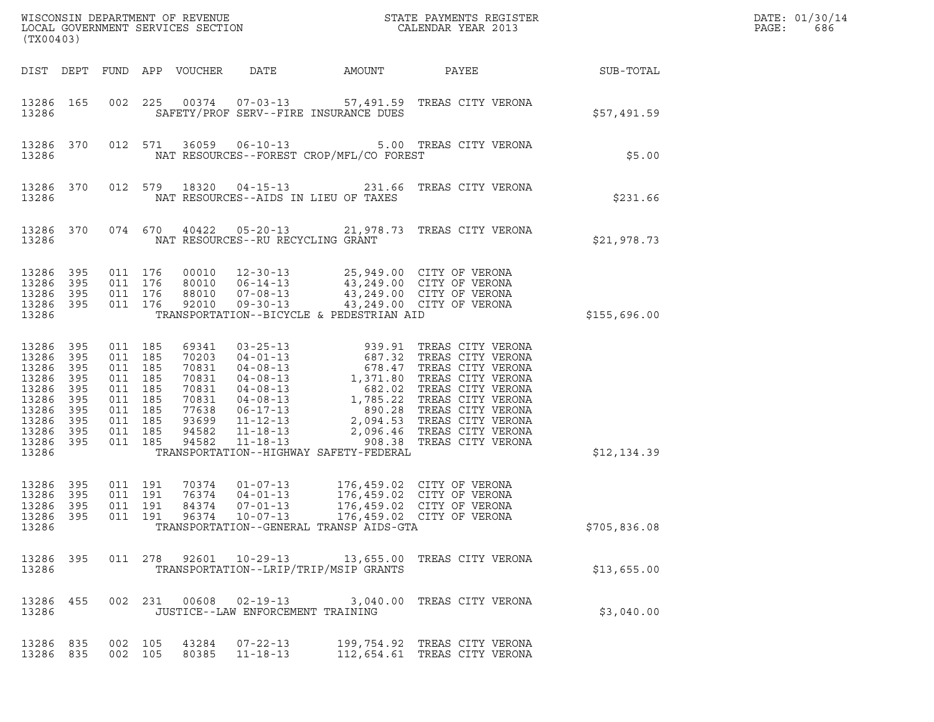| (TX00403)                                                                                                       |                                        |                                                                                                            |  |                            |                                                    |                                          |                                                                                                                                                                                      |                  | DATE: 01/30/14<br>PAGE:<br>686 |
|-----------------------------------------------------------------------------------------------------------------|----------------------------------------|------------------------------------------------------------------------------------------------------------|--|----------------------------|----------------------------------------------------|------------------------------------------|--------------------------------------------------------------------------------------------------------------------------------------------------------------------------------------|------------------|--------------------------------|
|                                                                                                                 |                                        |                                                                                                            |  | DIST DEPT FUND APP VOUCHER | DATE                                               | AMOUNT                                   | PAYEE                                                                                                                                                                                | <b>SUB-TOTAL</b> |                                |
| 13286                                                                                                           | 13286 165                              |                                                                                                            |  |                            |                                                    | SAFETY/PROF SERV--FIRE INSURANCE DUES    | 002 225 00374 07-03-13 57,491.59 TREAS CITY VERONA                                                                                                                                   | \$57,491.59      |                                |
| 13286                                                                                                           | 13286 370                              |                                                                                                            |  |                            |                                                    | NAT RESOURCES--FOREST CROP/MFL/CO FOREST | 012 571 36059 06-10-13 5.00 TREAS CITY VERONA                                                                                                                                        | \$5.00           |                                |
| 13286                                                                                                           | 13286 370                              |                                                                                                            |  |                            | NAT RESOURCES--AIDS IN LIEU OF TAXES               |                                          | 012 579 18320 04-15-13 231.66 TREAS CITY VERONA                                                                                                                                      | \$231.66         |                                |
| 13286                                                                                                           | 13286 370                              |                                                                                                            |  |                            | NAT RESOURCES--RU RECYCLING GRANT                  |                                          | 074 670 40422 05-20-13 21,978.73 TREAS CITY VERONA                                                                                                                                   | \$21,978.73      |                                |
| 13286 395<br>13286<br>13286 395<br>13286 395<br>13286                                                           | 395                                    | 011 176<br>011 176<br>011 176<br>011 176                                                                   |  |                            |                                                    | TRANSPORTATION--BICYCLE & PEDESTRIAN AID | 00010  12-30-13  25,949.00  CITY OF VERONA<br>80010  06-14-13  43,249.00  CITY OF VERONA<br>88010  07-08-13  43,249.00  CITY OF VERONA<br>92010  09-30-13  43,249.00  CITY OF VERONA | \$155,696.00     |                                |
| 13286<br>13286 395<br>13286<br>13286<br>13286<br>13286<br>13286<br>13286 395<br>13286 395<br>13286 395<br>13286 | 395<br>395<br>395<br>395<br>395<br>395 | 011 185<br>011 185<br>011 185<br>011 185<br>011 185<br>011 185<br>011 185<br>011 185<br>011 185<br>011 185 |  |                            |                                                    | TRANSPORTATION--HIGHWAY SAFETY-FEDERAL   |                                                                                                                                                                                      | \$12,134.39      |                                |
| 13286 395<br>13286<br>13286 395<br>13286                                                                        | 395                                    | 011 191<br>011 191<br>011 191                                                                              |  | 70374<br>76374<br>84374    | $01 - 07 - 13$<br>$04 - 01 - 13$<br>$07 - 01 - 13$ | TRANSPORTATION--GENERAL TRANSP AIDS-GTA  | 176,459.02 CITY OF VERONA<br>176,459.02 CITY OF VERONA<br>176,459.02 CITY OF VERONA<br>13286 395 011 191 96374 10-07-13 176,459.02 CITY OF VERONA                                    | \$705,836.08     |                                |
| 13286 395<br>13286                                                                                              |                                        |                                                                                                            |  |                            |                                                    | TRANSPORTATION--LRIP/TRIP/MSIP GRANTS    | 011  278  92601  10-29-13  13,655.00 TREAS CITY VERONA                                                                                                                               | \$13,655.00      |                                |
| 13286 455<br>13286                                                                                              |                                        |                                                                                                            |  |                            | JUSTICE--LAW ENFORCEMENT TRAINING                  |                                          | 002 231 00608 02-19-13 3,040.00 TREAS CITY VERONA                                                                                                                                    | \$3,040.00       |                                |
| 13286 835<br>13286 835                                                                                          |                                        | 002 105<br>002 105                                                                                         |  |                            | 43284 07-22-13<br>80385 11-18-13                   |                                          | 199,754.92 TREAS CITY VERONA<br>112,654.61 TREAS CITY VERONA                                                                                                                         |                  |                                |